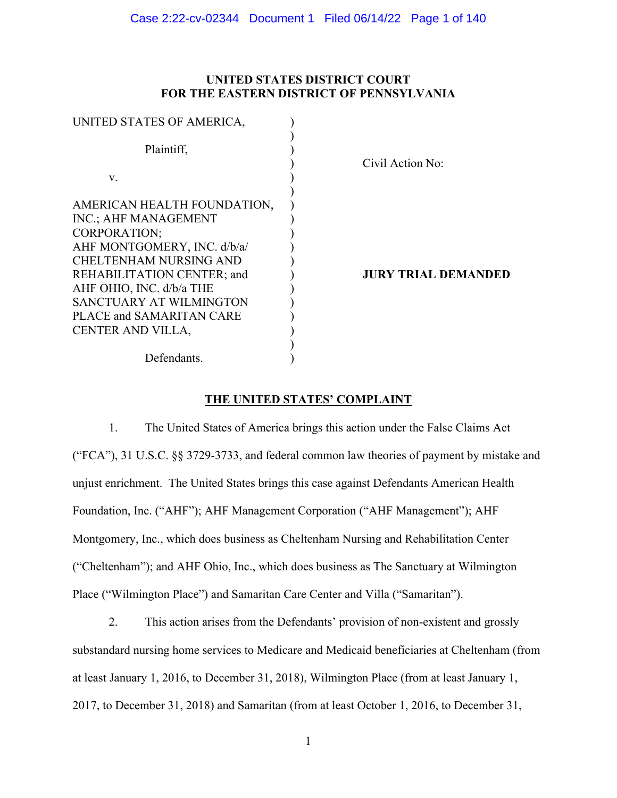# **UNITED STATES DISTRICT COURT FOR THE EASTERN DISTRICT OF PENNSYLVANIA**

| UNITED STATES OF AMERICA,   |                            |
|-----------------------------|----------------------------|
| Plaintiff,                  | Civil Action No:           |
| V.                          |                            |
| AMERICAN HEALTH FOUNDATION, |                            |
| INC.; AHF MANAGEMENT        |                            |
| <b>CORPORATION;</b>         |                            |
| AHF MONTGOMERY, INC. d/b/a/ |                            |
| CHELTENHAM NURSING AND      |                            |
| REHABILITATION CENTER; and  | <b>JURY TRIAL DEMANDED</b> |
| AHF OHIO, INC. d/b/a THE    |                            |
| SANCTUARY AT WILMINGTON     |                            |
| PLACE and SAMARITAN CARE    |                            |
| CENTER AND VILLA,           |                            |
|                             |                            |
| Defendants.                 |                            |

# **THE UNITED STATES' COMPLAINT**

1. The United States of America brings this action under the False Claims Act ("FCA"), 31 U.S.C. §§ 3729-3733, and federal common law theories of payment by mistake and unjust enrichment. The United States brings this case against Defendants American Health Foundation, Inc. ("AHF"); AHF Management Corporation ("AHF Management"); AHF Montgomery, Inc., which does business as Cheltenham Nursing and Rehabilitation Center ("Cheltenham"); and AHF Ohio, Inc., which does business as The Sanctuary at Wilmington Place ("Wilmington Place") and Samaritan Care Center and Villa ("Samaritan").

2. This action arises from the Defendants' provision of non-existent and grossly substandard nursing home services to Medicare and Medicaid beneficiaries at Cheltenham (from at least January 1, 2016, to December 31, 2018), Wilmington Place (from at least January 1, 2017, to December 31, 2018) and Samaritan (from at least October 1, 2016, to December 31,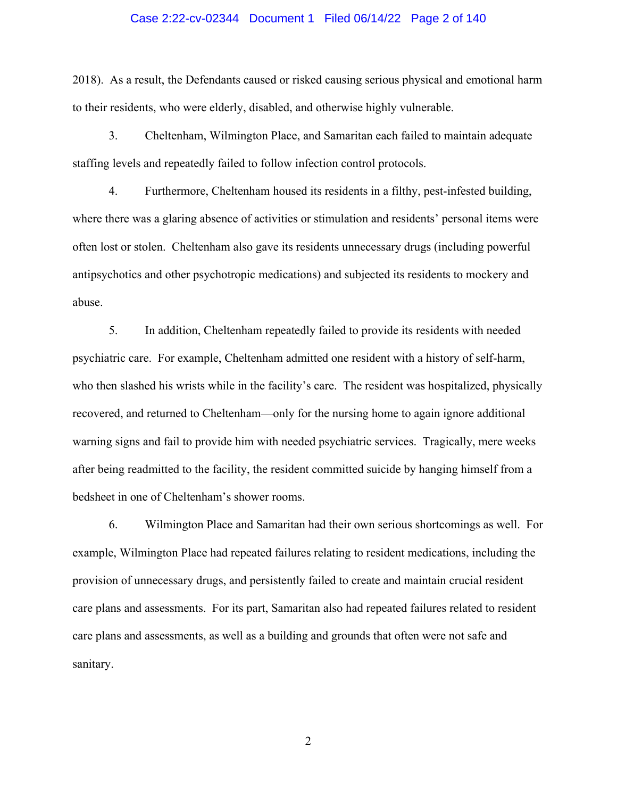#### Case 2:22-cv-02344 Document 1 Filed 06/14/22 Page 2 of 140

2018). As a result, the Defendants caused or risked causing serious physical and emotional harm to their residents, who were elderly, disabled, and otherwise highly vulnerable.

3. Cheltenham, Wilmington Place, and Samaritan each failed to maintain adequate staffing levels and repeatedly failed to follow infection control protocols.

4. Furthermore, Cheltenham housed its residents in a filthy, pest-infested building, where there was a glaring absence of activities or stimulation and residents' personal items were often lost or stolen. Cheltenham also gave its residents unnecessary drugs (including powerful antipsychotics and other psychotropic medications) and subjected its residents to mockery and abuse.

5. In addition, Cheltenham repeatedly failed to provide its residents with needed psychiatric care. For example, Cheltenham admitted one resident with a history of self-harm, who then slashed his wrists while in the facility's care. The resident was hospitalized, physically recovered, and returned to Cheltenham—only for the nursing home to again ignore additional warning signs and fail to provide him with needed psychiatric services. Tragically, mere weeks after being readmitted to the facility, the resident committed suicide by hanging himself from a bedsheet in one of Cheltenham's shower rooms.

6. Wilmington Place and Samaritan had their own serious shortcomings as well. For example, Wilmington Place had repeated failures relating to resident medications, including the provision of unnecessary drugs, and persistently failed to create and maintain crucial resident care plans and assessments. For its part, Samaritan also had repeated failures related to resident care plans and assessments, as well as a building and grounds that often were not safe and sanitary.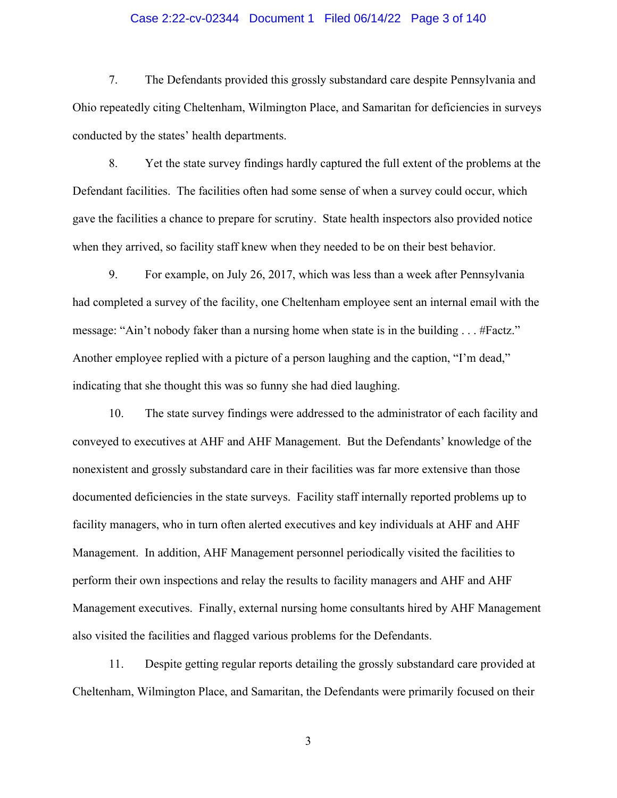### Case 2:22-cv-02344 Document 1 Filed 06/14/22 Page 3 of 140

7. The Defendants provided this grossly substandard care despite Pennsylvania and Ohio repeatedly citing Cheltenham, Wilmington Place, and Samaritan for deficiencies in surveys conducted by the states' health departments.

8. Yet the state survey findings hardly captured the full extent of the problems at the Defendant facilities. The facilities often had some sense of when a survey could occur, which gave the facilities a chance to prepare for scrutiny. State health inspectors also provided notice when they arrived, so facility staff knew when they needed to be on their best behavior.

9. For example, on July 26, 2017, which was less than a week after Pennsylvania had completed a survey of the facility, one Cheltenham employee sent an internal email with the message: "Ain't nobody faker than a nursing home when state is in the building . . . #Factz." Another employee replied with a picture of a person laughing and the caption, "I'm dead," indicating that she thought this was so funny she had died laughing.

10. The state survey findings were addressed to the administrator of each facility and conveyed to executives at AHF and AHF Management. But the Defendants' knowledge of the nonexistent and grossly substandard care in their facilities was far more extensive than those documented deficiencies in the state surveys. Facility staff internally reported problems up to facility managers, who in turn often alerted executives and key individuals at AHF and AHF Management. In addition, AHF Management personnel periodically visited the facilities to perform their own inspections and relay the results to facility managers and AHF and AHF Management executives. Finally, external nursing home consultants hired by AHF Management also visited the facilities and flagged various problems for the Defendants.

11. Despite getting regular reports detailing the grossly substandard care provided at Cheltenham, Wilmington Place, and Samaritan, the Defendants were primarily focused on their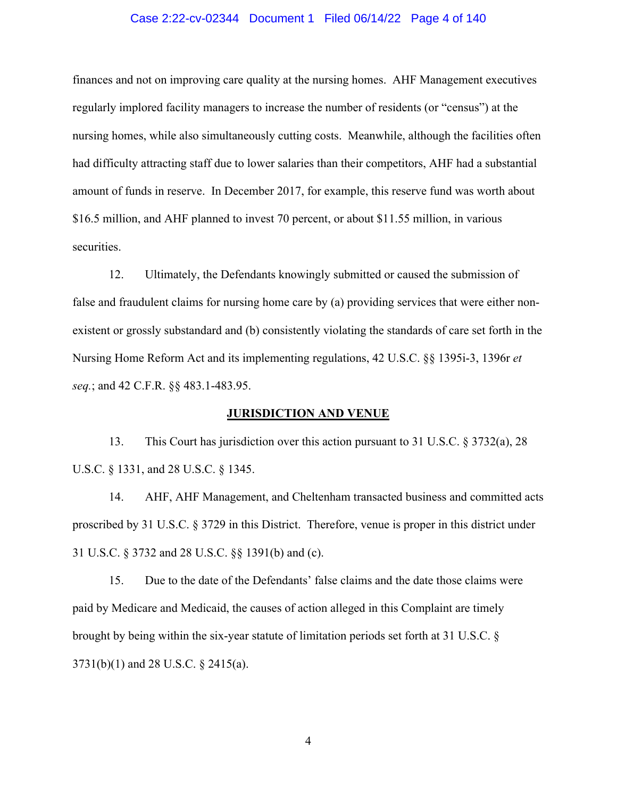### Case 2:22-cv-02344 Document 1 Filed 06/14/22 Page 4 of 140

finances and not on improving care quality at the nursing homes. AHF Management executives regularly implored facility managers to increase the number of residents (or "census") at the nursing homes, while also simultaneously cutting costs. Meanwhile, although the facilities often had difficulty attracting staff due to lower salaries than their competitors, AHF had a substantial amount of funds in reserve. In December 2017, for example, this reserve fund was worth about \$16.5 million, and AHF planned to invest 70 percent, or about \$11.55 million, in various securities.

12. Ultimately, the Defendants knowingly submitted or caused the submission of false and fraudulent claims for nursing home care by (a) providing services that were either nonexistent or grossly substandard and (b) consistently violating the standards of care set forth in the Nursing Home Reform Act and its implementing regulations, 42 U.S.C. §§ 1395i-3, 1396r *et seq.*; and 42 C.F.R. §§ 483.1-483.95.

#### **JURISDICTION AND VENUE**

13. This Court has jurisdiction over this action pursuant to 31 U.S.C. § 3732(a), 28 U.S.C. § 1331, and 28 U.S.C. § 1345.

14. AHF, AHF Management, and Cheltenham transacted business and committed acts proscribed by 31 U.S.C. § 3729 in this District. Therefore, venue is proper in this district under 31 U.S.C. § 3732 and 28 U.S.C. §§ 1391(b) and (c).

15. Due to the date of the Defendants' false claims and the date those claims were paid by Medicare and Medicaid, the causes of action alleged in this Complaint are timely brought by being within the six-year statute of limitation periods set forth at 31 U.S.C. § 3731(b)(1) and 28 U.S.C. § 2415(a).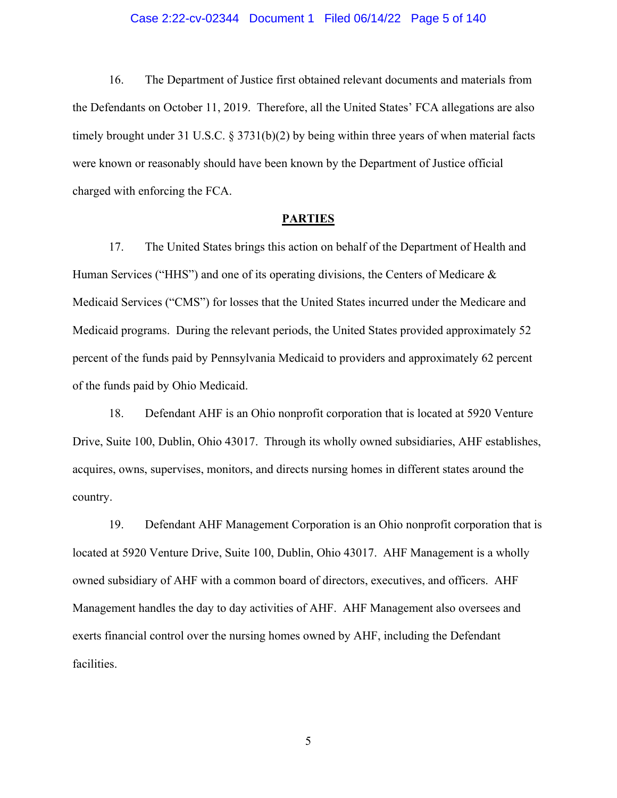#### Case 2:22-cv-02344 Document 1 Filed 06/14/22 Page 5 of 140

16. The Department of Justice first obtained relevant documents and materials from the Defendants on October 11, 2019. Therefore, all the United States' FCA allegations are also timely brought under 31 U.S.C. § 3731(b)(2) by being within three years of when material facts were known or reasonably should have been known by the Department of Justice official charged with enforcing the FCA.

### **PARTIES**

17. The United States brings this action on behalf of the Department of Health and Human Services ("HHS") and one of its operating divisions, the Centers of Medicare  $\&$ Medicaid Services ("CMS") for losses that the United States incurred under the Medicare and Medicaid programs. During the relevant periods, the United States provided approximately 52 percent of the funds paid by Pennsylvania Medicaid to providers and approximately 62 percent of the funds paid by Ohio Medicaid.

18. Defendant AHF is an Ohio nonprofit corporation that is located at 5920 Venture Drive, Suite 100, Dublin, Ohio 43017. Through its wholly owned subsidiaries, AHF establishes, acquires, owns, supervises, monitors, and directs nursing homes in different states around the country.

19. Defendant AHF Management Corporation is an Ohio nonprofit corporation that is located at 5920 Venture Drive, Suite 100, Dublin, Ohio 43017. AHF Management is a wholly owned subsidiary of AHF with a common board of directors, executives, and officers. AHF Management handles the day to day activities of AHF. AHF Management also oversees and exerts financial control over the nursing homes owned by AHF, including the Defendant facilities.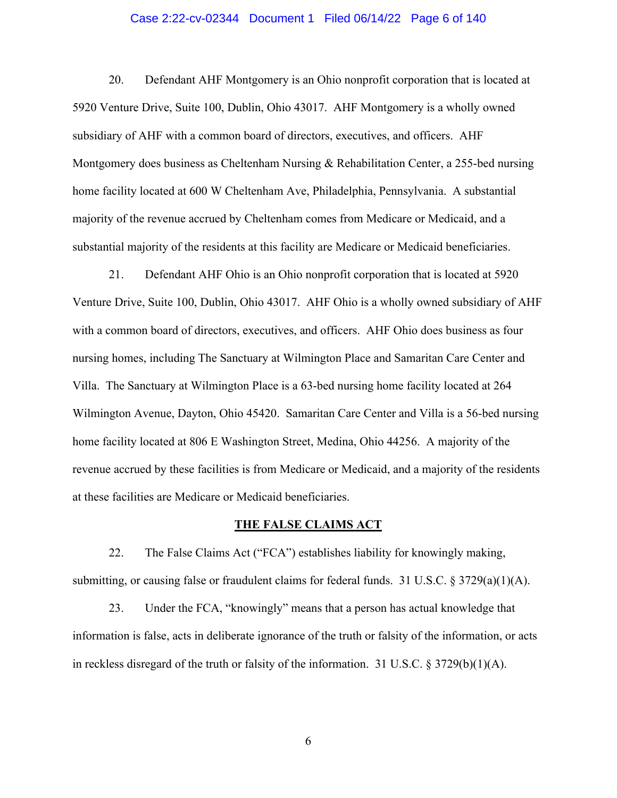#### Case 2:22-cv-02344 Document 1 Filed 06/14/22 Page 6 of 140

20. Defendant AHF Montgomery is an Ohio nonprofit corporation that is located at 5920 Venture Drive, Suite 100, Dublin, Ohio 43017. AHF Montgomery is a wholly owned subsidiary of AHF with a common board of directors, executives, and officers. AHF Montgomery does business as Cheltenham Nursing & Rehabilitation Center, a 255-bed nursing home facility located at 600 W Cheltenham Ave, Philadelphia, Pennsylvania. A substantial majority of the revenue accrued by Cheltenham comes from Medicare or Medicaid, and a substantial majority of the residents at this facility are Medicare or Medicaid beneficiaries.

21. Defendant AHF Ohio is an Ohio nonprofit corporation that is located at 5920 Venture Drive, Suite 100, Dublin, Ohio 43017. AHF Ohio is a wholly owned subsidiary of AHF with a common board of directors, executives, and officers. AHF Ohio does business as four nursing homes, including The Sanctuary at Wilmington Place and Samaritan Care Center and Villa. The Sanctuary at Wilmington Place is a 63-bed nursing home facility located at 264 Wilmington Avenue, Dayton, Ohio 45420. Samaritan Care Center and Villa is a 56-bed nursing home facility located at 806 E Washington Street, Medina, Ohio 44256. A majority of the revenue accrued by these facilities is from Medicare or Medicaid, and a majority of the residents at these facilities are Medicare or Medicaid beneficiaries.

#### **THE FALSE CLAIMS ACT**

22. The False Claims Act ("FCA") establishes liability for knowingly making, submitting, or causing false or fraudulent claims for federal funds. 31 U.S.C. § 3729(a)(1)(A).

23. Under the FCA, "knowingly" means that a person has actual knowledge that information is false, acts in deliberate ignorance of the truth or falsity of the information, or acts in reckless disregard of the truth or falsity of the information. 31 U.S.C. § 3729(b)(1)(A).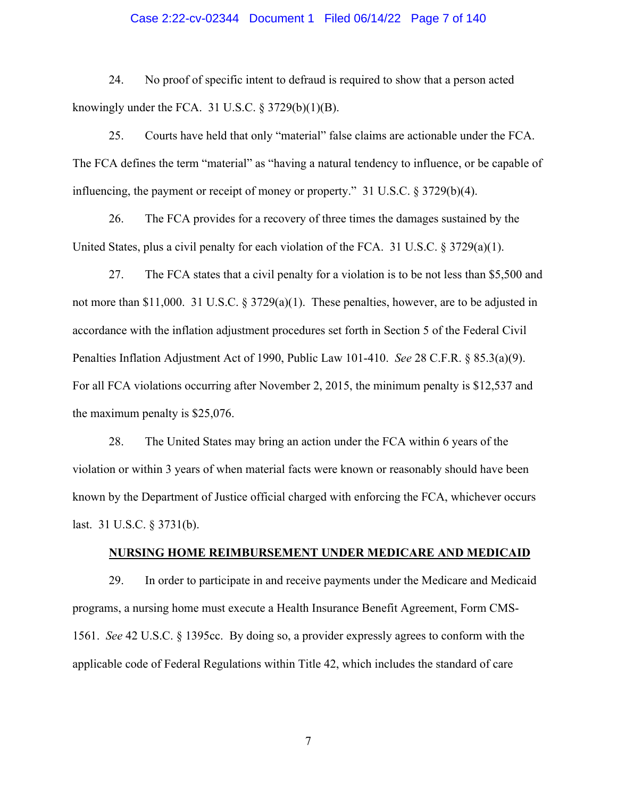### Case 2:22-cv-02344 Document 1 Filed 06/14/22 Page 7 of 140

24. No proof of specific intent to defraud is required to show that a person acted knowingly under the FCA. 31 U.S.C.  $\S 3729(b)(1)(B)$ .

25. Courts have held that only "material" false claims are actionable under the FCA. The FCA defines the term "material" as "having a natural tendency to influence, or be capable of influencing, the payment or receipt of money or property." 31 U.S.C. § 3729(b)(4).

26. The FCA provides for a recovery of three times the damages sustained by the United States, plus a civil penalty for each violation of the FCA. 31 U.S.C.  $\S 3729(a)(1)$ .

27. The FCA states that a civil penalty for a violation is to be not less than \$5,500 and not more than \$11,000. 31 U.S.C. § 3729(a)(1). These penalties, however, are to be adjusted in accordance with the inflation adjustment procedures set forth in Section 5 of the Federal Civil Penalties Inflation Adjustment Act of 1990, Public Law 101-410. *See* 28 C.F.R. § 85.3(a)(9). For all FCA violations occurring after November 2, 2015, the minimum penalty is \$12,537 and the maximum penalty is \$25,076.

28. The United States may bring an action under the FCA within 6 years of the violation or within 3 years of when material facts were known or reasonably should have been known by the Department of Justice official charged with enforcing the FCA, whichever occurs last. 31 U.S.C. § 3731(b).

### **NURSING HOME REIMBURSEMENT UNDER MEDICARE AND MEDICAID**

29. In order to participate in and receive payments under the Medicare and Medicaid programs, a nursing home must execute a Health Insurance Benefit Agreement, Form CMS-1561. *See* 42 U.S.C. § 1395cc. By doing so, a provider expressly agrees to conform with the applicable code of Federal Regulations within Title 42, which includes the standard of care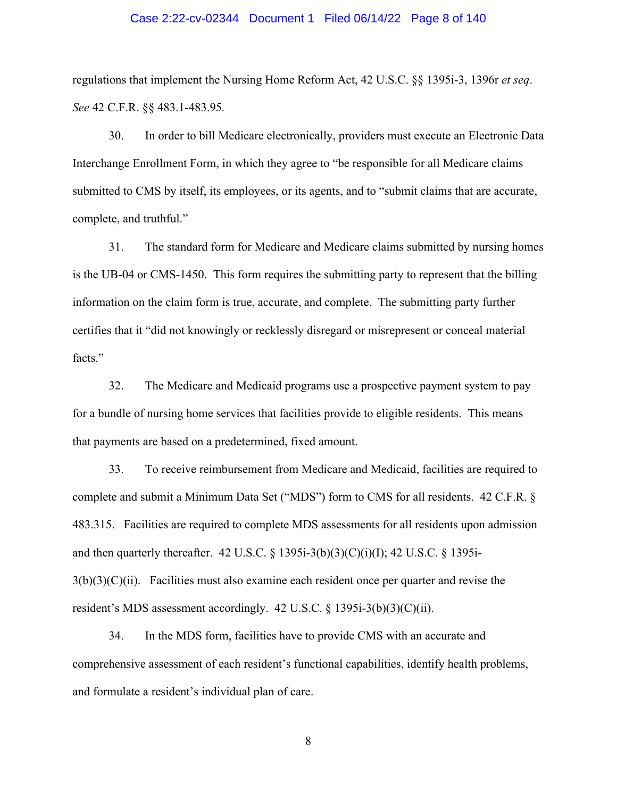### Case 2:22-cv-02344 Document 1 Filed 06/14/22 Page 8 of 140

regulations that implement the Nursing Home Reform Act, 42 U.S.C. §§ 1395i-3, 1396r *et seq*. *See* 42 C.F.R. §§ 483.1-483.95*.*

30. In order to bill Medicare electronically, providers must execute an Electronic Data Interchange Enrollment Form, in which they agree to "be responsible for all Medicare claims submitted to CMS by itself, its employees, or its agents, and to "submit claims that are accurate, complete, and truthful."

31. The standard form for Medicare and Medicare claims submitted by nursing homes is the UB-04 or CMS-1450. This form requires the submitting party to represent that the billing information on the claim form is true, accurate, and complete. The submitting party further certifies that it "did not knowingly or recklessly disregard or misrepresent or conceal material facts."

32. The Medicare and Medicaid programs use a prospective payment system to pay for a bundle of nursing home services that facilities provide to eligible residents. This means that payments are based on a predetermined, fixed amount.

33. To receive reimbursement from Medicare and Medicaid, facilities are required to complete and submit a Minimum Data Set ("MDS") form to CMS for all residents. 42 C.F.R. § 483.315. Facilities are required to complete MDS assessments for all residents upon admission and then quarterly thereafter. 42 U.S.C. § 1395i-3(b)(3)(C)(i)(I); 42 U.S.C. § 1395i- $3(b)(3)(C)(ii)$ . Facilities must also examine each resident once per quarter and revise the resident's MDS assessment accordingly. 42 U.S.C. § 1395i-3(b)(3)(C)(ii).

34. In the MDS form, facilities have to provide CMS with an accurate and comprehensive assessment of each resident's functional capabilities, identify health problems, and formulate a resident's individual plan of care.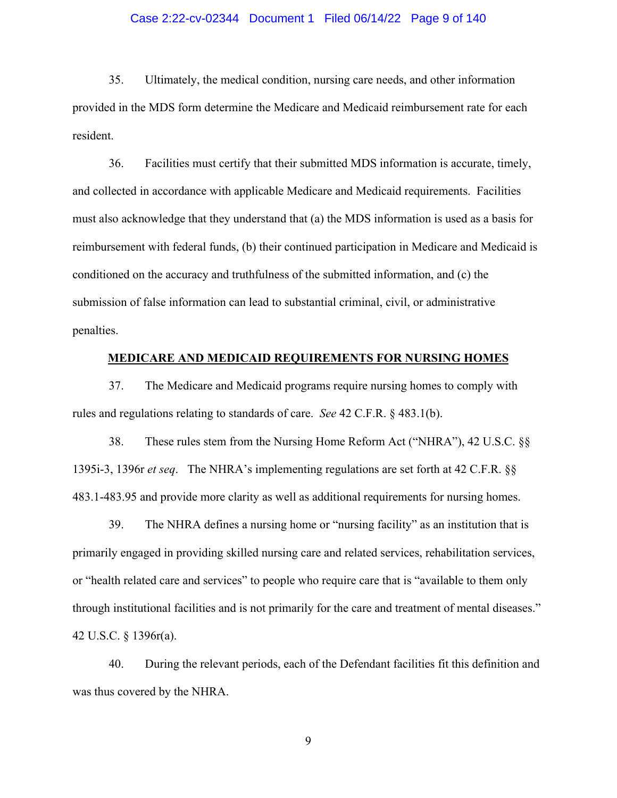### Case 2:22-cv-02344 Document 1 Filed 06/14/22 Page 9 of 140

35. Ultimately, the medical condition, nursing care needs, and other information provided in the MDS form determine the Medicare and Medicaid reimbursement rate for each resident.

36. Facilities must certify that their submitted MDS information is accurate, timely, and collected in accordance with applicable Medicare and Medicaid requirements. Facilities must also acknowledge that they understand that (a) the MDS information is used as a basis for reimbursement with federal funds, (b) their continued participation in Medicare and Medicaid is conditioned on the accuracy and truthfulness of the submitted information, and (c) the submission of false information can lead to substantial criminal, civil, or administrative penalties.

### **MEDICARE AND MEDICAID REQUIREMENTS FOR NURSING HOMES**

37. The Medicare and Medicaid programs require nursing homes to comply with rules and regulations relating to standards of care. *See* 42 C.F.R. § 483.1(b).

38. These rules stem from the Nursing Home Reform Act ("NHRA"), 42 U.S.C. §§ 1395i-3, 1396r *et seq*. The NHRA's implementing regulations are set forth at 42 C.F.R. §§ 483.1-483.95 and provide more clarity as well as additional requirements for nursing homes.

39. The NHRA defines a nursing home or "nursing facility" as an institution that is primarily engaged in providing skilled nursing care and related services, rehabilitation services, or "health related care and services" to people who require care that is "available to them only through institutional facilities and is not primarily for the care and treatment of mental diseases." 42 U.S.C. § 1396r(a).

40. During the relevant periods, each of the Defendant facilities fit this definition and was thus covered by the NHRA.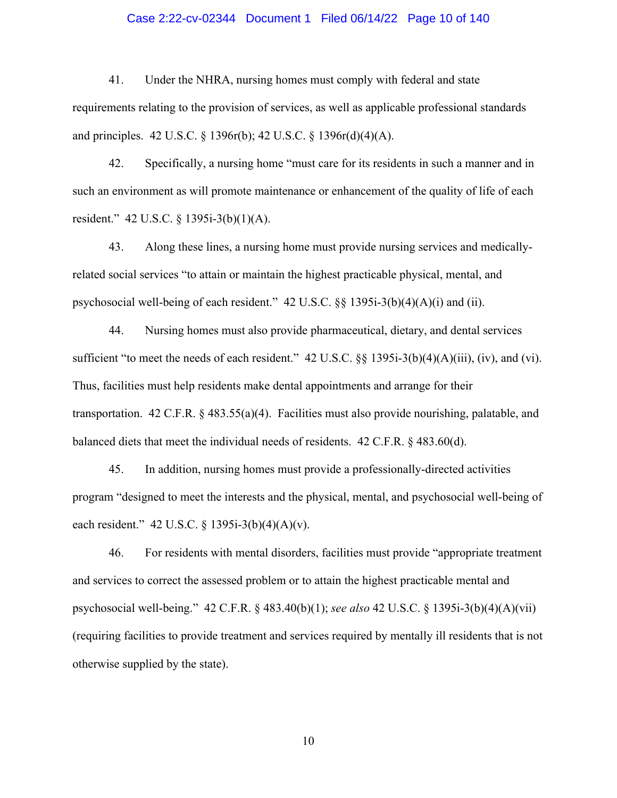### Case 2:22-cv-02344 Document 1 Filed 06/14/22 Page 10 of 140

41. Under the NHRA, nursing homes must comply with federal and state requirements relating to the provision of services, as well as applicable professional standards and principles. 42 U.S.C. § 1396r(b); 42 U.S.C. § 1396r(d)(4)(A).

42. Specifically, a nursing home "must care for its residents in such a manner and in such an environment as will promote maintenance or enhancement of the quality of life of each resident." 42 U.S.C. § 1395i-3(b)(1)(A).

43. Along these lines, a nursing home must provide nursing services and medicallyrelated social services "to attain or maintain the highest practicable physical, mental, and psychosocial well-being of each resident." 42 U.S.C. §§ 1395i-3(b)(4)(A)(i) and (ii).

44. Nursing homes must also provide pharmaceutical, dietary, and dental services sufficient "to meet the needs of each resident." 42 U.S.C. §§ 1395i-3(b)(4)(A)(iii), (iv), and (vi). Thus, facilities must help residents make dental appointments and arrange for their transportation. 42 C.F.R. § 483.55(a)(4). Facilities must also provide nourishing, palatable, and balanced diets that meet the individual needs of residents. 42 C.F.R. § 483.60(d).

45. In addition, nursing homes must provide a professionally-directed activities program "designed to meet the interests and the physical, mental, and psychosocial well-being of each resident." 42 U.S.C. § 1395i-3(b)(4)(A)(v).

46. For residents with mental disorders, facilities must provide "appropriate treatment and services to correct the assessed problem or to attain the highest practicable mental and psychosocial well-being." 42 C.F.R. § 483.40(b)(1); *see also* 42 U.S.C. § 1395i-3(b)(4)(A)(vii) (requiring facilities to provide treatment and services required by mentally ill residents that is not otherwise supplied by the state).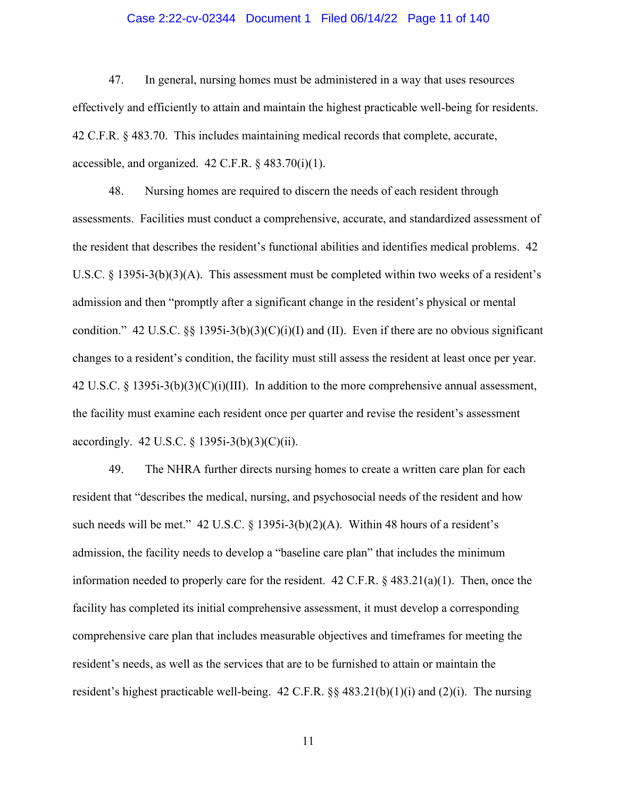### Case 2:22-cv-02344 Document 1 Filed 06/14/22 Page 11 of 140

47. In general, nursing homes must be administered in a way that uses resources effectively and efficiently to attain and maintain the highest practicable well-being for residents. 42 C.F.R. § 483.70. This includes maintaining medical records that complete, accurate, accessible, and organized.  $42$  C.F.R. §  $483.70(i)(1)$ .

48. Nursing homes are required to discern the needs of each resident through assessments. Facilities must conduct a comprehensive, accurate, and standardized assessment of the resident that describes the resident's functional abilities and identifies medical problems. 42 U.S.C. § 1395i-3(b)(3)(A). This assessment must be completed within two weeks of a resident's admission and then "promptly after a significant change in the resident's physical or mental condition." 42 U.S.C. §§ 1395i-3(b)(3)(C)(i)(I) and (II). Even if there are no obvious significant changes to a resident's condition, the facility must still assess the resident at least once per year. 42 U.S.C.  $\S$  1395i-3(b)(3)(C)(i)(III). In addition to the more comprehensive annual assessment, the facility must examine each resident once per quarter and revise the resident's assessment accordingly. 42 U.S.C. § 1395i-3(b)(3)(C)(ii).

49. The NHRA further directs nursing homes to create a written care plan for each resident that "describes the medical, nursing, and psychosocial needs of the resident and how such needs will be met." 42 U.S.C.  $\S$  1395i-3(b)(2)(A). Within 48 hours of a resident's admission, the facility needs to develop a "baseline care plan" that includes the minimum information needed to properly care for the resident.  $42 \text{ C.F.R.}$  §  $483.21(a)(1)$ . Then, once the facility has completed its initial comprehensive assessment, it must develop a corresponding comprehensive care plan that includes measurable objectives and timeframes for meeting the resident's needs, as well as the services that are to be furnished to attain or maintain the resident's highest practicable well-being. 42 C.F.R.  $\S$  483.21(b)(1)(i) and (2)(i). The nursing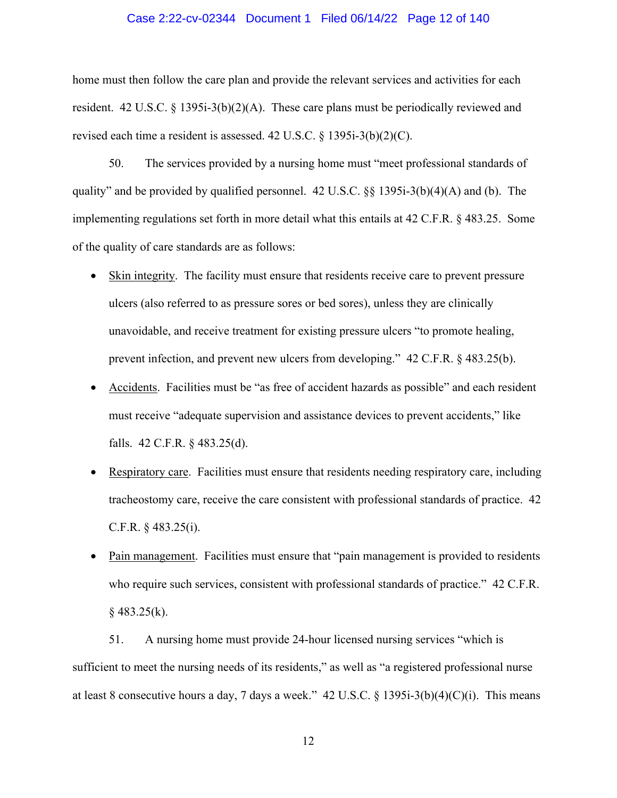### Case 2:22-cv-02344 Document 1 Filed 06/14/22 Page 12 of 140

home must then follow the care plan and provide the relevant services and activities for each resident. 42 U.S.C. § 1395i-3(b)(2)(A). These care plans must be periodically reviewed and revised each time a resident is assessed. 42 U.S.C. § 1395i-3(b)(2)(C).

50. The services provided by a nursing home must "meet professional standards of quality" and be provided by qualified personnel. 42 U.S.C. §§ 1395i-3(b)(4)(A) and (b). The implementing regulations set forth in more detail what this entails at 42 C.F.R. § 483.25. Some of the quality of care standards are as follows:

- Skin integrity. The facility must ensure that residents receive care to prevent pressure ulcers (also referred to as pressure sores or bed sores), unless they are clinically unavoidable, and receive treatment for existing pressure ulcers "to promote healing, prevent infection, and prevent new ulcers from developing." 42 C.F.R. § 483.25(b).
- Accidents. Facilities must be "as free of accident hazards as possible" and each resident must receive "adequate supervision and assistance devices to prevent accidents," like falls. 42 C.F.R. § 483.25(d).
- Respiratory care. Facilities must ensure that residents needing respiratory care, including tracheostomy care, receive the care consistent with professional standards of practice. 42 C.F.R. § 483.25(i).
- Pain management. Facilities must ensure that "pain management is provided to residents who require such services, consistent with professional standards of practice." 42 C.F.R.  $§$  483.25(k).

51. A nursing home must provide 24-hour licensed nursing services "which is sufficient to meet the nursing needs of its residents," as well as "a registered professional nurse at least 8 consecutive hours a day, 7 days a week."  $42 \text{ U.S.C.} \$   $1395\text{i} - 3(\text{b})(4)(\text{C})(\text{i})$ . This means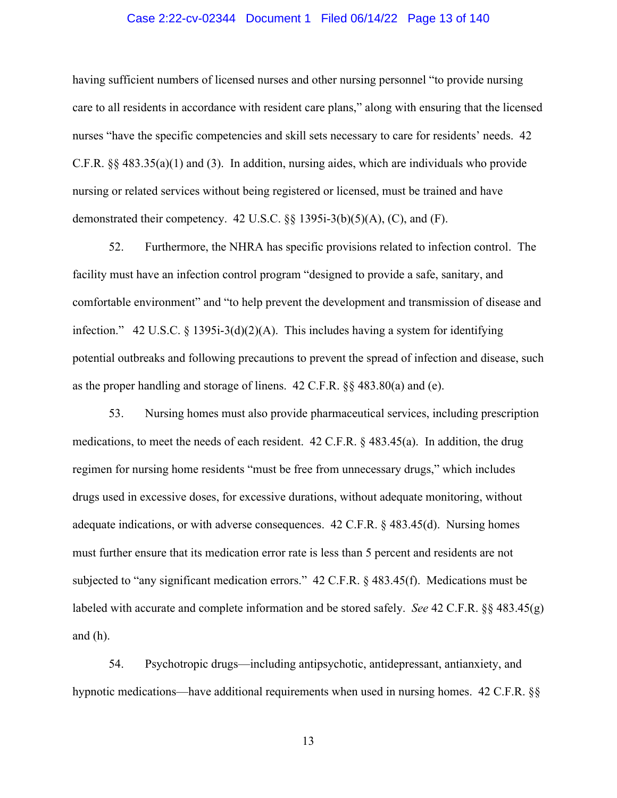### Case 2:22-cv-02344 Document 1 Filed 06/14/22 Page 13 of 140

having sufficient numbers of licensed nurses and other nursing personnel "to provide nursing care to all residents in accordance with resident care plans," along with ensuring that the licensed nurses "have the specific competencies and skill sets necessary to care for residents' needs. 42 C.F.R. §§ 483.35(a)(1) and (3). In addition, nursing aides, which are individuals who provide nursing or related services without being registered or licensed, must be trained and have demonstrated their competency. 42 U.S.C. §§ 1395i-3(b)(5)(A), (C), and (F).

52. Furthermore, the NHRA has specific provisions related to infection control. The facility must have an infection control program "designed to provide a safe, sanitary, and comfortable environment" and "to help prevent the development and transmission of disease and infection." 42 U.S.C. § 1395i-3(d)(2)(A). This includes having a system for identifying potential outbreaks and following precautions to prevent the spread of infection and disease, such as the proper handling and storage of linens. 42 C.F.R. §§ 483.80(a) and (e).

53. Nursing homes must also provide pharmaceutical services, including prescription medications, to meet the needs of each resident. 42 C.F.R. § 483.45(a). In addition, the drug regimen for nursing home residents "must be free from unnecessary drugs," which includes drugs used in excessive doses, for excessive durations, without adequate monitoring, without adequate indications, or with adverse consequences. 42 C.F.R. § 483.45(d). Nursing homes must further ensure that its medication error rate is less than 5 percent and residents are not subjected to "any significant medication errors." 42 C.F.R. § 483.45(f). Medications must be labeled with accurate and complete information and be stored safely. *See* 42 C.F.R. §§ 483.45(g) and (h).

54. Psychotropic drugs—including antipsychotic, antidepressant, antianxiety, and hypnotic medications—have additional requirements when used in nursing homes. 42 C.F.R. §§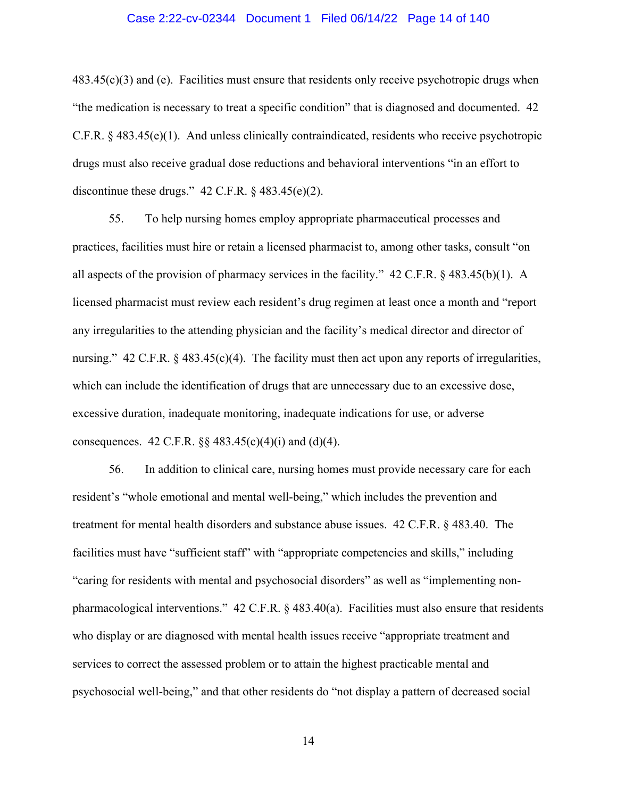## Case 2:22-cv-02344 Document 1 Filed 06/14/22 Page 14 of 140

 $483.45(c)(3)$  and (e). Facilities must ensure that residents only receive psychotropic drugs when "the medication is necessary to treat a specific condition" that is diagnosed and documented. 42 C.F.R. § 483.45(e)(1). And unless clinically contraindicated, residents who receive psychotropic drugs must also receive gradual dose reductions and behavioral interventions "in an effort to discontinue these drugs."  $42$  C.F.R.  $\S$   $483.45(e)(2)$ .

55. To help nursing homes employ appropriate pharmaceutical processes and practices, facilities must hire or retain a licensed pharmacist to, among other tasks, consult "on all aspects of the provision of pharmacy services in the facility." 42 C.F.R. § 483.45(b)(1). A licensed pharmacist must review each resident's drug regimen at least once a month and "report any irregularities to the attending physician and the facility's medical director and director of nursing."  $42 \text{ C.F.R. } \frac{8483.45(c)(4)}{1}$ . The facility must then act upon any reports of irregularities, which can include the identification of drugs that are unnecessary due to an excessive dose, excessive duration, inadequate monitoring, inadequate indications for use, or adverse consequences. 42 C.F.R.  $\S$ § 483.45(c)(4)(i) and (d)(4).

56. In addition to clinical care, nursing homes must provide necessary care for each resident's "whole emotional and mental well-being," which includes the prevention and treatment for mental health disorders and substance abuse issues. 42 C.F.R. § 483.40. The facilities must have "sufficient staff" with "appropriate competencies and skills," including "caring for residents with mental and psychosocial disorders" as well as "implementing nonpharmacological interventions." 42 C.F.R. § 483.40(a). Facilities must also ensure that residents who display or are diagnosed with mental health issues receive "appropriate treatment and services to correct the assessed problem or to attain the highest practicable mental and psychosocial well-being," and that other residents do "not display a pattern of decreased social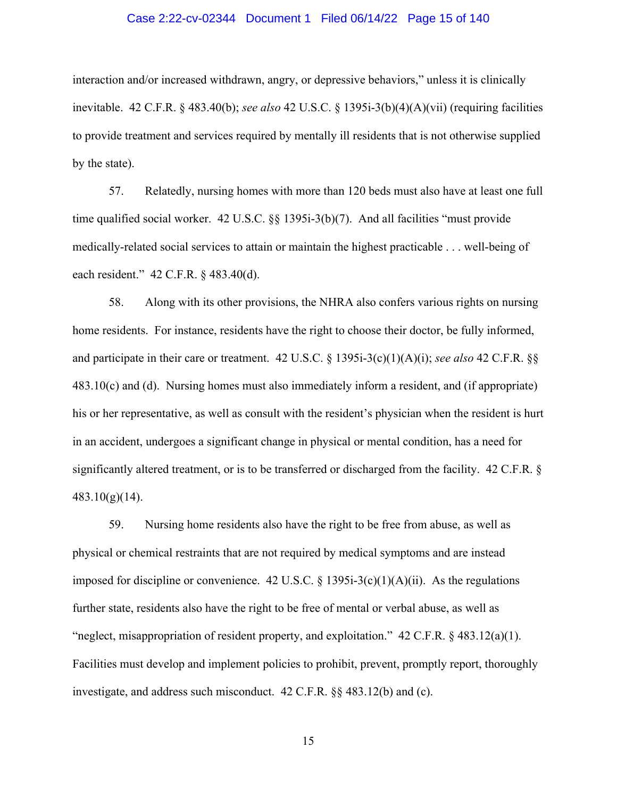### Case 2:22-cv-02344 Document 1 Filed 06/14/22 Page 15 of 140

interaction and/or increased withdrawn, angry, or depressive behaviors," unless it is clinically inevitable. 42 C.F.R. § 483.40(b); *see also* 42 U.S.C. § 1395i-3(b)(4)(A)(vii) (requiring facilities to provide treatment and services required by mentally ill residents that is not otherwise supplied by the state).

57. Relatedly, nursing homes with more than 120 beds must also have at least one full time qualified social worker. 42 U.S.C. §§ 1395i-3(b)(7). And all facilities "must provide medically-related social services to attain or maintain the highest practicable . . . well-being of each resident." 42 C.F.R. § 483.40(d).

58. Along with its other provisions, the NHRA also confers various rights on nursing home residents. For instance, residents have the right to choose their doctor, be fully informed, and participate in their care or treatment. 42 U.S.C. § 1395i-3(c)(1)(A)(i); *see also* 42 C.F.R. §§ 483.10(c) and (d). Nursing homes must also immediately inform a resident, and (if appropriate) his or her representative, as well as consult with the resident's physician when the resident is hurt in an accident, undergoes a significant change in physical or mental condition, has a need for significantly altered treatment, or is to be transferred or discharged from the facility. 42 C.F.R. § 483.10(g)(14).

59. Nursing home residents also have the right to be free from abuse, as well as physical or chemical restraints that are not required by medical symptoms and are instead imposed for discipline or convenience. 42 U.S.C. § 1395i-3(c)(1)(A)(ii). As the regulations further state, residents also have the right to be free of mental or verbal abuse, as well as "neglect, misappropriation of resident property, and exploitation."  $42 \text{ C.F.R.}$   $\frac{483.12(a)(1)}{a}$ . Facilities must develop and implement policies to prohibit, prevent, promptly report, thoroughly investigate, and address such misconduct. 42 C.F.R. §§ 483.12(b) and (c).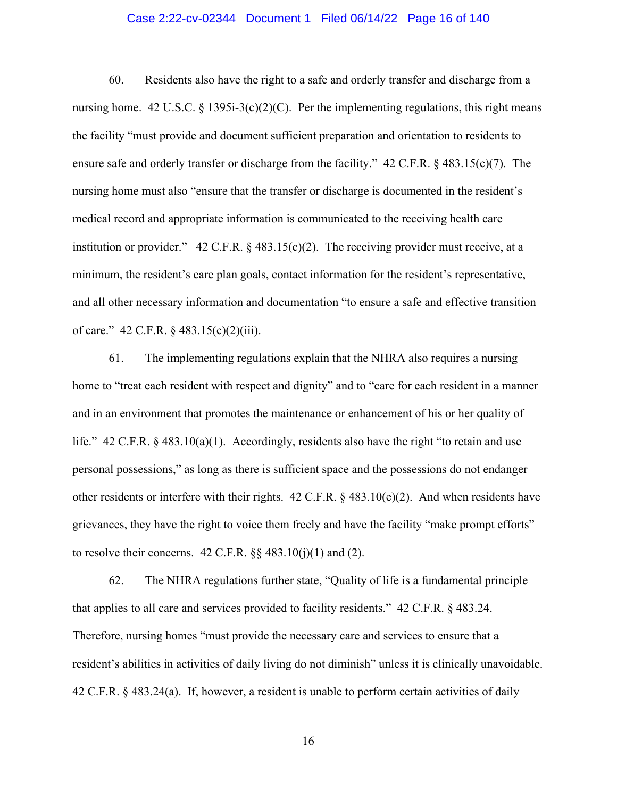### Case 2:22-cv-02344 Document 1 Filed 06/14/22 Page 16 of 140

60. Residents also have the right to a safe and orderly transfer and discharge from a nursing home. 42 U.S.C. § 1395i-3(c)(2)(C). Per the implementing regulations, this right means the facility "must provide and document sufficient preparation and orientation to residents to ensure safe and orderly transfer or discharge from the facility." 42 C.F.R. § 483.15(c)(7). The nursing home must also "ensure that the transfer or discharge is documented in the resident's medical record and appropriate information is communicated to the receiving health care institution or provider." 42 C.F.R.  $\&$  483.15(c)(2). The receiving provider must receive, at a minimum, the resident's care plan goals, contact information for the resident's representative, and all other necessary information and documentation "to ensure a safe and effective transition of care." 42 C.F.R. § 483.15(c)(2)(iii).

61. The implementing regulations explain that the NHRA also requires a nursing home to "treat each resident with respect and dignity" and to "care for each resident in a manner and in an environment that promotes the maintenance or enhancement of his or her quality of life." 42 C.F.R. § 483.10(a)(1). Accordingly, residents also have the right "to retain and use personal possessions," as long as there is sufficient space and the possessions do not endanger other residents or interfere with their rights.  $42$  C.F.R. §  $483.10(e)(2)$ . And when residents have grievances, they have the right to voice them freely and have the facility "make prompt efforts" to resolve their concerns.  $42 \text{ C.F.R.}$  §§  $483.10(i)(1)$  and (2).

62. The NHRA regulations further state, "Quality of life is a fundamental principle that applies to all care and services provided to facility residents." 42 C.F.R. § 483.24. Therefore, nursing homes "must provide the necessary care and services to ensure that a resident's abilities in activities of daily living do not diminish" unless it is clinically unavoidable. 42 C.F.R. § 483.24(a). If, however, a resident is unable to perform certain activities of daily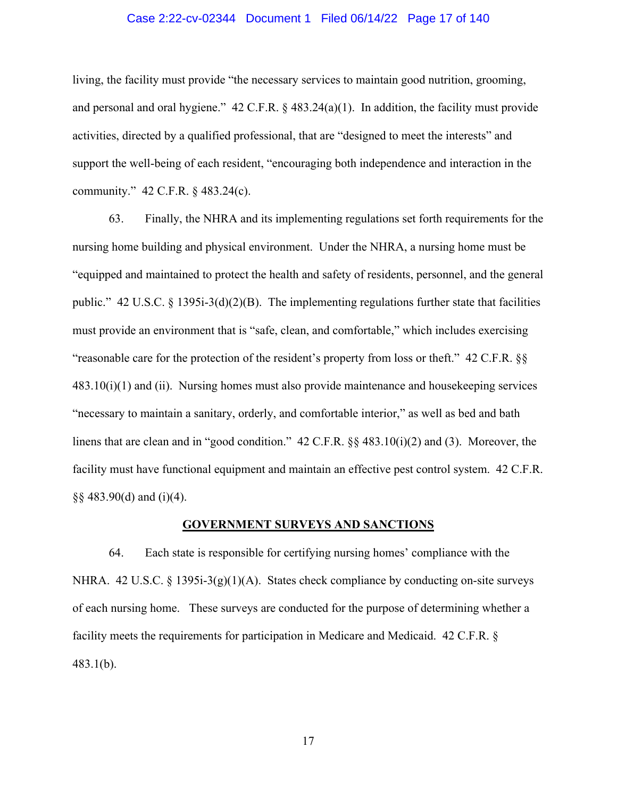### Case 2:22-cv-02344 Document 1 Filed 06/14/22 Page 17 of 140

living, the facility must provide "the necessary services to maintain good nutrition, grooming, and personal and oral hygiene." 42 C.F.R. § 483.24(a)(1). In addition, the facility must provide activities, directed by a qualified professional, that are "designed to meet the interests" and support the well-being of each resident, "encouraging both independence and interaction in the community." 42 C.F.R. § 483.24(c).

63. Finally, the NHRA and its implementing regulations set forth requirements for the nursing home building and physical environment. Under the NHRA, a nursing home must be "equipped and maintained to protect the health and safety of residents, personnel, and the general public." 42 U.S.C. § 1395i-3(d)(2)(B). The implementing regulations further state that facilities must provide an environment that is "safe, clean, and comfortable," which includes exercising "reasonable care for the protection of the resident's property from loss or theft." 42 C.F.R. §§  $483.10(i)(1)$  and (ii). Nursing homes must also provide maintenance and house keeping services "necessary to maintain a sanitary, orderly, and comfortable interior," as well as bed and bath linens that are clean and in "good condition." 42 C.F.R. §§ 483.10(i)(2) and (3). Moreover, the facility must have functional equipment and maintain an effective pest control system. 42 C.F.R. §§ 483.90(d) and (i)(4).

### **GOVERNMENT SURVEYS AND SANCTIONS**

64. Each state is responsible for certifying nursing homes' compliance with the NHRA. 42 U.S.C. § 1395i-3(g)(1)(A). States check compliance by conducting on-site surveys of each nursing home. These surveys are conducted for the purpose of determining whether a facility meets the requirements for participation in Medicare and Medicaid. 42 C.F.R. § 483.1(b).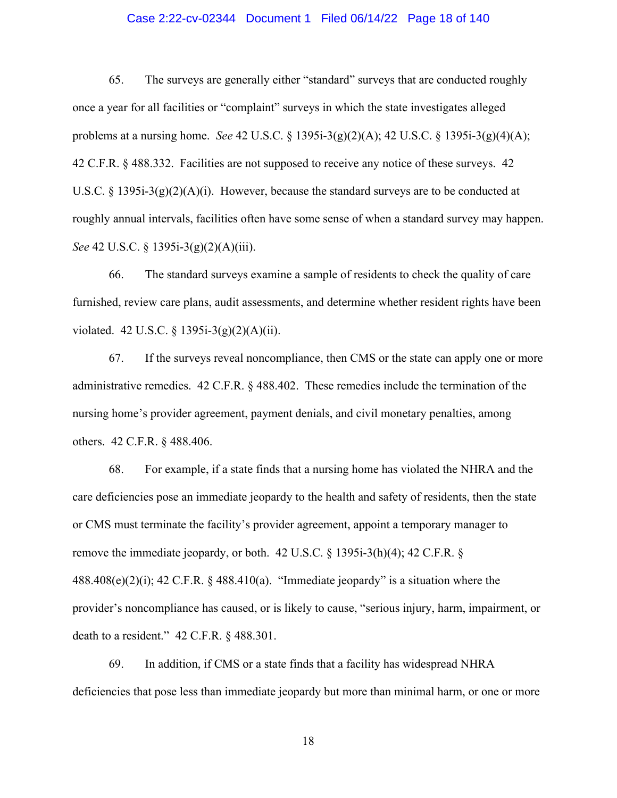### Case 2:22-cv-02344 Document 1 Filed 06/14/22 Page 18 of 140

65. The surveys are generally either "standard" surveys that are conducted roughly once a year for all facilities or "complaint" surveys in which the state investigates alleged problems at a nursing home. *See* 42 U.S.C. § 1395i-3(g)(2)(A); 42 U.S.C. § 1395i-3(g)(4)(A); 42 C.F.R. § 488.332. Facilities are not supposed to receive any notice of these surveys. 42 U.S.C. § 1395i-3(g)(2)(A)(i). However, because the standard surveys are to be conducted at roughly annual intervals, facilities often have some sense of when a standard survey may happen. *See* 42 U.S.C. § 1395i-3(g)(2)(A)(iii).

66. The standard surveys examine a sample of residents to check the quality of care furnished, review care plans, audit assessments, and determine whether resident rights have been violated. 42 U.S.C. § 1395i-3(g)(2)(A)(ii).

67. If the surveys reveal noncompliance, then CMS or the state can apply one or more administrative remedies. 42 C.F.R. § 488.402. These remedies include the termination of the nursing home's provider agreement, payment denials, and civil monetary penalties, among others. 42 C.F.R. § 488.406.

68. For example, if a state finds that a nursing home has violated the NHRA and the care deficiencies pose an immediate jeopardy to the health and safety of residents, then the state or CMS must terminate the facility's provider agreement, appoint a temporary manager to remove the immediate jeopardy, or both. 42 U.S.C. § 1395i-3(h)(4); 42 C.F.R. §  $488.408(e)(2)(i)$ ; 42 C.F.R. § 488.410(a). "Immediate jeopardy" is a situation where the provider's noncompliance has caused, or is likely to cause, "serious injury, harm, impairment, or death to a resident." 42 C.F.R. § 488.301.

69. In addition, if CMS or a state finds that a facility has widespread NHRA deficiencies that pose less than immediate jeopardy but more than minimal harm, or one or more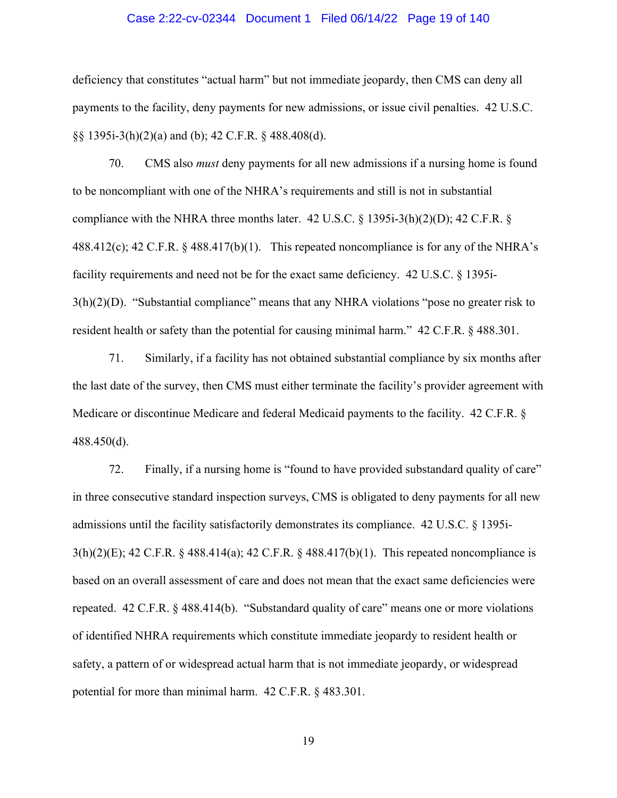### Case 2:22-cv-02344 Document 1 Filed 06/14/22 Page 19 of 140

deficiency that constitutes "actual harm" but not immediate jeopardy, then CMS can deny all payments to the facility, deny payments for new admissions, or issue civil penalties. 42 U.S.C. §§ 1395i-3(h)(2)(a) and (b); 42 C.F.R. § 488.408(d).

70. CMS also *must* deny payments for all new admissions if a nursing home is found to be noncompliant with one of the NHRA's requirements and still is not in substantial compliance with the NHRA three months later. 42 U.S.C.  $\S$  1395i-3(h)(2)(D); 42 C.F.R.  $\S$ 488.412(c); 42 C.F.R. § 488.417(b)(1). This repeated noncompliance is for any of the NHRA's facility requirements and need not be for the exact same deficiency. 42 U.S.C. § 1395i-3(h)(2)(D). "Substantial compliance" means that any NHRA violations "pose no greater risk to resident health or safety than the potential for causing minimal harm." 42 C.F.R. § 488.301.

71. Similarly, if a facility has not obtained substantial compliance by six months after the last date of the survey, then CMS must either terminate the facility's provider agreement with Medicare or discontinue Medicare and federal Medicaid payments to the facility. 42 C.F.R. § 488.450(d).

72. Finally, if a nursing home is "found to have provided substandard quality of care" in three consecutive standard inspection surveys, CMS is obligated to deny payments for all new admissions until the facility satisfactorily demonstrates its compliance. 42 U.S.C. § 1395i-3(h)(2)(E); 42 C.F.R. § 488.414(a); 42 C.F.R. § 488.417(b)(1). This repeated noncompliance is based on an overall assessment of care and does not mean that the exact same deficiencies were repeated. 42 C.F.R. § 488.414(b). "Substandard quality of care" means one or more violations of identified NHRA requirements which constitute immediate jeopardy to resident health or safety, a pattern of or widespread actual harm that is not immediate jeopardy, or widespread potential for more than minimal harm. 42 C.F.R. § 483.301.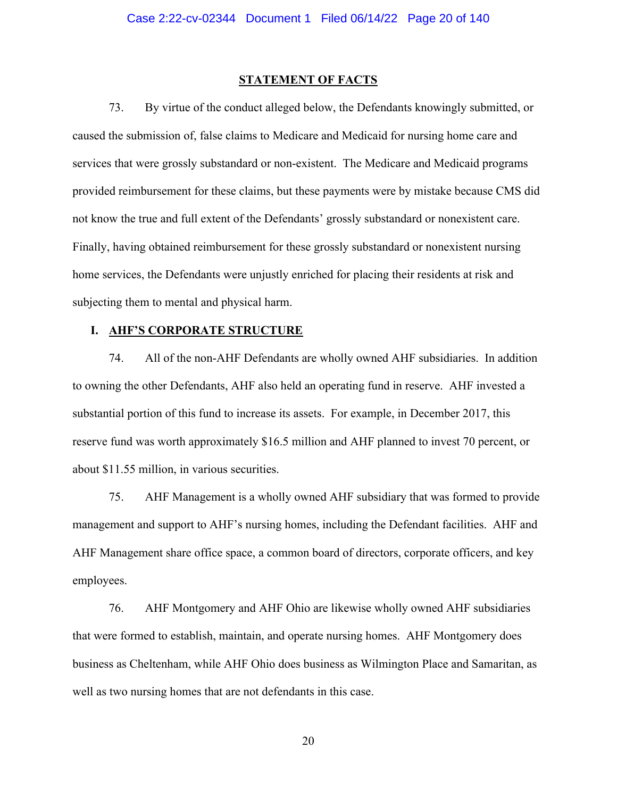#### **STATEMENT OF FACTS**

73. By virtue of the conduct alleged below, the Defendants knowingly submitted, or caused the submission of, false claims to Medicare and Medicaid for nursing home care and services that were grossly substandard or non-existent. The Medicare and Medicaid programs provided reimbursement for these claims, but these payments were by mistake because CMS did not know the true and full extent of the Defendants' grossly substandard or nonexistent care. Finally, having obtained reimbursement for these grossly substandard or nonexistent nursing home services, the Defendants were unjustly enriched for placing their residents at risk and subjecting them to mental and physical harm.

#### **I. AHF'S CORPORATE STRUCTURE**

74. All of the non-AHF Defendants are wholly owned AHF subsidiaries. In addition to owning the other Defendants, AHF also held an operating fund in reserve. AHF invested a substantial portion of this fund to increase its assets. For example, in December 2017, this reserve fund was worth approximately \$16.5 million and AHF planned to invest 70 percent, or about \$11.55 million, in various securities.

75. AHF Management is a wholly owned AHF subsidiary that was formed to provide management and support to AHF's nursing homes, including the Defendant facilities. AHF and AHF Management share office space, a common board of directors, corporate officers, and key employees.

76. AHF Montgomery and AHF Ohio are likewise wholly owned AHF subsidiaries that were formed to establish, maintain, and operate nursing homes. AHF Montgomery does business as Cheltenham, while AHF Ohio does business as Wilmington Place and Samaritan, as well as two nursing homes that are not defendants in this case.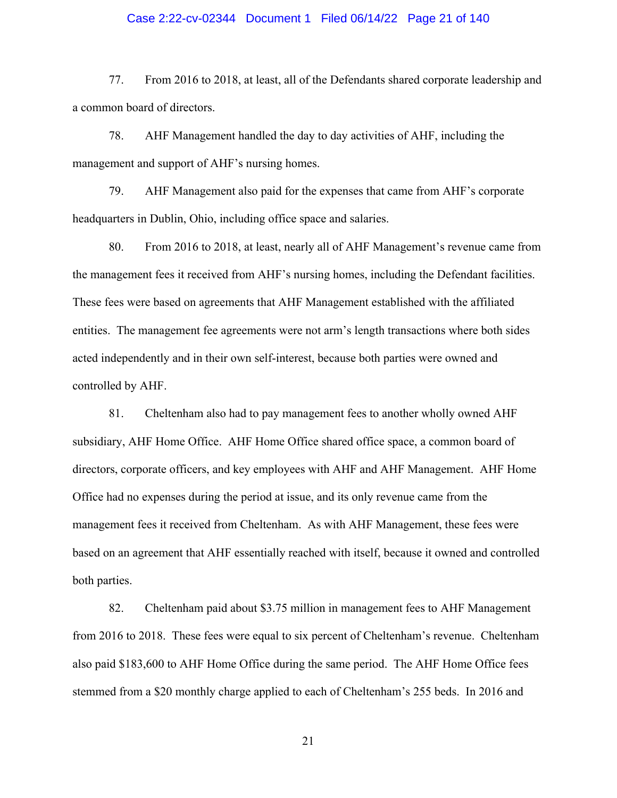### Case 2:22-cv-02344 Document 1 Filed 06/14/22 Page 21 of 140

77. From 2016 to 2018, at least, all of the Defendants shared corporate leadership and a common board of directors.

78. AHF Management handled the day to day activities of AHF, including the management and support of AHF's nursing homes.

79. AHF Management also paid for the expenses that came from AHF's corporate headquarters in Dublin, Ohio, including office space and salaries.

80. From 2016 to 2018, at least, nearly all of AHF Management's revenue came from the management fees it received from AHF's nursing homes, including the Defendant facilities. These fees were based on agreements that AHF Management established with the affiliated entities. The management fee agreements were not arm's length transactions where both sides acted independently and in their own self-interest, because both parties were owned and controlled by AHF.

81. Cheltenham also had to pay management fees to another wholly owned AHF subsidiary, AHF Home Office. AHF Home Office shared office space, a common board of directors, corporate officers, and key employees with AHF and AHF Management. AHF Home Office had no expenses during the period at issue, and its only revenue came from the management fees it received from Cheltenham. As with AHF Management, these fees were based on an agreement that AHF essentially reached with itself, because it owned and controlled both parties.

82. Cheltenham paid about \$3.75 million in management fees to AHF Management from 2016 to 2018. These fees were equal to six percent of Cheltenham's revenue. Cheltenham also paid \$183,600 to AHF Home Office during the same period. The AHF Home Office fees stemmed from a \$20 monthly charge applied to each of Cheltenham's 255 beds. In 2016 and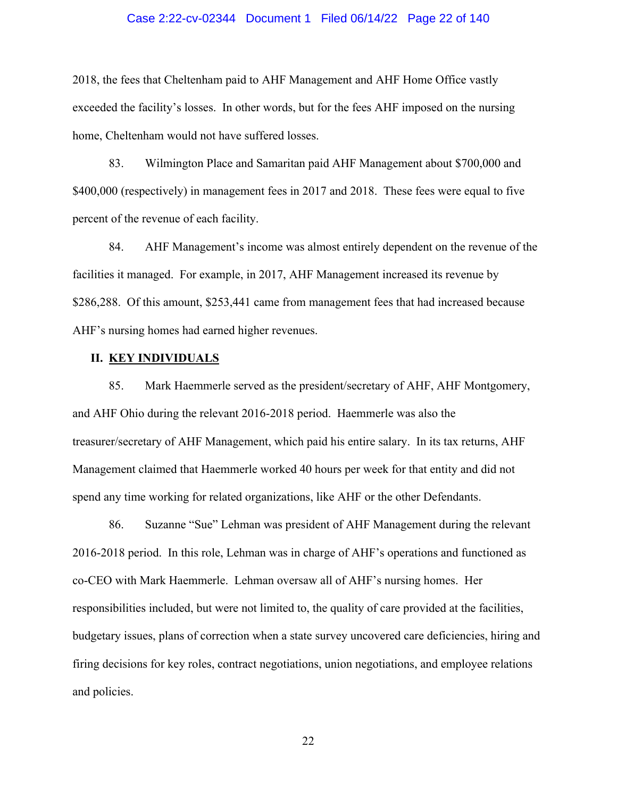### Case 2:22-cv-02344 Document 1 Filed 06/14/22 Page 22 of 140

2018, the fees that Cheltenham paid to AHF Management and AHF Home Office vastly exceeded the facility's losses. In other words, but for the fees AHF imposed on the nursing home, Cheltenham would not have suffered losses.

83. Wilmington Place and Samaritan paid AHF Management about \$700,000 and \$400,000 (respectively) in management fees in 2017 and 2018. These fees were equal to five percent of the revenue of each facility.

84. AHF Management's income was almost entirely dependent on the revenue of the facilities it managed. For example, in 2017, AHF Management increased its revenue by \$286,288. Of this amount, \$253,441 came from management fees that had increased because AHF's nursing homes had earned higher revenues.

### **II. KEY INDIVIDUALS**

85. Mark Haemmerle served as the president/secretary of AHF, AHF Montgomery, and AHF Ohio during the relevant 2016-2018 period. Haemmerle was also the treasurer/secretary of AHF Management, which paid his entire salary. In its tax returns, AHF Management claimed that Haemmerle worked 40 hours per week for that entity and did not spend any time working for related organizations, like AHF or the other Defendants.

86. Suzanne "Sue" Lehman was president of AHF Management during the relevant 2016-2018 period. In this role, Lehman was in charge of AHF's operations and functioned as co-CEO with Mark Haemmerle. Lehman oversaw all of AHF's nursing homes. Her responsibilities included, but were not limited to, the quality of care provided at the facilities, budgetary issues, plans of correction when a state survey uncovered care deficiencies, hiring and firing decisions for key roles, contract negotiations, union negotiations, and employee relations and policies.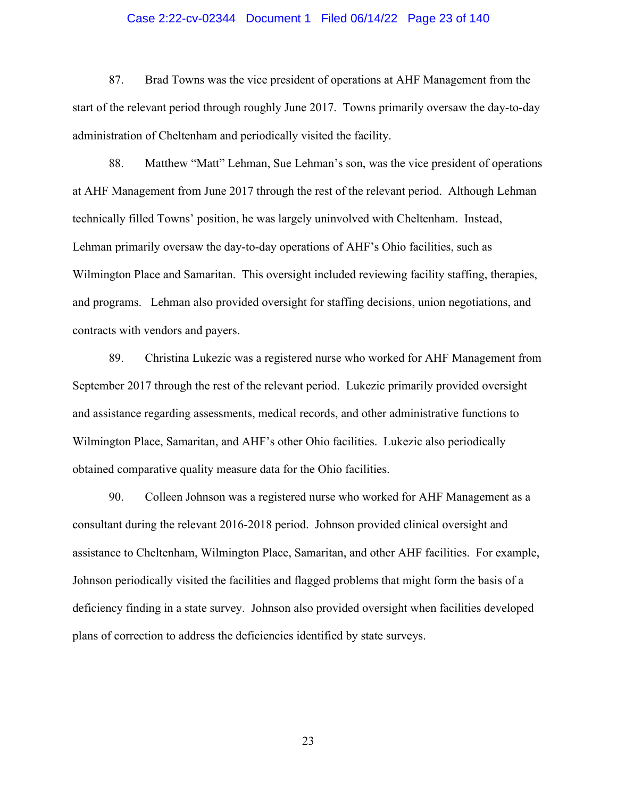### Case 2:22-cv-02344 Document 1 Filed 06/14/22 Page 23 of 140

87. Brad Towns was the vice president of operations at AHF Management from the start of the relevant period through roughly June 2017. Towns primarily oversaw the day-to-day administration of Cheltenham and periodically visited the facility.

88. Matthew "Matt" Lehman, Sue Lehman's son, was the vice president of operations at AHF Management from June 2017 through the rest of the relevant period. Although Lehman technically filled Towns' position, he was largely uninvolved with Cheltenham. Instead, Lehman primarily oversaw the day-to-day operations of AHF's Ohio facilities, such as Wilmington Place and Samaritan. This oversight included reviewing facility staffing, therapies, and programs. Lehman also provided oversight for staffing decisions, union negotiations, and contracts with vendors and payers.

89. Christina Lukezic was a registered nurse who worked for AHF Management from September 2017 through the rest of the relevant period. Lukezic primarily provided oversight and assistance regarding assessments, medical records, and other administrative functions to Wilmington Place, Samaritan, and AHF's other Ohio facilities. Lukezic also periodically obtained comparative quality measure data for the Ohio facilities.

90. Colleen Johnson was a registered nurse who worked for AHF Management as a consultant during the relevant 2016-2018 period. Johnson provided clinical oversight and assistance to Cheltenham, Wilmington Place, Samaritan, and other AHF facilities. For example, Johnson periodically visited the facilities and flagged problems that might form the basis of a deficiency finding in a state survey. Johnson also provided oversight when facilities developed plans of correction to address the deficiencies identified by state surveys.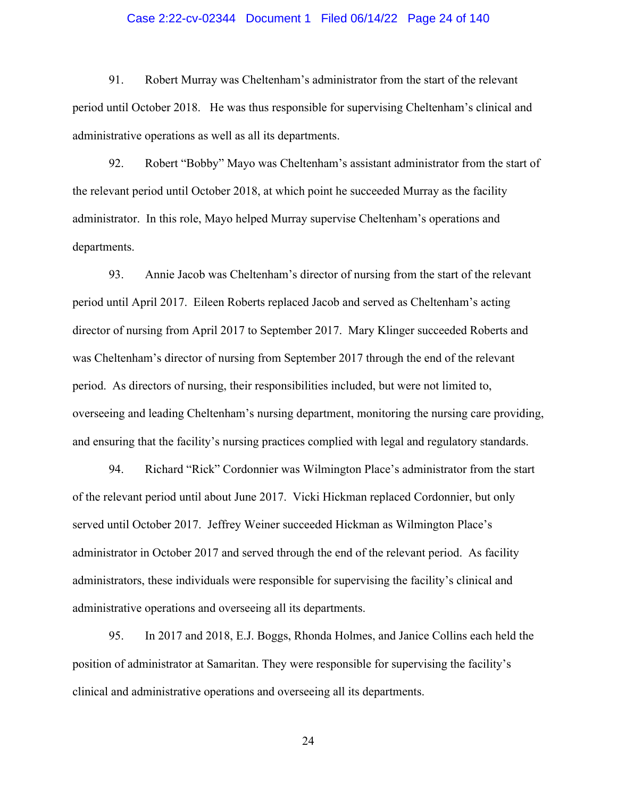### Case 2:22-cv-02344 Document 1 Filed 06/14/22 Page 24 of 140

91. Robert Murray was Cheltenham's administrator from the start of the relevant period until October 2018. He was thus responsible for supervising Cheltenham's clinical and administrative operations as well as all its departments.

92. Robert "Bobby" Mayo was Cheltenham's assistant administrator from the start of the relevant period until October 2018, at which point he succeeded Murray as the facility administrator. In this role, Mayo helped Murray supervise Cheltenham's operations and departments.

93. Annie Jacob was Cheltenham's director of nursing from the start of the relevant period until April 2017. Eileen Roberts replaced Jacob and served as Cheltenham's acting director of nursing from April 2017 to September 2017. Mary Klinger succeeded Roberts and was Cheltenham's director of nursing from September 2017 through the end of the relevant period. As directors of nursing, their responsibilities included, but were not limited to, overseeing and leading Cheltenham's nursing department, monitoring the nursing care providing, and ensuring that the facility's nursing practices complied with legal and regulatory standards.

94. Richard "Rick" Cordonnier was Wilmington Place's administrator from the start of the relevant period until about June 2017. Vicki Hickman replaced Cordonnier, but only served until October 2017. Jeffrey Weiner succeeded Hickman as Wilmington Place's administrator in October 2017 and served through the end of the relevant period. As facility administrators, these individuals were responsible for supervising the facility's clinical and administrative operations and overseeing all its departments.

95. In 2017 and 2018, E.J. Boggs, Rhonda Holmes, and Janice Collins each held the position of administrator at Samaritan. They were responsible for supervising the facility's clinical and administrative operations and overseeing all its departments.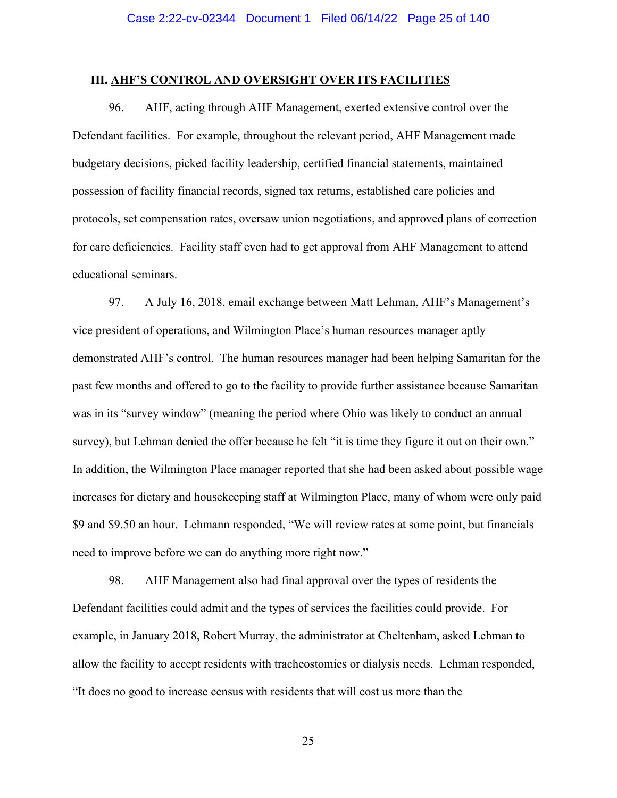### **III. AHF'S CONTROL AND OVERSIGHT OVER ITS FACILITIES**

96. AHF, acting through AHF Management, exerted extensive control over the Defendant facilities. For example, throughout the relevant period, AHF Management made budgetary decisions, picked facility leadership, certified financial statements, maintained possession of facility financial records, signed tax returns, established care policies and protocols, set compensation rates, oversaw union negotiations, and approved plans of correction for care deficiencies. Facility staff even had to get approval from AHF Management to attend educational seminars.

97. A July 16, 2018, email exchange between Matt Lehman, AHF's Management's vice president of operations, and Wilmington Place's human resources manager aptly demonstrated AHF's control. The human resources manager had been helping Samaritan for the past few months and offered to go to the facility to provide further assistance because Samaritan was in its "survey window" (meaning the period where Ohio was likely to conduct an annual survey), but Lehman denied the offer because he felt "it is time they figure it out on their own." In addition, the Wilmington Place manager reported that she had been asked about possible wage increases for dietary and housekeeping staff at Wilmington Place, many of whom were only paid \$9 and \$9.50 an hour. Lehmann responded, "We will review rates at some point, but financials need to improve before we can do anything more right now."

98. AHF Management also had final approval over the types of residents the Defendant facilities could admit and the types of services the facilities could provide. For example, in January 2018, Robert Murray, the administrator at Cheltenham, asked Lehman to allow the facility to accept residents with tracheostomies or dialysis needs. Lehman responded, "It does no good to increase census with residents that will cost us more than the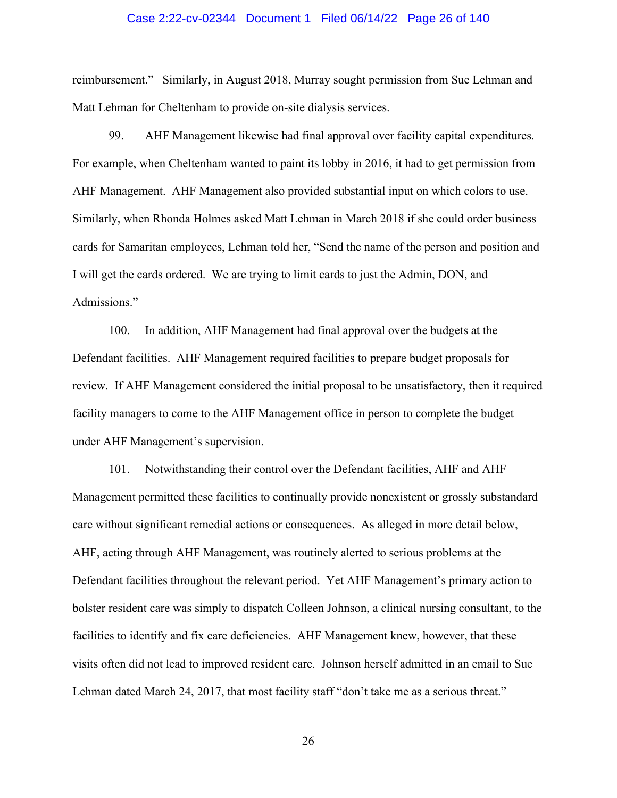#### Case 2:22-cv-02344 Document 1 Filed 06/14/22 Page 26 of 140

reimbursement." Similarly, in August 2018, Murray sought permission from Sue Lehman and Matt Lehman for Cheltenham to provide on-site dialysis services.

99. AHF Management likewise had final approval over facility capital expenditures. For example, when Cheltenham wanted to paint its lobby in 2016, it had to get permission from AHF Management. AHF Management also provided substantial input on which colors to use. Similarly, when Rhonda Holmes asked Matt Lehman in March 2018 if she could order business cards for Samaritan employees, Lehman told her, "Send the name of the person and position and I will get the cards ordered. We are trying to limit cards to just the Admin, DON, and Admissions."

100. In addition, AHF Management had final approval over the budgets at the Defendant facilities. AHF Management required facilities to prepare budget proposals for review. If AHF Management considered the initial proposal to be unsatisfactory, then it required facility managers to come to the AHF Management office in person to complete the budget under AHF Management's supervision.

101. Notwithstanding their control over the Defendant facilities, AHF and AHF Management permitted these facilities to continually provide nonexistent or grossly substandard care without significant remedial actions or consequences. As alleged in more detail below, AHF, acting through AHF Management, was routinely alerted to serious problems at the Defendant facilities throughout the relevant period. Yet AHF Management's primary action to bolster resident care was simply to dispatch Colleen Johnson, a clinical nursing consultant, to the facilities to identify and fix care deficiencies. AHF Management knew, however, that these visits often did not lead to improved resident care. Johnson herself admitted in an email to Sue Lehman dated March 24, 2017, that most facility staff "don't take me as a serious threat."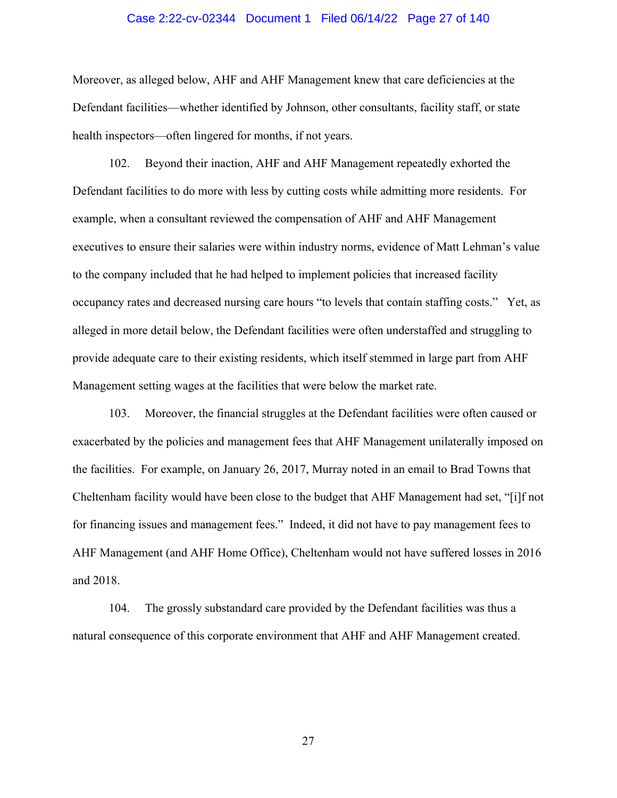#### Case 2:22-cv-02344 Document 1 Filed 06/14/22 Page 27 of 140

Moreover, as alleged below, AHF and AHF Management knew that care deficiencies at the Defendant facilities—whether identified by Johnson, other consultants, facility staff, or state health inspectors—often lingered for months, if not years.

102. Beyond their inaction, AHF and AHF Management repeatedly exhorted the Defendant facilities to do more with less by cutting costs while admitting more residents. For example, when a consultant reviewed the compensation of AHF and AHF Management executives to ensure their salaries were within industry norms, evidence of Matt Lehman's value to the company included that he had helped to implement policies that increased facility occupancy rates and decreased nursing care hours "to levels that contain staffing costs." Yet, as alleged in more detail below, the Defendant facilities were often understaffed and struggling to provide adequate care to their existing residents, which itself stemmed in large part from AHF Management setting wages at the facilities that were below the market rate.

103. Moreover, the financial struggles at the Defendant facilities were often caused or exacerbated by the policies and management fees that AHF Management unilaterally imposed on the facilities. For example, on January 26, 2017, Murray noted in an email to Brad Towns that Cheltenham facility would have been close to the budget that AHF Management had set, "[i]f not for financing issues and management fees." Indeed, it did not have to pay management fees to AHF Management (and AHF Home Office), Cheltenham would not have suffered losses in 2016 and 2018.

104. The grossly substandard care provided by the Defendant facilities was thus a natural consequence of this corporate environment that AHF and AHF Management created.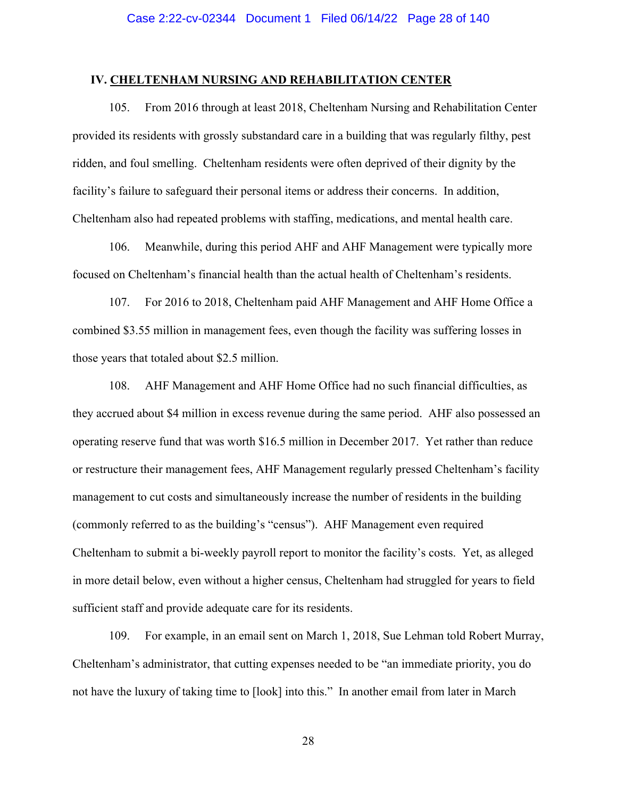### **IV. CHELTENHAM NURSING AND REHABILITATION CENTER**

105. From 2016 through at least 2018, Cheltenham Nursing and Rehabilitation Center provided its residents with grossly substandard care in a building that was regularly filthy, pest ridden, and foul smelling. Cheltenham residents were often deprived of their dignity by the facility's failure to safeguard their personal items or address their concerns. In addition, Cheltenham also had repeated problems with staffing, medications, and mental health care.

106. Meanwhile, during this period AHF and AHF Management were typically more focused on Cheltenham's financial health than the actual health of Cheltenham's residents.

107. For 2016 to 2018, Cheltenham paid AHF Management and AHF Home Office a combined \$3.55 million in management fees, even though the facility was suffering losses in those years that totaled about \$2.5 million.

108. AHF Management and AHF Home Office had no such financial difficulties, as they accrued about \$4 million in excess revenue during the same period. AHF also possessed an operating reserve fund that was worth \$16.5 million in December 2017. Yet rather than reduce or restructure their management fees, AHF Management regularly pressed Cheltenham's facility management to cut costs and simultaneously increase the number of residents in the building (commonly referred to as the building's "census"). AHF Management even required Cheltenham to submit a bi-weekly payroll report to monitor the facility's costs. Yet, as alleged in more detail below, even without a higher census, Cheltenham had struggled for years to field sufficient staff and provide adequate care for its residents.

109. For example, in an email sent on March 1, 2018, Sue Lehman told Robert Murray, Cheltenham's administrator, that cutting expenses needed to be "an immediate priority, you do not have the luxury of taking time to [look] into this." In another email from later in March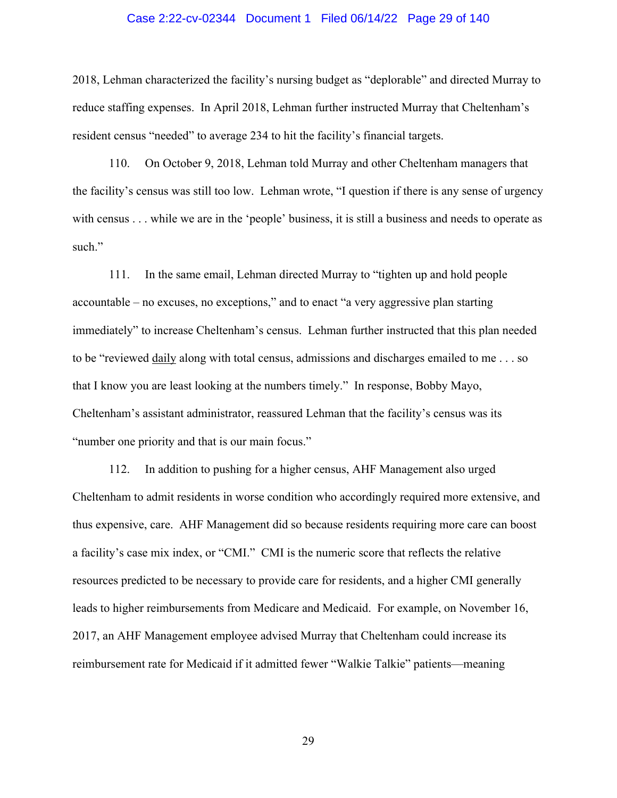#### Case 2:22-cv-02344 Document 1 Filed 06/14/22 Page 29 of 140

2018, Lehman characterized the facility's nursing budget as "deplorable" and directed Murray to reduce staffing expenses. In April 2018, Lehman further instructed Murray that Cheltenham's resident census "needed" to average 234 to hit the facility's financial targets.

110. On October 9, 2018, Lehman told Murray and other Cheltenham managers that the facility's census was still too low. Lehman wrote, "I question if there is any sense of urgency with census . . . while we are in the 'people' business, it is still a business and needs to operate as such."

111. In the same email, Lehman directed Murray to "tighten up and hold people accountable – no excuses, no exceptions," and to enact "a very aggressive plan starting immediately" to increase Cheltenham's census. Lehman further instructed that this plan needed to be "reviewed daily along with total census, admissions and discharges emailed to me . . . so that I know you are least looking at the numbers timely." In response, Bobby Mayo, Cheltenham's assistant administrator, reassured Lehman that the facility's census was its "number one priority and that is our main focus."

112. In addition to pushing for a higher census, AHF Management also urged Cheltenham to admit residents in worse condition who accordingly required more extensive, and thus expensive, care. AHF Management did so because residents requiring more care can boost a facility's case mix index, or "CMI." CMI is the numeric score that reflects the relative resources predicted to be necessary to provide care for residents, and a higher CMI generally leads to higher reimbursements from Medicare and Medicaid. For example, on November 16, 2017, an AHF Management employee advised Murray that Cheltenham could increase its reimbursement rate for Medicaid if it admitted fewer "Walkie Talkie" patients—meaning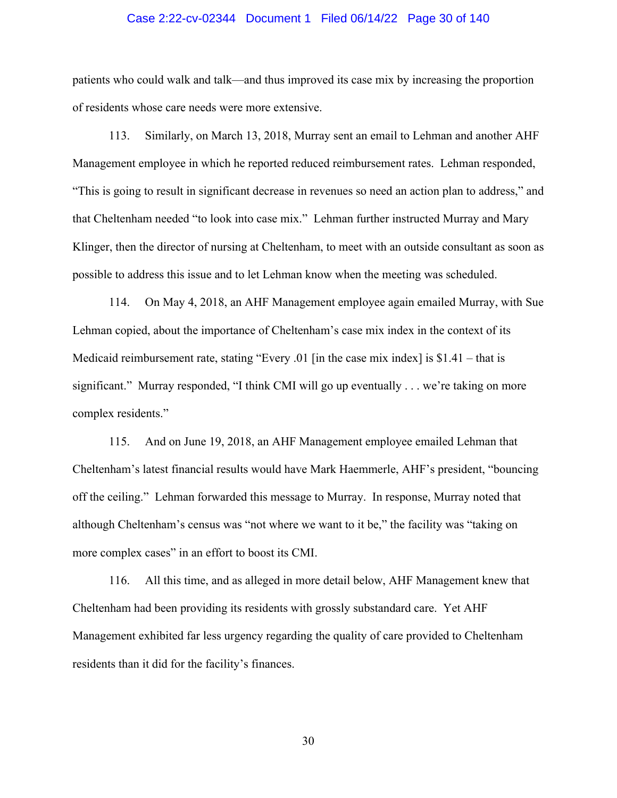### Case 2:22-cv-02344 Document 1 Filed 06/14/22 Page 30 of 140

patients who could walk and talk—and thus improved its case mix by increasing the proportion of residents whose care needs were more extensive.

113. Similarly, on March 13, 2018, Murray sent an email to Lehman and another AHF Management employee in which he reported reduced reimbursement rates. Lehman responded, "This is going to result in significant decrease in revenues so need an action plan to address," and that Cheltenham needed "to look into case mix." Lehman further instructed Murray and Mary Klinger, then the director of nursing at Cheltenham, to meet with an outside consultant as soon as possible to address this issue and to let Lehman know when the meeting was scheduled.

114. On May 4, 2018, an AHF Management employee again emailed Murray, with Sue Lehman copied, about the importance of Cheltenham's case mix index in the context of its Medicaid reimbursement rate, stating "Every .01 [in the case mix index] is \$1.41 – that is significant." Murray responded, "I think CMI will go up eventually . . . we're taking on more complex residents."

115. And on June 19, 2018, an AHF Management employee emailed Lehman that Cheltenham's latest financial results would have Mark Haemmerle, AHF's president, "bouncing off the ceiling." Lehman forwarded this message to Murray. In response, Murray noted that although Cheltenham's census was "not where we want to it be," the facility was "taking on more complex cases" in an effort to boost its CMI.

116. All this time, and as alleged in more detail below, AHF Management knew that Cheltenham had been providing its residents with grossly substandard care. Yet AHF Management exhibited far less urgency regarding the quality of care provided to Cheltenham residents than it did for the facility's finances.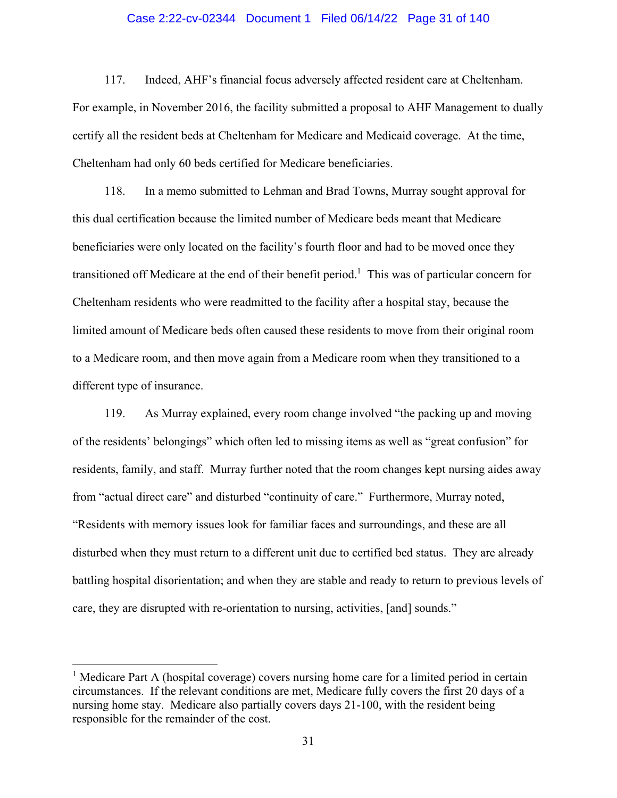### Case 2:22-cv-02344 Document 1 Filed 06/14/22 Page 31 of 140

117. Indeed, AHF's financial focus adversely affected resident care at Cheltenham. For example, in November 2016, the facility submitted a proposal to AHF Management to dually certify all the resident beds at Cheltenham for Medicare and Medicaid coverage. At the time, Cheltenham had only 60 beds certified for Medicare beneficiaries.

118. In a memo submitted to Lehman and Brad Towns, Murray sought approval for this dual certification because the limited number of Medicare beds meant that Medicare beneficiaries were only located on the facility's fourth floor and had to be moved once they transitioned off Medicare at the end of their benefit period.<sup>1</sup> This was of particular concern for Cheltenham residents who were readmitted to the facility after a hospital stay, because the limited amount of Medicare beds often caused these residents to move from their original room to a Medicare room, and then move again from a Medicare room when they transitioned to a different type of insurance.

119. As Murray explained, every room change involved "the packing up and moving of the residents' belongings" which often led to missing items as well as "great confusion" for residents, family, and staff. Murray further noted that the room changes kept nursing aides away from "actual direct care" and disturbed "continuity of care." Furthermore, Murray noted, "Residents with memory issues look for familiar faces and surroundings, and these are all disturbed when they must return to a different unit due to certified bed status. They are already battling hospital disorientation; and when they are stable and ready to return to previous levels of care, they are disrupted with re-orientation to nursing, activities, [and] sounds."

<sup>&</sup>lt;sup>1</sup> Medicare Part A (hospital coverage) covers nursing home care for a limited period in certain circumstances. If the relevant conditions are met, Medicare fully covers the first 20 days of a nursing home stay. Medicare also partially covers days 21-100, with the resident being responsible for the remainder of the cost.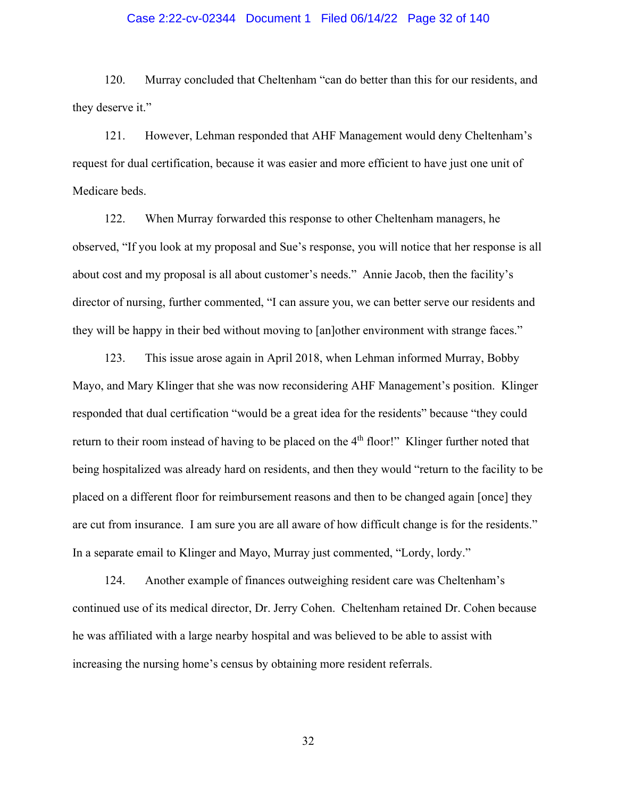### Case 2:22-cv-02344 Document 1 Filed 06/14/22 Page 32 of 140

120. Murray concluded that Cheltenham "can do better than this for our residents, and they deserve it."

121. However, Lehman responded that AHF Management would deny Cheltenham's request for dual certification, because it was easier and more efficient to have just one unit of Medicare beds.

122. When Murray forwarded this response to other Cheltenham managers, he observed, "If you look at my proposal and Sue's response, you will notice that her response is all about cost and my proposal is all about customer's needs." Annie Jacob, then the facility's director of nursing, further commented, "I can assure you, we can better serve our residents and they will be happy in their bed without moving to [an]other environment with strange faces."

123. This issue arose again in April 2018, when Lehman informed Murray, Bobby Mayo, and Mary Klinger that she was now reconsidering AHF Management's position. Klinger responded that dual certification "would be a great idea for the residents" because "they could return to their room instead of having to be placed on the 4<sup>th</sup> floor!" Klinger further noted that being hospitalized was already hard on residents, and then they would "return to the facility to be placed on a different floor for reimbursement reasons and then to be changed again [once] they are cut from insurance. I am sure you are all aware of how difficult change is for the residents." In a separate email to Klinger and Mayo, Murray just commented, "Lordy, lordy."

124. Another example of finances outweighing resident care was Cheltenham's continued use of its medical director, Dr. Jerry Cohen. Cheltenham retained Dr. Cohen because he was affiliated with a large nearby hospital and was believed to be able to assist with increasing the nursing home's census by obtaining more resident referrals.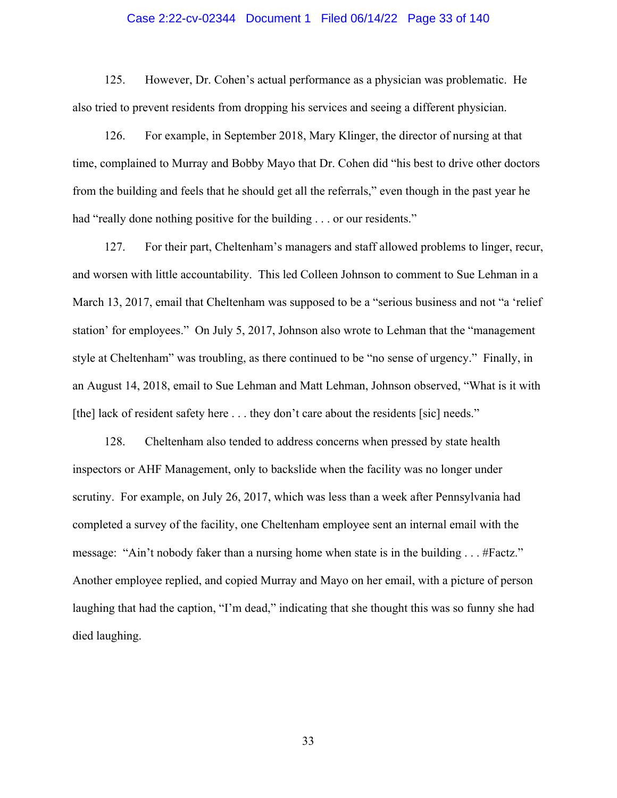### Case 2:22-cv-02344 Document 1 Filed 06/14/22 Page 33 of 140

125. However, Dr. Cohen's actual performance as a physician was problematic. He also tried to prevent residents from dropping his services and seeing a different physician.

126. For example, in September 2018, Mary Klinger, the director of nursing at that time, complained to Murray and Bobby Mayo that Dr. Cohen did "his best to drive other doctors from the building and feels that he should get all the referrals," even though in the past year he had "really done nothing positive for the building . . . or our residents."

127. For their part, Cheltenham's managers and staff allowed problems to linger, recur, and worsen with little accountability. This led Colleen Johnson to comment to Sue Lehman in a March 13, 2017, email that Cheltenham was supposed to be a "serious business and not "a 'relief station' for employees." On July 5, 2017, Johnson also wrote to Lehman that the "management style at Cheltenham" was troubling, as there continued to be "no sense of urgency." Finally, in an August 14, 2018, email to Sue Lehman and Matt Lehman, Johnson observed, "What is it with [the] lack of resident safety here . . . they don't care about the residents [sic] needs."

128. Cheltenham also tended to address concerns when pressed by state health inspectors or AHF Management, only to backslide when the facility was no longer under scrutiny. For example, on July 26, 2017, which was less than a week after Pennsylvania had completed a survey of the facility, one Cheltenham employee sent an internal email with the message: "Ain't nobody faker than a nursing home when state is in the building . . . #Factz." Another employee replied, and copied Murray and Mayo on her email, with a picture of person laughing that had the caption, "I'm dead," indicating that she thought this was so funny she had died laughing.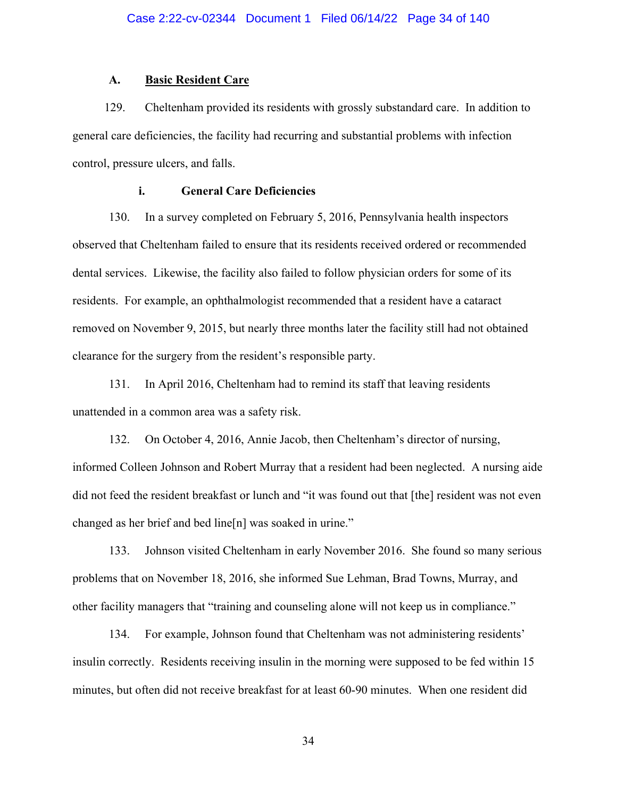### **A. Basic Resident Care**

129. Cheltenham provided its residents with grossly substandard care. In addition to general care deficiencies, the facility had recurring and substantial problems with infection control, pressure ulcers, and falls.

# **i. General Care Deficiencies**

130. In a survey completed on February 5, 2016, Pennsylvania health inspectors observed that Cheltenham failed to ensure that its residents received ordered or recommended dental services. Likewise, the facility also failed to follow physician orders for some of its residents. For example, an ophthalmologist recommended that a resident have a cataract removed on November 9, 2015, but nearly three months later the facility still had not obtained clearance for the surgery from the resident's responsible party.

131. In April 2016, Cheltenham had to remind its staff that leaving residents unattended in a common area was a safety risk.

132. On October 4, 2016, Annie Jacob, then Cheltenham's director of nursing, informed Colleen Johnson and Robert Murray that a resident had been neglected. A nursing aide did not feed the resident breakfast or lunch and "it was found out that [the] resident was not even changed as her brief and bed line[n] was soaked in urine."

133. Johnson visited Cheltenham in early November 2016. She found so many serious problems that on November 18, 2016, she informed Sue Lehman, Brad Towns, Murray, and other facility managers that "training and counseling alone will not keep us in compliance."

134. For example, Johnson found that Cheltenham was not administering residents' insulin correctly. Residents receiving insulin in the morning were supposed to be fed within 15 minutes, but often did not receive breakfast for at least 60-90 minutes. When one resident did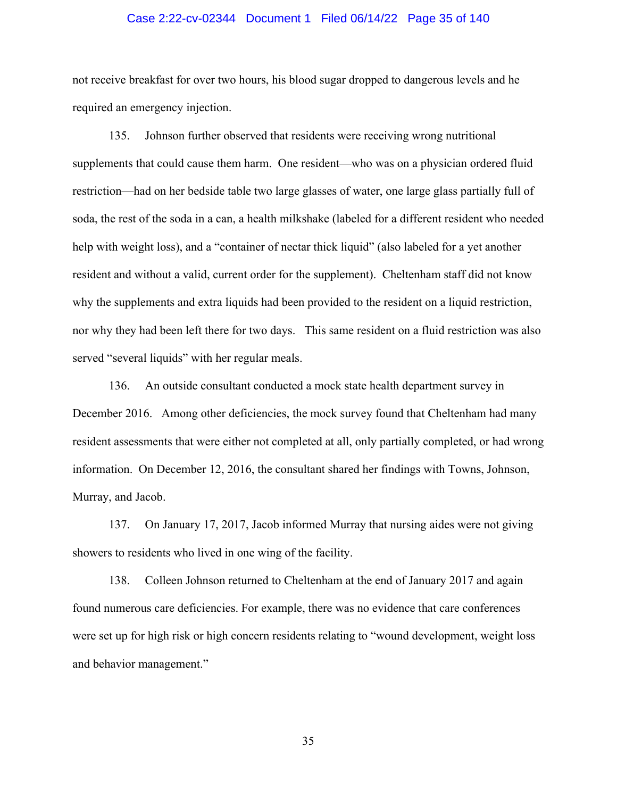### Case 2:22-cv-02344 Document 1 Filed 06/14/22 Page 35 of 140

not receive breakfast for over two hours, his blood sugar dropped to dangerous levels and he required an emergency injection.

135. Johnson further observed that residents were receiving wrong nutritional supplements that could cause them harm. One resident—who was on a physician ordered fluid restriction—had on her bedside table two large glasses of water, one large glass partially full of soda, the rest of the soda in a can, a health milkshake (labeled for a different resident who needed help with weight loss), and a "container of nectar thick liquid" (also labeled for a yet another resident and without a valid, current order for the supplement). Cheltenham staff did not know why the supplements and extra liquids had been provided to the resident on a liquid restriction, nor why they had been left there for two days. This same resident on a fluid restriction was also served "several liquids" with her regular meals.

136. An outside consultant conducted a mock state health department survey in December 2016. Among other deficiencies, the mock survey found that Cheltenham had many resident assessments that were either not completed at all, only partially completed, or had wrong information. On December 12, 2016, the consultant shared her findings with Towns, Johnson, Murray, and Jacob.

137. On January 17, 2017, Jacob informed Murray that nursing aides were not giving showers to residents who lived in one wing of the facility.

138. Colleen Johnson returned to Cheltenham at the end of January 2017 and again found numerous care deficiencies. For example, there was no evidence that care conferences were set up for high risk or high concern residents relating to "wound development, weight loss and behavior management."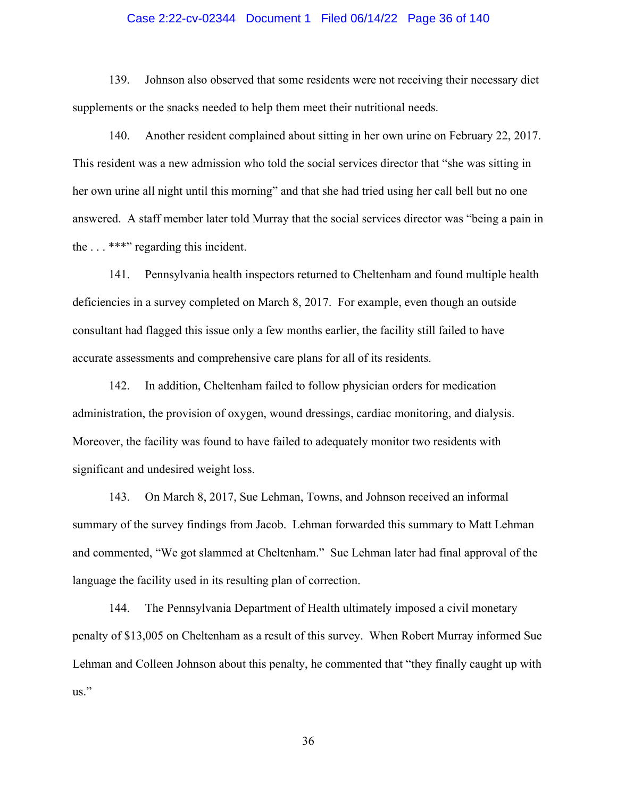### Case 2:22-cv-02344 Document 1 Filed 06/14/22 Page 36 of 140

139. Johnson also observed that some residents were not receiving their necessary diet supplements or the snacks needed to help them meet their nutritional needs.

140. Another resident complained about sitting in her own urine on February 22, 2017. This resident was a new admission who told the social services director that "she was sitting in her own urine all night until this morning" and that she had tried using her call bell but no one answered. A staff member later told Murray that the social services director was "being a pain in the . . . \*\*\*" regarding this incident.

141. Pennsylvania health inspectors returned to Cheltenham and found multiple health deficiencies in a survey completed on March 8, 2017. For example, even though an outside consultant had flagged this issue only a few months earlier, the facility still failed to have accurate assessments and comprehensive care plans for all of its residents.

142. In addition, Cheltenham failed to follow physician orders for medication administration, the provision of oxygen, wound dressings, cardiac monitoring, and dialysis. Moreover, the facility was found to have failed to adequately monitor two residents with significant and undesired weight loss.

143. On March 8, 2017, Sue Lehman, Towns, and Johnson received an informal summary of the survey findings from Jacob. Lehman forwarded this summary to Matt Lehman and commented, "We got slammed at Cheltenham." Sue Lehman later had final approval of the language the facility used in its resulting plan of correction.

144. The Pennsylvania Department of Health ultimately imposed a civil monetary penalty of \$13,005 on Cheltenham as a result of this survey. When Robert Murray informed Sue Lehman and Colleen Johnson about this penalty, he commented that "they finally caught up with us."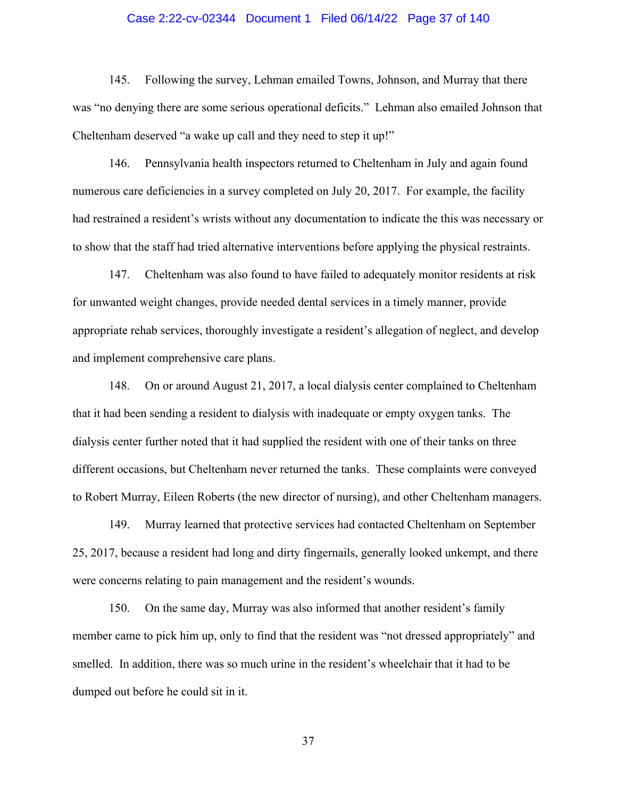# Case 2:22-cv-02344 Document 1 Filed 06/14/22 Page 37 of 140

145. Following the survey, Lehman emailed Towns, Johnson, and Murray that there was "no denying there are some serious operational deficits." Lehman also emailed Johnson that Cheltenham deserved "a wake up call and they need to step it up!"

146. Pennsylvania health inspectors returned to Cheltenham in July and again found numerous care deficiencies in a survey completed on July 20, 2017. For example, the facility had restrained a resident's wrists without any documentation to indicate the this was necessary or to show that the staff had tried alternative interventions before applying the physical restraints.

147. Cheltenham was also found to have failed to adequately monitor residents at risk for unwanted weight changes, provide needed dental services in a timely manner, provide appropriate rehab services, thoroughly investigate a resident's allegation of neglect, and develop and implement comprehensive care plans.

148. On or around August 21, 2017, a local dialysis center complained to Cheltenham that it had been sending a resident to dialysis with inadequate or empty oxygen tanks. The dialysis center further noted that it had supplied the resident with one of their tanks on three different occasions, but Cheltenham never returned the tanks. These complaints were conveyed to Robert Murray, Eileen Roberts (the new director of nursing), and other Cheltenham managers.

149. Murray learned that protective services had contacted Cheltenham on September 25, 2017, because a resident had long and dirty fingernails, generally looked unkempt, and there were concerns relating to pain management and the resident's wounds.

150. On the same day, Murray was also informed that another resident's family member came to pick him up, only to find that the resident was "not dressed appropriately" and smelled. In addition, there was so much urine in the resident's wheelchair that it had to be dumped out before he could sit in it.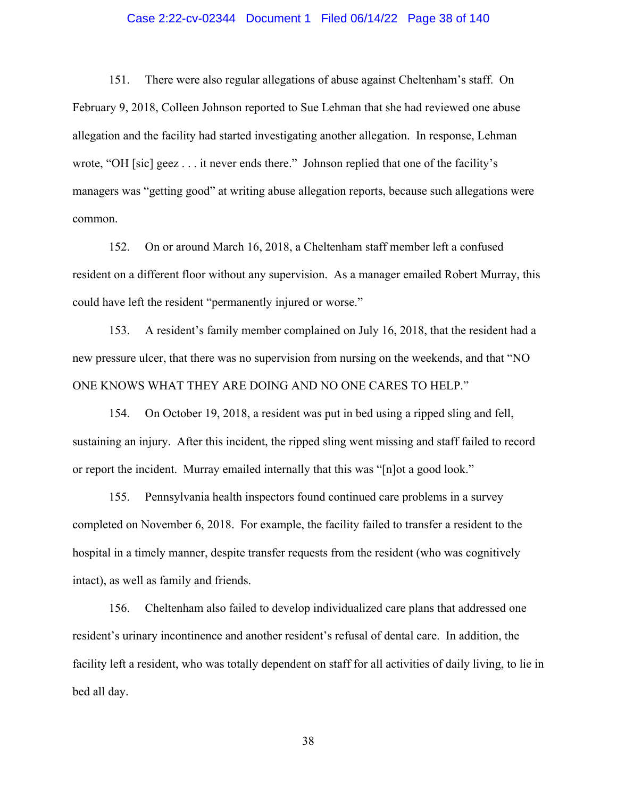# Case 2:22-cv-02344 Document 1 Filed 06/14/22 Page 38 of 140

151. There were also regular allegations of abuse against Cheltenham's staff. On February 9, 2018, Colleen Johnson reported to Sue Lehman that she had reviewed one abuse allegation and the facility had started investigating another allegation. In response, Lehman wrote, "OH [sic] geez . . . it never ends there." Johnson replied that one of the facility's managers was "getting good" at writing abuse allegation reports, because such allegations were common.

152. On or around March 16, 2018, a Cheltenham staff member left a confused resident on a different floor without any supervision. As a manager emailed Robert Murray, this could have left the resident "permanently injured or worse."

153. A resident's family member complained on July 16, 2018, that the resident had a new pressure ulcer, that there was no supervision from nursing on the weekends, and that "NO ONE KNOWS WHAT THEY ARE DOING AND NO ONE CARES TO HELP."

154. On October 19, 2018, a resident was put in bed using a ripped sling and fell, sustaining an injury. After this incident, the ripped sling went missing and staff failed to record or report the incident. Murray emailed internally that this was "[n]ot a good look."

155. Pennsylvania health inspectors found continued care problems in a survey completed on November 6, 2018. For example, the facility failed to transfer a resident to the hospital in a timely manner, despite transfer requests from the resident (who was cognitively intact), as well as family and friends.

156. Cheltenham also failed to develop individualized care plans that addressed one resident's urinary incontinence and another resident's refusal of dental care. In addition, the facility left a resident, who was totally dependent on staff for all activities of daily living, to lie in bed all day.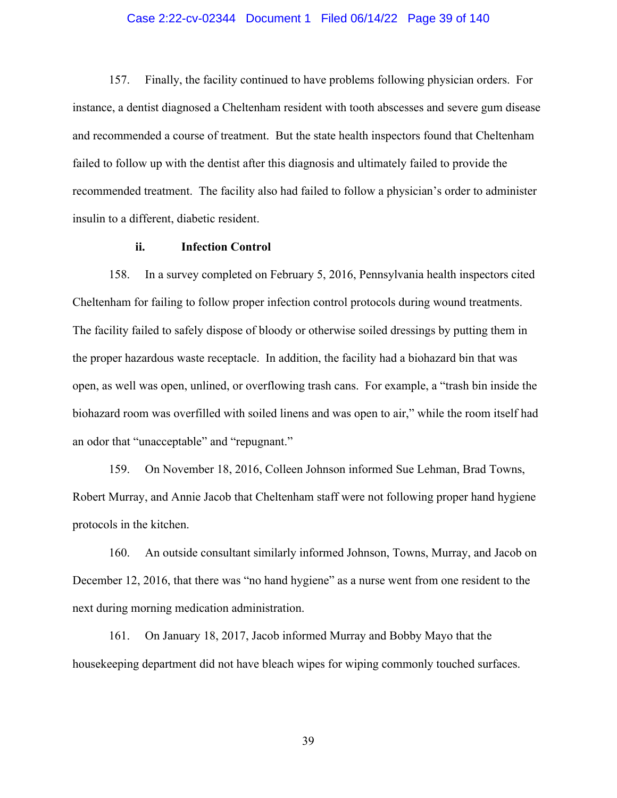# Case 2:22-cv-02344 Document 1 Filed 06/14/22 Page 39 of 140

157. Finally, the facility continued to have problems following physician orders. For instance, a dentist diagnosed a Cheltenham resident with tooth abscesses and severe gum disease and recommended a course of treatment. But the state health inspectors found that Cheltenham failed to follow up with the dentist after this diagnosis and ultimately failed to provide the recommended treatment. The facility also had failed to follow a physician's order to administer insulin to a different, diabetic resident.

# **ii. Infection Control**

158. In a survey completed on February 5, 2016, Pennsylvania health inspectors cited Cheltenham for failing to follow proper infection control protocols during wound treatments. The facility failed to safely dispose of bloody or otherwise soiled dressings by putting them in the proper hazardous waste receptacle. In addition, the facility had a biohazard bin that was open, as well was open, unlined, or overflowing trash cans. For example, a "trash bin inside the biohazard room was overfilled with soiled linens and was open to air," while the room itself had an odor that "unacceptable" and "repugnant."

159. On November 18, 2016, Colleen Johnson informed Sue Lehman, Brad Towns, Robert Murray, and Annie Jacob that Cheltenham staff were not following proper hand hygiene protocols in the kitchen.

160. An outside consultant similarly informed Johnson, Towns, Murray, and Jacob on December 12, 2016, that there was "no hand hygiene" as a nurse went from one resident to the next during morning medication administration.

161. On January 18, 2017, Jacob informed Murray and Bobby Mayo that the housekeeping department did not have bleach wipes for wiping commonly touched surfaces.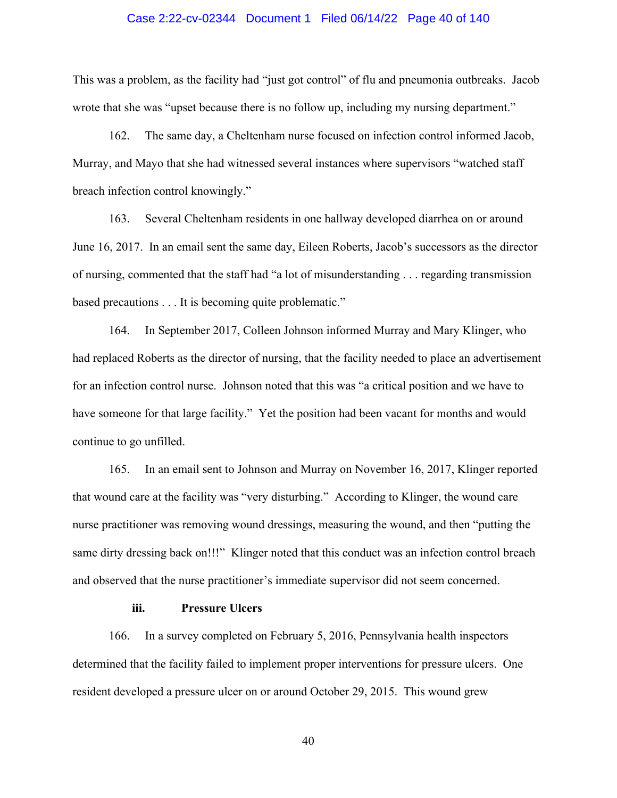#### Case 2:22-cv-02344 Document 1 Filed 06/14/22 Page 40 of 140

This was a problem, as the facility had "just got control" of flu and pneumonia outbreaks. Jacob wrote that she was "upset because there is no follow up, including my nursing department."

162. The same day, a Cheltenham nurse focused on infection control informed Jacob, Murray, and Mayo that she had witnessed several instances where supervisors "watched staff breach infection control knowingly."

163. Several Cheltenham residents in one hallway developed diarrhea on or around June 16, 2017. In an email sent the same day, Eileen Roberts, Jacob's successors as the director of nursing, commented that the staff had "a lot of misunderstanding . . . regarding transmission based precautions . . . It is becoming quite problematic."

164. In September 2017, Colleen Johnson informed Murray and Mary Klinger, who had replaced Roberts as the director of nursing, that the facility needed to place an advertisement for an infection control nurse. Johnson noted that this was "a critical position and we have to have someone for that large facility." Yet the position had been vacant for months and would continue to go unfilled.

165. In an email sent to Johnson and Murray on November 16, 2017, Klinger reported that wound care at the facility was "very disturbing." According to Klinger, the wound care nurse practitioner was removing wound dressings, measuring the wound, and then "putting the same dirty dressing back on!!!" Klinger noted that this conduct was an infection control breach and observed that the nurse practitioner's immediate supervisor did not seem concerned.

#### **iii. Pressure Ulcers**

166. In a survey completed on February 5, 2016, Pennsylvania health inspectors determined that the facility failed to implement proper interventions for pressure ulcers. One resident developed a pressure ulcer on or around October 29, 2015. This wound grew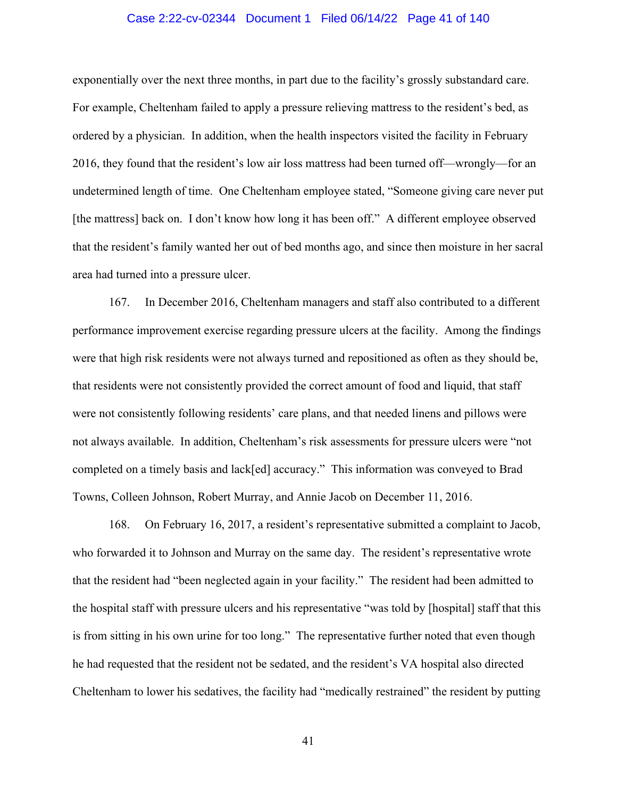# Case 2:22-cv-02344 Document 1 Filed 06/14/22 Page 41 of 140

exponentially over the next three months, in part due to the facility's grossly substandard care. For example, Cheltenham failed to apply a pressure relieving mattress to the resident's bed, as ordered by a physician. In addition, when the health inspectors visited the facility in February 2016, they found that the resident's low air loss mattress had been turned off—wrongly—for an undetermined length of time. One Cheltenham employee stated, "Someone giving care never put [the mattress] back on. I don't know how long it has been off." A different employee observed that the resident's family wanted her out of bed months ago, and since then moisture in her sacral area had turned into a pressure ulcer.

167. In December 2016, Cheltenham managers and staff also contributed to a different performance improvement exercise regarding pressure ulcers at the facility. Among the findings were that high risk residents were not always turned and repositioned as often as they should be, that residents were not consistently provided the correct amount of food and liquid, that staff were not consistently following residents' care plans, and that needed linens and pillows were not always available. In addition, Cheltenham's risk assessments for pressure ulcers were "not completed on a timely basis and lack[ed] accuracy." This information was conveyed to Brad Towns, Colleen Johnson, Robert Murray, and Annie Jacob on December 11, 2016.

168. On February 16, 2017, a resident's representative submitted a complaint to Jacob, who forwarded it to Johnson and Murray on the same day. The resident's representative wrote that the resident had "been neglected again in your facility." The resident had been admitted to the hospital staff with pressure ulcers and his representative "was told by [hospital] staff that this is from sitting in his own urine for too long." The representative further noted that even though he had requested that the resident not be sedated, and the resident's VA hospital also directed Cheltenham to lower his sedatives, the facility had "medically restrained" the resident by putting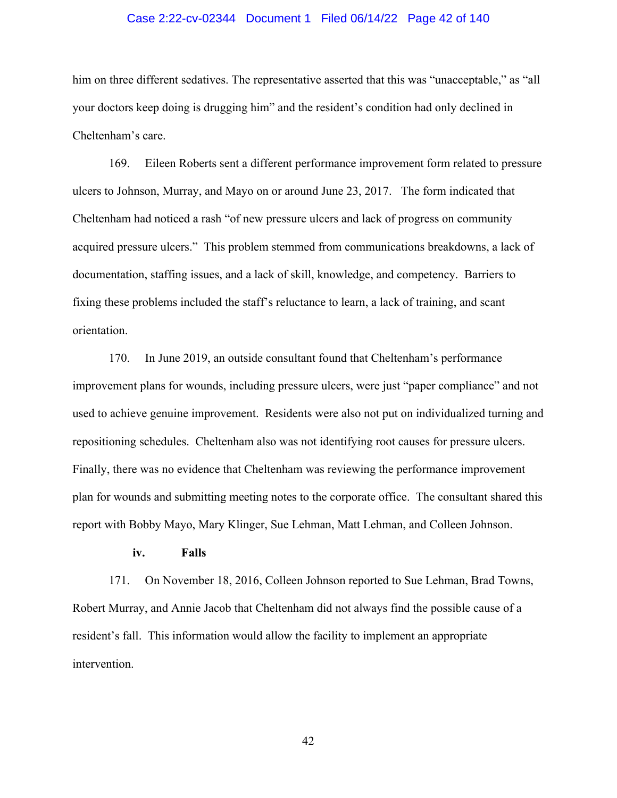# Case 2:22-cv-02344 Document 1 Filed 06/14/22 Page 42 of 140

him on three different sedatives. The representative asserted that this was "unacceptable," as "all your doctors keep doing is drugging him" and the resident's condition had only declined in Cheltenham's care.

169. Eileen Roberts sent a different performance improvement form related to pressure ulcers to Johnson, Murray, and Mayo on or around June 23, 2017. The form indicated that Cheltenham had noticed a rash "of new pressure ulcers and lack of progress on community acquired pressure ulcers." This problem stemmed from communications breakdowns, a lack of documentation, staffing issues, and a lack of skill, knowledge, and competency. Barriers to fixing these problems included the staff's reluctance to learn, a lack of training, and scant orientation.

170. In June 2019, an outside consultant found that Cheltenham's performance improvement plans for wounds, including pressure ulcers, were just "paper compliance" and not used to achieve genuine improvement. Residents were also not put on individualized turning and repositioning schedules. Cheltenham also was not identifying root causes for pressure ulcers. Finally, there was no evidence that Cheltenham was reviewing the performance improvement plan for wounds and submitting meeting notes to the corporate office. The consultant shared this report with Bobby Mayo, Mary Klinger, Sue Lehman, Matt Lehman, and Colleen Johnson.

# **iv. Falls**

171. On November 18, 2016, Colleen Johnson reported to Sue Lehman, Brad Towns, Robert Murray, and Annie Jacob that Cheltenham did not always find the possible cause of a resident's fall. This information would allow the facility to implement an appropriate intervention.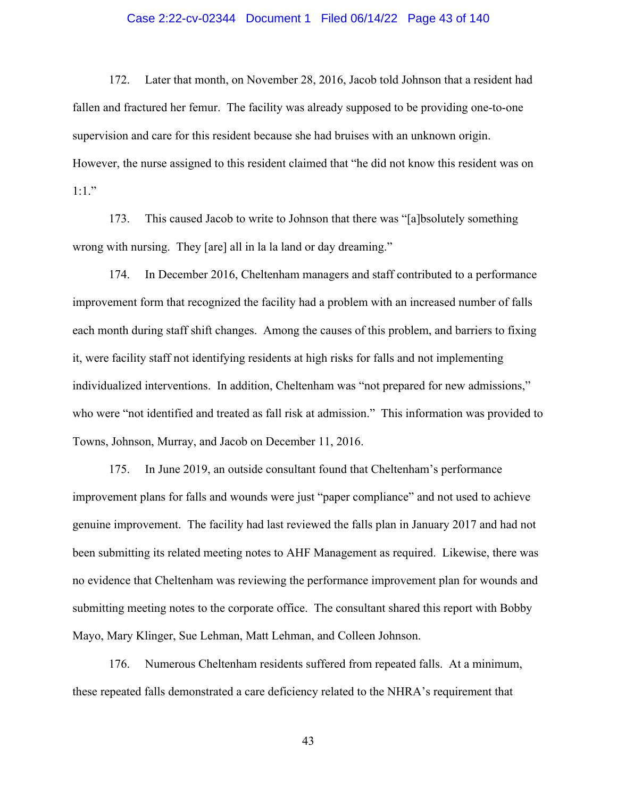# Case 2:22-cv-02344 Document 1 Filed 06/14/22 Page 43 of 140

172. Later that month, on November 28, 2016, Jacob told Johnson that a resident had fallen and fractured her femur. The facility was already supposed to be providing one-to-one supervision and care for this resident because she had bruises with an unknown origin. However, the nurse assigned to this resident claimed that "he did not know this resident was on  $1:1.$ "

173. This caused Jacob to write to Johnson that there was "[a]bsolutely something wrong with nursing. They [are] all in la la land or day dreaming."

174. In December 2016, Cheltenham managers and staff contributed to a performance improvement form that recognized the facility had a problem with an increased number of falls each month during staff shift changes. Among the causes of this problem, and barriers to fixing it, were facility staff not identifying residents at high risks for falls and not implementing individualized interventions. In addition, Cheltenham was "not prepared for new admissions," who were "not identified and treated as fall risk at admission." This information was provided to Towns, Johnson, Murray, and Jacob on December 11, 2016.

175. In June 2019, an outside consultant found that Cheltenham's performance improvement plans for falls and wounds were just "paper compliance" and not used to achieve genuine improvement. The facility had last reviewed the falls plan in January 2017 and had not been submitting its related meeting notes to AHF Management as required. Likewise, there was no evidence that Cheltenham was reviewing the performance improvement plan for wounds and submitting meeting notes to the corporate office. The consultant shared this report with Bobby Mayo, Mary Klinger, Sue Lehman, Matt Lehman, and Colleen Johnson.

176. Numerous Cheltenham residents suffered from repeated falls. At a minimum, these repeated falls demonstrated a care deficiency related to the NHRA's requirement that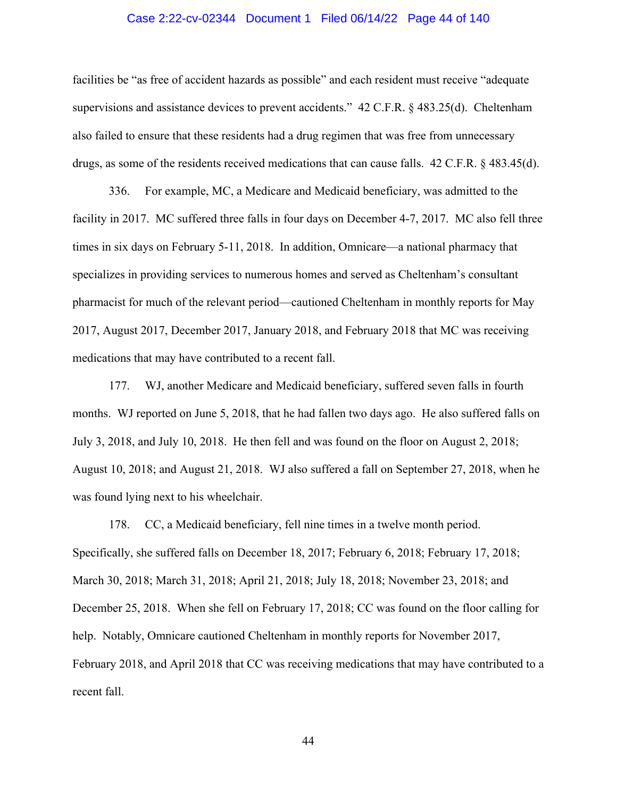# Case 2:22-cv-02344 Document 1 Filed 06/14/22 Page 44 of 140

facilities be "as free of accident hazards as possible" and each resident must receive "adequate supervisions and assistance devices to prevent accidents." 42 C.F.R. § 483.25(d). Cheltenham also failed to ensure that these residents had a drug regimen that was free from unnecessary drugs, as some of the residents received medications that can cause falls. 42 C.F.R. § 483.45(d).

336. For example, MC, a Medicare and Medicaid beneficiary, was admitted to the facility in 2017. MC suffered three falls in four days on December 4-7, 2017. MC also fell three times in six days on February 5-11, 2018. In addition, Omnicare—a national pharmacy that specializes in providing services to numerous homes and served as Cheltenham's consultant pharmacist for much of the relevant period—cautioned Cheltenham in monthly reports for May 2017, August 2017, December 2017, January 2018, and February 2018 that MC was receiving medications that may have contributed to a recent fall.

177. WJ, another Medicare and Medicaid beneficiary, suffered seven falls in fourth months. WJ reported on June 5, 2018, that he had fallen two days ago. He also suffered falls on July 3, 2018, and July 10, 2018. He then fell and was found on the floor on August 2, 2018; August 10, 2018; and August 21, 2018. WJ also suffered a fall on September 27, 2018, when he was found lying next to his wheelchair.

178. CC, a Medicaid beneficiary, fell nine times in a twelve month period. Specifically, she suffered falls on December 18, 2017; February 6, 2018; February 17, 2018; March 30, 2018; March 31, 2018; April 21, 2018; July 18, 2018; November 23, 2018; and December 25, 2018. When she fell on February 17, 2018; CC was found on the floor calling for help. Notably, Omnicare cautioned Cheltenham in monthly reports for November 2017, February 2018, and April 2018 that CC was receiving medications that may have contributed to a recent fall.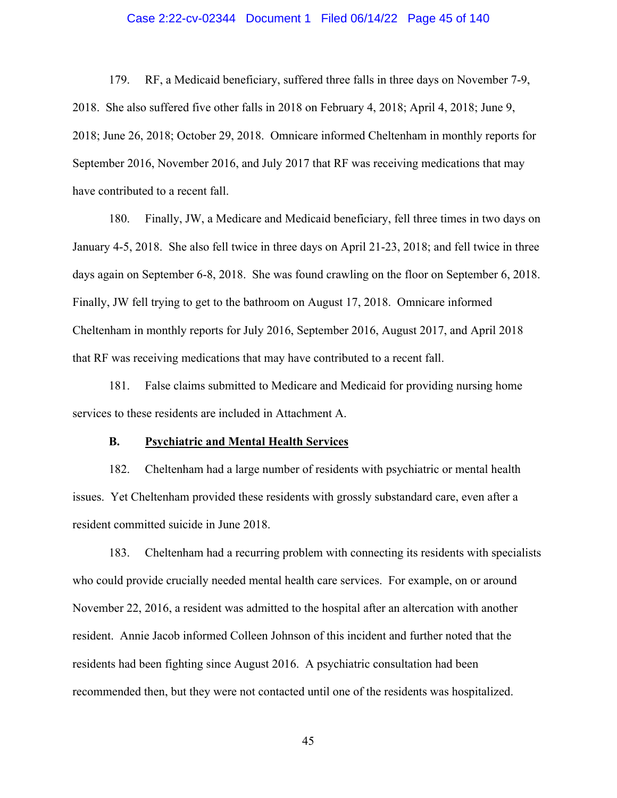# Case 2:22-cv-02344 Document 1 Filed 06/14/22 Page 45 of 140

179. RF, a Medicaid beneficiary, suffered three falls in three days on November 7-9, 2018. She also suffered five other falls in 2018 on February 4, 2018; April 4, 2018; June 9, 2018; June 26, 2018; October 29, 2018. Omnicare informed Cheltenham in monthly reports for September 2016, November 2016, and July 2017 that RF was receiving medications that may have contributed to a recent fall.

180. Finally, JW, a Medicare and Medicaid beneficiary, fell three times in two days on January 4-5, 2018. She also fell twice in three days on April 21-23, 2018; and fell twice in three days again on September 6-8, 2018. She was found crawling on the floor on September 6, 2018. Finally, JW fell trying to get to the bathroom on August 17, 2018. Omnicare informed Cheltenham in monthly reports for July 2016, September 2016, August 2017, and April 2018 that RF was receiving medications that may have contributed to a recent fall.

181. False claims submitted to Medicare and Medicaid for providing nursing home services to these residents are included in Attachment A.

#### **B. Psychiatric and Mental Health Services**

182. Cheltenham had a large number of residents with psychiatric or mental health issues. Yet Cheltenham provided these residents with grossly substandard care, even after a resident committed suicide in June 2018.

183. Cheltenham had a recurring problem with connecting its residents with specialists who could provide crucially needed mental health care services. For example, on or around November 22, 2016, a resident was admitted to the hospital after an altercation with another resident. Annie Jacob informed Colleen Johnson of this incident and further noted that the residents had been fighting since August 2016. A psychiatric consultation had been recommended then, but they were not contacted until one of the residents was hospitalized.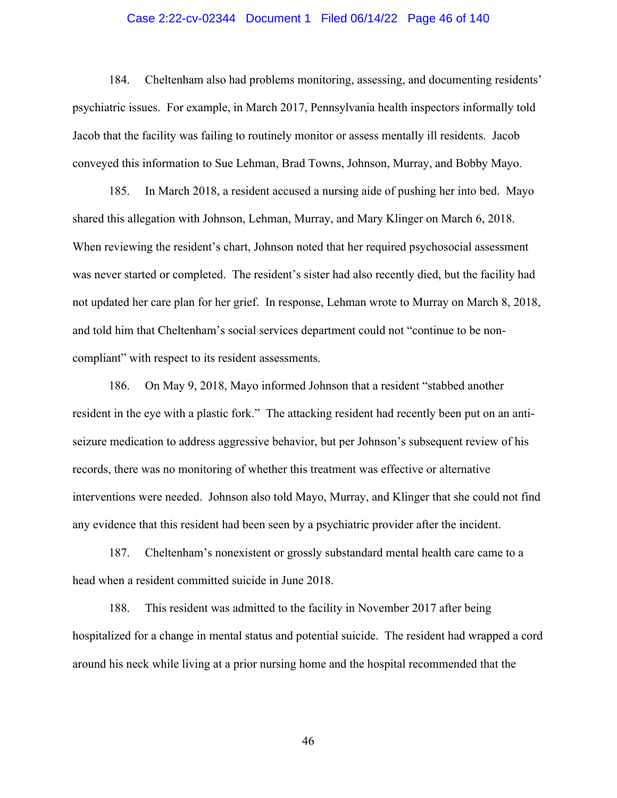# Case 2:22-cv-02344 Document 1 Filed 06/14/22 Page 46 of 140

184. Cheltenham also had problems monitoring, assessing, and documenting residents' psychiatric issues. For example, in March 2017, Pennsylvania health inspectors informally told Jacob that the facility was failing to routinely monitor or assess mentally ill residents. Jacob conveyed this information to Sue Lehman, Brad Towns, Johnson, Murray, and Bobby Mayo.

185. In March 2018, a resident accused a nursing aide of pushing her into bed. Mayo shared this allegation with Johnson, Lehman, Murray, and Mary Klinger on March 6, 2018. When reviewing the resident's chart, Johnson noted that her required psychosocial assessment was never started or completed. The resident's sister had also recently died, but the facility had not updated her care plan for her grief. In response, Lehman wrote to Murray on March 8, 2018, and told him that Cheltenham's social services department could not "continue to be noncompliant" with respect to its resident assessments.

186. On May 9, 2018, Mayo informed Johnson that a resident "stabbed another resident in the eye with a plastic fork." The attacking resident had recently been put on an antiseizure medication to address aggressive behavior, but per Johnson's subsequent review of his records, there was no monitoring of whether this treatment was effective or alternative interventions were needed. Johnson also told Mayo, Murray, and Klinger that she could not find any evidence that this resident had been seen by a psychiatric provider after the incident.

187. Cheltenham's nonexistent or grossly substandard mental health care came to a head when a resident committed suicide in June 2018.

188. This resident was admitted to the facility in November 2017 after being hospitalized for a change in mental status and potential suicide. The resident had wrapped a cord around his neck while living at a prior nursing home and the hospital recommended that the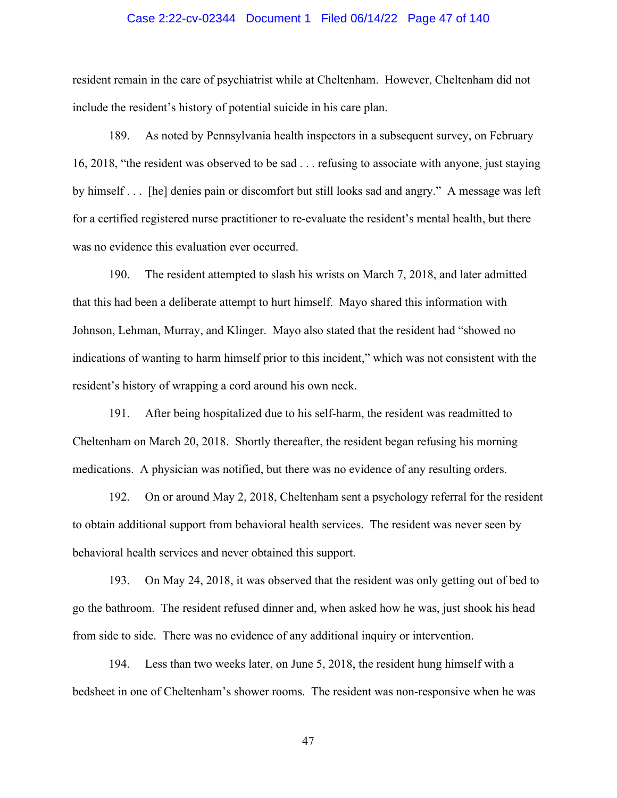# Case 2:22-cv-02344 Document 1 Filed 06/14/22 Page 47 of 140

resident remain in the care of psychiatrist while at Cheltenham. However, Cheltenham did not include the resident's history of potential suicide in his care plan.

189. As noted by Pennsylvania health inspectors in a subsequent survey, on February 16, 2018, "the resident was observed to be sad . . . refusing to associate with anyone, just staying by himself . . . [he] denies pain or discomfort but still looks sad and angry." A message was left for a certified registered nurse practitioner to re-evaluate the resident's mental health, but there was no evidence this evaluation ever occurred.

190. The resident attempted to slash his wrists on March 7, 2018, and later admitted that this had been a deliberate attempt to hurt himself. Mayo shared this information with Johnson, Lehman, Murray, and Klinger. Mayo also stated that the resident had "showed no indications of wanting to harm himself prior to this incident," which was not consistent with the resident's history of wrapping a cord around his own neck.

191. After being hospitalized due to his self-harm, the resident was readmitted to Cheltenham on March 20, 2018. Shortly thereafter, the resident began refusing his morning medications. A physician was notified, but there was no evidence of any resulting orders.

192. On or around May 2, 2018, Cheltenham sent a psychology referral for the resident to obtain additional support from behavioral health services. The resident was never seen by behavioral health services and never obtained this support.

193. On May 24, 2018, it was observed that the resident was only getting out of bed to go the bathroom. The resident refused dinner and, when asked how he was, just shook his head from side to side. There was no evidence of any additional inquiry or intervention.

194. Less than two weeks later, on June 5, 2018, the resident hung himself with a bedsheet in one of Cheltenham's shower rooms. The resident was non-responsive when he was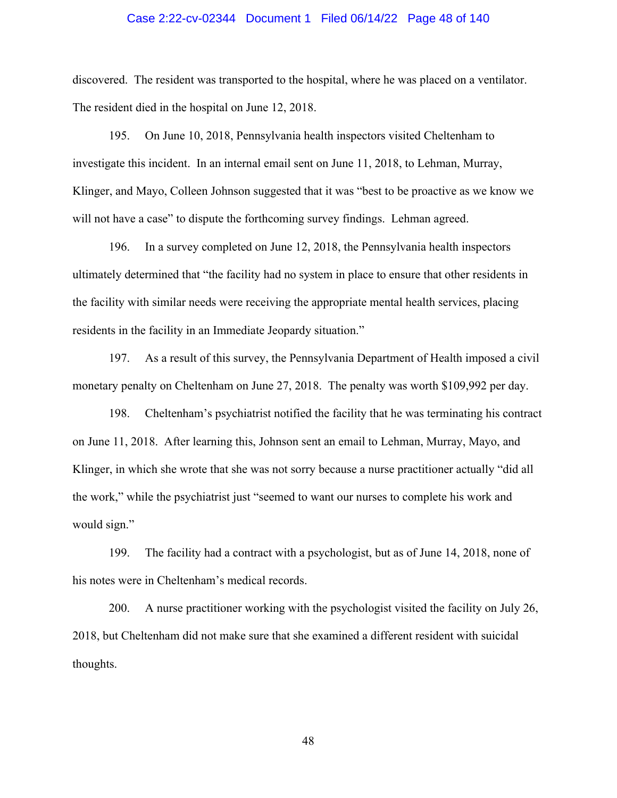# Case 2:22-cv-02344 Document 1 Filed 06/14/22 Page 48 of 140

discovered. The resident was transported to the hospital, where he was placed on a ventilator. The resident died in the hospital on June 12, 2018.

195. On June 10, 2018, Pennsylvania health inspectors visited Cheltenham to investigate this incident. In an internal email sent on June 11, 2018, to Lehman, Murray, Klinger, and Mayo, Colleen Johnson suggested that it was "best to be proactive as we know we will not have a case" to dispute the forthcoming survey findings. Lehman agreed.

196. In a survey completed on June 12, 2018, the Pennsylvania health inspectors ultimately determined that "the facility had no system in place to ensure that other residents in the facility with similar needs were receiving the appropriate mental health services, placing residents in the facility in an Immediate Jeopardy situation."

197. As a result of this survey, the Pennsylvania Department of Health imposed a civil monetary penalty on Cheltenham on June 27, 2018. The penalty was worth \$109,992 per day.

198. Cheltenham's psychiatrist notified the facility that he was terminating his contract on June 11, 2018. After learning this, Johnson sent an email to Lehman, Murray, Mayo, and Klinger, in which she wrote that she was not sorry because a nurse practitioner actually "did all the work," while the psychiatrist just "seemed to want our nurses to complete his work and would sign."

199. The facility had a contract with a psychologist, but as of June 14, 2018, none of his notes were in Cheltenham's medical records.

200. A nurse practitioner working with the psychologist visited the facility on July 26, 2018, but Cheltenham did not make sure that she examined a different resident with suicidal thoughts.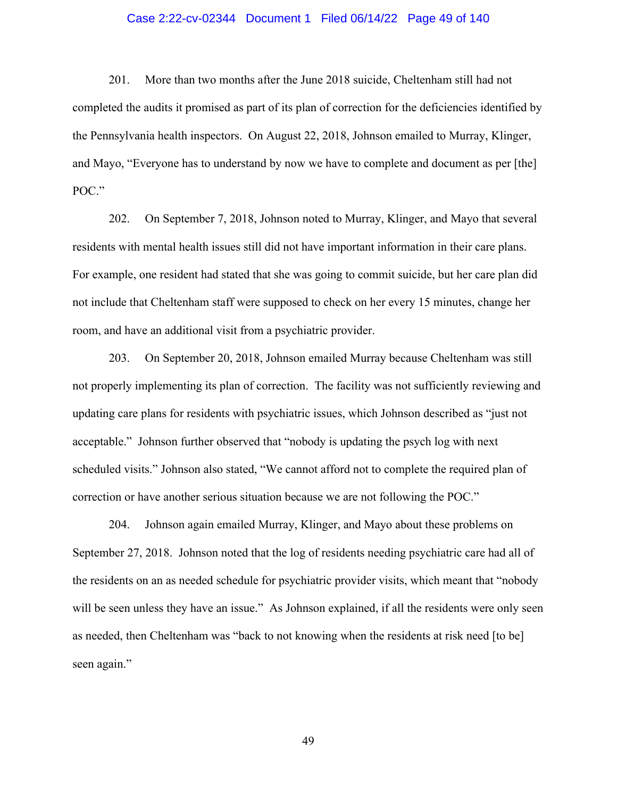# Case 2:22-cv-02344 Document 1 Filed 06/14/22 Page 49 of 140

201. More than two months after the June 2018 suicide, Cheltenham still had not completed the audits it promised as part of its plan of correction for the deficiencies identified by the Pennsylvania health inspectors. On August 22, 2018, Johnson emailed to Murray, Klinger, and Mayo, "Everyone has to understand by now we have to complete and document as per [the] POC."

202. On September 7, 2018, Johnson noted to Murray, Klinger, and Mayo that several residents with mental health issues still did not have important information in their care plans. For example, one resident had stated that she was going to commit suicide, but her care plan did not include that Cheltenham staff were supposed to check on her every 15 minutes, change her room, and have an additional visit from a psychiatric provider.

203. On September 20, 2018, Johnson emailed Murray because Cheltenham was still not properly implementing its plan of correction. The facility was not sufficiently reviewing and updating care plans for residents with psychiatric issues, which Johnson described as "just not acceptable." Johnson further observed that "nobody is updating the psych log with next scheduled visits." Johnson also stated, "We cannot afford not to complete the required plan of correction or have another serious situation because we are not following the POC."

204. Johnson again emailed Murray, Klinger, and Mayo about these problems on September 27, 2018. Johnson noted that the log of residents needing psychiatric care had all of the residents on an as needed schedule for psychiatric provider visits, which meant that "nobody will be seen unless they have an issue." As Johnson explained, if all the residents were only seen as needed, then Cheltenham was "back to not knowing when the residents at risk need [to be] seen again."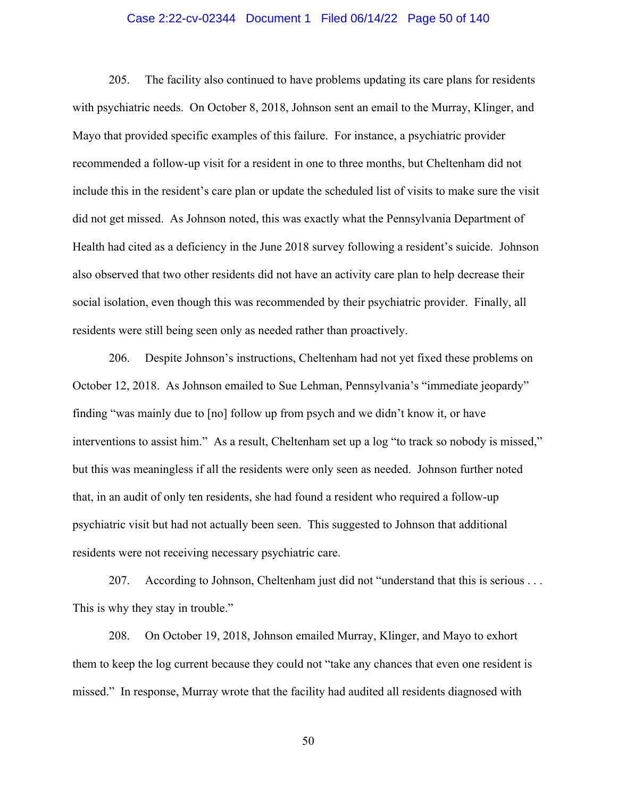# Case 2:22-cv-02344 Document 1 Filed 06/14/22 Page 50 of 140

205. The facility also continued to have problems updating its care plans for residents with psychiatric needs. On October 8, 2018, Johnson sent an email to the Murray, Klinger, and Mayo that provided specific examples of this failure. For instance, a psychiatric provider recommended a follow-up visit for a resident in one to three months, but Cheltenham did not include this in the resident's care plan or update the scheduled list of visits to make sure the visit did not get missed. As Johnson noted, this was exactly what the Pennsylvania Department of Health had cited as a deficiency in the June 2018 survey following a resident's suicide. Johnson also observed that two other residents did not have an activity care plan to help decrease their social isolation, even though this was recommended by their psychiatric provider. Finally, all residents were still being seen only as needed rather than proactively.

206. Despite Johnson's instructions, Cheltenham had not yet fixed these problems on October 12, 2018. As Johnson emailed to Sue Lehman, Pennsylvania's "immediate jeopardy" finding "was mainly due to [no] follow up from psych and we didn't know it, or have interventions to assist him." As a result, Cheltenham set up a log "to track so nobody is missed," but this was meaningless if all the residents were only seen as needed. Johnson further noted that, in an audit of only ten residents, she had found a resident who required a follow-up psychiatric visit but had not actually been seen. This suggested to Johnson that additional residents were not receiving necessary psychiatric care.

207. According to Johnson, Cheltenham just did not "understand that this is serious . . . This is why they stay in trouble."

208. On October 19, 2018, Johnson emailed Murray, Klinger, and Mayo to exhort them to keep the log current because they could not "take any chances that even one resident is missed." In response, Murray wrote that the facility had audited all residents diagnosed with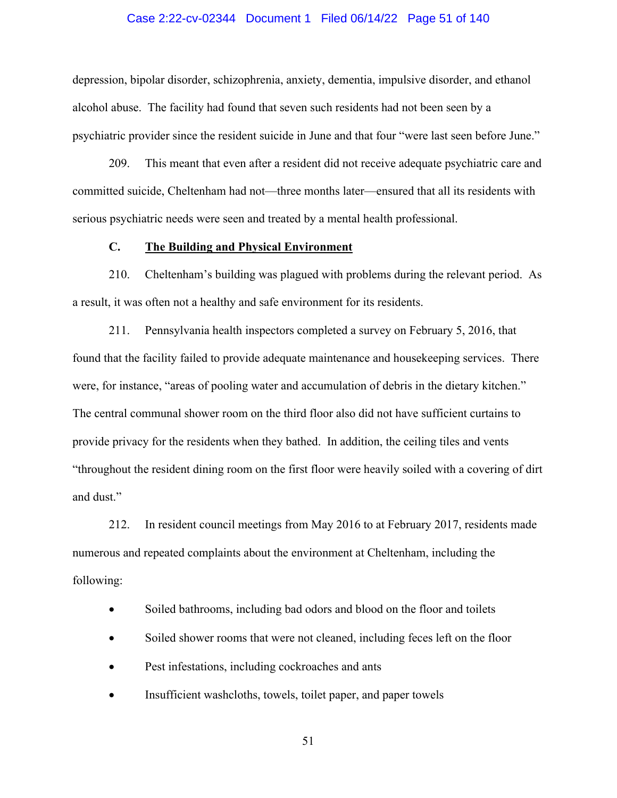# Case 2:22-cv-02344 Document 1 Filed 06/14/22 Page 51 of 140

depression, bipolar disorder, schizophrenia, anxiety, dementia, impulsive disorder, and ethanol alcohol abuse. The facility had found that seven such residents had not been seen by a psychiatric provider since the resident suicide in June and that four "were last seen before June."

209. This meant that even after a resident did not receive adequate psychiatric care and committed suicide, Cheltenham had not—three months later—ensured that all its residents with serious psychiatric needs were seen and treated by a mental health professional.

# **C. The Building and Physical Environment**

210. Cheltenham's building was plagued with problems during the relevant period. As a result, it was often not a healthy and safe environment for its residents.

211. Pennsylvania health inspectors completed a survey on February 5, 2016, that found that the facility failed to provide adequate maintenance and housekeeping services. There were, for instance, "areas of pooling water and accumulation of debris in the dietary kitchen." The central communal shower room on the third floor also did not have sufficient curtains to provide privacy for the residents when they bathed. In addition, the ceiling tiles and vents "throughout the resident dining room on the first floor were heavily soiled with a covering of dirt and dust."

212. In resident council meetings from May 2016 to at February 2017, residents made numerous and repeated complaints about the environment at Cheltenham, including the following:

- Soiled bathrooms, including bad odors and blood on the floor and toilets
- Soiled shower rooms that were not cleaned, including feces left on the floor
- Pest infestations, including cockroaches and ants
- Insufficient washcloths, towels, toilet paper, and paper towels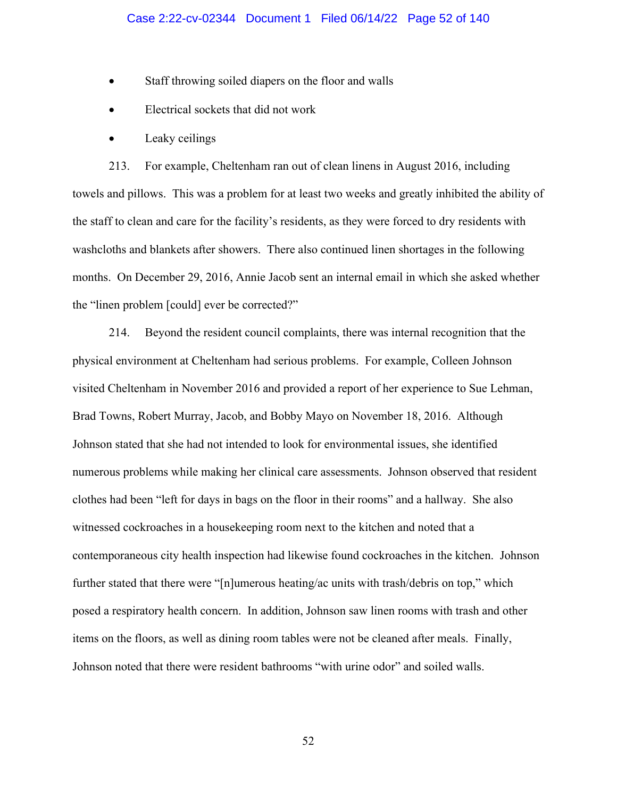- Staff throwing soiled diapers on the floor and walls
- Electrical sockets that did not work
- Leaky ceilings

213. For example, Cheltenham ran out of clean linens in August 2016, including towels and pillows. This was a problem for at least two weeks and greatly inhibited the ability of the staff to clean and care for the facility's residents, as they were forced to dry residents with washcloths and blankets after showers. There also continued linen shortages in the following months. On December 29, 2016, Annie Jacob sent an internal email in which she asked whether the "linen problem [could] ever be corrected?"

214. Beyond the resident council complaints, there was internal recognition that the physical environment at Cheltenham had serious problems. For example, Colleen Johnson visited Cheltenham in November 2016 and provided a report of her experience to Sue Lehman, Brad Towns, Robert Murray, Jacob, and Bobby Mayo on November 18, 2016. Although Johnson stated that she had not intended to look for environmental issues, she identified numerous problems while making her clinical care assessments. Johnson observed that resident clothes had been "left for days in bags on the floor in their rooms" and a hallway. She also witnessed cockroaches in a housekeeping room next to the kitchen and noted that a contemporaneous city health inspection had likewise found cockroaches in the kitchen. Johnson further stated that there were "[n]umerous heating/ac units with trash/debris on top," which posed a respiratory health concern. In addition, Johnson saw linen rooms with trash and other items on the floors, as well as dining room tables were not be cleaned after meals. Finally, Johnson noted that there were resident bathrooms "with urine odor" and soiled walls.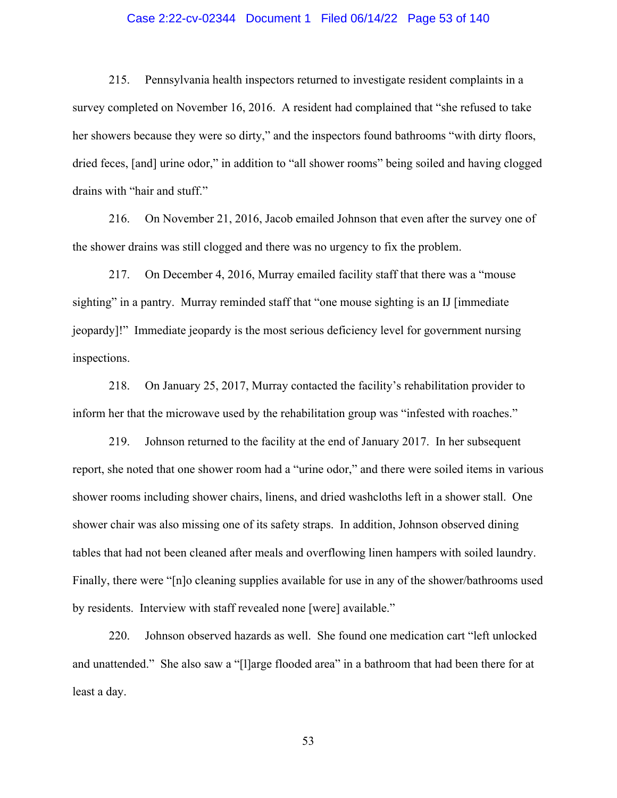# Case 2:22-cv-02344 Document 1 Filed 06/14/22 Page 53 of 140

215. Pennsylvania health inspectors returned to investigate resident complaints in a survey completed on November 16, 2016. A resident had complained that "she refused to take her showers because they were so dirty," and the inspectors found bathrooms "with dirty floors, dried feces, [and] urine odor," in addition to "all shower rooms" being soiled and having clogged drains with "hair and stuff."

216. On November 21, 2016, Jacob emailed Johnson that even after the survey one of the shower drains was still clogged and there was no urgency to fix the problem.

217. On December 4, 2016, Murray emailed facility staff that there was a "mouse sighting" in a pantry. Murray reminded staff that "one mouse sighting is an IJ [immediate jeopardy]!" Immediate jeopardy is the most serious deficiency level for government nursing inspections.

218. On January 25, 2017, Murray contacted the facility's rehabilitation provider to inform her that the microwave used by the rehabilitation group was "infested with roaches."

219. Johnson returned to the facility at the end of January 2017. In her subsequent report, she noted that one shower room had a "urine odor," and there were soiled items in various shower rooms including shower chairs, linens, and dried washcloths left in a shower stall. One shower chair was also missing one of its safety straps. In addition, Johnson observed dining tables that had not been cleaned after meals and overflowing linen hampers with soiled laundry. Finally, there were "[n]o cleaning supplies available for use in any of the shower/bathrooms used by residents. Interview with staff revealed none [were] available."

220. Johnson observed hazards as well. She found one medication cart "left unlocked and unattended." She also saw a "[l]arge flooded area" in a bathroom that had been there for at least a day.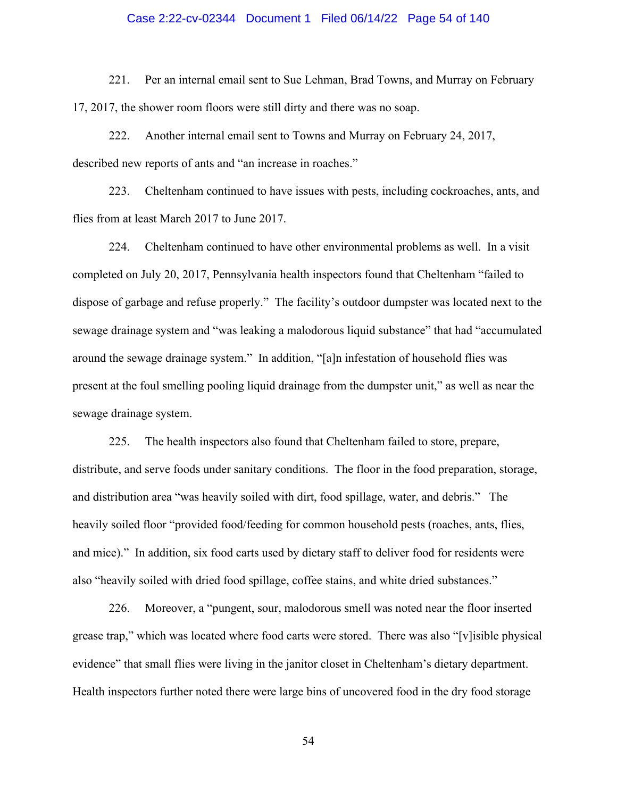# Case 2:22-cv-02344 Document 1 Filed 06/14/22 Page 54 of 140

221. Per an internal email sent to Sue Lehman, Brad Towns, and Murray on February 17, 2017, the shower room floors were still dirty and there was no soap.

222. Another internal email sent to Towns and Murray on February 24, 2017, described new reports of ants and "an increase in roaches."

223. Cheltenham continued to have issues with pests, including cockroaches, ants, and flies from at least March 2017 to June 2017.

224. Cheltenham continued to have other environmental problems as well. In a visit completed on July 20, 2017, Pennsylvania health inspectors found that Cheltenham "failed to dispose of garbage and refuse properly." The facility's outdoor dumpster was located next to the sewage drainage system and "was leaking a malodorous liquid substance" that had "accumulated around the sewage drainage system." In addition, "[a]n infestation of household flies was present at the foul smelling pooling liquid drainage from the dumpster unit," as well as near the sewage drainage system.

225. The health inspectors also found that Cheltenham failed to store, prepare, distribute, and serve foods under sanitary conditions. The floor in the food preparation, storage, and distribution area "was heavily soiled with dirt, food spillage, water, and debris." The heavily soiled floor "provided food/feeding for common household pests (roaches, ants, flies, and mice)." In addition, six food carts used by dietary staff to deliver food for residents were also "heavily soiled with dried food spillage, coffee stains, and white dried substances."

226. Moreover, a "pungent, sour, malodorous smell was noted near the floor inserted grease trap," which was located where food carts were stored. There was also "[v]isible physical evidence" that small flies were living in the janitor closet in Cheltenham's dietary department. Health inspectors further noted there were large bins of uncovered food in the dry food storage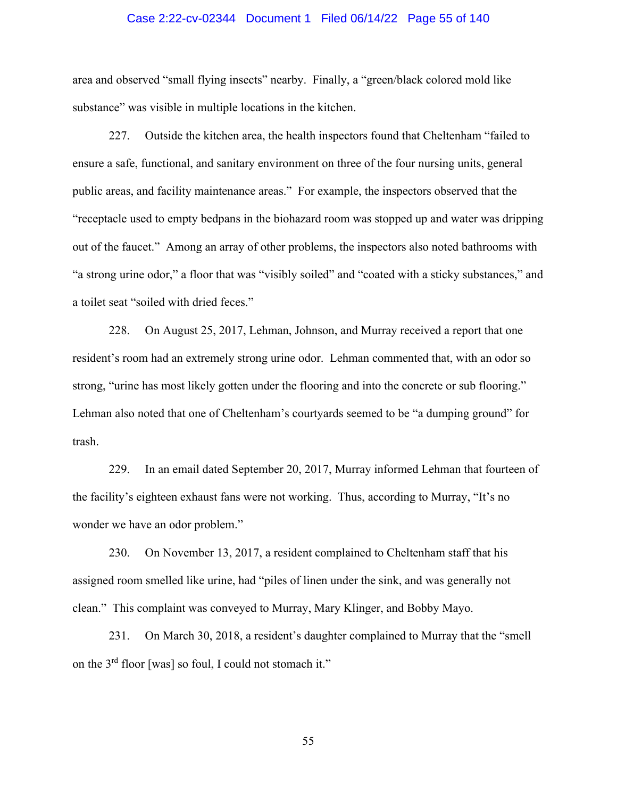# Case 2:22-cv-02344 Document 1 Filed 06/14/22 Page 55 of 140

area and observed "small flying insects" nearby. Finally, a "green/black colored mold like substance" was visible in multiple locations in the kitchen.

227. Outside the kitchen area, the health inspectors found that Cheltenham "failed to ensure a safe, functional, and sanitary environment on three of the four nursing units, general public areas, and facility maintenance areas." For example, the inspectors observed that the "receptacle used to empty bedpans in the biohazard room was stopped up and water was dripping out of the faucet." Among an array of other problems, the inspectors also noted bathrooms with "a strong urine odor," a floor that was "visibly soiled" and "coated with a sticky substances," and a toilet seat "soiled with dried feces."

228. On August 25, 2017, Lehman, Johnson, and Murray received a report that one resident's room had an extremely strong urine odor. Lehman commented that, with an odor so strong, "urine has most likely gotten under the flooring and into the concrete or sub flooring." Lehman also noted that one of Cheltenham's courtyards seemed to be "a dumping ground" for trash.

229. In an email dated September 20, 2017, Murray informed Lehman that fourteen of the facility's eighteen exhaust fans were not working. Thus, according to Murray, "It's no wonder we have an odor problem."

230. On November 13, 2017, a resident complained to Cheltenham staff that his assigned room smelled like urine, had "piles of linen under the sink, and was generally not clean." This complaint was conveyed to Murray, Mary Klinger, and Bobby Mayo.

231. On March 30, 2018, a resident's daughter complained to Murray that the "smell on the 3rd floor [was] so foul, I could not stomach it."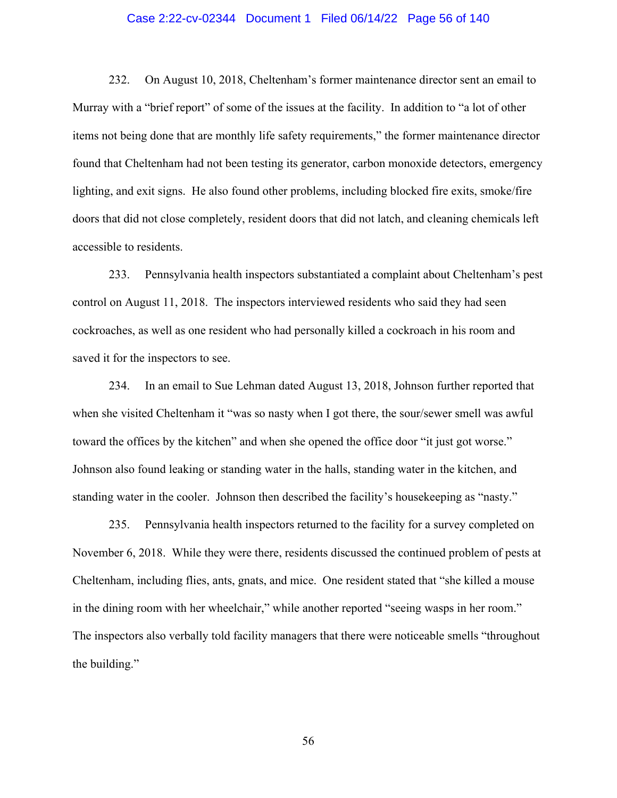# Case 2:22-cv-02344 Document 1 Filed 06/14/22 Page 56 of 140

232. On August 10, 2018, Cheltenham's former maintenance director sent an email to Murray with a "brief report" of some of the issues at the facility. In addition to "a lot of other items not being done that are monthly life safety requirements," the former maintenance director found that Cheltenham had not been testing its generator, carbon monoxide detectors, emergency lighting, and exit signs. He also found other problems, including blocked fire exits, smoke/fire doors that did not close completely, resident doors that did not latch, and cleaning chemicals left accessible to residents.

233. Pennsylvania health inspectors substantiated a complaint about Cheltenham's pest control on August 11, 2018. The inspectors interviewed residents who said they had seen cockroaches, as well as one resident who had personally killed a cockroach in his room and saved it for the inspectors to see.

234. In an email to Sue Lehman dated August 13, 2018, Johnson further reported that when she visited Cheltenham it "was so nasty when I got there, the sour/sewer smell was awful toward the offices by the kitchen" and when she opened the office door "it just got worse." Johnson also found leaking or standing water in the halls, standing water in the kitchen, and standing water in the cooler. Johnson then described the facility's housekeeping as "nasty."

235. Pennsylvania health inspectors returned to the facility for a survey completed on November 6, 2018. While they were there, residents discussed the continued problem of pests at Cheltenham, including flies, ants, gnats, and mice. One resident stated that "she killed a mouse in the dining room with her wheelchair," while another reported "seeing wasps in her room." The inspectors also verbally told facility managers that there were noticeable smells "throughout the building."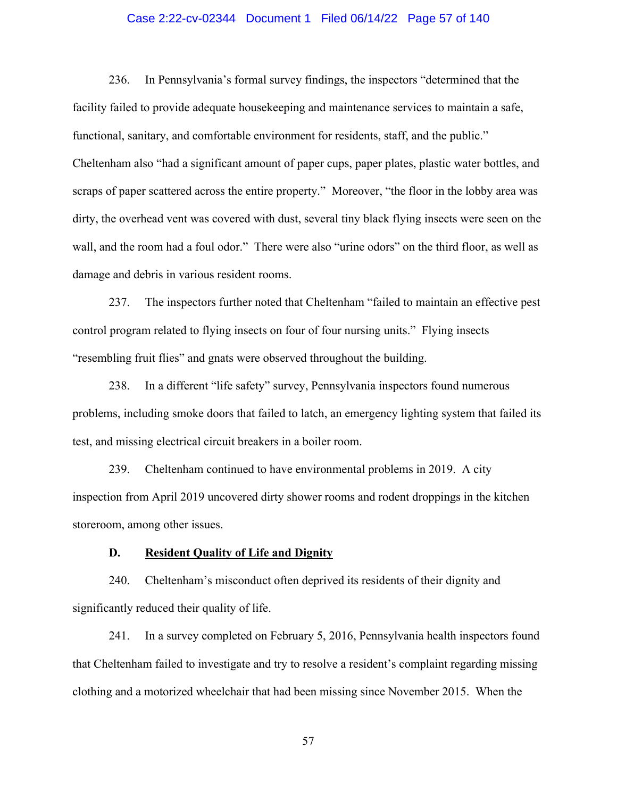# Case 2:22-cv-02344 Document 1 Filed 06/14/22 Page 57 of 140

236. In Pennsylvania's formal survey findings, the inspectors "determined that the facility failed to provide adequate housekeeping and maintenance services to maintain a safe, functional, sanitary, and comfortable environment for residents, staff, and the public." Cheltenham also "had a significant amount of paper cups, paper plates, plastic water bottles, and scraps of paper scattered across the entire property." Moreover, "the floor in the lobby area was dirty, the overhead vent was covered with dust, several tiny black flying insects were seen on the wall, and the room had a foul odor." There were also "urine odors" on the third floor, as well as damage and debris in various resident rooms.

237. The inspectors further noted that Cheltenham "failed to maintain an effective pest control program related to flying insects on four of four nursing units." Flying insects "resembling fruit flies" and gnats were observed throughout the building.

238. In a different "life safety" survey, Pennsylvania inspectors found numerous problems, including smoke doors that failed to latch, an emergency lighting system that failed its test, and missing electrical circuit breakers in a boiler room.

239. Cheltenham continued to have environmental problems in 2019. A city inspection from April 2019 uncovered dirty shower rooms and rodent droppings in the kitchen storeroom, among other issues.

#### **D. Resident Quality of Life and Dignity**

240. Cheltenham's misconduct often deprived its residents of their dignity and significantly reduced their quality of life.

241. In a survey completed on February 5, 2016, Pennsylvania health inspectors found that Cheltenham failed to investigate and try to resolve a resident's complaint regarding missing clothing and a motorized wheelchair that had been missing since November 2015. When the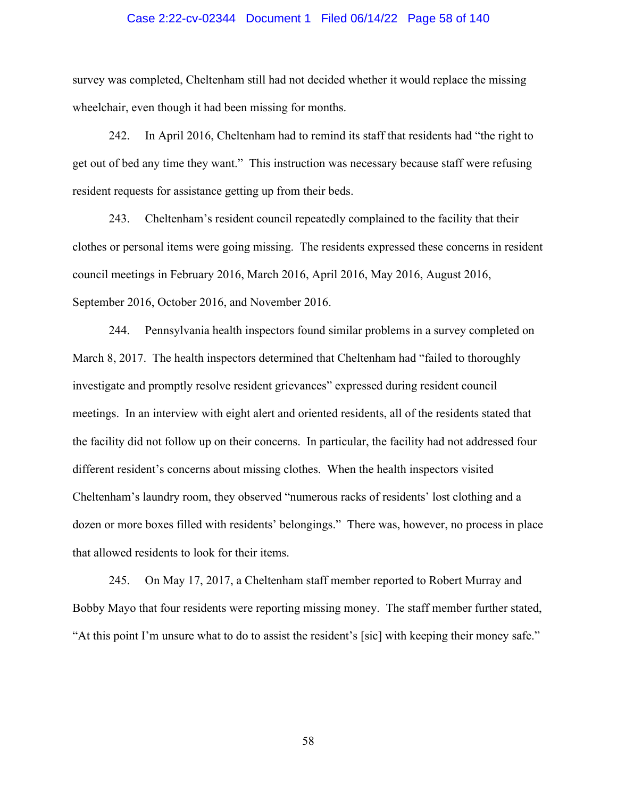# Case 2:22-cv-02344 Document 1 Filed 06/14/22 Page 58 of 140

survey was completed, Cheltenham still had not decided whether it would replace the missing wheelchair, even though it had been missing for months.

242. In April 2016, Cheltenham had to remind its staff that residents had "the right to get out of bed any time they want." This instruction was necessary because staff were refusing resident requests for assistance getting up from their beds.

243. Cheltenham's resident council repeatedly complained to the facility that their clothes or personal items were going missing. The residents expressed these concerns in resident council meetings in February 2016, March 2016, April 2016, May 2016, August 2016, September 2016, October 2016, and November 2016.

244. Pennsylvania health inspectors found similar problems in a survey completed on March 8, 2017. The health inspectors determined that Cheltenham had "failed to thoroughly investigate and promptly resolve resident grievances" expressed during resident council meetings. In an interview with eight alert and oriented residents, all of the residents stated that the facility did not follow up on their concerns. In particular, the facility had not addressed four different resident's concerns about missing clothes. When the health inspectors visited Cheltenham's laundry room, they observed "numerous racks of residents' lost clothing and a dozen or more boxes filled with residents' belongings." There was, however, no process in place that allowed residents to look for their items.

245. On May 17, 2017, a Cheltenham staff member reported to Robert Murray and Bobby Mayo that four residents were reporting missing money. The staff member further stated, "At this point I'm unsure what to do to assist the resident's [sic] with keeping their money safe."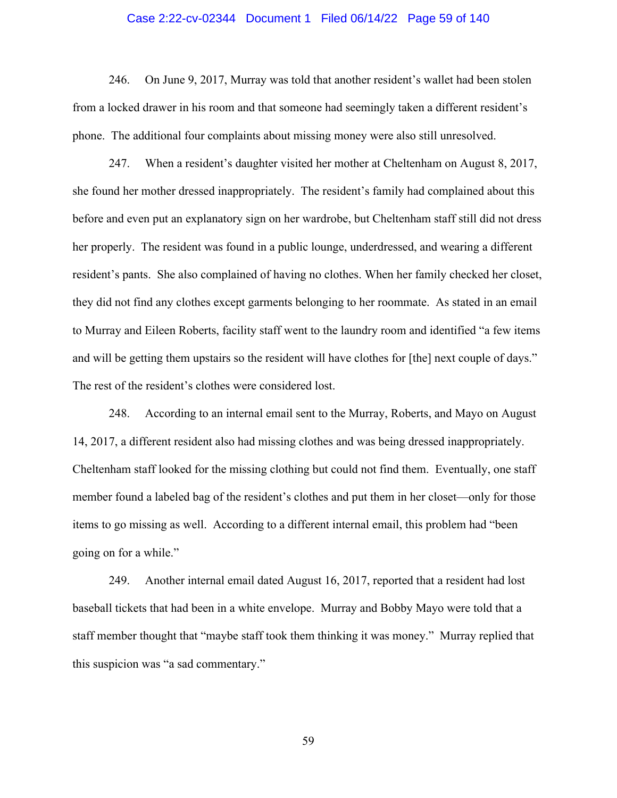#### Case 2:22-cv-02344 Document 1 Filed 06/14/22 Page 59 of 140

246. On June 9, 2017, Murray was told that another resident's wallet had been stolen from a locked drawer in his room and that someone had seemingly taken a different resident's phone. The additional four complaints about missing money were also still unresolved.

247. When a resident's daughter visited her mother at Cheltenham on August 8, 2017, she found her mother dressed inappropriately. The resident's family had complained about this before and even put an explanatory sign on her wardrobe, but Cheltenham staff still did not dress her properly. The resident was found in a public lounge, underdressed, and wearing a different resident's pants. She also complained of having no clothes. When her family checked her closet, they did not find any clothes except garments belonging to her roommate. As stated in an email to Murray and Eileen Roberts, facility staff went to the laundry room and identified "a few items and will be getting them upstairs so the resident will have clothes for [the] next couple of days." The rest of the resident's clothes were considered lost.

248. According to an internal email sent to the Murray, Roberts, and Mayo on August 14, 2017, a different resident also had missing clothes and was being dressed inappropriately. Cheltenham staff looked for the missing clothing but could not find them. Eventually, one staff member found a labeled bag of the resident's clothes and put them in her closet—only for those items to go missing as well. According to a different internal email, this problem had "been going on for a while."

249. Another internal email dated August 16, 2017, reported that a resident had lost baseball tickets that had been in a white envelope. Murray and Bobby Mayo were told that a staff member thought that "maybe staff took them thinking it was money." Murray replied that this suspicion was "a sad commentary."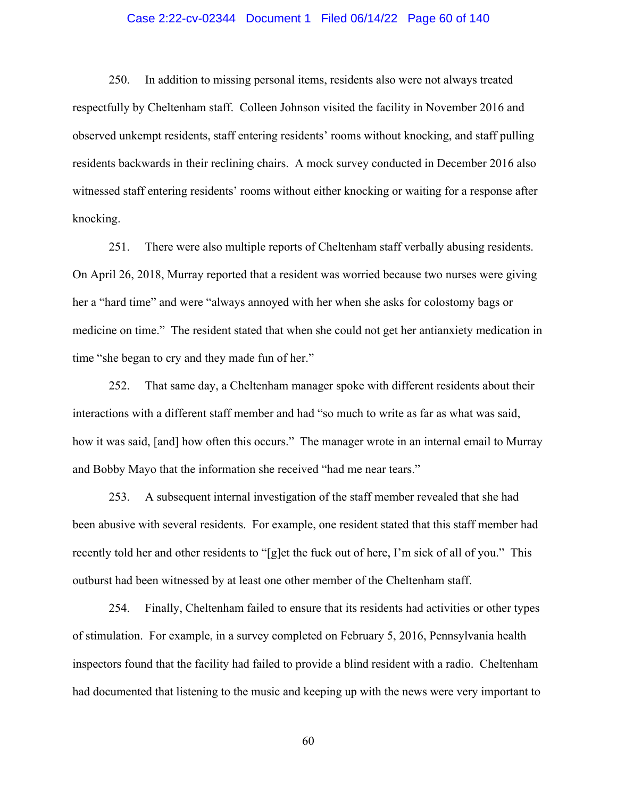# Case 2:22-cv-02344 Document 1 Filed 06/14/22 Page 60 of 140

250. In addition to missing personal items, residents also were not always treated respectfully by Cheltenham staff. Colleen Johnson visited the facility in November 2016 and observed unkempt residents, staff entering residents' rooms without knocking, and staff pulling residents backwards in their reclining chairs. A mock survey conducted in December 2016 also witnessed staff entering residents' rooms without either knocking or waiting for a response after knocking.

251. There were also multiple reports of Cheltenham staff verbally abusing residents. On April 26, 2018, Murray reported that a resident was worried because two nurses were giving her a "hard time" and were "always annoyed with her when she asks for colostomy bags or medicine on time." The resident stated that when she could not get her antianxiety medication in time "she began to cry and they made fun of her."

252. That same day, a Cheltenham manager spoke with different residents about their interactions with a different staff member and had "so much to write as far as what was said, how it was said, [and] how often this occurs." The manager wrote in an internal email to Murray and Bobby Mayo that the information she received "had me near tears."

253. A subsequent internal investigation of the staff member revealed that she had been abusive with several residents. For example, one resident stated that this staff member had recently told her and other residents to "[g]et the fuck out of here, I'm sick of all of you." This outburst had been witnessed by at least one other member of the Cheltenham staff.

254. Finally, Cheltenham failed to ensure that its residents had activities or other types of stimulation. For example, in a survey completed on February 5, 2016, Pennsylvania health inspectors found that the facility had failed to provide a blind resident with a radio. Cheltenham had documented that listening to the music and keeping up with the news were very important to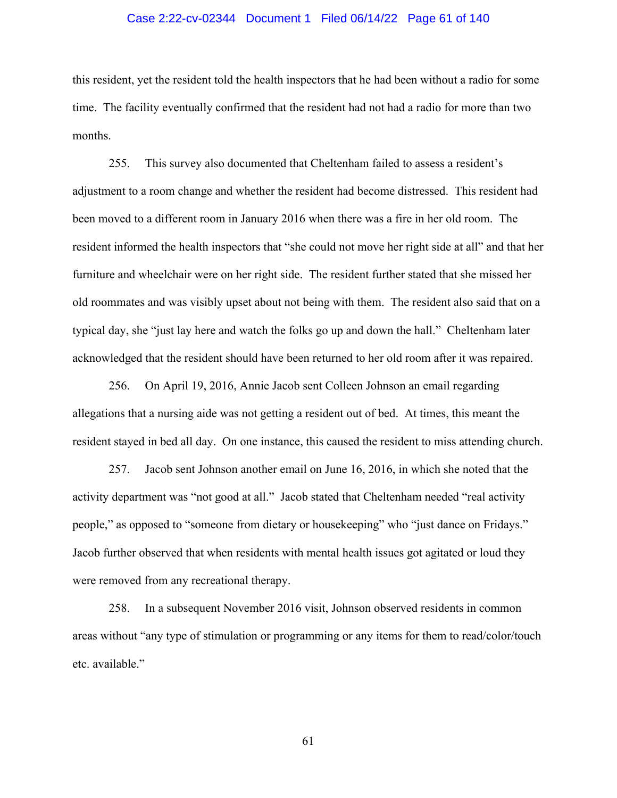# Case 2:22-cv-02344 Document 1 Filed 06/14/22 Page 61 of 140

this resident, yet the resident told the health inspectors that he had been without a radio for some time. The facility eventually confirmed that the resident had not had a radio for more than two months.

255. This survey also documented that Cheltenham failed to assess a resident's adjustment to a room change and whether the resident had become distressed. This resident had been moved to a different room in January 2016 when there was a fire in her old room. The resident informed the health inspectors that "she could not move her right side at all" and that her furniture and wheelchair were on her right side. The resident further stated that she missed her old roommates and was visibly upset about not being with them. The resident also said that on a typical day, she "just lay here and watch the folks go up and down the hall." Cheltenham later acknowledged that the resident should have been returned to her old room after it was repaired.

256. On April 19, 2016, Annie Jacob sent Colleen Johnson an email regarding allegations that a nursing aide was not getting a resident out of bed. At times, this meant the resident stayed in bed all day. On one instance, this caused the resident to miss attending church.

257. Jacob sent Johnson another email on June 16, 2016, in which she noted that the activity department was "not good at all." Jacob stated that Cheltenham needed "real activity people," as opposed to "someone from dietary or housekeeping" who "just dance on Fridays." Jacob further observed that when residents with mental health issues got agitated or loud they were removed from any recreational therapy.

258. In a subsequent November 2016 visit, Johnson observed residents in common areas without "any type of stimulation or programming or any items for them to read/color/touch etc. available."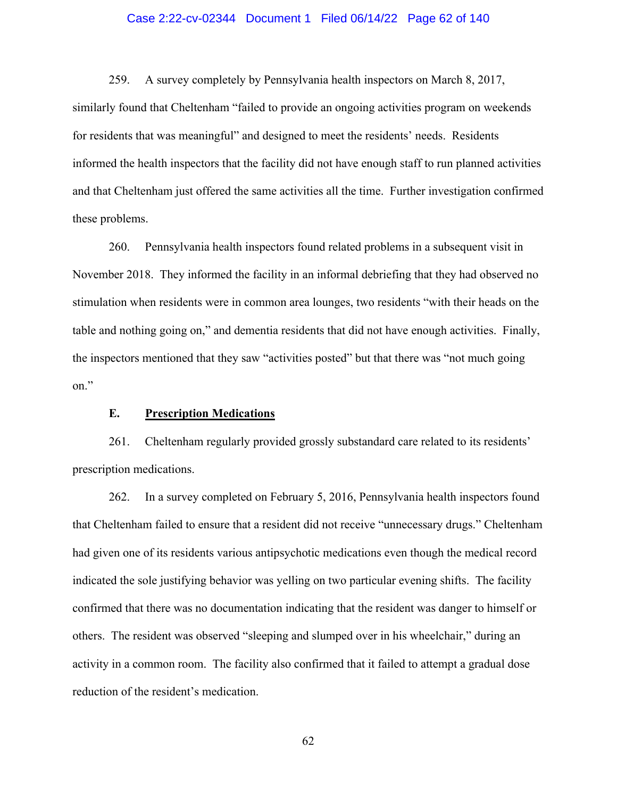# Case 2:22-cv-02344 Document 1 Filed 06/14/22 Page 62 of 140

259. A survey completely by Pennsylvania health inspectors on March 8, 2017, similarly found that Cheltenham "failed to provide an ongoing activities program on weekends for residents that was meaningful" and designed to meet the residents' needs. Residents informed the health inspectors that the facility did not have enough staff to run planned activities and that Cheltenham just offered the same activities all the time. Further investigation confirmed these problems.

260. Pennsylvania health inspectors found related problems in a subsequent visit in November 2018. They informed the facility in an informal debriefing that they had observed no stimulation when residents were in common area lounges, two residents "with their heads on the table and nothing going on," and dementia residents that did not have enough activities. Finally, the inspectors mentioned that they saw "activities posted" but that there was "not much going on."

# **E. Prescription Medications**

261. Cheltenham regularly provided grossly substandard care related to its residents' prescription medications.

262. In a survey completed on February 5, 2016, Pennsylvania health inspectors found that Cheltenham failed to ensure that a resident did not receive "unnecessary drugs." Cheltenham had given one of its residents various antipsychotic medications even though the medical record indicated the sole justifying behavior was yelling on two particular evening shifts. The facility confirmed that there was no documentation indicating that the resident was danger to himself or others. The resident was observed "sleeping and slumped over in his wheelchair," during an activity in a common room. The facility also confirmed that it failed to attempt a gradual dose reduction of the resident's medication.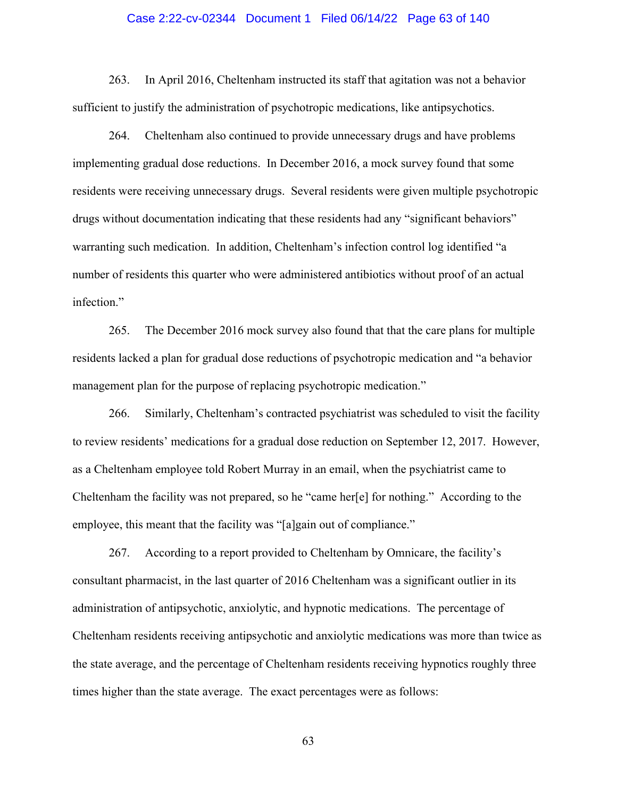#### Case 2:22-cv-02344 Document 1 Filed 06/14/22 Page 63 of 140

263. In April 2016, Cheltenham instructed its staff that agitation was not a behavior sufficient to justify the administration of psychotropic medications, like antipsychotics.

264. Cheltenham also continued to provide unnecessary drugs and have problems implementing gradual dose reductions. In December 2016, a mock survey found that some residents were receiving unnecessary drugs. Several residents were given multiple psychotropic drugs without documentation indicating that these residents had any "significant behaviors" warranting such medication. In addition, Cheltenham's infection control log identified "a number of residents this quarter who were administered antibiotics without proof of an actual infection."

265. The December 2016 mock survey also found that that the care plans for multiple residents lacked a plan for gradual dose reductions of psychotropic medication and "a behavior management plan for the purpose of replacing psychotropic medication."

266. Similarly, Cheltenham's contracted psychiatrist was scheduled to visit the facility to review residents' medications for a gradual dose reduction on September 12, 2017. However, as a Cheltenham employee told Robert Murray in an email, when the psychiatrist came to Cheltenham the facility was not prepared, so he "came her[e] for nothing." According to the employee, this meant that the facility was "[a]gain out of compliance."

267. According to a report provided to Cheltenham by Omnicare, the facility's consultant pharmacist, in the last quarter of 2016 Cheltenham was a significant outlier in its administration of antipsychotic, anxiolytic, and hypnotic medications. The percentage of Cheltenham residents receiving antipsychotic and anxiolytic medications was more than twice as the state average, and the percentage of Cheltenham residents receiving hypnotics roughly three times higher than the state average. The exact percentages were as follows: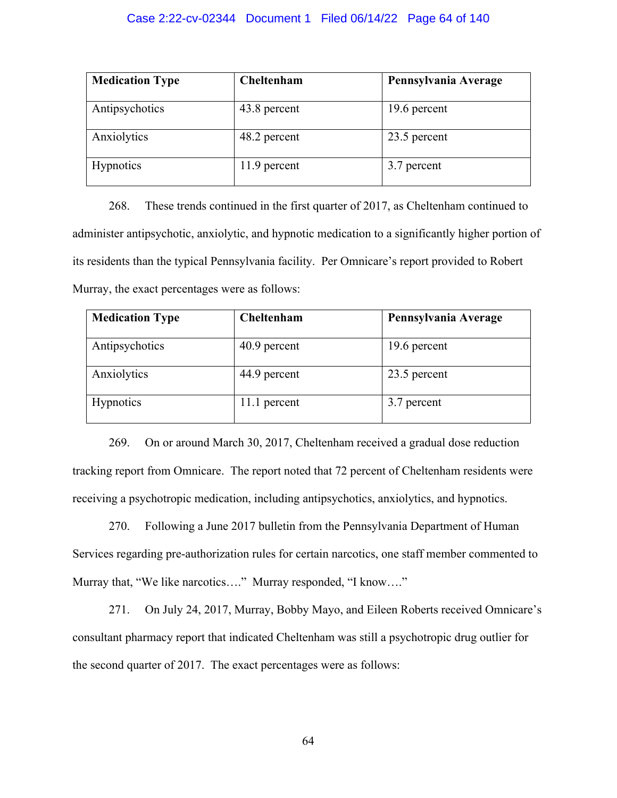# Case 2:22-cv-02344 Document 1 Filed 06/14/22 Page 64 of 140

| <b>Medication Type</b> | Cheltenham   | Pennsylvania Average |
|------------------------|--------------|----------------------|
| Antipsychotics         | 43.8 percent | 19.6 percent         |
| Anxiolytics            | 48.2 percent | 23.5 percent         |
| <b>Hypnotics</b>       | 11.9 percent | 3.7 percent          |

268. These trends continued in the first quarter of 2017, as Cheltenham continued to administer antipsychotic, anxiolytic, and hypnotic medication to a significantly higher portion of its residents than the typical Pennsylvania facility. Per Omnicare's report provided to Robert Murray, the exact percentages were as follows:

| <b>Medication Type</b> | Cheltenham   | Pennsylvania Average |
|------------------------|--------------|----------------------|
| Antipsychotics         | 40.9 percent | 19.6 percent         |
| Anxiolytics            | 44.9 percent | 23.5 percent         |
| <b>Hypnotics</b>       | 11.1 percent | 3.7 percent          |

269. On or around March 30, 2017, Cheltenham received a gradual dose reduction tracking report from Omnicare. The report noted that 72 percent of Cheltenham residents were receiving a psychotropic medication, including antipsychotics, anxiolytics, and hypnotics.

270. Following a June 2017 bulletin from the Pennsylvania Department of Human Services regarding pre-authorization rules for certain narcotics, one staff member commented to Murray that, "We like narcotics…." Murray responded, "I know…."

271. On July 24, 2017, Murray, Bobby Mayo, and Eileen Roberts received Omnicare's consultant pharmacy report that indicated Cheltenham was still a psychotropic drug outlier for the second quarter of 2017. The exact percentages were as follows: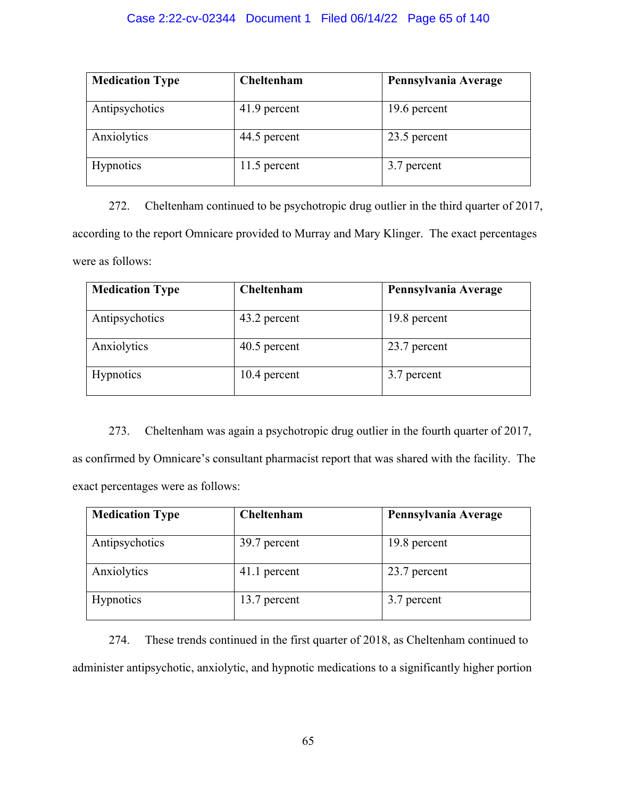# Case 2:22-cv-02344 Document 1 Filed 06/14/22 Page 65 of 140

| <b>Medication Type</b> | Cheltenham   | Pennsylvania Average |
|------------------------|--------------|----------------------|
| Antipsychotics         | 41.9 percent | 19.6 percent         |
| Anxiolytics            | 44.5 percent | 23.5 percent         |
| <b>Hypnotics</b>       | 11.5 percent | 3.7 percent          |

272. Cheltenham continued to be psychotropic drug outlier in the third quarter of 2017, according to the report Omnicare provided to Murray and Mary Klinger. The exact percentages were as follows:

| <b>Medication Type</b> | Cheltenham   | Pennsylvania Average |
|------------------------|--------------|----------------------|
| Antipsychotics         | 43.2 percent | 19.8 percent         |
| Anxiolytics            | 40.5 percent | 23.7 percent         |
| <b>Hypnotics</b>       | 10.4 percent | 3.7 percent          |

273. Cheltenham was again a psychotropic drug outlier in the fourth quarter of 2017, as confirmed by Omnicare's consultant pharmacist report that was shared with the facility. The exact percentages were as follows:

| <b>Medication Type</b> | Cheltenham   | Pennsylvania Average |
|------------------------|--------------|----------------------|
| Antipsychotics         | 39.7 percent | 19.8 percent         |
| Anxiolytics            | 41.1 percent | 23.7 percent         |
| <b>Hypnotics</b>       | 13.7 percent | 3.7 percent          |

274. These trends continued in the first quarter of 2018, as Cheltenham continued to administer antipsychotic, anxiolytic, and hypnotic medications to a significantly higher portion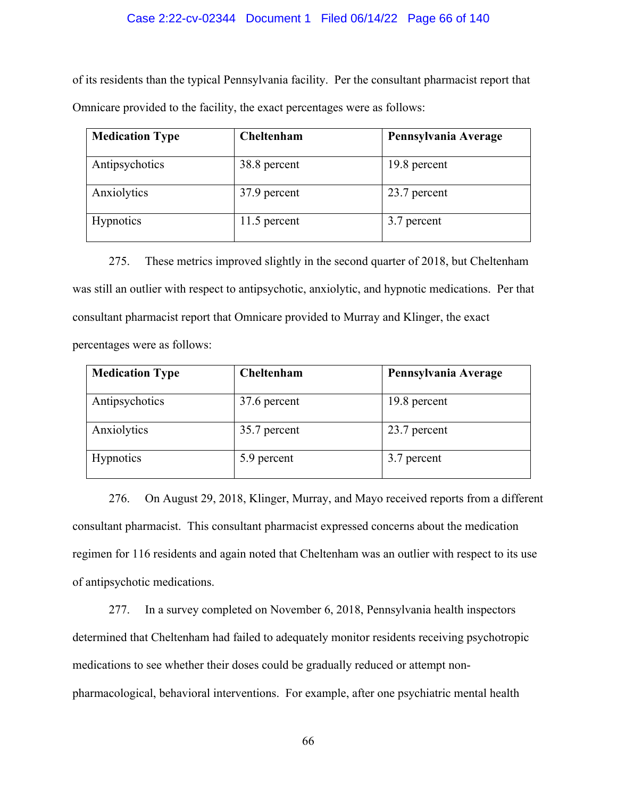# Case 2:22-cv-02344 Document 1 Filed 06/14/22 Page 66 of 140

of its residents than the typical Pennsylvania facility. Per the consultant pharmacist report that Omnicare provided to the facility, the exact percentages were as follows:

| <b>Medication Type</b> | Cheltenham   | Pennsylvania Average |
|------------------------|--------------|----------------------|
| Antipsychotics         | 38.8 percent | 19.8 percent         |
| Anxiolytics            | 37.9 percent | 23.7 percent         |
| <b>Hypnotics</b>       | 11.5 percent | 3.7 percent          |

275. These metrics improved slightly in the second quarter of 2018, but Cheltenham was still an outlier with respect to antipsychotic, anxiolytic, and hypnotic medications. Per that consultant pharmacist report that Omnicare provided to Murray and Klinger, the exact percentages were as follows:

| <b>Medication Type</b> | Cheltenham   | Pennsylvania Average |
|------------------------|--------------|----------------------|
| Antipsychotics         | 37.6 percent | 19.8 percent         |
| Anxiolytics            | 35.7 percent | 23.7 percent         |
| <b>Hypnotics</b>       | 5.9 percent  | 3.7 percent          |

276. On August 29, 2018, Klinger, Murray, and Mayo received reports from a different consultant pharmacist. This consultant pharmacist expressed concerns about the medication regimen for 116 residents and again noted that Cheltenham was an outlier with respect to its use of antipsychotic medications.

277. In a survey completed on November 6, 2018, Pennsylvania health inspectors determined that Cheltenham had failed to adequately monitor residents receiving psychotropic medications to see whether their doses could be gradually reduced or attempt nonpharmacological, behavioral interventions. For example, after one psychiatric mental health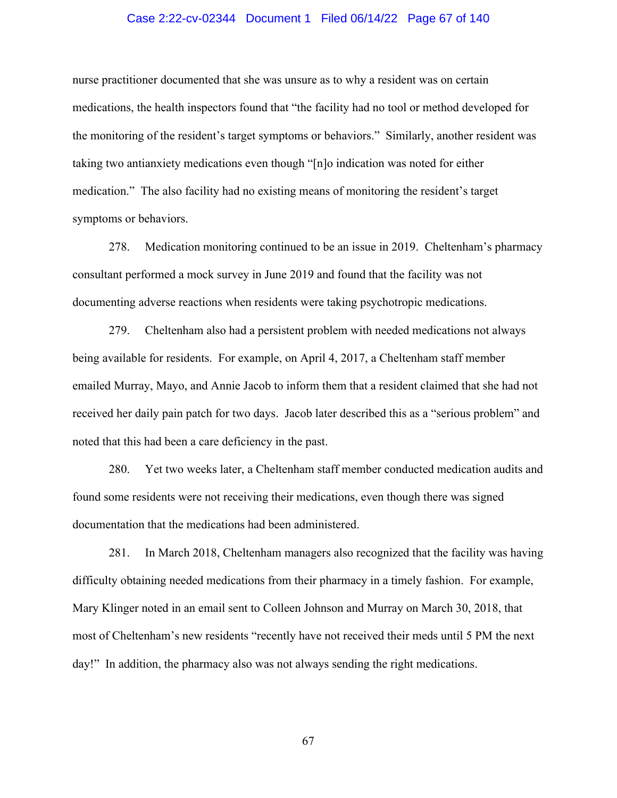# Case 2:22-cv-02344 Document 1 Filed 06/14/22 Page 67 of 140

nurse practitioner documented that she was unsure as to why a resident was on certain medications, the health inspectors found that "the facility had no tool or method developed for the monitoring of the resident's target symptoms or behaviors." Similarly, another resident was taking two antianxiety medications even though "[n]o indication was noted for either medication." The also facility had no existing means of monitoring the resident's target symptoms or behaviors.

278. Medication monitoring continued to be an issue in 2019. Cheltenham's pharmacy consultant performed a mock survey in June 2019 and found that the facility was not documenting adverse reactions when residents were taking psychotropic medications.

279. Cheltenham also had a persistent problem with needed medications not always being available for residents. For example, on April 4, 2017, a Cheltenham staff member emailed Murray, Mayo, and Annie Jacob to inform them that a resident claimed that she had not received her daily pain patch for two days. Jacob later described this as a "serious problem" and noted that this had been a care deficiency in the past.

280. Yet two weeks later, a Cheltenham staff member conducted medication audits and found some residents were not receiving their medications, even though there was signed documentation that the medications had been administered.

281. In March 2018, Cheltenham managers also recognized that the facility was having difficulty obtaining needed medications from their pharmacy in a timely fashion. For example, Mary Klinger noted in an email sent to Colleen Johnson and Murray on March 30, 2018, that most of Cheltenham's new residents "recently have not received their meds until 5 PM the next day!" In addition, the pharmacy also was not always sending the right medications.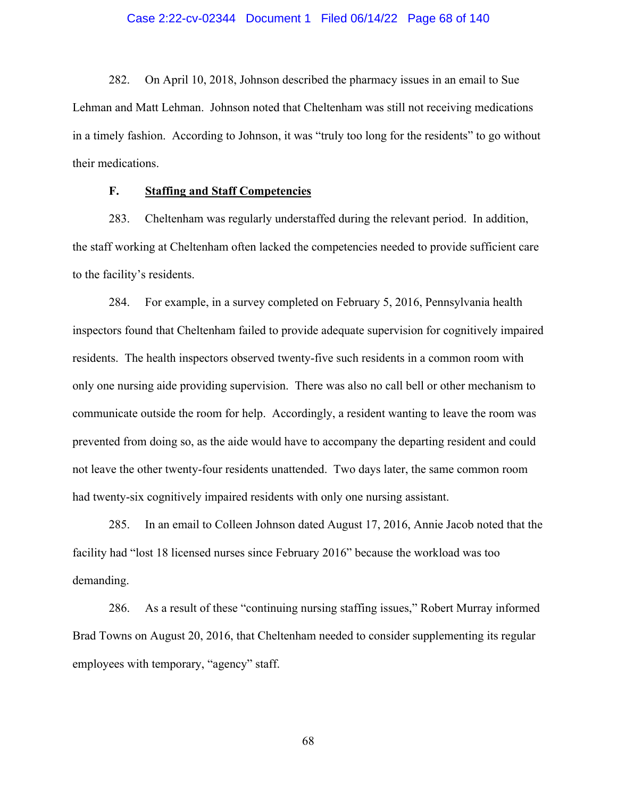# Case 2:22-cv-02344 Document 1 Filed 06/14/22 Page 68 of 140

282. On April 10, 2018, Johnson described the pharmacy issues in an email to Sue Lehman and Matt Lehman. Johnson noted that Cheltenham was still not receiving medications in a timely fashion. According to Johnson, it was "truly too long for the residents" to go without their medications.

# **F. Staffing and Staff Competencies**

283. Cheltenham was regularly understaffed during the relevant period. In addition, the staff working at Cheltenham often lacked the competencies needed to provide sufficient care to the facility's residents.

284. For example, in a survey completed on February 5, 2016, Pennsylvania health inspectors found that Cheltenham failed to provide adequate supervision for cognitively impaired residents. The health inspectors observed twenty-five such residents in a common room with only one nursing aide providing supervision. There was also no call bell or other mechanism to communicate outside the room for help. Accordingly, a resident wanting to leave the room was prevented from doing so, as the aide would have to accompany the departing resident and could not leave the other twenty-four residents unattended. Two days later, the same common room had twenty-six cognitively impaired residents with only one nursing assistant.

285. In an email to Colleen Johnson dated August 17, 2016, Annie Jacob noted that the facility had "lost 18 licensed nurses since February 2016" because the workload was too demanding.

286. As a result of these "continuing nursing staffing issues," Robert Murray informed Brad Towns on August 20, 2016, that Cheltenham needed to consider supplementing its regular employees with temporary, "agency" staff.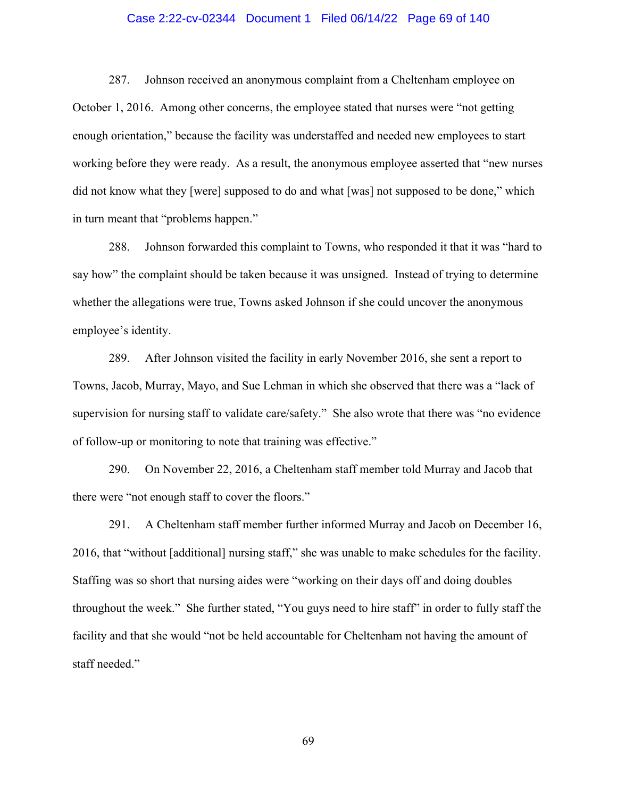# Case 2:22-cv-02344 Document 1 Filed 06/14/22 Page 69 of 140

287. Johnson received an anonymous complaint from a Cheltenham employee on October 1, 2016. Among other concerns, the employee stated that nurses were "not getting enough orientation," because the facility was understaffed and needed new employees to start working before they were ready. As a result, the anonymous employee asserted that "new nurses did not know what they [were] supposed to do and what [was] not supposed to be done," which in turn meant that "problems happen."

288. Johnson forwarded this complaint to Towns, who responded it that it was "hard to say how" the complaint should be taken because it was unsigned. Instead of trying to determine whether the allegations were true, Towns asked Johnson if she could uncover the anonymous employee's identity.

289. After Johnson visited the facility in early November 2016, she sent a report to Towns, Jacob, Murray, Mayo, and Sue Lehman in which she observed that there was a "lack of supervision for nursing staff to validate care/safety." She also wrote that there was "no evidence of follow-up or monitoring to note that training was effective."

290. On November 22, 2016, a Cheltenham staff member told Murray and Jacob that there were "not enough staff to cover the floors."

291. A Cheltenham staff member further informed Murray and Jacob on December 16, 2016, that "without [additional] nursing staff," she was unable to make schedules for the facility. Staffing was so short that nursing aides were "working on their days off and doing doubles throughout the week." She further stated, "You guys need to hire staff" in order to fully staff the facility and that she would "not be held accountable for Cheltenham not having the amount of staff needed."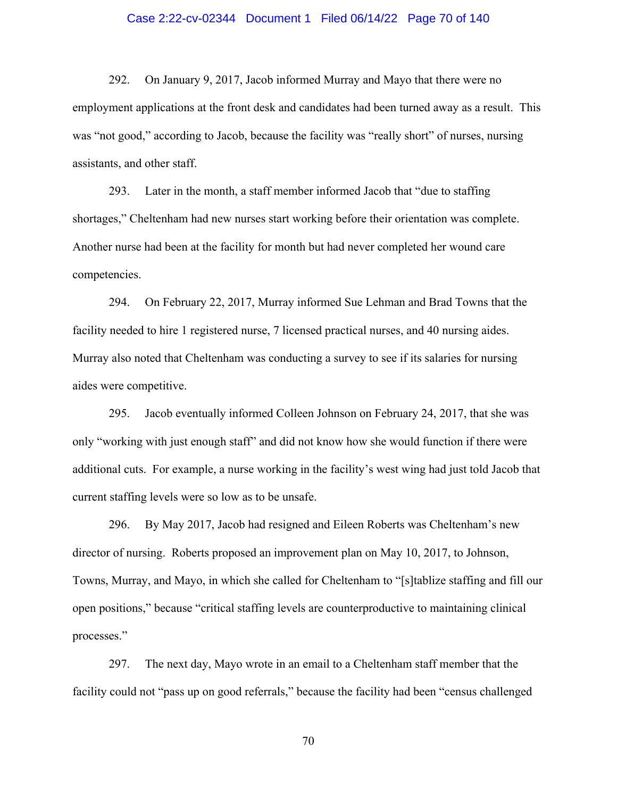# Case 2:22-cv-02344 Document 1 Filed 06/14/22 Page 70 of 140

292. On January 9, 2017, Jacob informed Murray and Mayo that there were no employment applications at the front desk and candidates had been turned away as a result. This was "not good," according to Jacob, because the facility was "really short" of nurses, nursing assistants, and other staff.

293. Later in the month, a staff member informed Jacob that "due to staffing shortages," Cheltenham had new nurses start working before their orientation was complete. Another nurse had been at the facility for month but had never completed her wound care competencies.

294. On February 22, 2017, Murray informed Sue Lehman and Brad Towns that the facility needed to hire 1 registered nurse, 7 licensed practical nurses, and 40 nursing aides. Murray also noted that Cheltenham was conducting a survey to see if its salaries for nursing aides were competitive.

295. Jacob eventually informed Colleen Johnson on February 24, 2017, that she was only "working with just enough staff" and did not know how she would function if there were additional cuts. For example, a nurse working in the facility's west wing had just told Jacob that current staffing levels were so low as to be unsafe.

296. By May 2017, Jacob had resigned and Eileen Roberts was Cheltenham's new director of nursing. Roberts proposed an improvement plan on May 10, 2017, to Johnson, Towns, Murray, and Mayo, in which she called for Cheltenham to "[s]tablize staffing and fill our open positions," because "critical staffing levels are counterproductive to maintaining clinical processes."

297. The next day, Mayo wrote in an email to a Cheltenham staff member that the facility could not "pass up on good referrals," because the facility had been "census challenged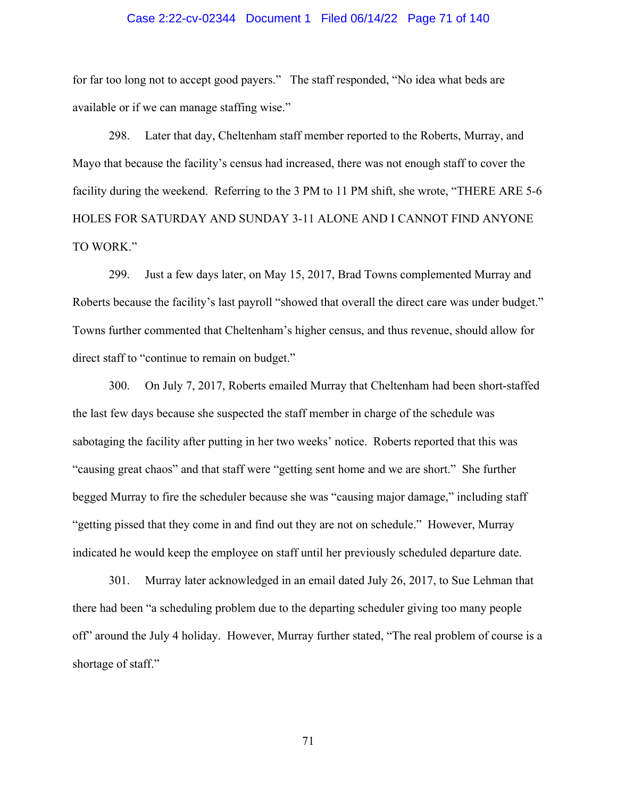# Case 2:22-cv-02344 Document 1 Filed 06/14/22 Page 71 of 140

for far too long not to accept good payers." The staff responded, "No idea what beds are available or if we can manage staffing wise."

298. Later that day, Cheltenham staff member reported to the Roberts, Murray, and Mayo that because the facility's census had increased, there was not enough staff to cover the facility during the weekend. Referring to the 3 PM to 11 PM shift, she wrote, "THERE ARE 5-6 HOLES FOR SATURDAY AND SUNDAY 3-11 ALONE AND I CANNOT FIND ANYONE TO WORK."

299. Just a few days later, on May 15, 2017, Brad Towns complemented Murray and Roberts because the facility's last payroll "showed that overall the direct care was under budget." Towns further commented that Cheltenham's higher census, and thus revenue, should allow for direct staff to "continue to remain on budget."

300. On July 7, 2017, Roberts emailed Murray that Cheltenham had been short-staffed the last few days because she suspected the staff member in charge of the schedule was sabotaging the facility after putting in her two weeks' notice. Roberts reported that this was "causing great chaos" and that staff were "getting sent home and we are short." She further begged Murray to fire the scheduler because she was "causing major damage," including staff "getting pissed that they come in and find out they are not on schedule." However, Murray indicated he would keep the employee on staff until her previously scheduled departure date.

301. Murray later acknowledged in an email dated July 26, 2017, to Sue Lehman that there had been "a scheduling problem due to the departing scheduler giving too many people off" around the July 4 holiday. However, Murray further stated, "The real problem of course is a shortage of staff."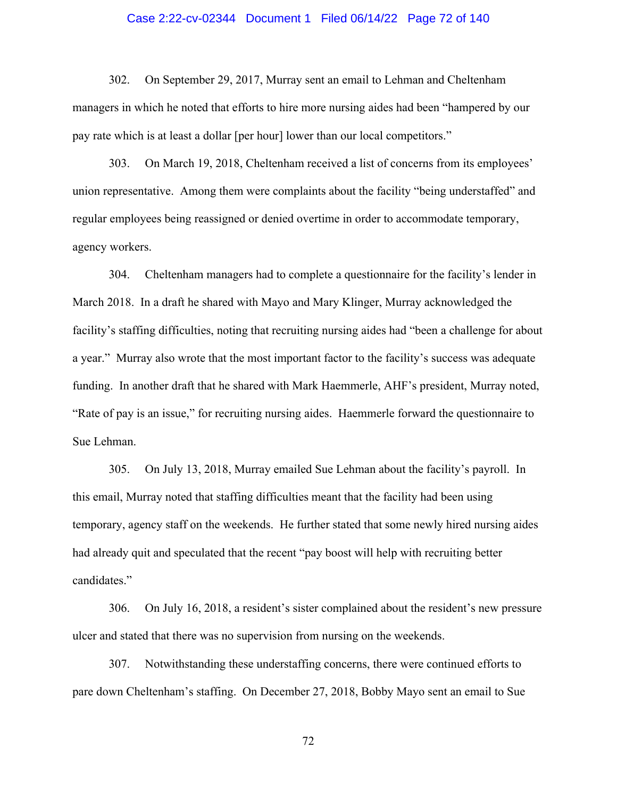# Case 2:22-cv-02344 Document 1 Filed 06/14/22 Page 72 of 140

302. On September 29, 2017, Murray sent an email to Lehman and Cheltenham managers in which he noted that efforts to hire more nursing aides had been "hampered by our pay rate which is at least a dollar [per hour] lower than our local competitors."

303. On March 19, 2018, Cheltenham received a list of concerns from its employees' union representative. Among them were complaints about the facility "being understaffed" and regular employees being reassigned or denied overtime in order to accommodate temporary, agency workers.

304. Cheltenham managers had to complete a questionnaire for the facility's lender in March 2018. In a draft he shared with Mayo and Mary Klinger, Murray acknowledged the facility's staffing difficulties, noting that recruiting nursing aides had "been a challenge for about a year." Murray also wrote that the most important factor to the facility's success was adequate funding. In another draft that he shared with Mark Haemmerle, AHF's president, Murray noted, "Rate of pay is an issue," for recruiting nursing aides. Haemmerle forward the questionnaire to Sue Lehman.

305. On July 13, 2018, Murray emailed Sue Lehman about the facility's payroll. In this email, Murray noted that staffing difficulties meant that the facility had been using temporary, agency staff on the weekends. He further stated that some newly hired nursing aides had already quit and speculated that the recent "pay boost will help with recruiting better candidates."

306. On July 16, 2018, a resident's sister complained about the resident's new pressure ulcer and stated that there was no supervision from nursing on the weekends.

307. Notwithstanding these understaffing concerns, there were continued efforts to pare down Cheltenham's staffing. On December 27, 2018, Bobby Mayo sent an email to Sue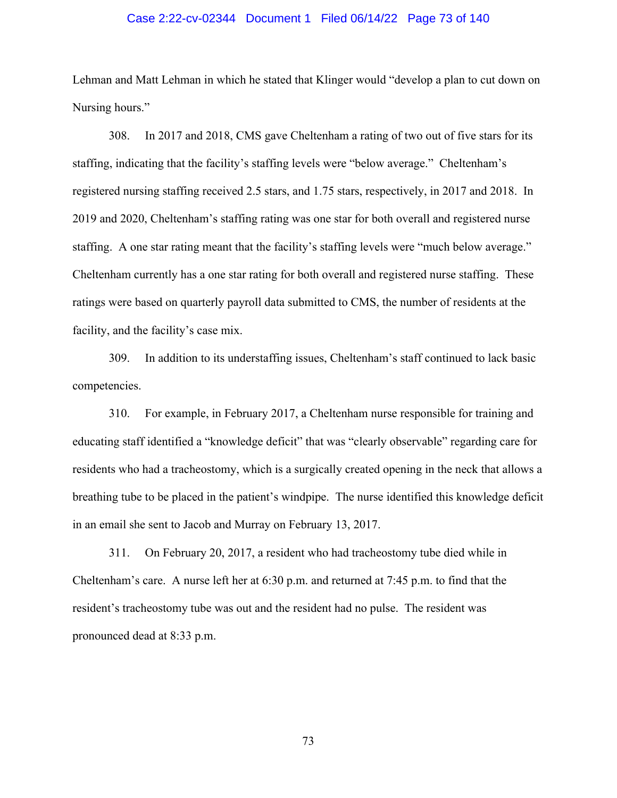# Case 2:22-cv-02344 Document 1 Filed 06/14/22 Page 73 of 140

Lehman and Matt Lehman in which he stated that Klinger would "develop a plan to cut down on Nursing hours."

308. In 2017 and 2018, CMS gave Cheltenham a rating of two out of five stars for its staffing, indicating that the facility's staffing levels were "below average." Cheltenham's registered nursing staffing received 2.5 stars, and 1.75 stars, respectively, in 2017 and 2018. In 2019 and 2020, Cheltenham's staffing rating was one star for both overall and registered nurse staffing. A one star rating meant that the facility's staffing levels were "much below average." Cheltenham currently has a one star rating for both overall and registered nurse staffing. These ratings were based on quarterly payroll data submitted to CMS, the number of residents at the facility, and the facility's case mix.

309. In addition to its understaffing issues, Cheltenham's staff continued to lack basic competencies.

310. For example, in February 2017, a Cheltenham nurse responsible for training and educating staff identified a "knowledge deficit" that was "clearly observable" regarding care for residents who had a tracheostomy, which is a surgically created opening in the neck that allows a breathing tube to be placed in the patient's windpipe. The nurse identified this knowledge deficit in an email she sent to Jacob and Murray on February 13, 2017.

311. On February 20, 2017, a resident who had tracheostomy tube died while in Cheltenham's care. A nurse left her at 6:30 p.m. and returned at 7:45 p.m. to find that the resident's tracheostomy tube was out and the resident had no pulse. The resident was pronounced dead at 8:33 p.m.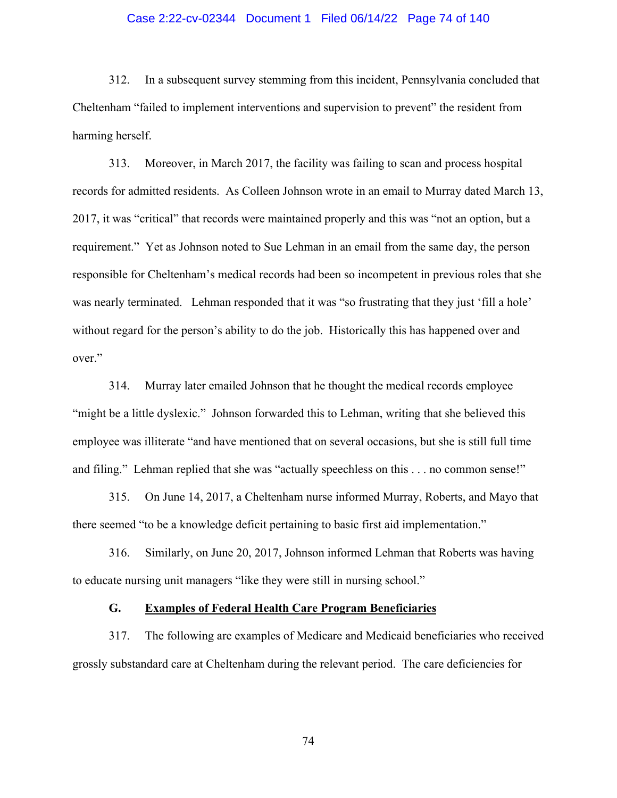# Case 2:22-cv-02344 Document 1 Filed 06/14/22 Page 74 of 140

312. In a subsequent survey stemming from this incident, Pennsylvania concluded that Cheltenham "failed to implement interventions and supervision to prevent" the resident from harming herself.

313. Moreover, in March 2017, the facility was failing to scan and process hospital records for admitted residents. As Colleen Johnson wrote in an email to Murray dated March 13, 2017, it was "critical" that records were maintained properly and this was "not an option, but a requirement." Yet as Johnson noted to Sue Lehman in an email from the same day, the person responsible for Cheltenham's medical records had been so incompetent in previous roles that she was nearly terminated. Lehman responded that it was "so frustrating that they just 'fill a hole' without regard for the person's ability to do the job. Historically this has happened over and over."

314. Murray later emailed Johnson that he thought the medical records employee "might be a little dyslexic." Johnson forwarded this to Lehman, writing that she believed this employee was illiterate "and have mentioned that on several occasions, but she is still full time and filing." Lehman replied that she was "actually speechless on this . . . no common sense!"

315. On June 14, 2017, a Cheltenham nurse informed Murray, Roberts, and Mayo that there seemed "to be a knowledge deficit pertaining to basic first aid implementation."

316. Similarly, on June 20, 2017, Johnson informed Lehman that Roberts was having to educate nursing unit managers "like they were still in nursing school."

# **G. Examples of Federal Health Care Program Beneficiaries**

317. The following are examples of Medicare and Medicaid beneficiaries who received grossly substandard care at Cheltenham during the relevant period. The care deficiencies for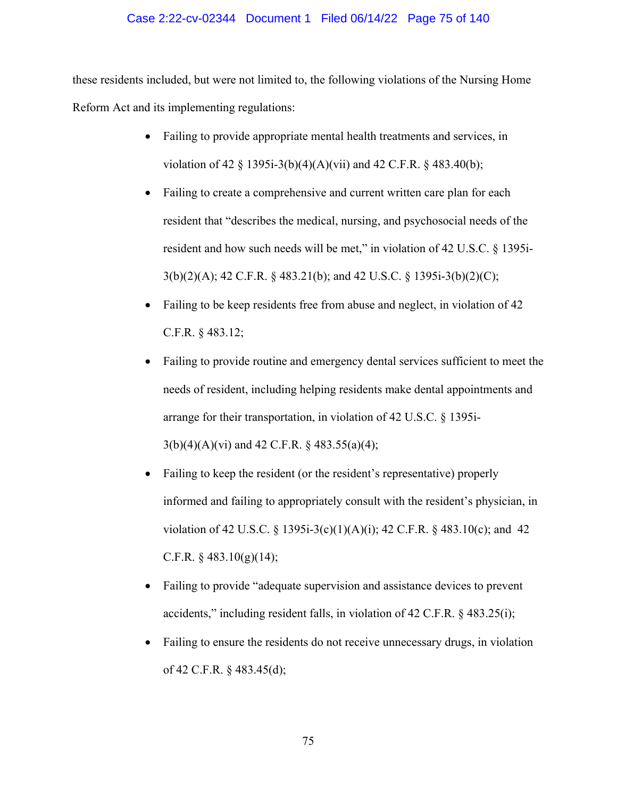# Case 2:22-cv-02344 Document 1 Filed 06/14/22 Page 75 of 140

these residents included, but were not limited to, the following violations of the Nursing Home Reform Act and its implementing regulations:

- Failing to provide appropriate mental health treatments and services, in violation of 42 § 1395i-3(b)(4)(A)(vii) and 42 C.F.R. § 483.40(b);
- Failing to create a comprehensive and current written care plan for each resident that "describes the medical, nursing, and psychosocial needs of the resident and how such needs will be met," in violation of 42 U.S.C. § 1395i-3(b)(2)(A); 42 C.F.R. § 483.21(b); and 42 U.S.C. § 1395i-3(b)(2)(C);
- Failing to be keep residents free from abuse and neglect, in violation of 42 C.F.R. § 483.12;
- Failing to provide routine and emergency dental services sufficient to meet the needs of resident, including helping residents make dental appointments and arrange for their transportation, in violation of 42 U.S.C. § 1395i-3(b)(4)(A)(vi) and 42 C.F.R. § 483.55(a)(4);
- Failing to keep the resident (or the resident's representative) properly informed and failing to appropriately consult with the resident's physician, in violation of 42 U.S.C. § 1395i-3(c)(1)(A)(i); 42 C.F.R. § 483.10(c); and 42 C.F.R.  $\S$  483.10(g)(14);
- Failing to provide "adequate supervision and assistance devices to prevent accidents," including resident falls, in violation of 42 C.F.R. § 483.25(i);
- Failing to ensure the residents do not receive unnecessary drugs, in violation of 42 C.F.R. § 483.45(d);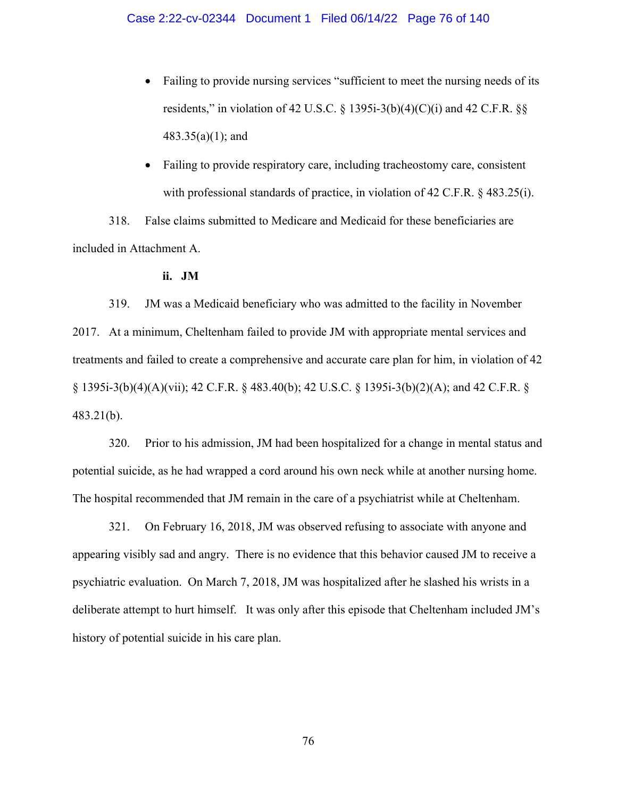- Failing to provide nursing services "sufficient to meet the nursing needs of its residents," in violation of 42 U.S.C.  $\S$  1395i-3(b)(4)(C)(i) and 42 C.F.R.  $\S$ § 483.35(a)(1); and
- Failing to provide respiratory care, including tracheostomy care, consistent with professional standards of practice, in violation of 42 C.F.R. § 483.25(i).

318. False claims submitted to Medicare and Medicaid for these beneficiaries are included in Attachment A.

## **ii. JM**

319. JM was a Medicaid beneficiary who was admitted to the facility in November 2017. At a minimum, Cheltenham failed to provide JM with appropriate mental services and treatments and failed to create a comprehensive and accurate care plan for him, in violation of 42 § 1395i-3(b)(4)(A)(vii); 42 C.F.R. § 483.40(b); 42 U.S.C. § 1395i-3(b)(2)(A); and 42 C.F.R. § 483.21(b).

320. Prior to his admission, JM had been hospitalized for a change in mental status and potential suicide, as he had wrapped a cord around his own neck while at another nursing home. The hospital recommended that JM remain in the care of a psychiatrist while at Cheltenham.

321. On February 16, 2018, JM was observed refusing to associate with anyone and appearing visibly sad and angry. There is no evidence that this behavior caused JM to receive a psychiatric evaluation. On March 7, 2018, JM was hospitalized after he slashed his wrists in a deliberate attempt to hurt himself. It was only after this episode that Cheltenham included JM's history of potential suicide in his care plan.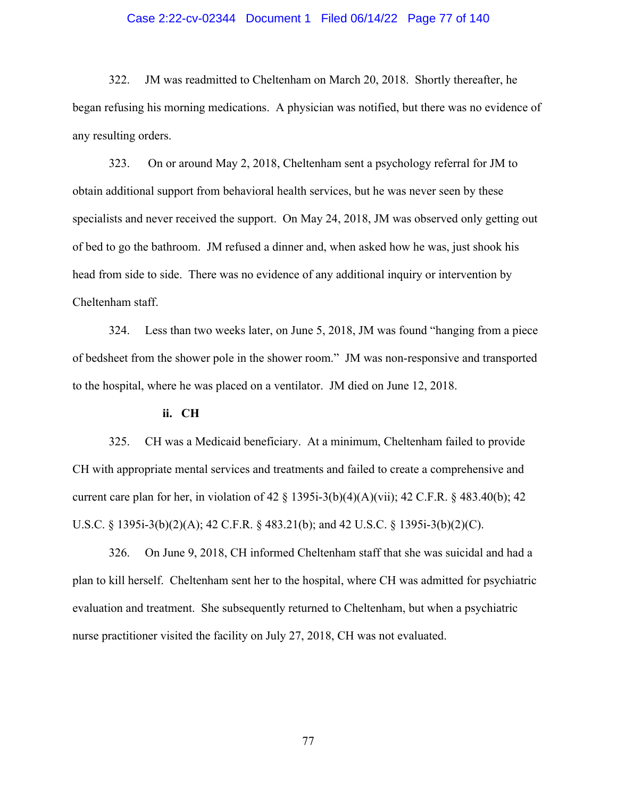# Case 2:22-cv-02344 Document 1 Filed 06/14/22 Page 77 of 140

322. JM was readmitted to Cheltenham on March 20, 2018. Shortly thereafter, he began refusing his morning medications. A physician was notified, but there was no evidence of any resulting orders.

323. On or around May 2, 2018, Cheltenham sent a psychology referral for JM to obtain additional support from behavioral health services, but he was never seen by these specialists and never received the support. On May 24, 2018, JM was observed only getting out of bed to go the bathroom. JM refused a dinner and, when asked how he was, just shook his head from side to side. There was no evidence of any additional inquiry or intervention by Cheltenham staff.

324. Less than two weeks later, on June 5, 2018, JM was found "hanging from a piece of bedsheet from the shower pole in the shower room." JM was non-responsive and transported to the hospital, where he was placed on a ventilator. JM died on June 12, 2018.

## **ii. CH**

325. CH was a Medicaid beneficiary. At a minimum, Cheltenham failed to provide CH with appropriate mental services and treatments and failed to create a comprehensive and current care plan for her, in violation of 42  $\S$  1395i-3(b)(4)(A)(vii); 42 C.F.R.  $\S$  483.40(b); 42 U.S.C. § 1395i-3(b)(2)(A); 42 C.F.R. § 483.21(b); and 42 U.S.C. § 1395i-3(b)(2)(C).

326. On June 9, 2018, CH informed Cheltenham staff that she was suicidal and had a plan to kill herself. Cheltenham sent her to the hospital, where CH was admitted for psychiatric evaluation and treatment. She subsequently returned to Cheltenham, but when a psychiatric nurse practitioner visited the facility on July 27, 2018, CH was not evaluated.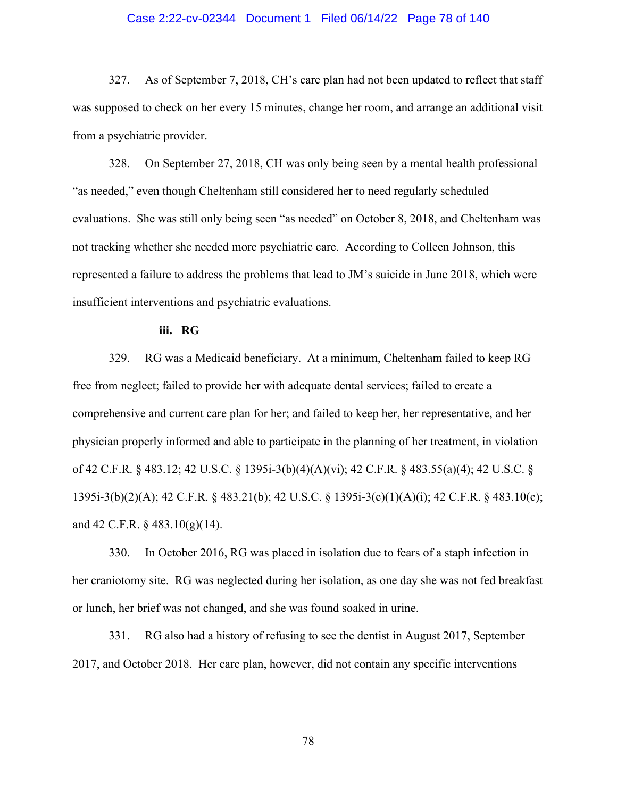## Case 2:22-cv-02344 Document 1 Filed 06/14/22 Page 78 of 140

327. As of September 7, 2018, CH's care plan had not been updated to reflect that staff was supposed to check on her every 15 minutes, change her room, and arrange an additional visit from a psychiatric provider.

328. On September 27, 2018, CH was only being seen by a mental health professional "as needed," even though Cheltenham still considered her to need regularly scheduled evaluations. She was still only being seen "as needed" on October 8, 2018, and Cheltenham was not tracking whether she needed more psychiatric care. According to Colleen Johnson, this represented a failure to address the problems that lead to JM's suicide in June 2018, which were insufficient interventions and psychiatric evaluations.

## **iii. RG**

329. RG was a Medicaid beneficiary. At a minimum, Cheltenham failed to keep RG free from neglect; failed to provide her with adequate dental services; failed to create a comprehensive and current care plan for her; and failed to keep her, her representative, and her physician properly informed and able to participate in the planning of her treatment, in violation of 42 C.F.R. § 483.12; 42 U.S.C. § 1395i-3(b)(4)(A)(vi); 42 C.F.R. § 483.55(a)(4); 42 U.S.C. § 1395i-3(b)(2)(A); 42 C.F.R. § 483.21(b); 42 U.S.C. § 1395i-3(c)(1)(A)(i); 42 C.F.R. § 483.10(c); and 42 C.F.R. § 483.10(g)(14).

330. In October 2016, RG was placed in isolation due to fears of a staph infection in her craniotomy site. RG was neglected during her isolation, as one day she was not fed breakfast or lunch, her brief was not changed, and she was found soaked in urine.

331. RG also had a history of refusing to see the dentist in August 2017, September 2017, and October 2018. Her care plan, however, did not contain any specific interventions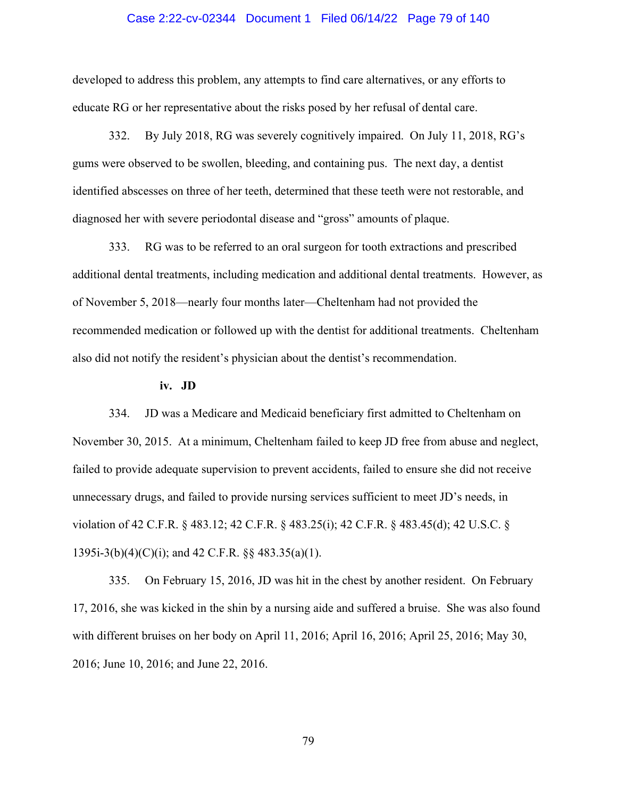# Case 2:22-cv-02344 Document 1 Filed 06/14/22 Page 79 of 140

developed to address this problem, any attempts to find care alternatives, or any efforts to educate RG or her representative about the risks posed by her refusal of dental care.

332. By July 2018, RG was severely cognitively impaired. On July 11, 2018, RG's gums were observed to be swollen, bleeding, and containing pus. The next day, a dentist identified abscesses on three of her teeth, determined that these teeth were not restorable, and diagnosed her with severe periodontal disease and "gross" amounts of plaque.

333. RG was to be referred to an oral surgeon for tooth extractions and prescribed additional dental treatments, including medication and additional dental treatments. However, as of November 5, 2018—nearly four months later—Cheltenham had not provided the recommended medication or followed up with the dentist for additional treatments. Cheltenham also did not notify the resident's physician about the dentist's recommendation.

#### **iv. JD**

334. JD was a Medicare and Medicaid beneficiary first admitted to Cheltenham on November 30, 2015. At a minimum, Cheltenham failed to keep JD free from abuse and neglect, failed to provide adequate supervision to prevent accidents, failed to ensure she did not receive unnecessary drugs, and failed to provide nursing services sufficient to meet JD's needs, in violation of 42 C.F.R. § 483.12; 42 C.F.R. § 483.25(i); 42 C.F.R. § 483.45(d); 42 U.S.C. § 1395i-3(b)(4)(C)(i); and 42 C.F.R. §§ 483.35(a)(1).

335. On February 15, 2016, JD was hit in the chest by another resident. On February 17, 2016, she was kicked in the shin by a nursing aide and suffered a bruise. She was also found with different bruises on her body on April 11, 2016; April 16, 2016; April 25, 2016; May 30, 2016; June 10, 2016; and June 22, 2016.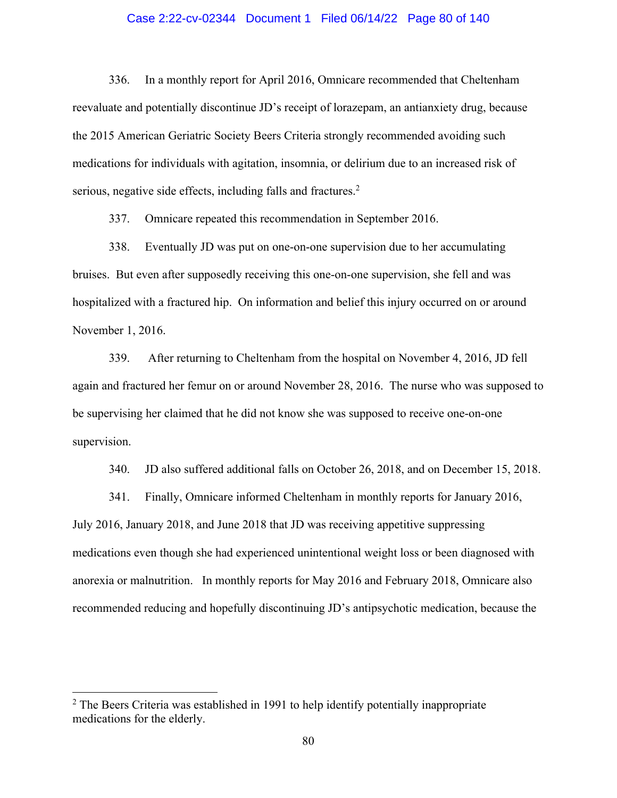# Case 2:22-cv-02344 Document 1 Filed 06/14/22 Page 80 of 140

336. In a monthly report for April 2016, Omnicare recommended that Cheltenham reevaluate and potentially discontinue JD's receipt of lorazepam, an antianxiety drug, because the 2015 American Geriatric Society Beers Criteria strongly recommended avoiding such medications for individuals with agitation, insomnia, or delirium due to an increased risk of serious, negative side effects, including falls and fractures.<sup>2</sup>

337. Omnicare repeated this recommendation in September 2016.

338. Eventually JD was put on one-on-one supervision due to her accumulating bruises. But even after supposedly receiving this one-on-one supervision, she fell and was hospitalized with a fractured hip. On information and belief this injury occurred on or around November 1, 2016.

339. After returning to Cheltenham from the hospital on November 4, 2016, JD fell again and fractured her femur on or around November 28, 2016. The nurse who was supposed to be supervising her claimed that he did not know she was supposed to receive one-on-one supervision.

340. JD also suffered additional falls on October 26, 2018, and on December 15, 2018.

341. Finally, Omnicare informed Cheltenham in monthly reports for January 2016, July 2016, January 2018, and June 2018 that JD was receiving appetitive suppressing medications even though she had experienced unintentional weight loss or been diagnosed with anorexia or malnutrition. In monthly reports for May 2016 and February 2018, Omnicare also recommended reducing and hopefully discontinuing JD's antipsychotic medication, because the

 $2$  The Beers Criteria was established in 1991 to help identify potentially inappropriate medications for the elderly.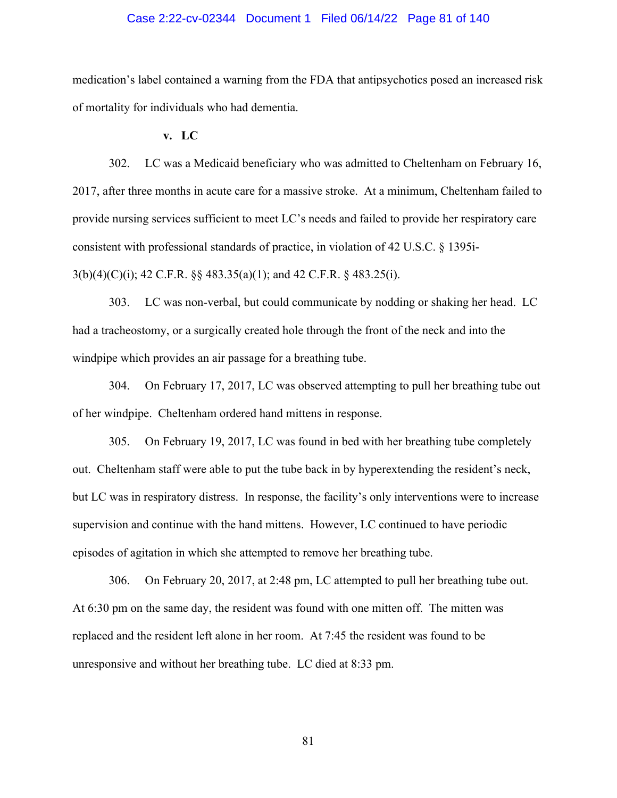# Case 2:22-cv-02344 Document 1 Filed 06/14/22 Page 81 of 140

medication's label contained a warning from the FDA that antipsychotics posed an increased risk of mortality for individuals who had dementia.

**v. LC** 

302. LC was a Medicaid beneficiary who was admitted to Cheltenham on February 16, 2017, after three months in acute care for a massive stroke. At a minimum, Cheltenham failed to provide nursing services sufficient to meet LC's needs and failed to provide her respiratory care consistent with professional standards of practice, in violation of 42 U.S.C. § 1395i-

3(b)(4)(C)(i); 42 C.F.R. §§ 483.35(a)(1); and 42 C.F.R. § 483.25(i).

303. LC was non-verbal, but could communicate by nodding or shaking her head. LC had a tracheostomy, or a surgically created hole through the front of the neck and into the windpipe which provides an air passage for a breathing tube.

304. On February 17, 2017, LC was observed attempting to pull her breathing tube out of her windpipe. Cheltenham ordered hand mittens in response.

305. On February 19, 2017, LC was found in bed with her breathing tube completely out. Cheltenham staff were able to put the tube back in by hyperextending the resident's neck, but LC was in respiratory distress. In response, the facility's only interventions were to increase supervision and continue with the hand mittens. However, LC continued to have periodic episodes of agitation in which she attempted to remove her breathing tube.

306. On February 20, 2017, at 2:48 pm, LC attempted to pull her breathing tube out. At 6:30 pm on the same day, the resident was found with one mitten off. The mitten was replaced and the resident left alone in her room. At 7:45 the resident was found to be unresponsive and without her breathing tube. LC died at 8:33 pm.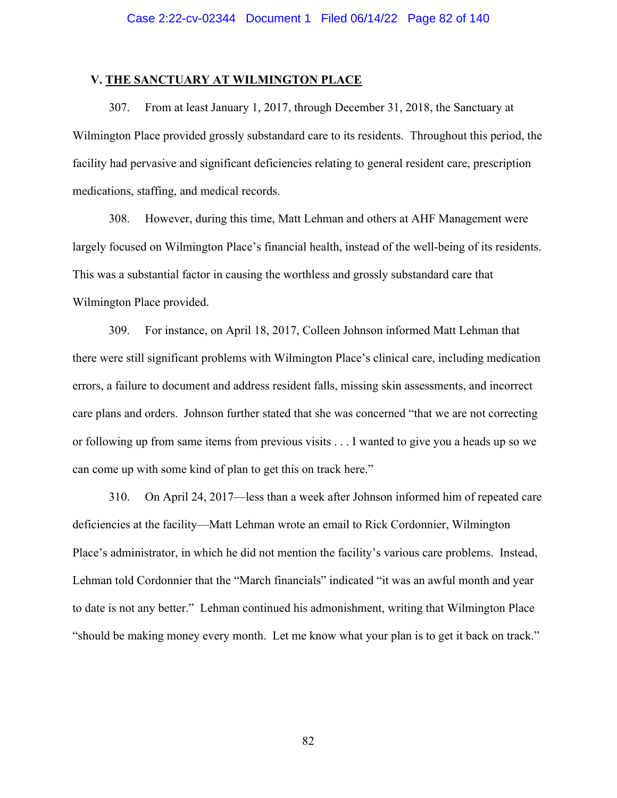## **V. THE SANCTUARY AT WILMINGTON PLACE**

307. From at least January 1, 2017, through December 31, 2018, the Sanctuary at Wilmington Place provided grossly substandard care to its residents. Throughout this period, the facility had pervasive and significant deficiencies relating to general resident care, prescription medications, staffing, and medical records.

308. However, during this time, Matt Lehman and others at AHF Management were largely focused on Wilmington Place's financial health, instead of the well-being of its residents. This was a substantial factor in causing the worthless and grossly substandard care that Wilmington Place provided.

309. For instance, on April 18, 2017, Colleen Johnson informed Matt Lehman that there were still significant problems with Wilmington Place's clinical care, including medication errors, a failure to document and address resident falls, missing skin assessments, and incorrect care plans and orders. Johnson further stated that she was concerned "that we are not correcting or following up from same items from previous visits . . . I wanted to give you a heads up so we can come up with some kind of plan to get this on track here."

310. On April 24, 2017—less than a week after Johnson informed him of repeated care deficiencies at the facility—Matt Lehman wrote an email to Rick Cordonnier, Wilmington Place's administrator, in which he did not mention the facility's various care problems. Instead, Lehman told Cordonnier that the "March financials" indicated "it was an awful month and year to date is not any better." Lehman continued his admonishment, writing that Wilmington Place "should be making money every month. Let me know what your plan is to get it back on track."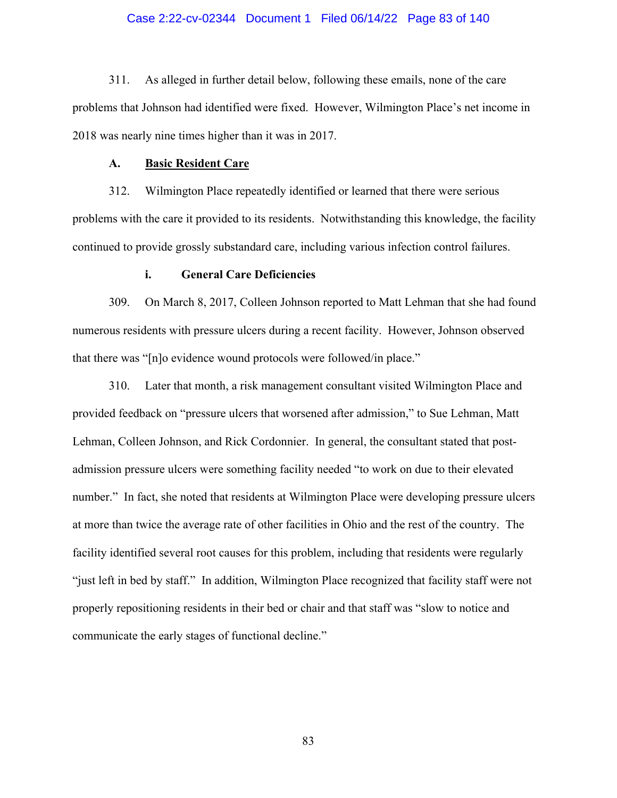# Case 2:22-cv-02344 Document 1 Filed 06/14/22 Page 83 of 140

311. As alleged in further detail below, following these emails, none of the care problems that Johnson had identified were fixed. However, Wilmington Place's net income in 2018 was nearly nine times higher than it was in 2017.

## **A. Basic Resident Care**

312. Wilmington Place repeatedly identified or learned that there were serious problems with the care it provided to its residents. Notwithstanding this knowledge, the facility continued to provide grossly substandard care, including various infection control failures.

## **i. General Care Deficiencies**

309. On March 8, 2017, Colleen Johnson reported to Matt Lehman that she had found numerous residents with pressure ulcers during a recent facility. However, Johnson observed that there was "[n]o evidence wound protocols were followed/in place."

310. Later that month, a risk management consultant visited Wilmington Place and provided feedback on "pressure ulcers that worsened after admission," to Sue Lehman, Matt Lehman, Colleen Johnson, and Rick Cordonnier. In general, the consultant stated that postadmission pressure ulcers were something facility needed "to work on due to their elevated number." In fact, she noted that residents at Wilmington Place were developing pressure ulcers at more than twice the average rate of other facilities in Ohio and the rest of the country. The facility identified several root causes for this problem, including that residents were regularly "just left in bed by staff." In addition, Wilmington Place recognized that facility staff were not properly repositioning residents in their bed or chair and that staff was "slow to notice and communicate the early stages of functional decline."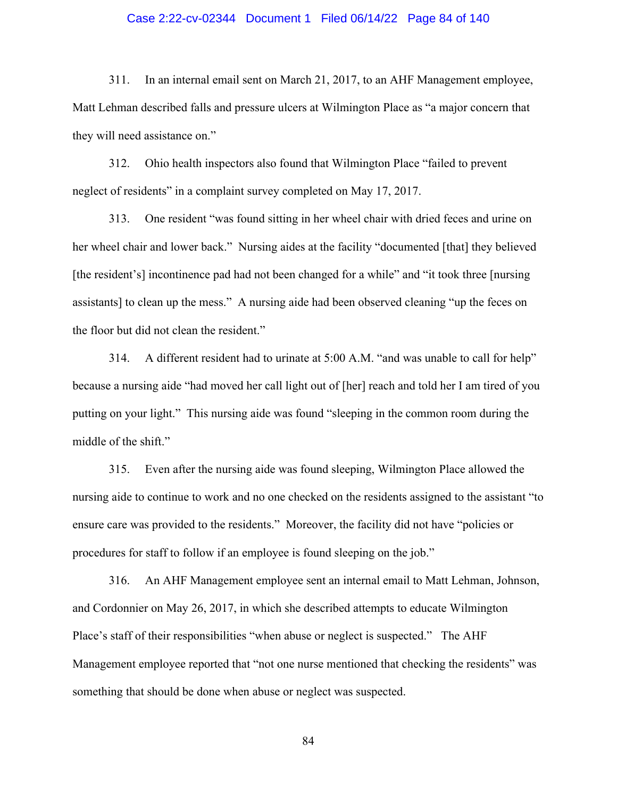# Case 2:22-cv-02344 Document 1 Filed 06/14/22 Page 84 of 140

311. In an internal email sent on March 21, 2017, to an AHF Management employee, Matt Lehman described falls and pressure ulcers at Wilmington Place as "a major concern that they will need assistance on."

312. Ohio health inspectors also found that Wilmington Place "failed to prevent neglect of residents" in a complaint survey completed on May 17, 2017.

313. One resident "was found sitting in her wheel chair with dried feces and urine on her wheel chair and lower back." Nursing aides at the facility "documented [that] they believed [the resident's] incontinence pad had not been changed for a while" and "it took three [nursing assistants] to clean up the mess." A nursing aide had been observed cleaning "up the feces on the floor but did not clean the resident."

314. A different resident had to urinate at 5:00 A.M. "and was unable to call for help" because a nursing aide "had moved her call light out of [her] reach and told her I am tired of you putting on your light." This nursing aide was found "sleeping in the common room during the middle of the shift."

315. Even after the nursing aide was found sleeping, Wilmington Place allowed the nursing aide to continue to work and no one checked on the residents assigned to the assistant "to ensure care was provided to the residents." Moreover, the facility did not have "policies or procedures for staff to follow if an employee is found sleeping on the job."

316. An AHF Management employee sent an internal email to Matt Lehman, Johnson, and Cordonnier on May 26, 2017, in which she described attempts to educate Wilmington Place's staff of their responsibilities "when abuse or neglect is suspected." The AHF Management employee reported that "not one nurse mentioned that checking the residents" was something that should be done when abuse or neglect was suspected.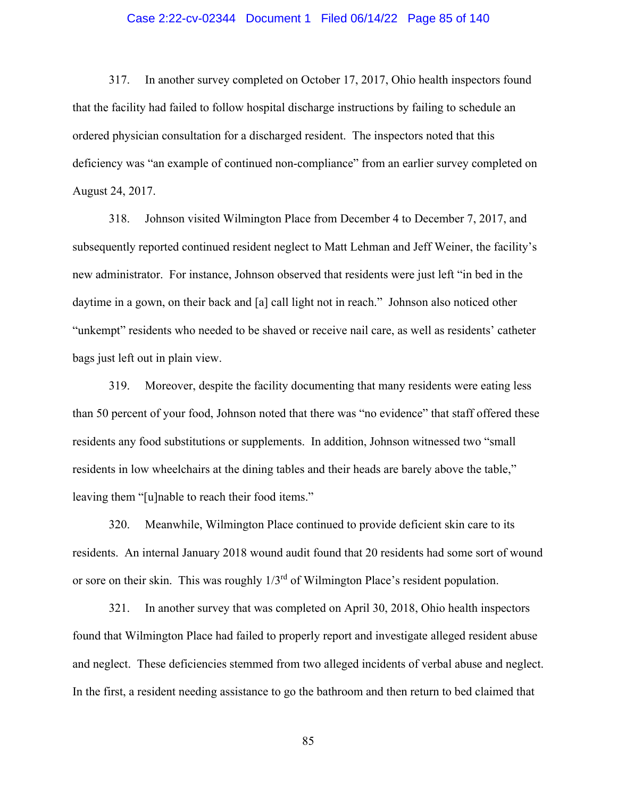# Case 2:22-cv-02344 Document 1 Filed 06/14/22 Page 85 of 140

317. In another survey completed on October 17, 2017, Ohio health inspectors found that the facility had failed to follow hospital discharge instructions by failing to schedule an ordered physician consultation for a discharged resident. The inspectors noted that this deficiency was "an example of continued non-compliance" from an earlier survey completed on August 24, 2017.

318. Johnson visited Wilmington Place from December 4 to December 7, 2017, and subsequently reported continued resident neglect to Matt Lehman and Jeff Weiner, the facility's new administrator. For instance, Johnson observed that residents were just left "in bed in the daytime in a gown, on their back and [a] call light not in reach." Johnson also noticed other "unkempt" residents who needed to be shaved or receive nail care, as well as residents' catheter bags just left out in plain view.

319. Moreover, despite the facility documenting that many residents were eating less than 50 percent of your food, Johnson noted that there was "no evidence" that staff offered these residents any food substitutions or supplements. In addition, Johnson witnessed two "small residents in low wheelchairs at the dining tables and their heads are barely above the table," leaving them "[u]nable to reach their food items."

320. Meanwhile, Wilmington Place continued to provide deficient skin care to its residents. An internal January 2018 wound audit found that 20 residents had some sort of wound or sore on their skin. This was roughly 1/3rd of Wilmington Place's resident population.

321. In another survey that was completed on April 30, 2018, Ohio health inspectors found that Wilmington Place had failed to properly report and investigate alleged resident abuse and neglect. These deficiencies stemmed from two alleged incidents of verbal abuse and neglect. In the first, a resident needing assistance to go the bathroom and then return to bed claimed that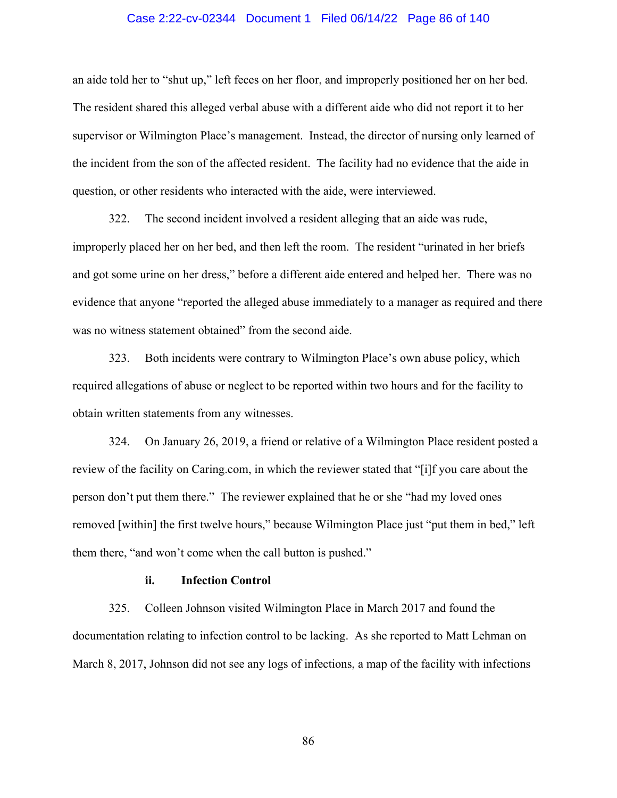## Case 2:22-cv-02344 Document 1 Filed 06/14/22 Page 86 of 140

an aide told her to "shut up," left feces on her floor, and improperly positioned her on her bed. The resident shared this alleged verbal abuse with a different aide who did not report it to her supervisor or Wilmington Place's management. Instead, the director of nursing only learned of the incident from the son of the affected resident. The facility had no evidence that the aide in question, or other residents who interacted with the aide, were interviewed.

322. The second incident involved a resident alleging that an aide was rude, improperly placed her on her bed, and then left the room. The resident "urinated in her briefs and got some urine on her dress," before a different aide entered and helped her. There was no evidence that anyone "reported the alleged abuse immediately to a manager as required and there was no witness statement obtained" from the second aide.

323. Both incidents were contrary to Wilmington Place's own abuse policy, which required allegations of abuse or neglect to be reported within two hours and for the facility to obtain written statements from any witnesses.

324. On January 26, 2019, a friend or relative of a Wilmington Place resident posted a review of the facility on Caring.com, in which the reviewer stated that "[i]f you care about the person don't put them there." The reviewer explained that he or she "had my loved ones removed [within] the first twelve hours," because Wilmington Place just "put them in bed," left them there, "and won't come when the call button is pushed."

## **ii. Infection Control**

325. Colleen Johnson visited Wilmington Place in March 2017 and found the documentation relating to infection control to be lacking. As she reported to Matt Lehman on March 8, 2017, Johnson did not see any logs of infections, a map of the facility with infections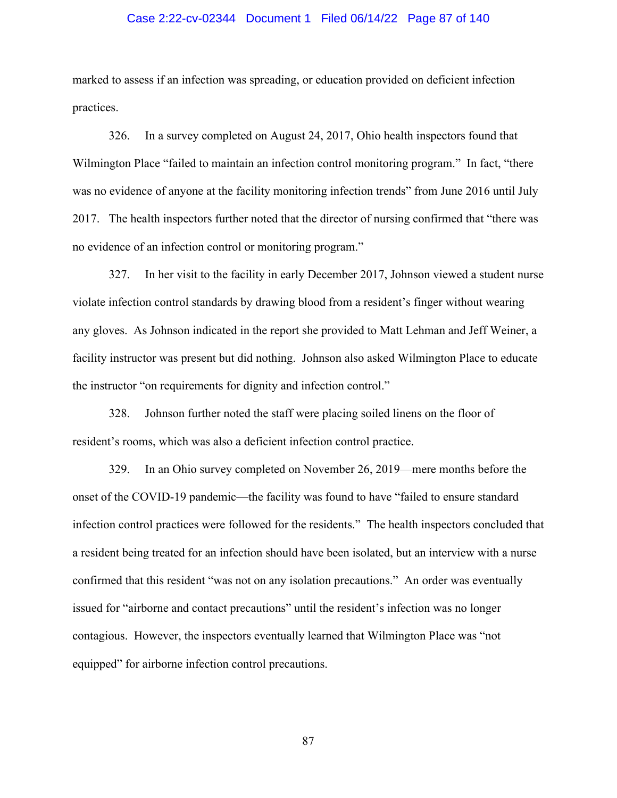# Case 2:22-cv-02344 Document 1 Filed 06/14/22 Page 87 of 140

marked to assess if an infection was spreading, or education provided on deficient infection practices.

326. In a survey completed on August 24, 2017, Ohio health inspectors found that Wilmington Place "failed to maintain an infection control monitoring program." In fact, "there was no evidence of anyone at the facility monitoring infection trends" from June 2016 until July 2017. The health inspectors further noted that the director of nursing confirmed that "there was no evidence of an infection control or monitoring program."

327. In her visit to the facility in early December 2017, Johnson viewed a student nurse violate infection control standards by drawing blood from a resident's finger without wearing any gloves. As Johnson indicated in the report she provided to Matt Lehman and Jeff Weiner, a facility instructor was present but did nothing. Johnson also asked Wilmington Place to educate the instructor "on requirements for dignity and infection control."

328. Johnson further noted the staff were placing soiled linens on the floor of resident's rooms, which was also a deficient infection control practice.

329. In an Ohio survey completed on November 26, 2019—mere months before the onset of the COVID-19 pandemic—the facility was found to have "failed to ensure standard infection control practices were followed for the residents." The health inspectors concluded that a resident being treated for an infection should have been isolated, but an interview with a nurse confirmed that this resident "was not on any isolation precautions." An order was eventually issued for "airborne and contact precautions" until the resident's infection was no longer contagious. However, the inspectors eventually learned that Wilmington Place was "not equipped" for airborne infection control precautions.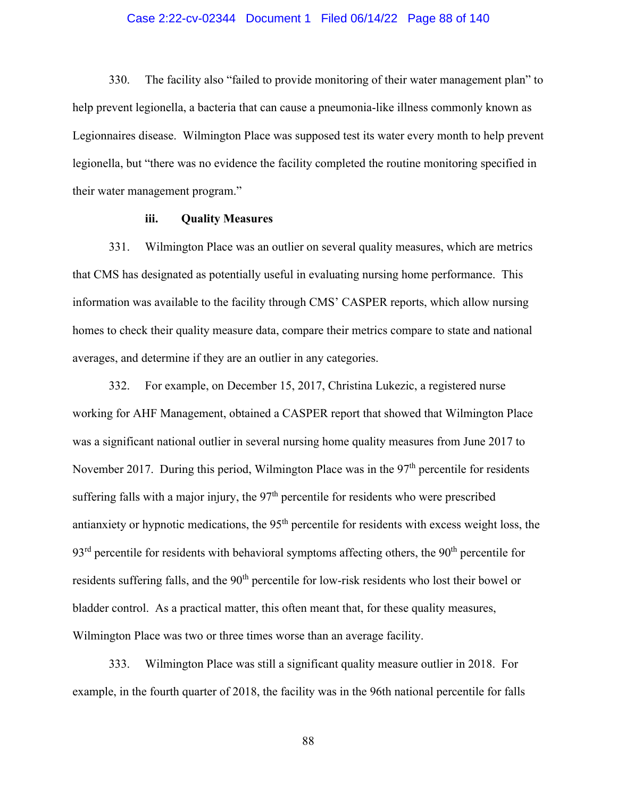## Case 2:22-cv-02344 Document 1 Filed 06/14/22 Page 88 of 140

330. The facility also "failed to provide monitoring of their water management plan" to help prevent legionella, a bacteria that can cause a pneumonia-like illness commonly known as Legionnaires disease. Wilmington Place was supposed test its water every month to help prevent legionella, but "there was no evidence the facility completed the routine monitoring specified in their water management program."

# **iii. Quality Measures**

331. Wilmington Place was an outlier on several quality measures, which are metrics that CMS has designated as potentially useful in evaluating nursing home performance. This information was available to the facility through CMS' CASPER reports, which allow nursing homes to check their quality measure data, compare their metrics compare to state and national averages, and determine if they are an outlier in any categories.

332. For example, on December 15, 2017, Christina Lukezic, a registered nurse working for AHF Management, obtained a CASPER report that showed that Wilmington Place was a significant national outlier in several nursing home quality measures from June 2017 to November 2017. During this period, Wilmington Place was in the 97<sup>th</sup> percentile for residents suffering falls with a major injury, the  $97<sup>th</sup>$  percentile for residents who were prescribed antianxiety or hypnotic medications, the 95<sup>th</sup> percentile for residents with excess weight loss, the  $93<sup>rd</sup>$  percentile for residents with behavioral symptoms affecting others, the  $90<sup>th</sup>$  percentile for residents suffering falls, and the 90<sup>th</sup> percentile for low-risk residents who lost their bowel or bladder control. As a practical matter, this often meant that, for these quality measures, Wilmington Place was two or three times worse than an average facility.

333. Wilmington Place was still a significant quality measure outlier in 2018. For example, in the fourth quarter of 2018, the facility was in the 96th national percentile for falls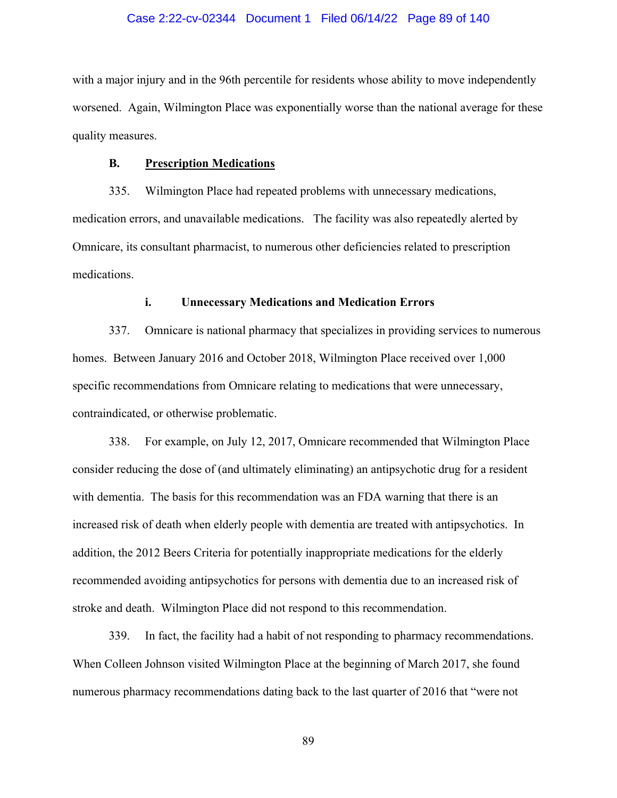## Case 2:22-cv-02344 Document 1 Filed 06/14/22 Page 89 of 140

with a major injury and in the 96th percentile for residents whose ability to move independently worsened. Again, Wilmington Place was exponentially worse than the national average for these quality measures.

## **B. Prescription Medications**

335. Wilmington Place had repeated problems with unnecessary medications, medication errors, and unavailable medications. The facility was also repeatedly alerted by Omnicare, its consultant pharmacist, to numerous other deficiencies related to prescription medications.

# **i. Unnecessary Medications and Medication Errors**

337. Omnicare is national pharmacy that specializes in providing services to numerous homes. Between January 2016 and October 2018, Wilmington Place received over 1,000 specific recommendations from Omnicare relating to medications that were unnecessary, contraindicated, or otherwise problematic.

338. For example, on July 12, 2017, Omnicare recommended that Wilmington Place consider reducing the dose of (and ultimately eliminating) an antipsychotic drug for a resident with dementia. The basis for this recommendation was an FDA warning that there is an increased risk of death when elderly people with dementia are treated with antipsychotics. In addition, the 2012 Beers Criteria for potentially inappropriate medications for the elderly recommended avoiding antipsychotics for persons with dementia due to an increased risk of stroke and death. Wilmington Place did not respond to this recommendation.

339. In fact, the facility had a habit of not responding to pharmacy recommendations. When Colleen Johnson visited Wilmington Place at the beginning of March 2017, she found numerous pharmacy recommendations dating back to the last quarter of 2016 that "were not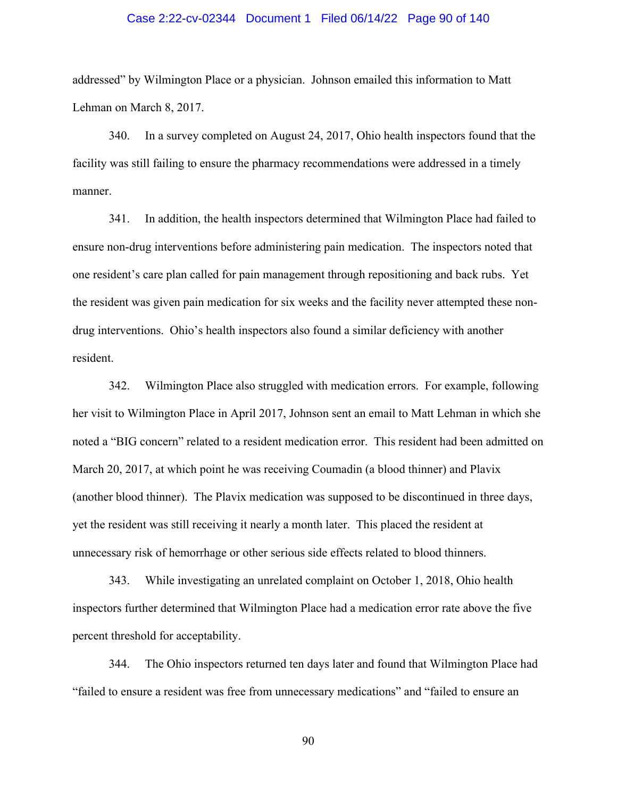# Case 2:22-cv-02344 Document 1 Filed 06/14/22 Page 90 of 140

addressed" by Wilmington Place or a physician. Johnson emailed this information to Matt Lehman on March 8, 2017.

340. In a survey completed on August 24, 2017, Ohio health inspectors found that the facility was still failing to ensure the pharmacy recommendations were addressed in a timely manner.

341. In addition, the health inspectors determined that Wilmington Place had failed to ensure non-drug interventions before administering pain medication. The inspectors noted that one resident's care plan called for pain management through repositioning and back rubs. Yet the resident was given pain medication for six weeks and the facility never attempted these nondrug interventions. Ohio's health inspectors also found a similar deficiency with another resident.

342. Wilmington Place also struggled with medication errors. For example, following her visit to Wilmington Place in April 2017, Johnson sent an email to Matt Lehman in which she noted a "BIG concern" related to a resident medication error. This resident had been admitted on March 20, 2017, at which point he was receiving Coumadin (a blood thinner) and Plavix (another blood thinner). The Plavix medication was supposed to be discontinued in three days, yet the resident was still receiving it nearly a month later. This placed the resident at unnecessary risk of hemorrhage or other serious side effects related to blood thinners.

343. While investigating an unrelated complaint on October 1, 2018, Ohio health inspectors further determined that Wilmington Place had a medication error rate above the five percent threshold for acceptability.

344. The Ohio inspectors returned ten days later and found that Wilmington Place had "failed to ensure a resident was free from unnecessary medications" and "failed to ensure an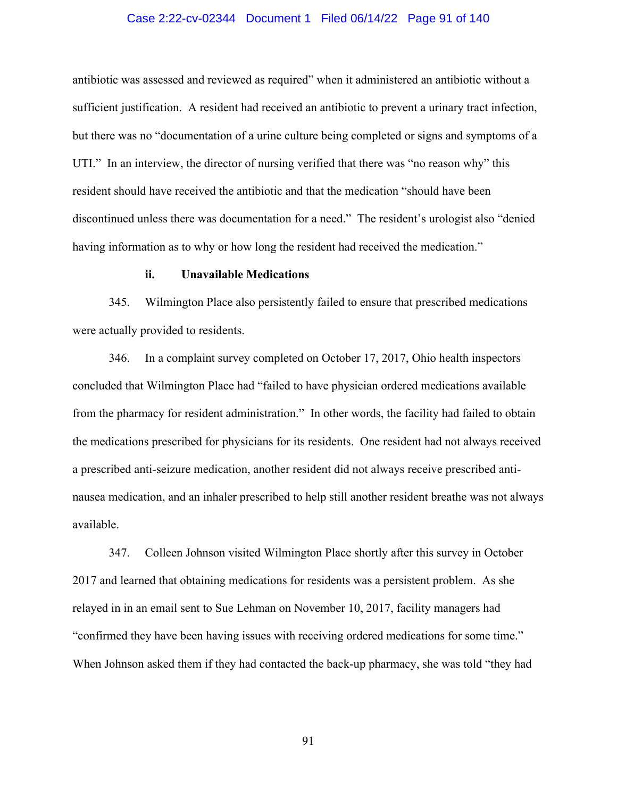# Case 2:22-cv-02344 Document 1 Filed 06/14/22 Page 91 of 140

antibiotic was assessed and reviewed as required" when it administered an antibiotic without a sufficient justification. A resident had received an antibiotic to prevent a urinary tract infection, but there was no "documentation of a urine culture being completed or signs and symptoms of a UTI." In an interview, the director of nursing verified that there was "no reason why" this resident should have received the antibiotic and that the medication "should have been discontinued unless there was documentation for a need." The resident's urologist also "denied having information as to why or how long the resident had received the medication."

#### **ii. Unavailable Medications**

345. Wilmington Place also persistently failed to ensure that prescribed medications were actually provided to residents.

346. In a complaint survey completed on October 17, 2017, Ohio health inspectors concluded that Wilmington Place had "failed to have physician ordered medications available from the pharmacy for resident administration." In other words, the facility had failed to obtain the medications prescribed for physicians for its residents. One resident had not always received a prescribed anti-seizure medication, another resident did not always receive prescribed antinausea medication, and an inhaler prescribed to help still another resident breathe was not always available.

347. Colleen Johnson visited Wilmington Place shortly after this survey in October 2017 and learned that obtaining medications for residents was a persistent problem. As she relayed in in an email sent to Sue Lehman on November 10, 2017, facility managers had "confirmed they have been having issues with receiving ordered medications for some time." When Johnson asked them if they had contacted the back-up pharmacy, she was told "they had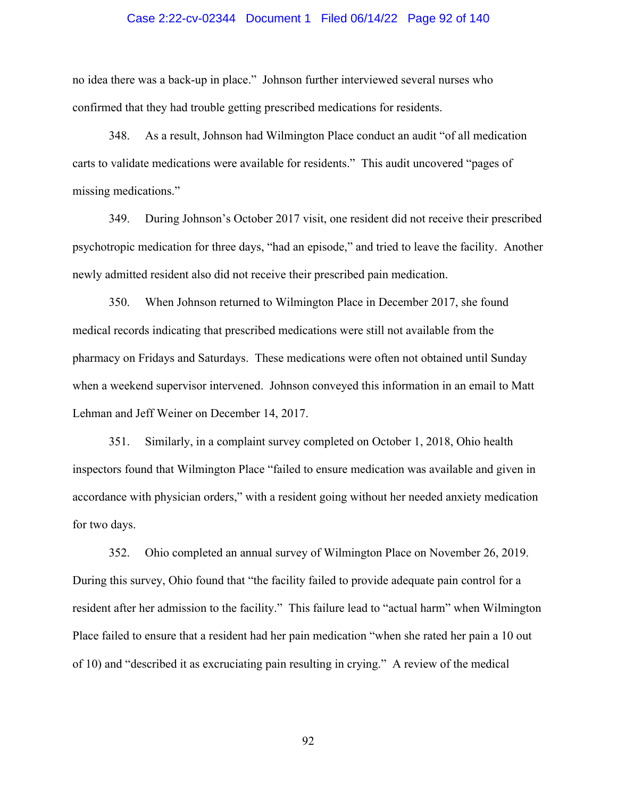# Case 2:22-cv-02344 Document 1 Filed 06/14/22 Page 92 of 140

no idea there was a back-up in place." Johnson further interviewed several nurses who confirmed that they had trouble getting prescribed medications for residents.

348. As a result, Johnson had Wilmington Place conduct an audit "of all medication carts to validate medications were available for residents." This audit uncovered "pages of missing medications."

349. During Johnson's October 2017 visit, one resident did not receive their prescribed psychotropic medication for three days, "had an episode," and tried to leave the facility. Another newly admitted resident also did not receive their prescribed pain medication.

350. When Johnson returned to Wilmington Place in December 2017, she found medical records indicating that prescribed medications were still not available from the pharmacy on Fridays and Saturdays. These medications were often not obtained until Sunday when a weekend supervisor intervened. Johnson conveyed this information in an email to Matt Lehman and Jeff Weiner on December 14, 2017.

351. Similarly, in a complaint survey completed on October 1, 2018, Ohio health inspectors found that Wilmington Place "failed to ensure medication was available and given in accordance with physician orders," with a resident going without her needed anxiety medication for two days.

352. Ohio completed an annual survey of Wilmington Place on November 26, 2019. During this survey, Ohio found that "the facility failed to provide adequate pain control for a resident after her admission to the facility." This failure lead to "actual harm" when Wilmington Place failed to ensure that a resident had her pain medication "when she rated her pain a 10 out of 10) and "described it as excruciating pain resulting in crying." A review of the medical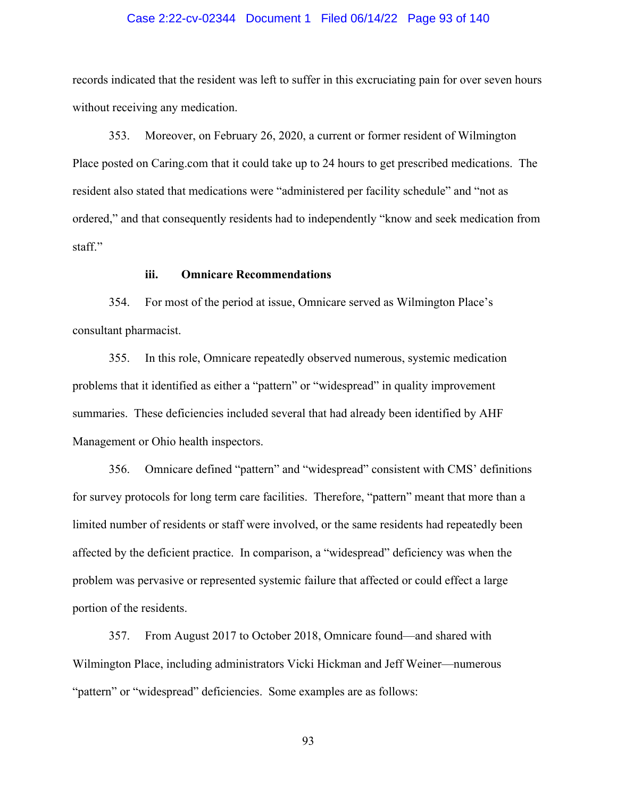## Case 2:22-cv-02344 Document 1 Filed 06/14/22 Page 93 of 140

records indicated that the resident was left to suffer in this excruciating pain for over seven hours without receiving any medication.

353. Moreover, on February 26, 2020, a current or former resident of Wilmington Place posted on Caring.com that it could take up to 24 hours to get prescribed medications. The resident also stated that medications were "administered per facility schedule" and "not as ordered," and that consequently residents had to independently "know and seek medication from staff."

## **iii. Omnicare Recommendations**

354. For most of the period at issue, Omnicare served as Wilmington Place's consultant pharmacist.

355. In this role, Omnicare repeatedly observed numerous, systemic medication problems that it identified as either a "pattern" or "widespread" in quality improvement summaries. These deficiencies included several that had already been identified by AHF Management or Ohio health inspectors.

356. Omnicare defined "pattern" and "widespread" consistent with CMS' definitions for survey protocols for long term care facilities. Therefore, "pattern" meant that more than a limited number of residents or staff were involved, or the same residents had repeatedly been affected by the deficient practice. In comparison, a "widespread" deficiency was when the problem was pervasive or represented systemic failure that affected or could effect a large portion of the residents.

357. From August 2017 to October 2018, Omnicare found—and shared with Wilmington Place, including administrators Vicki Hickman and Jeff Weiner—numerous "pattern" or "widespread" deficiencies. Some examples are as follows: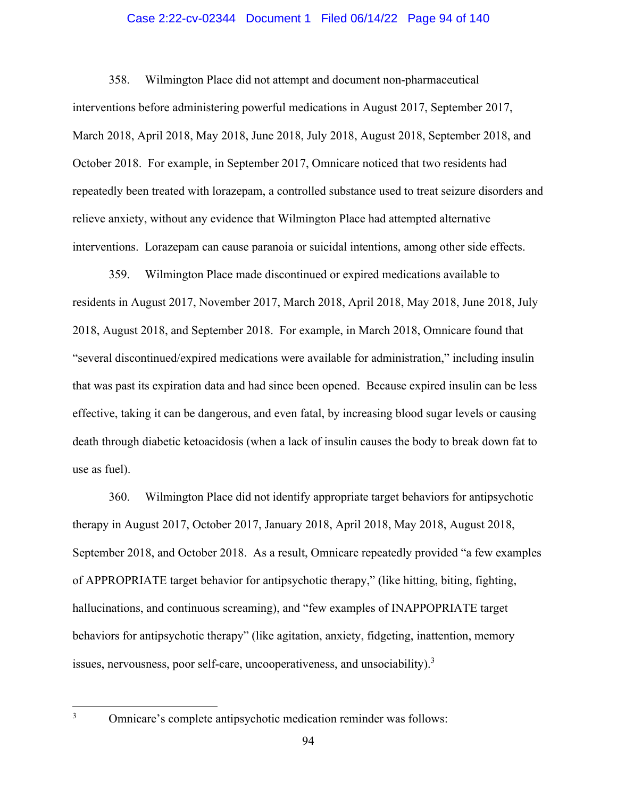# Case 2:22-cv-02344 Document 1 Filed 06/14/22 Page 94 of 140

358. Wilmington Place did not attempt and document non-pharmaceutical interventions before administering powerful medications in August 2017, September 2017, March 2018, April 2018, May 2018, June 2018, July 2018, August 2018, September 2018, and October 2018. For example, in September 2017, Omnicare noticed that two residents had repeatedly been treated with lorazepam, a controlled substance used to treat seizure disorders and relieve anxiety, without any evidence that Wilmington Place had attempted alternative interventions. Lorazepam can cause paranoia or suicidal intentions, among other side effects.

359. Wilmington Place made discontinued or expired medications available to residents in August 2017, November 2017, March 2018, April 2018, May 2018, June 2018, July 2018, August 2018, and September 2018. For example, in March 2018, Omnicare found that "several discontinued/expired medications were available for administration," including insulin that was past its expiration data and had since been opened. Because expired insulin can be less effective, taking it can be dangerous, and even fatal, by increasing blood sugar levels or causing death through diabetic ketoacidosis (when a lack of insulin causes the body to break down fat to use as fuel).

360. Wilmington Place did not identify appropriate target behaviors for antipsychotic therapy in August 2017, October 2017, January 2018, April 2018, May 2018, August 2018, September 2018, and October 2018. As a result, Omnicare repeatedly provided "a few examples of APPROPRIATE target behavior for antipsychotic therapy," (like hitting, biting, fighting, hallucinations, and continuous screaming), and "few examples of INAPPOPRIATE target behaviors for antipsychotic therapy" (like agitation, anxiety, fidgeting, inattention, memory issues, nervousness, poor self-care, uncooperativeness, and unsociability). $3$ 

Omnicare's complete antipsychotic medication reminder was follows: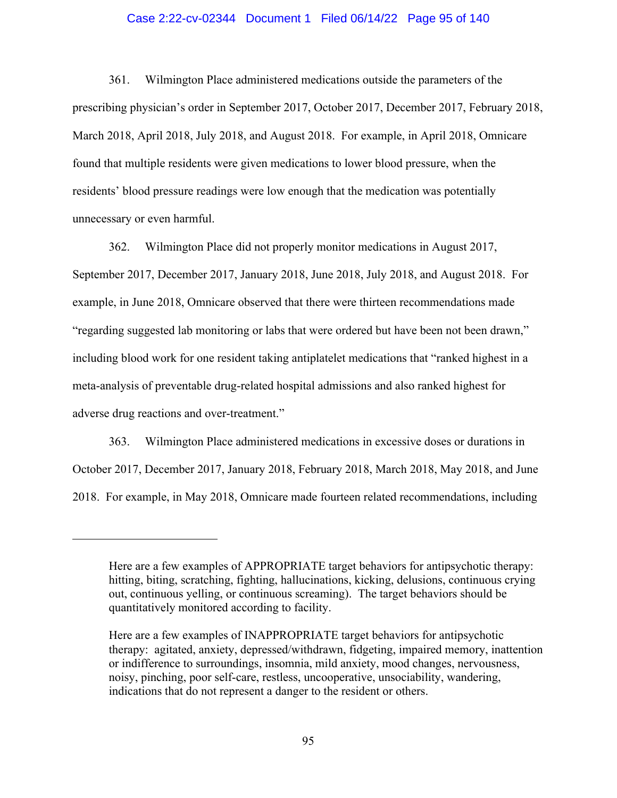# Case 2:22-cv-02344 Document 1 Filed 06/14/22 Page 95 of 140

361. Wilmington Place administered medications outside the parameters of the prescribing physician's order in September 2017, October 2017, December 2017, February 2018, March 2018, April 2018, July 2018, and August 2018. For example, in April 2018, Omnicare found that multiple residents were given medications to lower blood pressure, when the residents' blood pressure readings were low enough that the medication was potentially unnecessary or even harmful.

362. Wilmington Place did not properly monitor medications in August 2017, September 2017, December 2017, January 2018, June 2018, July 2018, and August 2018. For example, in June 2018, Omnicare observed that there were thirteen recommendations made "regarding suggested lab monitoring or labs that were ordered but have been not been drawn," including blood work for one resident taking antiplatelet medications that "ranked highest in a meta-analysis of preventable drug-related hospital admissions and also ranked highest for adverse drug reactions and over-treatment."

363. Wilmington Place administered medications in excessive doses or durations in October 2017, December 2017, January 2018, February 2018, March 2018, May 2018, and June 2018. For example, in May 2018, Omnicare made fourteen related recommendations, including

Here are a few examples of APPROPRIATE target behaviors for antipsychotic therapy: hitting, biting, scratching, fighting, hallucinations, kicking, delusions, continuous crying out, continuous yelling, or continuous screaming). The target behaviors should be quantitatively monitored according to facility.

Here are a few examples of INAPPROPRIATE target behaviors for antipsychotic therapy: agitated, anxiety, depressed/withdrawn, fidgeting, impaired memory, inattention or indifference to surroundings, insomnia, mild anxiety, mood changes, nervousness, noisy, pinching, poor self-care, restless, uncooperative, unsociability, wandering, indications that do not represent a danger to the resident or others.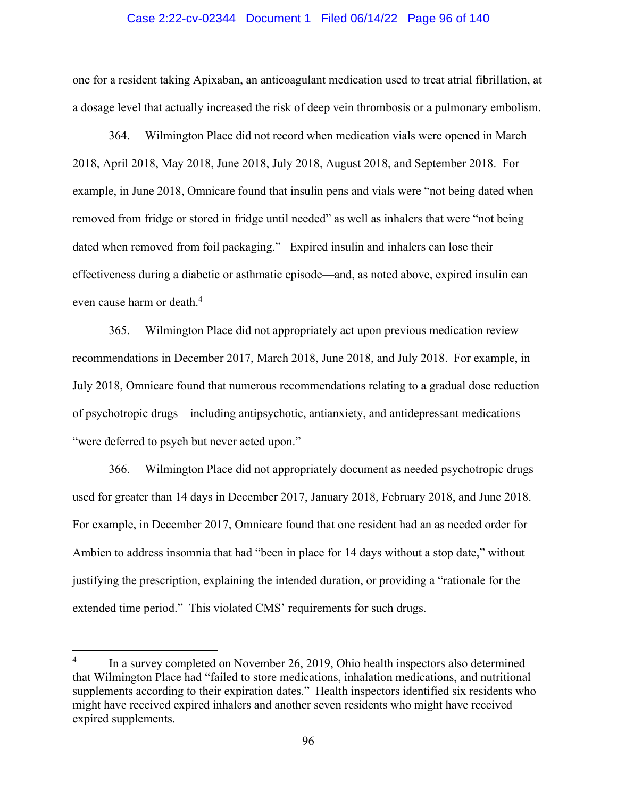## Case 2:22-cv-02344 Document 1 Filed 06/14/22 Page 96 of 140

one for a resident taking Apixaban, an anticoagulant medication used to treat atrial fibrillation, at a dosage level that actually increased the risk of deep vein thrombosis or a pulmonary embolism.

364. Wilmington Place did not record when medication vials were opened in March 2018, April 2018, May 2018, June 2018, July 2018, August 2018, and September 2018. For example, in June 2018, Omnicare found that insulin pens and vials were "not being dated when removed from fridge or stored in fridge until needed" as well as inhalers that were "not being dated when removed from foil packaging." Expired insulin and inhalers can lose their effectiveness during a diabetic or asthmatic episode—and, as noted above, expired insulin can even cause harm or death.<sup>4</sup>

365. Wilmington Place did not appropriately act upon previous medication review recommendations in December 2017, March 2018, June 2018, and July 2018. For example, in July 2018, Omnicare found that numerous recommendations relating to a gradual dose reduction of psychotropic drugs—including antipsychotic, antianxiety, and antidepressant medications— "were deferred to psych but never acted upon."

366. Wilmington Place did not appropriately document as needed psychotropic drugs used for greater than 14 days in December 2017, January 2018, February 2018, and June 2018. For example, in December 2017, Omnicare found that one resident had an as needed order for Ambien to address insomnia that had "been in place for 14 days without a stop date," without justifying the prescription, explaining the intended duration, or providing a "rationale for the extended time period." This violated CMS' requirements for such drugs.

<sup>4</sup> In a survey completed on November 26, 2019, Ohio health inspectors also determined that Wilmington Place had "failed to store medications, inhalation medications, and nutritional supplements according to their expiration dates." Health inspectors identified six residents who might have received expired inhalers and another seven residents who might have received expired supplements.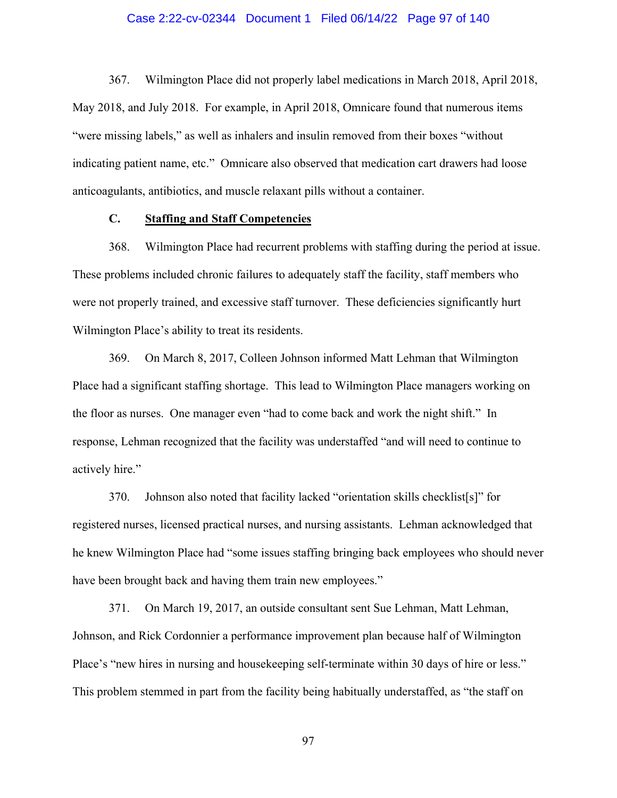# Case 2:22-cv-02344 Document 1 Filed 06/14/22 Page 97 of 140

367. Wilmington Place did not properly label medications in March 2018, April 2018, May 2018, and July 2018. For example, in April 2018, Omnicare found that numerous items "were missing labels," as well as inhalers and insulin removed from their boxes "without indicating patient name, etc." Omnicare also observed that medication cart drawers had loose anticoagulants, antibiotics, and muscle relaxant pills without a container.

# **C. Staffing and Staff Competencies**

368. Wilmington Place had recurrent problems with staffing during the period at issue. These problems included chronic failures to adequately staff the facility, staff members who were not properly trained, and excessive staff turnover. These deficiencies significantly hurt Wilmington Place's ability to treat its residents.

369. On March 8, 2017, Colleen Johnson informed Matt Lehman that Wilmington Place had a significant staffing shortage. This lead to Wilmington Place managers working on the floor as nurses. One manager even "had to come back and work the night shift." In response, Lehman recognized that the facility was understaffed "and will need to continue to actively hire."

370. Johnson also noted that facility lacked "orientation skills checklist[s]" for registered nurses, licensed practical nurses, and nursing assistants. Lehman acknowledged that he knew Wilmington Place had "some issues staffing bringing back employees who should never have been brought back and having them train new employees."

371. On March 19, 2017, an outside consultant sent Sue Lehman, Matt Lehman, Johnson, and Rick Cordonnier a performance improvement plan because half of Wilmington Place's "new hires in nursing and housekeeping self-terminate within 30 days of hire or less." This problem stemmed in part from the facility being habitually understaffed, as "the staff on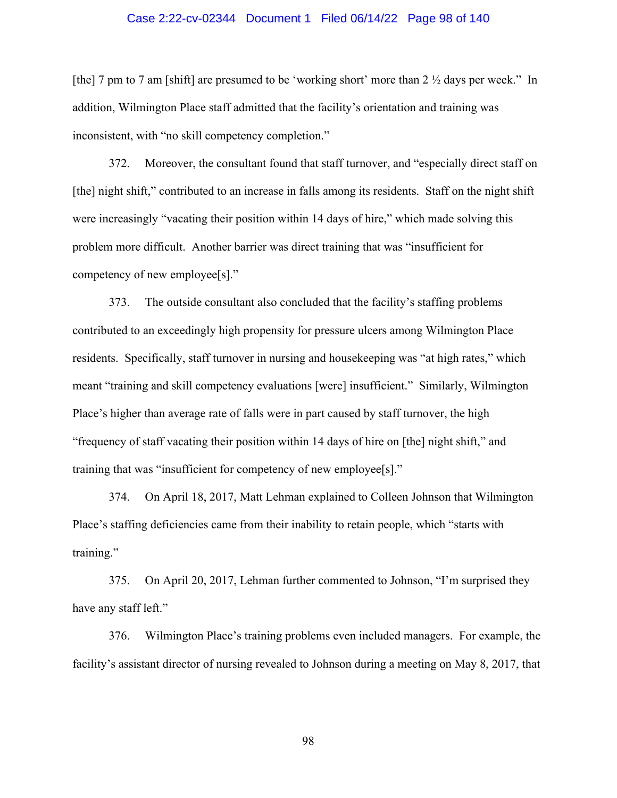## Case 2:22-cv-02344 Document 1 Filed 06/14/22 Page 98 of 140

[the] 7 pm to 7 am [shift] are presumed to be 'working short' more than 2  $\frac{1}{2}$  days per week." In addition, Wilmington Place staff admitted that the facility's orientation and training was inconsistent, with "no skill competency completion."

372. Moreover, the consultant found that staff turnover, and "especially direct staff on [the] night shift," contributed to an increase in falls among its residents. Staff on the night shift were increasingly "vacating their position within 14 days of hire," which made solving this problem more difficult. Another barrier was direct training that was "insufficient for competency of new employee[s]."

373. The outside consultant also concluded that the facility's staffing problems contributed to an exceedingly high propensity for pressure ulcers among Wilmington Place residents. Specifically, staff turnover in nursing and housekeeping was "at high rates," which meant "training and skill competency evaluations [were] insufficient." Similarly, Wilmington Place's higher than average rate of falls were in part caused by staff turnover, the high "frequency of staff vacating their position within 14 days of hire on [the] night shift," and training that was "insufficient for competency of new employee[s]."

374. On April 18, 2017, Matt Lehman explained to Colleen Johnson that Wilmington Place's staffing deficiencies came from their inability to retain people, which "starts with training."

375. On April 20, 2017, Lehman further commented to Johnson, "I'm surprised they have any staff left."

376. Wilmington Place's training problems even included managers. For example, the facility's assistant director of nursing revealed to Johnson during a meeting on May 8, 2017, that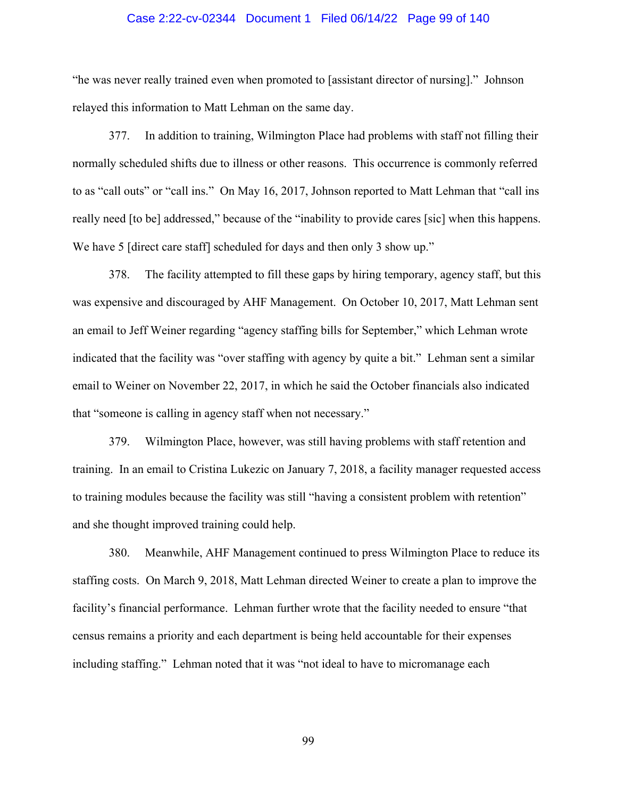# Case 2:22-cv-02344 Document 1 Filed 06/14/22 Page 99 of 140

"he was never really trained even when promoted to [assistant director of nursing]." Johnson relayed this information to Matt Lehman on the same day.

377. In addition to training, Wilmington Place had problems with staff not filling their normally scheduled shifts due to illness or other reasons. This occurrence is commonly referred to as "call outs" or "call ins." On May 16, 2017, Johnson reported to Matt Lehman that "call ins really need [to be] addressed," because of the "inability to provide cares [sic] when this happens. We have 5 [direct care staff] scheduled for days and then only 3 show up."

378. The facility attempted to fill these gaps by hiring temporary, agency staff, but this was expensive and discouraged by AHF Management. On October 10, 2017, Matt Lehman sent an email to Jeff Weiner regarding "agency staffing bills for September," which Lehman wrote indicated that the facility was "over staffing with agency by quite a bit." Lehman sent a similar email to Weiner on November 22, 2017, in which he said the October financials also indicated that "someone is calling in agency staff when not necessary."

379. Wilmington Place, however, was still having problems with staff retention and training. In an email to Cristina Lukezic on January 7, 2018, a facility manager requested access to training modules because the facility was still "having a consistent problem with retention" and she thought improved training could help.

380. Meanwhile, AHF Management continued to press Wilmington Place to reduce its staffing costs. On March 9, 2018, Matt Lehman directed Weiner to create a plan to improve the facility's financial performance. Lehman further wrote that the facility needed to ensure "that census remains a priority and each department is being held accountable for their expenses including staffing." Lehman noted that it was "not ideal to have to micromanage each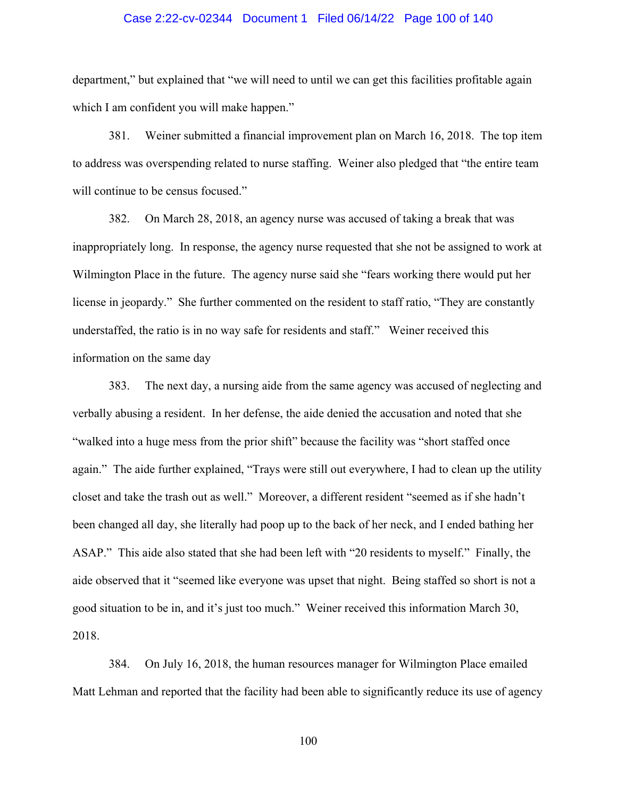## Case 2:22-cv-02344 Document 1 Filed 06/14/22 Page 100 of 140

department," but explained that "we will need to until we can get this facilities profitable again which I am confident you will make happen."

381. Weiner submitted a financial improvement plan on March 16, 2018. The top item to address was overspending related to nurse staffing. Weiner also pledged that "the entire team will continue to be census focused."

382. On March 28, 2018, an agency nurse was accused of taking a break that was inappropriately long. In response, the agency nurse requested that she not be assigned to work at Wilmington Place in the future. The agency nurse said she "fears working there would put her license in jeopardy." She further commented on the resident to staff ratio, "They are constantly understaffed, the ratio is in no way safe for residents and staff." Weiner received this information on the same day

383. The next day, a nursing aide from the same agency was accused of neglecting and verbally abusing a resident. In her defense, the aide denied the accusation and noted that she "walked into a huge mess from the prior shift" because the facility was "short staffed once again." The aide further explained, "Trays were still out everywhere, I had to clean up the utility closet and take the trash out as well." Moreover, a different resident "seemed as if she hadn't been changed all day, she literally had poop up to the back of her neck, and I ended bathing her ASAP." This aide also stated that she had been left with "20 residents to myself." Finally, the aide observed that it "seemed like everyone was upset that night. Being staffed so short is not a good situation to be in, and it's just too much." Weiner received this information March 30, 2018.

384. On July 16, 2018, the human resources manager for Wilmington Place emailed Matt Lehman and reported that the facility had been able to significantly reduce its use of agency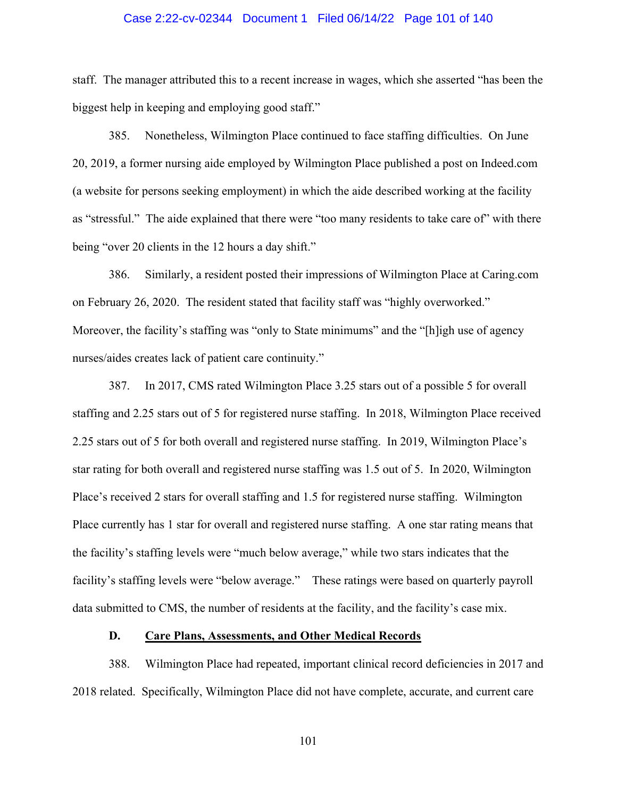## Case 2:22-cv-02344 Document 1 Filed 06/14/22 Page 101 of 140

staff. The manager attributed this to a recent increase in wages, which she asserted "has been the biggest help in keeping and employing good staff."

385. Nonetheless, Wilmington Place continued to face staffing difficulties. On June 20, 2019, a former nursing aide employed by Wilmington Place published a post on Indeed.com (a website for persons seeking employment) in which the aide described working at the facility as "stressful." The aide explained that there were "too many residents to take care of" with there being "over 20 clients in the 12 hours a day shift."

386. Similarly, a resident posted their impressions of Wilmington Place at Caring.com on February 26, 2020. The resident stated that facility staff was "highly overworked." Moreover, the facility's staffing was "only to State minimums" and the "[h]igh use of agency nurses/aides creates lack of patient care continuity."

387. In 2017, CMS rated Wilmington Place 3.25 stars out of a possible 5 for overall staffing and 2.25 stars out of 5 for registered nurse staffing. In 2018, Wilmington Place received 2.25 stars out of 5 for both overall and registered nurse staffing. In 2019, Wilmington Place's star rating for both overall and registered nurse staffing was 1.5 out of 5. In 2020, Wilmington Place's received 2 stars for overall staffing and 1.5 for registered nurse staffing. Wilmington Place currently has 1 star for overall and registered nurse staffing. A one star rating means that the facility's staffing levels were "much below average," while two stars indicates that the facility's staffing levels were "below average." These ratings were based on quarterly payroll data submitted to CMS, the number of residents at the facility, and the facility's case mix.

# **D. Care Plans, Assessments, and Other Medical Records**

388. Wilmington Place had repeated, important clinical record deficiencies in 2017 and 2018 related. Specifically, Wilmington Place did not have complete, accurate, and current care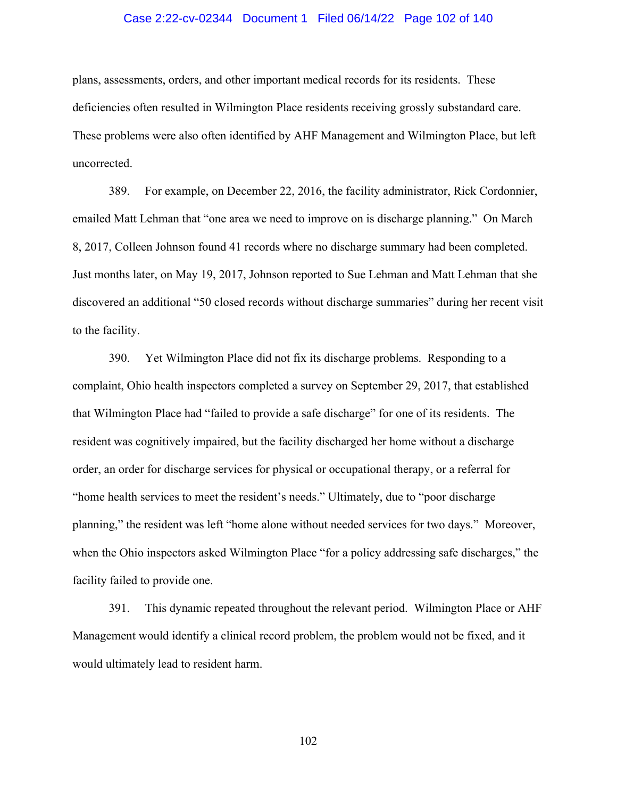## Case 2:22-cv-02344 Document 1 Filed 06/14/22 Page 102 of 140

plans, assessments, orders, and other important medical records for its residents. These deficiencies often resulted in Wilmington Place residents receiving grossly substandard care. These problems were also often identified by AHF Management and Wilmington Place, but left uncorrected.

389. For example, on December 22, 2016, the facility administrator, Rick Cordonnier, emailed Matt Lehman that "one area we need to improve on is discharge planning." On March 8, 2017, Colleen Johnson found 41 records where no discharge summary had been completed. Just months later, on May 19, 2017, Johnson reported to Sue Lehman and Matt Lehman that she discovered an additional "50 closed records without discharge summaries" during her recent visit to the facility.

390. Yet Wilmington Place did not fix its discharge problems. Responding to a complaint, Ohio health inspectors completed a survey on September 29, 2017, that established that Wilmington Place had "failed to provide a safe discharge" for one of its residents. The resident was cognitively impaired, but the facility discharged her home without a discharge order, an order for discharge services for physical or occupational therapy, or a referral for "home health services to meet the resident's needs." Ultimately, due to "poor discharge planning," the resident was left "home alone without needed services for two days." Moreover, when the Ohio inspectors asked Wilmington Place "for a policy addressing safe discharges," the facility failed to provide one.

391. This dynamic repeated throughout the relevant period. Wilmington Place or AHF Management would identify a clinical record problem, the problem would not be fixed, and it would ultimately lead to resident harm.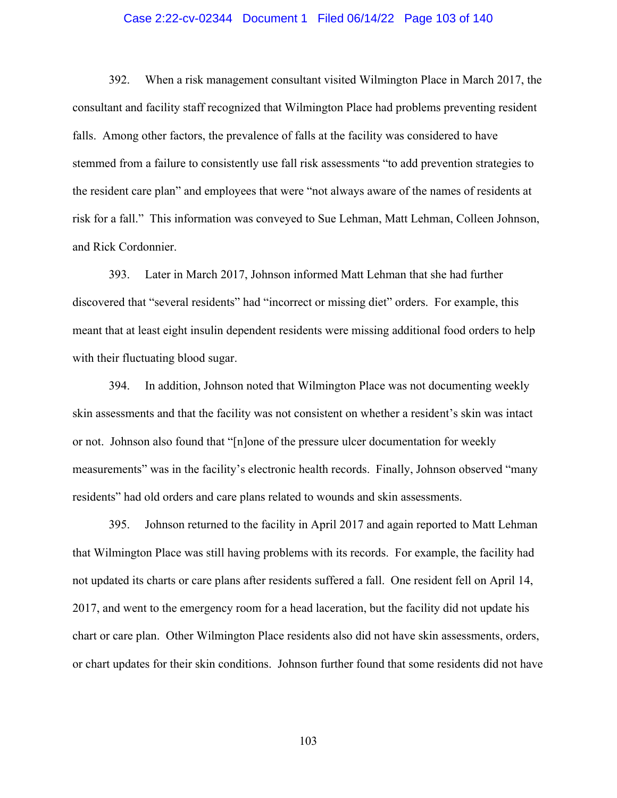## Case 2:22-cv-02344 Document 1 Filed 06/14/22 Page 103 of 140

392. When a risk management consultant visited Wilmington Place in March 2017, the consultant and facility staff recognized that Wilmington Place had problems preventing resident falls. Among other factors, the prevalence of falls at the facility was considered to have stemmed from a failure to consistently use fall risk assessments "to add prevention strategies to the resident care plan" and employees that were "not always aware of the names of residents at risk for a fall." This information was conveyed to Sue Lehman, Matt Lehman, Colleen Johnson, and Rick Cordonnier.

393. Later in March 2017, Johnson informed Matt Lehman that she had further discovered that "several residents" had "incorrect or missing diet" orders. For example, this meant that at least eight insulin dependent residents were missing additional food orders to help with their fluctuating blood sugar.

394. In addition, Johnson noted that Wilmington Place was not documenting weekly skin assessments and that the facility was not consistent on whether a resident's skin was intact or not. Johnson also found that "[n]one of the pressure ulcer documentation for weekly measurements" was in the facility's electronic health records. Finally, Johnson observed "many residents" had old orders and care plans related to wounds and skin assessments.

395. Johnson returned to the facility in April 2017 and again reported to Matt Lehman that Wilmington Place was still having problems with its records. For example, the facility had not updated its charts or care plans after residents suffered a fall. One resident fell on April 14, 2017, and went to the emergency room for a head laceration, but the facility did not update his chart or care plan. Other Wilmington Place residents also did not have skin assessments, orders, or chart updates for their skin conditions. Johnson further found that some residents did not have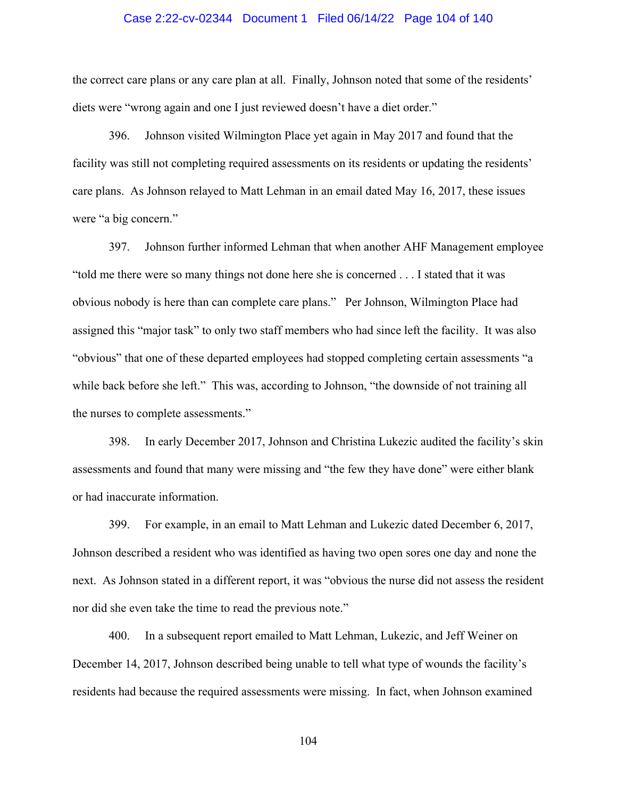## Case 2:22-cv-02344 Document 1 Filed 06/14/22 Page 104 of 140

the correct care plans or any care plan at all. Finally, Johnson noted that some of the residents' diets were "wrong again and one I just reviewed doesn't have a diet order."

396. Johnson visited Wilmington Place yet again in May 2017 and found that the facility was still not completing required assessments on its residents or updating the residents' care plans. As Johnson relayed to Matt Lehman in an email dated May 16, 2017, these issues were "a big concern."

397. Johnson further informed Lehman that when another AHF Management employee "told me there were so many things not done here she is concerned . . . I stated that it was obvious nobody is here than can complete care plans." Per Johnson, Wilmington Place had assigned this "major task" to only two staff members who had since left the facility. It was also "obvious" that one of these departed employees had stopped completing certain assessments "a while back before she left." This was, according to Johnson, "the downside of not training all the nurses to complete assessments."

398. In early December 2017, Johnson and Christina Lukezic audited the facility's skin assessments and found that many were missing and "the few they have done" were either blank or had inaccurate information.

399. For example, in an email to Matt Lehman and Lukezic dated December 6, 2017, Johnson described a resident who was identified as having two open sores one day and none the next. As Johnson stated in a different report, it was "obvious the nurse did not assess the resident nor did she even take the time to read the previous note."

400. In a subsequent report emailed to Matt Lehman, Lukezic, and Jeff Weiner on December 14, 2017, Johnson described being unable to tell what type of wounds the facility's residents had because the required assessments were missing. In fact, when Johnson examined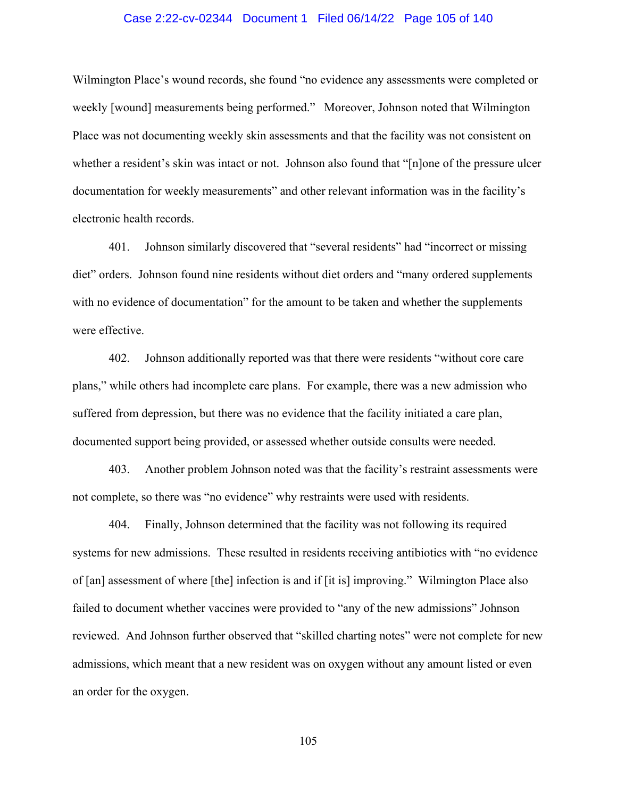## Case 2:22-cv-02344 Document 1 Filed 06/14/22 Page 105 of 140

Wilmington Place's wound records, she found "no evidence any assessments were completed or weekly [wound] measurements being performed." Moreover, Johnson noted that Wilmington Place was not documenting weekly skin assessments and that the facility was not consistent on whether a resident's skin was intact or not. Johnson also found that "[n]one of the pressure ulcer documentation for weekly measurements" and other relevant information was in the facility's electronic health records.

401. Johnson similarly discovered that "several residents" had "incorrect or missing diet" orders. Johnson found nine residents without diet orders and "many ordered supplements with no evidence of documentation" for the amount to be taken and whether the supplements were effective.

402. Johnson additionally reported was that there were residents "without core care plans," while others had incomplete care plans. For example, there was a new admission who suffered from depression, but there was no evidence that the facility initiated a care plan, documented support being provided, or assessed whether outside consults were needed.

403. Another problem Johnson noted was that the facility's restraint assessments were not complete, so there was "no evidence" why restraints were used with residents.

404. Finally, Johnson determined that the facility was not following its required systems for new admissions. These resulted in residents receiving antibiotics with "no evidence of [an] assessment of where [the] infection is and if [it is] improving." Wilmington Place also failed to document whether vaccines were provided to "any of the new admissions" Johnson reviewed. And Johnson further observed that "skilled charting notes" were not complete for new admissions, which meant that a new resident was on oxygen without any amount listed or even an order for the oxygen.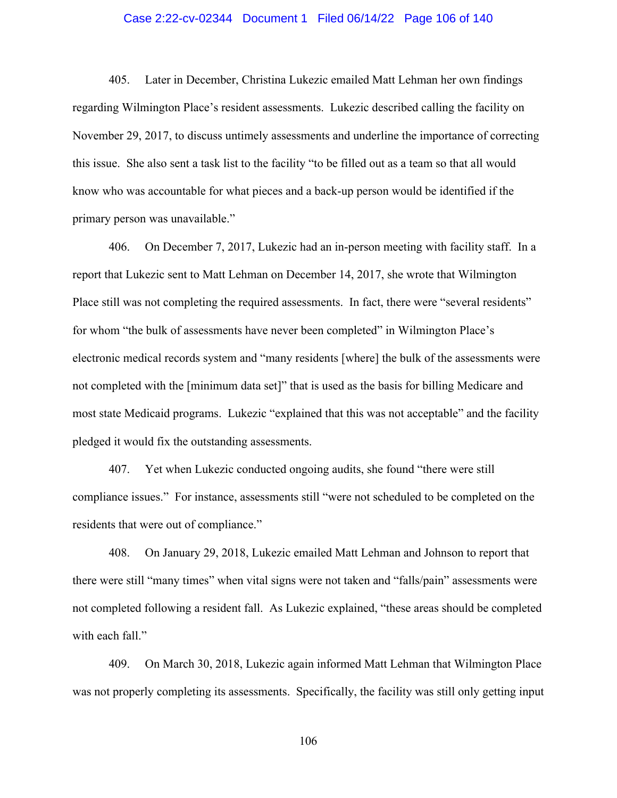## Case 2:22-cv-02344 Document 1 Filed 06/14/22 Page 106 of 140

405. Later in December, Christina Lukezic emailed Matt Lehman her own findings regarding Wilmington Place's resident assessments. Lukezic described calling the facility on November 29, 2017, to discuss untimely assessments and underline the importance of correcting this issue. She also sent a task list to the facility "to be filled out as a team so that all would know who was accountable for what pieces and a back-up person would be identified if the primary person was unavailable."

406. On December 7, 2017, Lukezic had an in-person meeting with facility staff. In a report that Lukezic sent to Matt Lehman on December 14, 2017, she wrote that Wilmington Place still was not completing the required assessments. In fact, there were "several residents" for whom "the bulk of assessments have never been completed" in Wilmington Place's electronic medical records system and "many residents [where] the bulk of the assessments were not completed with the [minimum data set]" that is used as the basis for billing Medicare and most state Medicaid programs. Lukezic "explained that this was not acceptable" and the facility pledged it would fix the outstanding assessments.

407. Yet when Lukezic conducted ongoing audits, she found "there were still compliance issues." For instance, assessments still "were not scheduled to be completed on the residents that were out of compliance."

408. On January 29, 2018, Lukezic emailed Matt Lehman and Johnson to report that there were still "many times" when vital signs were not taken and "falls/pain" assessments were not completed following a resident fall. As Lukezic explained, "these areas should be completed with each fall."

409. On March 30, 2018, Lukezic again informed Matt Lehman that Wilmington Place was not properly completing its assessments. Specifically, the facility was still only getting input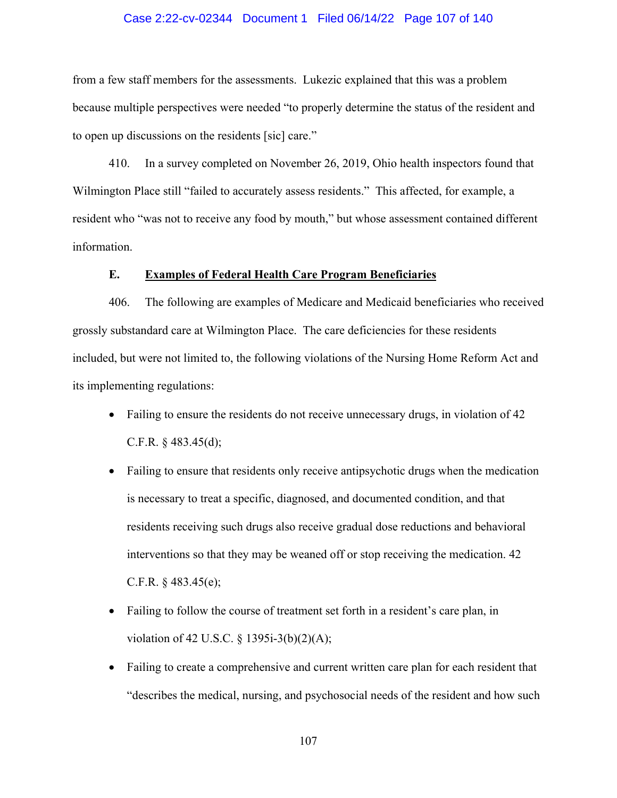## Case 2:22-cv-02344 Document 1 Filed 06/14/22 Page 107 of 140

from a few staff members for the assessments. Lukezic explained that this was a problem because multiple perspectives were needed "to properly determine the status of the resident and to open up discussions on the residents [sic] care."

410. In a survey completed on November 26, 2019, Ohio health inspectors found that Wilmington Place still "failed to accurately assess residents." This affected, for example, a resident who "was not to receive any food by mouth," but whose assessment contained different information.

## **E. Examples of Federal Health Care Program Beneficiaries**

406. The following are examples of Medicare and Medicaid beneficiaries who received grossly substandard care at Wilmington Place. The care deficiencies for these residents included, but were not limited to, the following violations of the Nursing Home Reform Act and its implementing regulations:

- Failing to ensure the residents do not receive unnecessary drugs, in violation of 42 C.F.R.  $\S$  483.45(d);
- Failing to ensure that residents only receive antipsychotic drugs when the medication is necessary to treat a specific, diagnosed, and documented condition, and that residents receiving such drugs also receive gradual dose reductions and behavioral interventions so that they may be weaned off or stop receiving the medication. 42 C.F.R.  $§$  483.45(e);
- Failing to follow the course of treatment set forth in a resident's care plan, in violation of 42 U.S.C. § 1395i-3(b)(2)(A);
- Failing to create a comprehensive and current written care plan for each resident that "describes the medical, nursing, and psychosocial needs of the resident and how such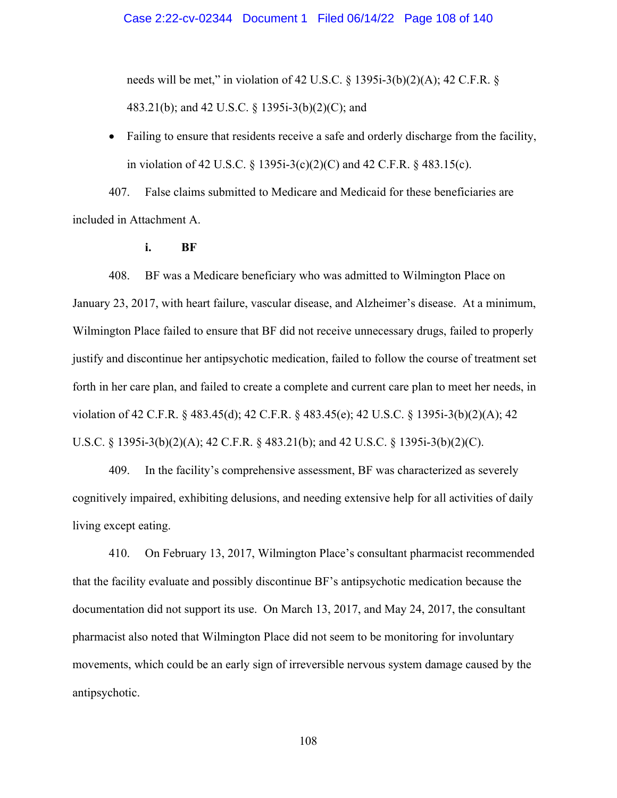needs will be met," in violation of 42 U.S.C.  $\S$  1395i-3(b)(2)(A); 42 C.F.R.  $\S$ 483.21(b); and 42 U.S.C. § 1395i-3(b)(2)(C); and

• Failing to ensure that residents receive a safe and orderly discharge from the facility, in violation of 42 U.S.C. § 1395i-3(c)(2)(C) and 42 C.F.R. § 483.15(c).

407. False claims submitted to Medicare and Medicaid for these beneficiaries are included in Attachment A.

**i. BF** 

408. BF was a Medicare beneficiary who was admitted to Wilmington Place on January 23, 2017, with heart failure, vascular disease, and Alzheimer's disease. At a minimum, Wilmington Place failed to ensure that BF did not receive unnecessary drugs, failed to properly justify and discontinue her antipsychotic medication, failed to follow the course of treatment set forth in her care plan, and failed to create a complete and current care plan to meet her needs, in violation of 42 C.F.R. § 483.45(d); 42 C.F.R. § 483.45(e); 42 U.S.C. § 1395i-3(b)(2)(A); 42 U.S.C. § 1395i-3(b)(2)(A); 42 C.F.R. § 483.21(b); and 42 U.S.C. § 1395i-3(b)(2)(C).

409. In the facility's comprehensive assessment, BF was characterized as severely cognitively impaired, exhibiting delusions, and needing extensive help for all activities of daily living except eating.

410. On February 13, 2017, Wilmington Place's consultant pharmacist recommended that the facility evaluate and possibly discontinue BF's antipsychotic medication because the documentation did not support its use. On March 13, 2017, and May 24, 2017, the consultant pharmacist also noted that Wilmington Place did not seem to be monitoring for involuntary movements, which could be an early sign of irreversible nervous system damage caused by the antipsychotic.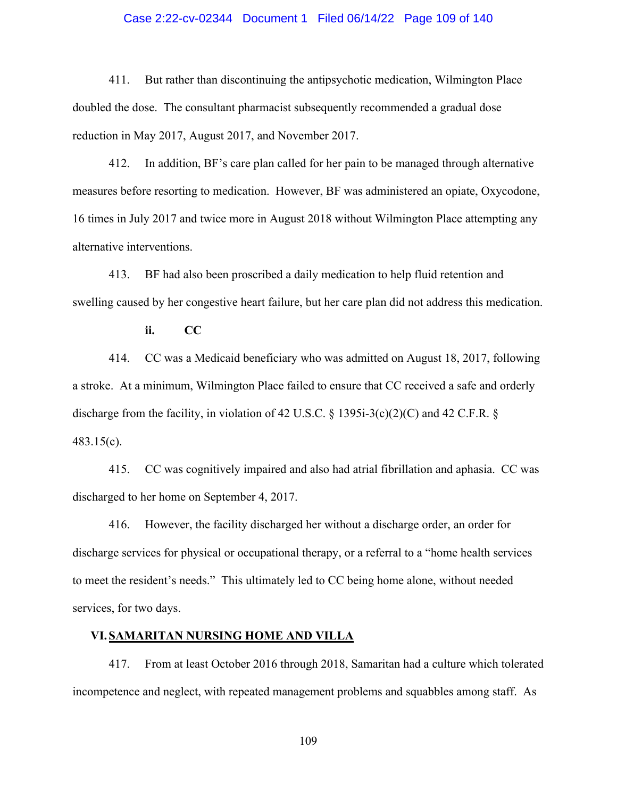## Case 2:22-cv-02344 Document 1 Filed 06/14/22 Page 109 of 140

411. But rather than discontinuing the antipsychotic medication, Wilmington Place doubled the dose. The consultant pharmacist subsequently recommended a gradual dose reduction in May 2017, August 2017, and November 2017.

412. In addition, BF's care plan called for her pain to be managed through alternative measures before resorting to medication. However, BF was administered an opiate, Oxycodone, 16 times in July 2017 and twice more in August 2018 without Wilmington Place attempting any alternative interventions.

413. BF had also been proscribed a daily medication to help fluid retention and swelling caused by her congestive heart failure, but her care plan did not address this medication.

**ii. CC** 

414. CC was a Medicaid beneficiary who was admitted on August 18, 2017, following a stroke. At a minimum, Wilmington Place failed to ensure that CC received a safe and orderly discharge from the facility, in violation of 42 U.S.C. § 1395i-3(c)(2)(C) and 42 C.F.R. § 483.15(c).

415. CC was cognitively impaired and also had atrial fibrillation and aphasia. CC was discharged to her home on September 4, 2017.

416. However, the facility discharged her without a discharge order, an order for discharge services for physical or occupational therapy, or a referral to a "home health services to meet the resident's needs." This ultimately led to CC being home alone, without needed services, for two days.

## **VI. SAMARITAN NURSING HOME AND VILLA**

417. From at least October 2016 through 2018, Samaritan had a culture which tolerated incompetence and neglect, with repeated management problems and squabbles among staff. As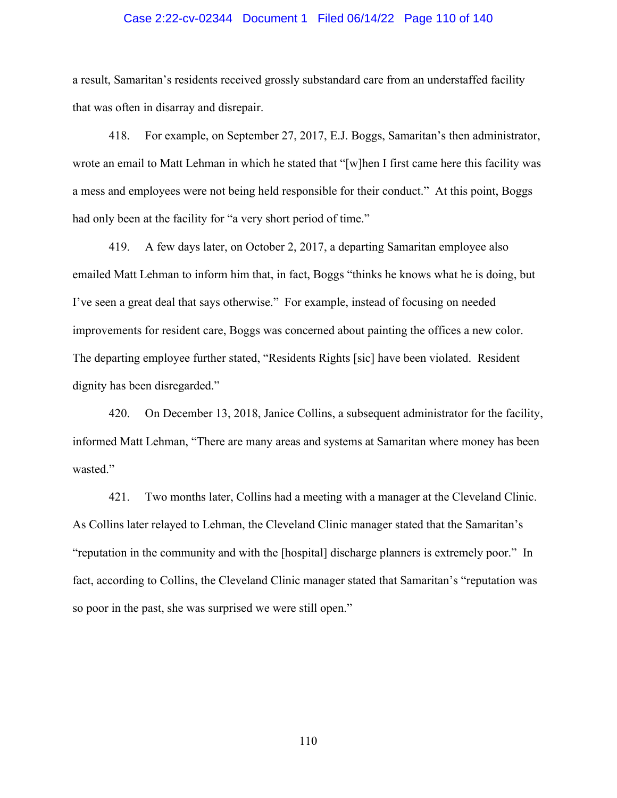#### Case 2:22-cv-02344 Document 1 Filed 06/14/22 Page 110 of 140

a result, Samaritan's residents received grossly substandard care from an understaffed facility that was often in disarray and disrepair.

418. For example, on September 27, 2017, E.J. Boggs, Samaritan's then administrator, wrote an email to Matt Lehman in which he stated that "[w]hen I first came here this facility was a mess and employees were not being held responsible for their conduct." At this point, Boggs had only been at the facility for "a very short period of time."

419. A few days later, on October 2, 2017, a departing Samaritan employee also emailed Matt Lehman to inform him that, in fact, Boggs "thinks he knows what he is doing, but I've seen a great deal that says otherwise." For example, instead of focusing on needed improvements for resident care, Boggs was concerned about painting the offices a new color. The departing employee further stated, "Residents Rights [sic] have been violated. Resident dignity has been disregarded."

420. On December 13, 2018, Janice Collins, a subsequent administrator for the facility, informed Matt Lehman, "There are many areas and systems at Samaritan where money has been wasted."

421. Two months later, Collins had a meeting with a manager at the Cleveland Clinic. As Collins later relayed to Lehman, the Cleveland Clinic manager stated that the Samaritan's "reputation in the community and with the [hospital] discharge planners is extremely poor." In fact, according to Collins, the Cleveland Clinic manager stated that Samaritan's "reputation was so poor in the past, she was surprised we were still open."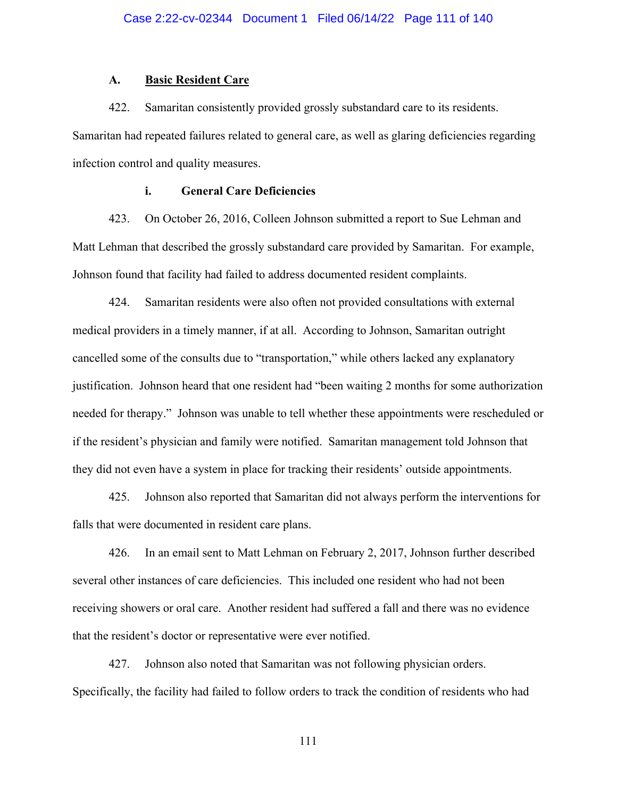#### **A. Basic Resident Care**

422. Samaritan consistently provided grossly substandard care to its residents. Samaritan had repeated failures related to general care, as well as glaring deficiencies regarding infection control and quality measures.

## **i. General Care Deficiencies**

423. On October 26, 2016, Colleen Johnson submitted a report to Sue Lehman and Matt Lehman that described the grossly substandard care provided by Samaritan. For example, Johnson found that facility had failed to address documented resident complaints.

424. Samaritan residents were also often not provided consultations with external medical providers in a timely manner, if at all. According to Johnson, Samaritan outright cancelled some of the consults due to "transportation," while others lacked any explanatory justification. Johnson heard that one resident had "been waiting 2 months for some authorization needed for therapy." Johnson was unable to tell whether these appointments were rescheduled or if the resident's physician and family were notified. Samaritan management told Johnson that they did not even have a system in place for tracking their residents' outside appointments.

425. Johnson also reported that Samaritan did not always perform the interventions for falls that were documented in resident care plans.

426. In an email sent to Matt Lehman on February 2, 2017, Johnson further described several other instances of care deficiencies. This included one resident who had not been receiving showers or oral care. Another resident had suffered a fall and there was no evidence that the resident's doctor or representative were ever notified.

427. Johnson also noted that Samaritan was not following physician orders. Specifically, the facility had failed to follow orders to track the condition of residents who had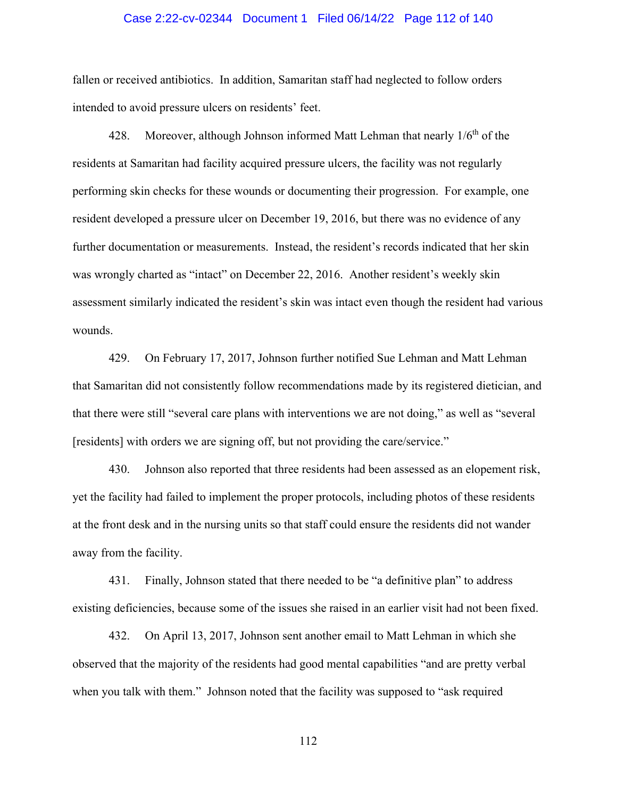### Case 2:22-cv-02344 Document 1 Filed 06/14/22 Page 112 of 140

fallen or received antibiotics. In addition, Samaritan staff had neglected to follow orders intended to avoid pressure ulcers on residents' feet.

428. Moreover, although Johnson informed Matt Lehman that nearly  $1/6<sup>th</sup>$  of the residents at Samaritan had facility acquired pressure ulcers, the facility was not regularly performing skin checks for these wounds or documenting their progression. For example, one resident developed a pressure ulcer on December 19, 2016, but there was no evidence of any further documentation or measurements. Instead, the resident's records indicated that her skin was wrongly charted as "intact" on December 22, 2016. Another resident's weekly skin assessment similarly indicated the resident's skin was intact even though the resident had various wounds.

429. On February 17, 2017, Johnson further notified Sue Lehman and Matt Lehman that Samaritan did not consistently follow recommendations made by its registered dietician, and that there were still "several care plans with interventions we are not doing," as well as "several [residents] with orders we are signing off, but not providing the care/service."

430. Johnson also reported that three residents had been assessed as an elopement risk, yet the facility had failed to implement the proper protocols, including photos of these residents at the front desk and in the nursing units so that staff could ensure the residents did not wander away from the facility.

431. Finally, Johnson stated that there needed to be "a definitive plan" to address existing deficiencies, because some of the issues she raised in an earlier visit had not been fixed.

432. On April 13, 2017, Johnson sent another email to Matt Lehman in which she observed that the majority of the residents had good mental capabilities "and are pretty verbal when you talk with them." Johnson noted that the facility was supposed to "ask required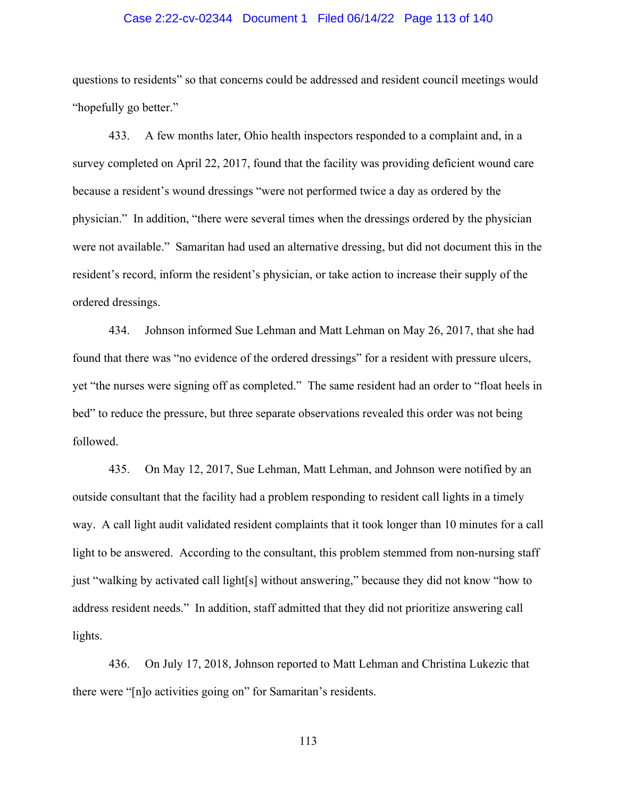### Case 2:22-cv-02344 Document 1 Filed 06/14/22 Page 113 of 140

questions to residents" so that concerns could be addressed and resident council meetings would "hopefully go better."

433. A few months later, Ohio health inspectors responded to a complaint and, in a survey completed on April 22, 2017, found that the facility was providing deficient wound care because a resident's wound dressings "were not performed twice a day as ordered by the physician." In addition, "there were several times when the dressings ordered by the physician were not available." Samaritan had used an alternative dressing, but did not document this in the resident's record, inform the resident's physician, or take action to increase their supply of the ordered dressings.

434. Johnson informed Sue Lehman and Matt Lehman on May 26, 2017, that she had found that there was "no evidence of the ordered dressings" for a resident with pressure ulcers, yet "the nurses were signing off as completed." The same resident had an order to "float heels in bed" to reduce the pressure, but three separate observations revealed this order was not being followed.

435. On May 12, 2017, Sue Lehman, Matt Lehman, and Johnson were notified by an outside consultant that the facility had a problem responding to resident call lights in a timely way. A call light audit validated resident complaints that it took longer than 10 minutes for a call light to be answered. According to the consultant, this problem stemmed from non-nursing staff just "walking by activated call light[s] without answering," because they did not know "how to address resident needs." In addition, staff admitted that they did not prioritize answering call lights.

436. On July 17, 2018, Johnson reported to Matt Lehman and Christina Lukezic that there were "[n]o activities going on" for Samaritan's residents.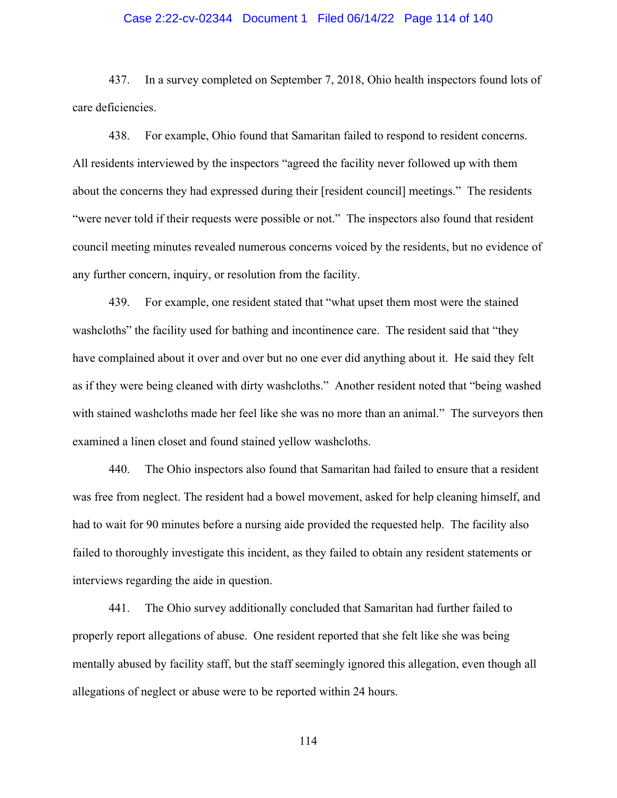### Case 2:22-cv-02344 Document 1 Filed 06/14/22 Page 114 of 140

437. In a survey completed on September 7, 2018, Ohio health inspectors found lots of care deficiencies.

438. For example, Ohio found that Samaritan failed to respond to resident concerns. All residents interviewed by the inspectors "agreed the facility never followed up with them about the concerns they had expressed during their [resident council] meetings." The residents "were never told if their requests were possible or not." The inspectors also found that resident council meeting minutes revealed numerous concerns voiced by the residents, but no evidence of any further concern, inquiry, or resolution from the facility.

439. For example, one resident stated that "what upset them most were the stained washcloths" the facility used for bathing and incontinence care. The resident said that "they have complained about it over and over but no one ever did anything about it. He said they felt as if they were being cleaned with dirty washcloths." Another resident noted that "being washed with stained washcloths made her feel like she was no more than an animal." The surveyors then examined a linen closet and found stained yellow washcloths.

440. The Ohio inspectors also found that Samaritan had failed to ensure that a resident was free from neglect. The resident had a bowel movement, asked for help cleaning himself, and had to wait for 90 minutes before a nursing aide provided the requested help. The facility also failed to thoroughly investigate this incident, as they failed to obtain any resident statements or interviews regarding the aide in question.

441. The Ohio survey additionally concluded that Samaritan had further failed to properly report allegations of abuse. One resident reported that she felt like she was being mentally abused by facility staff, but the staff seemingly ignored this allegation, even though all allegations of neglect or abuse were to be reported within 24 hours.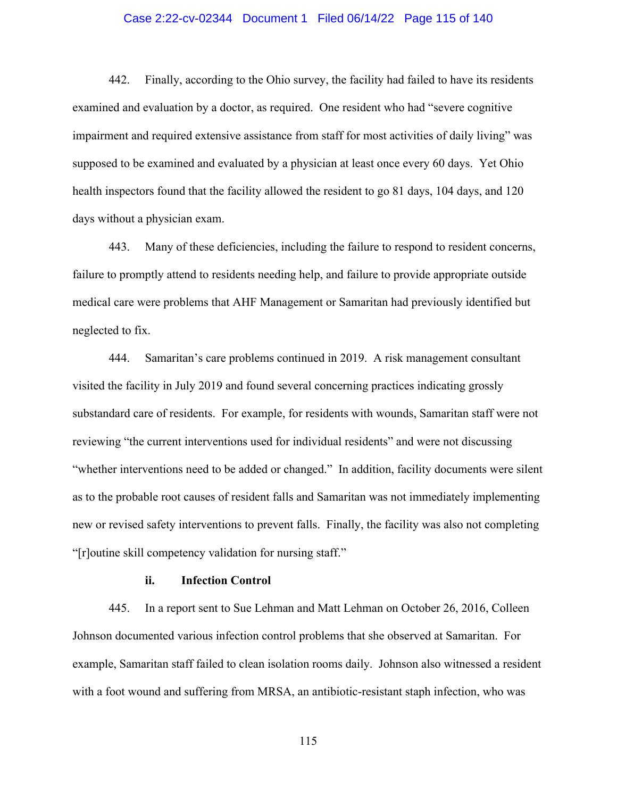## Case 2:22-cv-02344 Document 1 Filed 06/14/22 Page 115 of 140

442. Finally, according to the Ohio survey, the facility had failed to have its residents examined and evaluation by a doctor, as required. One resident who had "severe cognitive impairment and required extensive assistance from staff for most activities of daily living" was supposed to be examined and evaluated by a physician at least once every 60 days. Yet Ohio health inspectors found that the facility allowed the resident to go 81 days, 104 days, and 120 days without a physician exam.

443. Many of these deficiencies, including the failure to respond to resident concerns, failure to promptly attend to residents needing help, and failure to provide appropriate outside medical care were problems that AHF Management or Samaritan had previously identified but neglected to fix.

444. Samaritan's care problems continued in 2019. A risk management consultant visited the facility in July 2019 and found several concerning practices indicating grossly substandard care of residents. For example, for residents with wounds, Samaritan staff were not reviewing "the current interventions used for individual residents" and were not discussing "whether interventions need to be added or changed." In addition, facility documents were silent as to the probable root causes of resident falls and Samaritan was not immediately implementing new or revised safety interventions to prevent falls. Finally, the facility was also not completing "[r]outine skill competency validation for nursing staff."

### **ii. Infection Control**

445. In a report sent to Sue Lehman and Matt Lehman on October 26, 2016, Colleen Johnson documented various infection control problems that she observed at Samaritan. For example, Samaritan staff failed to clean isolation rooms daily. Johnson also witnessed a resident with a foot wound and suffering from MRSA, an antibiotic-resistant staph infection, who was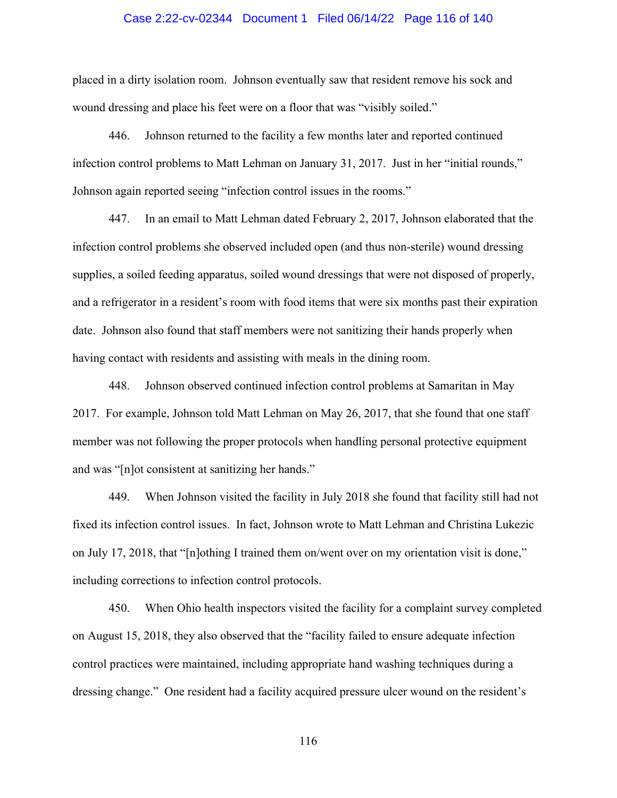#### Case 2:22-cv-02344 Document 1 Filed 06/14/22 Page 116 of 140

placed in a dirty isolation room. Johnson eventually saw that resident remove his sock and wound dressing and place his feet were on a floor that was "visibly soiled."

446. Johnson returned to the facility a few months later and reported continued infection control problems to Matt Lehman on January 31, 2017. Just in her "initial rounds," Johnson again reported seeing "infection control issues in the rooms."

447. In an email to Matt Lehman dated February 2, 2017, Johnson elaborated that the infection control problems she observed included open (and thus non-sterile) wound dressing supplies, a soiled feeding apparatus, soiled wound dressings that were not disposed of properly, and a refrigerator in a resident's room with food items that were six months past their expiration date. Johnson also found that staff members were not sanitizing their hands properly when having contact with residents and assisting with meals in the dining room.

448. Johnson observed continued infection control problems at Samaritan in May 2017. For example, Johnson told Matt Lehman on May 26, 2017, that she found that one staff member was not following the proper protocols when handling personal protective equipment and was "[n]ot consistent at sanitizing her hands."

449. When Johnson visited the facility in July 2018 she found that facility still had not fixed its infection control issues. In fact, Johnson wrote to Matt Lehman and Christina Lukezic on July 17, 2018, that "[n]othing I trained them on/went over on my orientation visit is done," including corrections to infection control protocols.

450. When Ohio health inspectors visited the facility for a complaint survey completed on August 15, 2018, they also observed that the "facility failed to ensure adequate infection control practices were maintained, including appropriate hand washing techniques during a dressing change." One resident had a facility acquired pressure ulcer wound on the resident's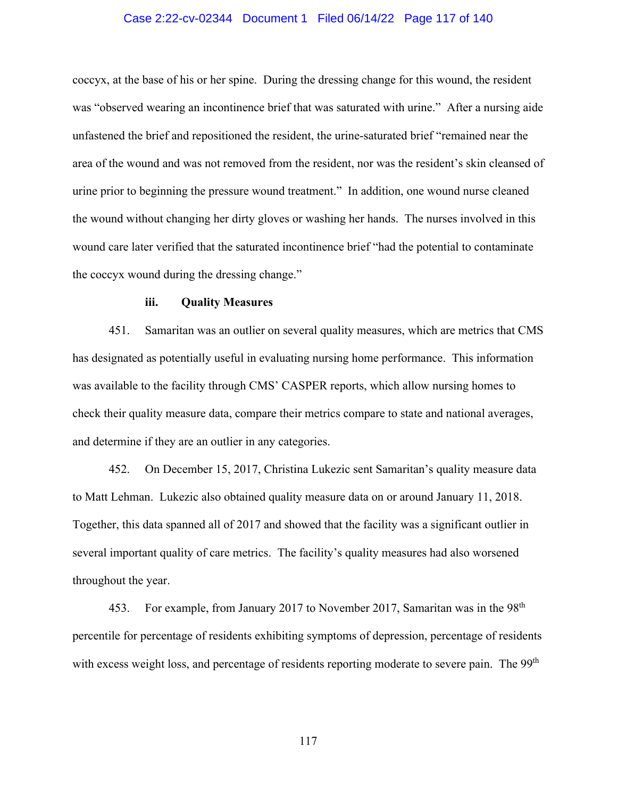### Case 2:22-cv-02344 Document 1 Filed 06/14/22 Page 117 of 140

coccyx, at the base of his or her spine. During the dressing change for this wound, the resident was "observed wearing an incontinence brief that was saturated with urine." After a nursing aide unfastened the brief and repositioned the resident, the urine-saturated brief "remained near the area of the wound and was not removed from the resident, nor was the resident's skin cleansed of urine prior to beginning the pressure wound treatment." In addition, one wound nurse cleaned the wound without changing her dirty gloves or washing her hands. The nurses involved in this wound care later verified that the saturated incontinence brief "had the potential to contaminate the coccyx wound during the dressing change."

## **iii. Quality Measures**

451. Samaritan was an outlier on several quality measures, which are metrics that CMS has designated as potentially useful in evaluating nursing home performance. This information was available to the facility through CMS' CASPER reports, which allow nursing homes to check their quality measure data, compare their metrics compare to state and national averages, and determine if they are an outlier in any categories.

452. On December 15, 2017, Christina Lukezic sent Samaritan's quality measure data to Matt Lehman. Lukezic also obtained quality measure data on or around January 11, 2018. Together, this data spanned all of 2017 and showed that the facility was a significant outlier in several important quality of care metrics. The facility's quality measures had also worsened throughout the year.

453. For example, from January 2017 to November 2017, Samaritan was in the 98<sup>th</sup> percentile for percentage of residents exhibiting symptoms of depression, percentage of residents with excess weight loss, and percentage of residents reporting moderate to severe pain. The 99<sup>th</sup>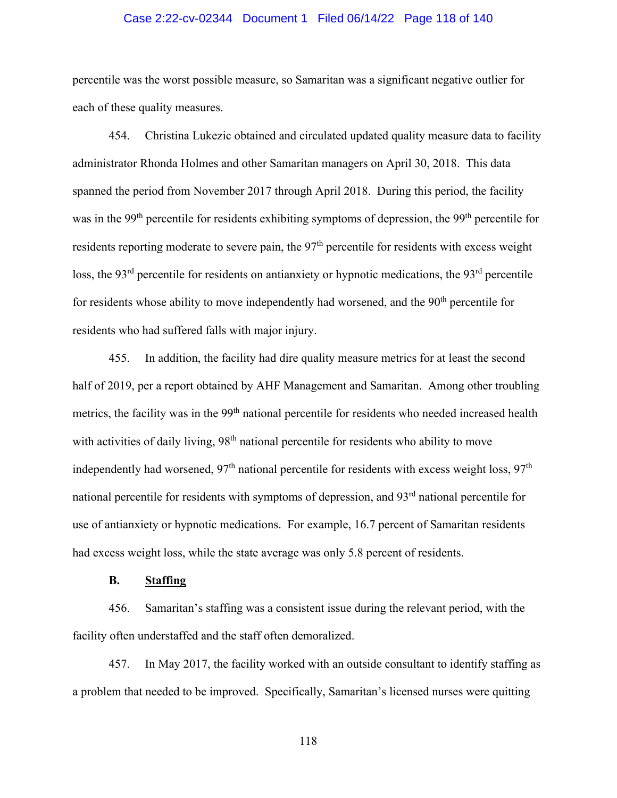# Case 2:22-cv-02344 Document 1 Filed 06/14/22 Page 118 of 140

percentile was the worst possible measure, so Samaritan was a significant negative outlier for each of these quality measures.

454. Christina Lukezic obtained and circulated updated quality measure data to facility administrator Rhonda Holmes and other Samaritan managers on April 30, 2018. This data spanned the period from November 2017 through April 2018. During this period, the facility was in the 99<sup>th</sup> percentile for residents exhibiting symptoms of depression, the 99<sup>th</sup> percentile for residents reporting moderate to severe pain, the  $97<sup>th</sup>$  percentile for residents with excess weight loss, the 93<sup>rd</sup> percentile for residents on antianxiety or hypnotic medications, the 93<sup>rd</sup> percentile for residents whose ability to move independently had worsened, and the  $90<sup>th</sup>$  percentile for residents who had suffered falls with major injury.

455. In addition, the facility had dire quality measure metrics for at least the second half of 2019, per a report obtained by AHF Management and Samaritan. Among other troubling metrics, the facility was in the 99<sup>th</sup> national percentile for residents who needed increased health with activities of daily living, 98<sup>th</sup> national percentile for residents who ability to move independently had worsened,  $97<sup>th</sup>$  national percentile for residents with excess weight loss,  $97<sup>th</sup>$ national percentile for residents with symptoms of depression, and 93<sup>rd</sup> national percentile for use of antianxiety or hypnotic medications. For example, 16.7 percent of Samaritan residents had excess weight loss, while the state average was only 5.8 percent of residents.

## **B. Staffing**

456. Samaritan's staffing was a consistent issue during the relevant period, with the facility often understaffed and the staff often demoralized.

457. In May 2017, the facility worked with an outside consultant to identify staffing as a problem that needed to be improved. Specifically, Samaritan's licensed nurses were quitting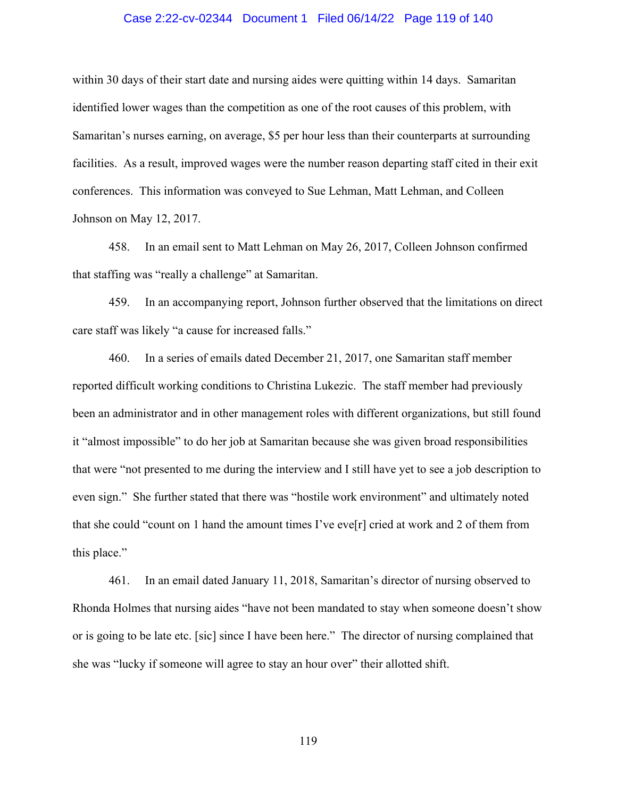### Case 2:22-cv-02344 Document 1 Filed 06/14/22 Page 119 of 140

within 30 days of their start date and nursing aides were quitting within 14 days. Samaritan identified lower wages than the competition as one of the root causes of this problem, with Samaritan's nurses earning, on average, \$5 per hour less than their counterparts at surrounding facilities. As a result, improved wages were the number reason departing staff cited in their exit conferences. This information was conveyed to Sue Lehman, Matt Lehman, and Colleen Johnson on May 12, 2017.

458. In an email sent to Matt Lehman on May 26, 2017, Colleen Johnson confirmed that staffing was "really a challenge" at Samaritan.

459. In an accompanying report, Johnson further observed that the limitations on direct care staff was likely "a cause for increased falls."

460. In a series of emails dated December 21, 2017, one Samaritan staff member reported difficult working conditions to Christina Lukezic. The staff member had previously been an administrator and in other management roles with different organizations, but still found it "almost impossible" to do her job at Samaritan because she was given broad responsibilities that were "not presented to me during the interview and I still have yet to see a job description to even sign." She further stated that there was "hostile work environment" and ultimately noted that she could "count on 1 hand the amount times I've eve<sup>[r]</sup> cried at work and 2 of them from this place."

461. In an email dated January 11, 2018, Samaritan's director of nursing observed to Rhonda Holmes that nursing aides "have not been mandated to stay when someone doesn't show or is going to be late etc. [sic] since I have been here." The director of nursing complained that she was "lucky if someone will agree to stay an hour over" their allotted shift.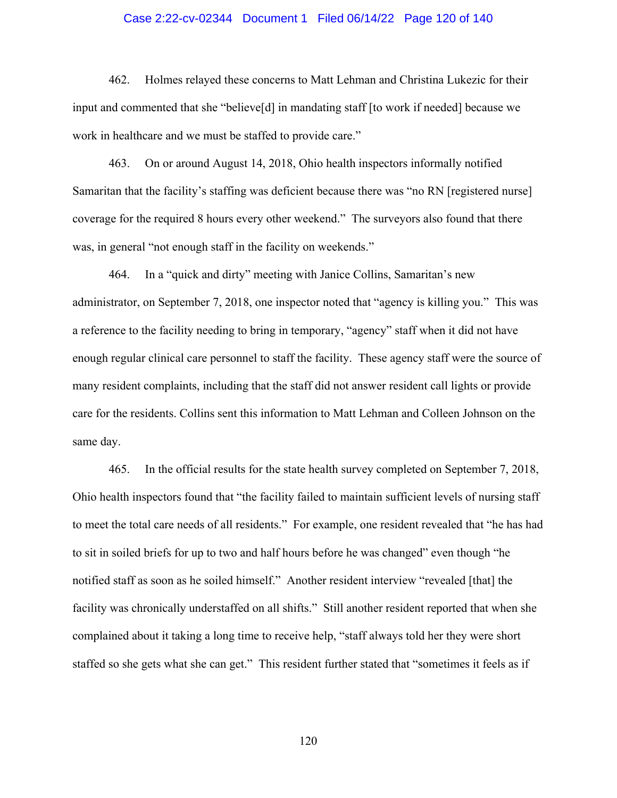### Case 2:22-cv-02344 Document 1 Filed 06/14/22 Page 120 of 140

462. Holmes relayed these concerns to Matt Lehman and Christina Lukezic for their input and commented that she "believe[d] in mandating staff [to work if needed] because we work in healthcare and we must be staffed to provide care."

463. On or around August 14, 2018, Ohio health inspectors informally notified Samaritan that the facility's staffing was deficient because there was "no RN [registered nurse] coverage for the required 8 hours every other weekend." The surveyors also found that there was, in general "not enough staff in the facility on weekends."

464. In a "quick and dirty" meeting with Janice Collins, Samaritan's new administrator, on September 7, 2018, one inspector noted that "agency is killing you." This was a reference to the facility needing to bring in temporary, "agency" staff when it did not have enough regular clinical care personnel to staff the facility. These agency staff were the source of many resident complaints, including that the staff did not answer resident call lights or provide care for the residents. Collins sent this information to Matt Lehman and Colleen Johnson on the same day.

465. In the official results for the state health survey completed on September 7, 2018, Ohio health inspectors found that "the facility failed to maintain sufficient levels of nursing staff to meet the total care needs of all residents." For example, one resident revealed that "he has had to sit in soiled briefs for up to two and half hours before he was changed" even though "he notified staff as soon as he soiled himself." Another resident interview "revealed [that] the facility was chronically understaffed on all shifts." Still another resident reported that when she complained about it taking a long time to receive help, "staff always told her they were short staffed so she gets what she can get." This resident further stated that "sometimes it feels as if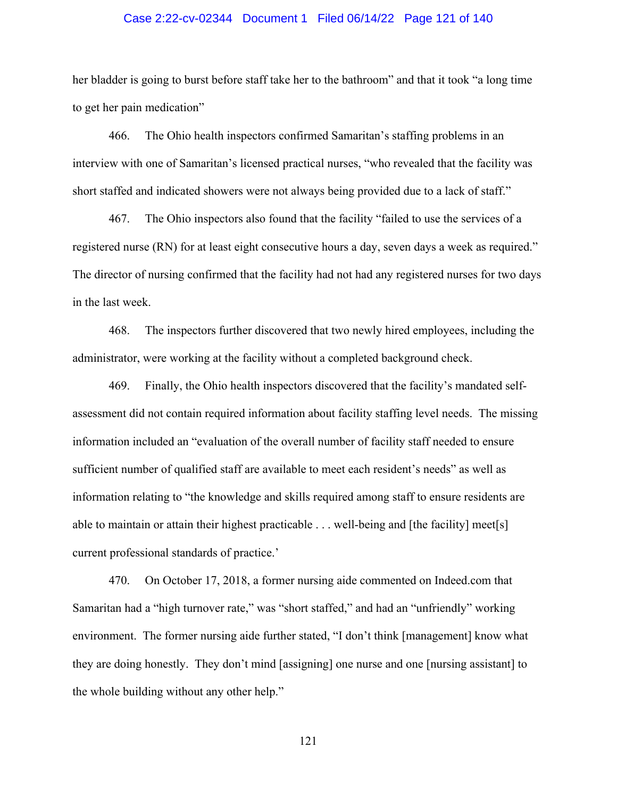#### Case 2:22-cv-02344 Document 1 Filed 06/14/22 Page 121 of 140

her bladder is going to burst before staff take her to the bathroom" and that it took "a long time to get her pain medication"

466. The Ohio health inspectors confirmed Samaritan's staffing problems in an interview with one of Samaritan's licensed practical nurses, "who revealed that the facility was short staffed and indicated showers were not always being provided due to a lack of staff."

467. The Ohio inspectors also found that the facility "failed to use the services of a registered nurse (RN) for at least eight consecutive hours a day, seven days a week as required." The director of nursing confirmed that the facility had not had any registered nurses for two days in the last week.

468. The inspectors further discovered that two newly hired employees, including the administrator, were working at the facility without a completed background check.

469. Finally, the Ohio health inspectors discovered that the facility's mandated selfassessment did not contain required information about facility staffing level needs. The missing information included an "evaluation of the overall number of facility staff needed to ensure sufficient number of qualified staff are available to meet each resident's needs" as well as information relating to "the knowledge and skills required among staff to ensure residents are able to maintain or attain their highest practicable . . . well-being and [the facility] meet[s] current professional standards of practice.'

470. On October 17, 2018, a former nursing aide commented on Indeed.com that Samaritan had a "high turnover rate," was "short staffed," and had an "unfriendly" working environment. The former nursing aide further stated, "I don't think [management] know what they are doing honestly. They don't mind [assigning] one nurse and one [nursing assistant] to the whole building without any other help."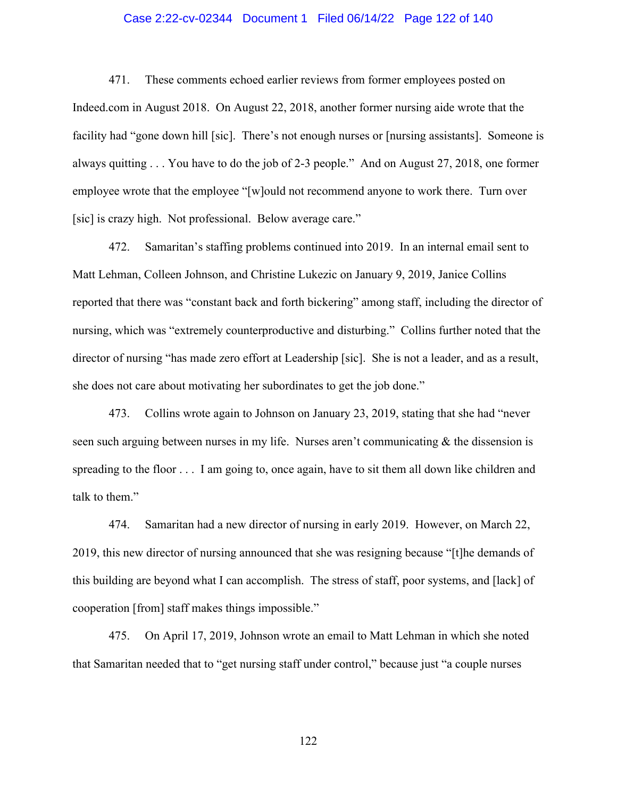### Case 2:22-cv-02344 Document 1 Filed 06/14/22 Page 122 of 140

471. These comments echoed earlier reviews from former employees posted on Indeed.com in August 2018. On August 22, 2018, another former nursing aide wrote that the facility had "gone down hill [sic]. There's not enough nurses or [nursing assistants]. Someone is always quitting . . . You have to do the job of 2-3 people." And on August 27, 2018, one former employee wrote that the employee "[w]ould not recommend anyone to work there. Turn over [sic] is crazy high. Not professional. Below average care."

472. Samaritan's staffing problems continued into 2019. In an internal email sent to Matt Lehman, Colleen Johnson, and Christine Lukezic on January 9, 2019, Janice Collins reported that there was "constant back and forth bickering" among staff, including the director of nursing, which was "extremely counterproductive and disturbing." Collins further noted that the director of nursing "has made zero effort at Leadership [sic]. She is not a leader, and as a result, she does not care about motivating her subordinates to get the job done."

473. Collins wrote again to Johnson on January 23, 2019, stating that she had "never seen such arguing between nurses in my life. Nurses aren't communicating  $\&$  the dissension is spreading to the floor . . . I am going to, once again, have to sit them all down like children and talk to them."

474. Samaritan had a new director of nursing in early 2019. However, on March 22, 2019, this new director of nursing announced that she was resigning because "[t]he demands of this building are beyond what I can accomplish. The stress of staff, poor systems, and [lack] of cooperation [from] staff makes things impossible."

475. On April 17, 2019, Johnson wrote an email to Matt Lehman in which she noted that Samaritan needed that to "get nursing staff under control," because just "a couple nurses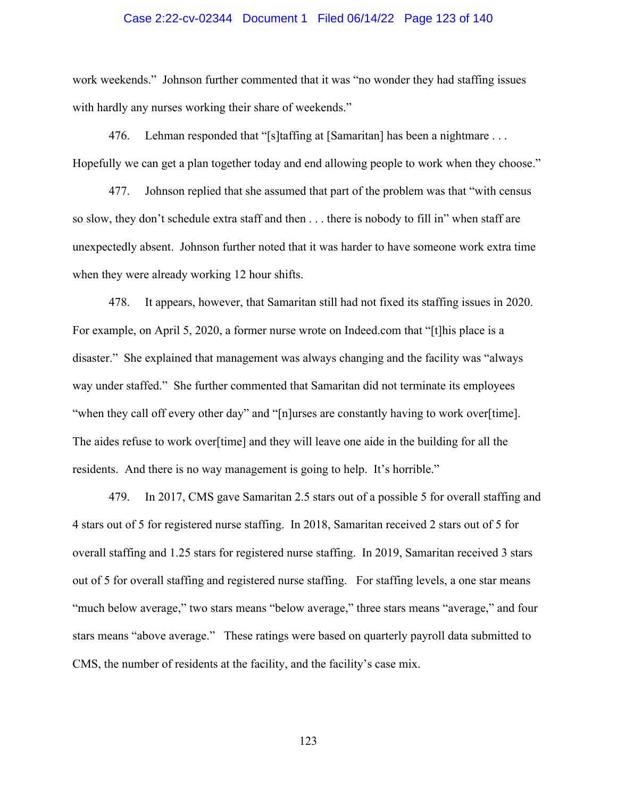#### Case 2:22-cv-02344 Document 1 Filed 06/14/22 Page 123 of 140

work weekends." Johnson further commented that it was "no wonder they had staffing issues with hardly any nurses working their share of weekends."

476. Lehman responded that "[s]taffing at [Samaritan] has been a nightmare . . . Hopefully we can get a plan together today and end allowing people to work when they choose."

477. Johnson replied that she assumed that part of the problem was that "with census so slow, they don't schedule extra staff and then . . . there is nobody to fill in" when staff are unexpectedly absent. Johnson further noted that it was harder to have someone work extra time when they were already working 12 hour shifts.

478. It appears, however, that Samaritan still had not fixed its staffing issues in 2020. For example, on April 5, 2020, a former nurse wrote on Indeed.com that "[t]his place is a disaster." She explained that management was always changing and the facility was "always way under staffed." She further commented that Samaritan did not terminate its employees "when they call off every other day" and "[n]urses are constantly having to work over[time]. The aides refuse to work over[time] and they will leave one aide in the building for all the residents. And there is no way management is going to help. It's horrible."

479. In 2017, CMS gave Samaritan 2.5 stars out of a possible 5 for overall staffing and 4 stars out of 5 for registered nurse staffing. In 2018, Samaritan received 2 stars out of 5 for overall staffing and 1.25 stars for registered nurse staffing. In 2019, Samaritan received 3 stars out of 5 for overall staffing and registered nurse staffing. For staffing levels, a one star means "much below average," two stars means "below average," three stars means "average," and four stars means "above average." These ratings were based on quarterly payroll data submitted to CMS, the number of residents at the facility, and the facility's case mix.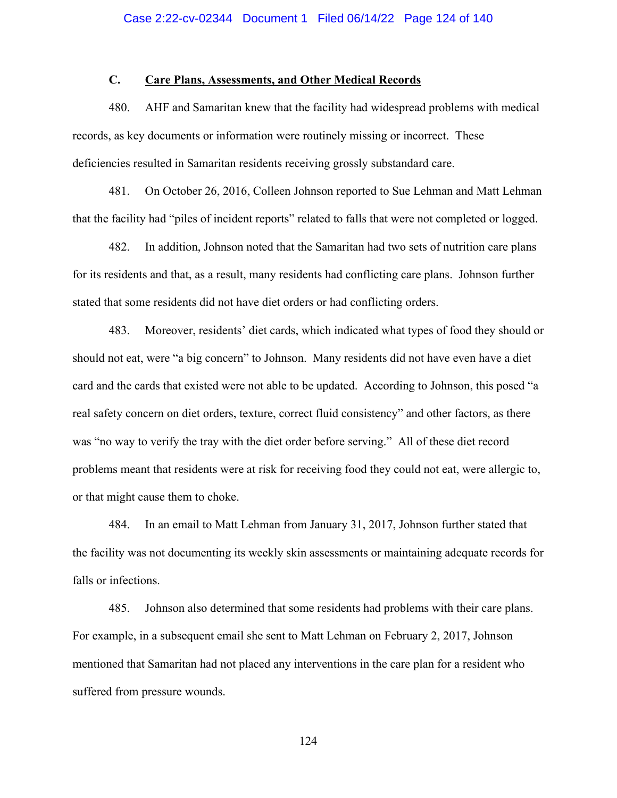# **C. Care Plans, Assessments, and Other Medical Records**

480. AHF and Samaritan knew that the facility had widespread problems with medical records, as key documents or information were routinely missing or incorrect. These deficiencies resulted in Samaritan residents receiving grossly substandard care.

481. On October 26, 2016, Colleen Johnson reported to Sue Lehman and Matt Lehman that the facility had "piles of incident reports" related to falls that were not completed or logged.

482. In addition, Johnson noted that the Samaritan had two sets of nutrition care plans for its residents and that, as a result, many residents had conflicting care plans. Johnson further stated that some residents did not have diet orders or had conflicting orders.

483. Moreover, residents' diet cards, which indicated what types of food they should or should not eat, were "a big concern" to Johnson. Many residents did not have even have a diet card and the cards that existed were not able to be updated. According to Johnson, this posed "a real safety concern on diet orders, texture, correct fluid consistency" and other factors, as there was "no way to verify the tray with the diet order before serving." All of these diet record problems meant that residents were at risk for receiving food they could not eat, were allergic to, or that might cause them to choke.

484. In an email to Matt Lehman from January 31, 2017, Johnson further stated that the facility was not documenting its weekly skin assessments or maintaining adequate records for falls or infections.

485. Johnson also determined that some residents had problems with their care plans. For example, in a subsequent email she sent to Matt Lehman on February 2, 2017, Johnson mentioned that Samaritan had not placed any interventions in the care plan for a resident who suffered from pressure wounds.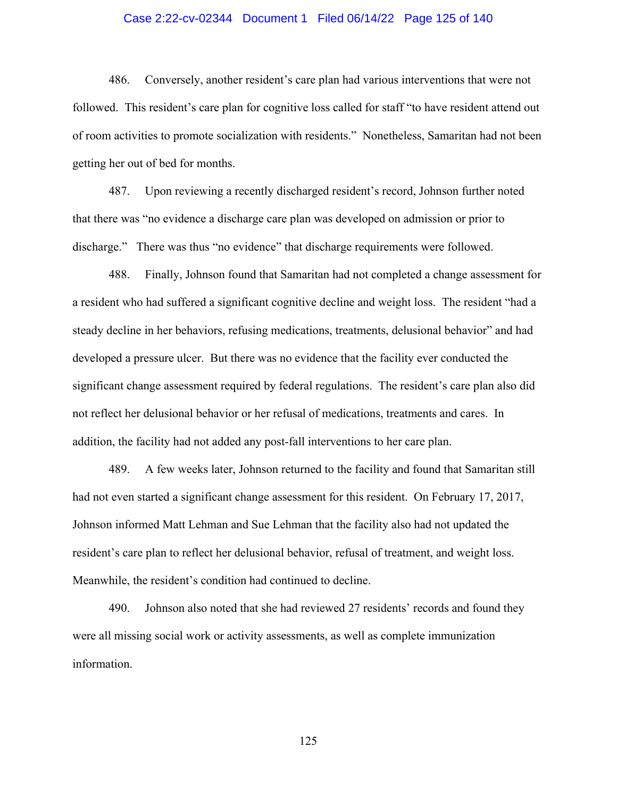### Case 2:22-cv-02344 Document 1 Filed 06/14/22 Page 125 of 140

486. Conversely, another resident's care plan had various interventions that were not followed. This resident's care plan for cognitive loss called for staff "to have resident attend out of room activities to promote socialization with residents." Nonetheless, Samaritan had not been getting her out of bed for months.

487. Upon reviewing a recently discharged resident's record, Johnson further noted that there was "no evidence a discharge care plan was developed on admission or prior to discharge." There was thus "no evidence" that discharge requirements were followed.

488. Finally, Johnson found that Samaritan had not completed a change assessment for a resident who had suffered a significant cognitive decline and weight loss. The resident "had a steady decline in her behaviors, refusing medications, treatments, delusional behavior" and had developed a pressure ulcer. But there was no evidence that the facility ever conducted the significant change assessment required by federal regulations. The resident's care plan also did not reflect her delusional behavior or her refusal of medications, treatments and cares. In addition, the facility had not added any post-fall interventions to her care plan.

489. A few weeks later, Johnson returned to the facility and found that Samaritan still had not even started a significant change assessment for this resident. On February 17, 2017, Johnson informed Matt Lehman and Sue Lehman that the facility also had not updated the resident's care plan to reflect her delusional behavior, refusal of treatment, and weight loss. Meanwhile, the resident's condition had continued to decline.

490. Johnson also noted that she had reviewed 27 residents' records and found they were all missing social work or activity assessments, as well as complete immunization information.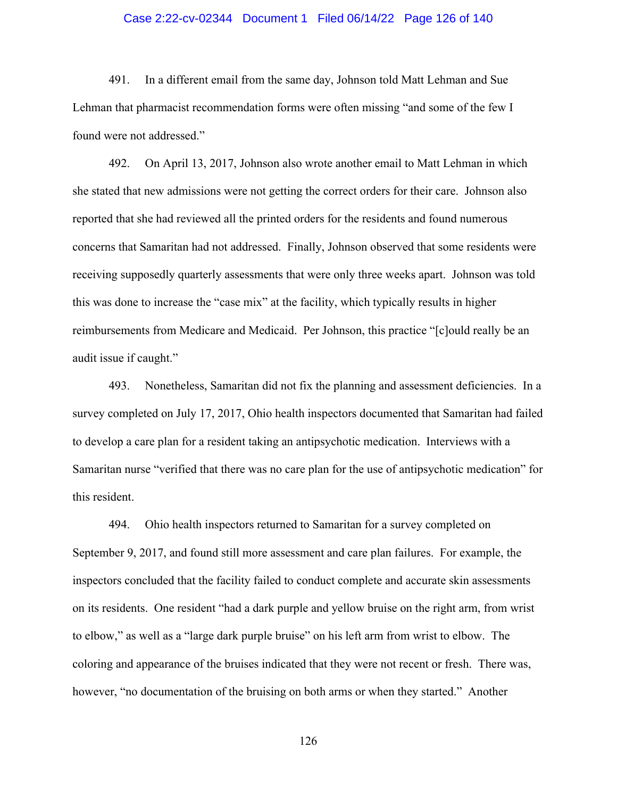### Case 2:22-cv-02344 Document 1 Filed 06/14/22 Page 126 of 140

491. In a different email from the same day, Johnson told Matt Lehman and Sue Lehman that pharmacist recommendation forms were often missing "and some of the few I found were not addressed."

492. On April 13, 2017, Johnson also wrote another email to Matt Lehman in which she stated that new admissions were not getting the correct orders for their care. Johnson also reported that she had reviewed all the printed orders for the residents and found numerous concerns that Samaritan had not addressed. Finally, Johnson observed that some residents were receiving supposedly quarterly assessments that were only three weeks apart. Johnson was told this was done to increase the "case mix" at the facility, which typically results in higher reimbursements from Medicare and Medicaid. Per Johnson, this practice "[c]ould really be an audit issue if caught."

493. Nonetheless, Samaritan did not fix the planning and assessment deficiencies. In a survey completed on July 17, 2017, Ohio health inspectors documented that Samaritan had failed to develop a care plan for a resident taking an antipsychotic medication. Interviews with a Samaritan nurse "verified that there was no care plan for the use of antipsychotic medication" for this resident.

494. Ohio health inspectors returned to Samaritan for a survey completed on September 9, 2017, and found still more assessment and care plan failures. For example, the inspectors concluded that the facility failed to conduct complete and accurate skin assessments on its residents. One resident "had a dark purple and yellow bruise on the right arm, from wrist to elbow," as well as a "large dark purple bruise" on his left arm from wrist to elbow. The coloring and appearance of the bruises indicated that they were not recent or fresh. There was, however, "no documentation of the bruising on both arms or when they started." Another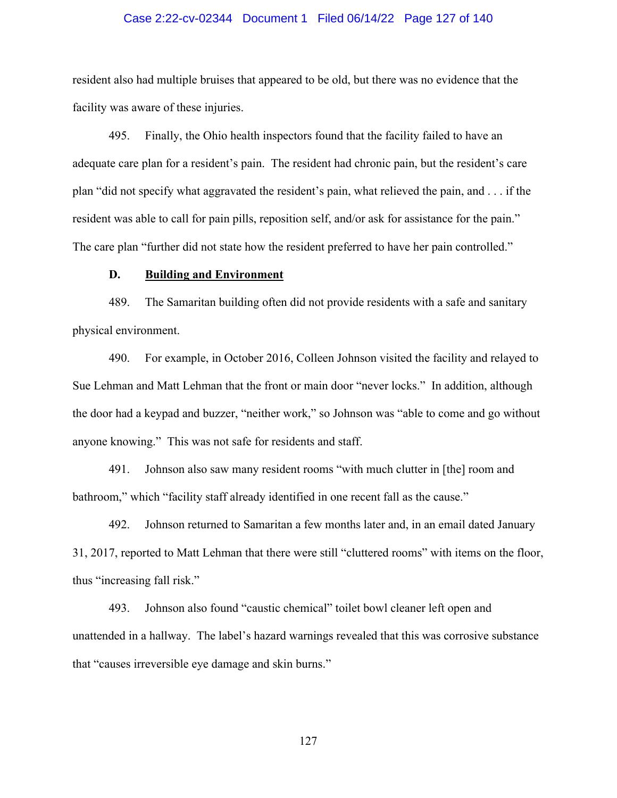### Case 2:22-cv-02344 Document 1 Filed 06/14/22 Page 127 of 140

resident also had multiple bruises that appeared to be old, but there was no evidence that the facility was aware of these injuries.

495. Finally, the Ohio health inspectors found that the facility failed to have an adequate care plan for a resident's pain. The resident had chronic pain, but the resident's care plan "did not specify what aggravated the resident's pain, what relieved the pain, and . . . if the resident was able to call for pain pills, reposition self, and/or ask for assistance for the pain." The care plan "further did not state how the resident preferred to have her pain controlled."

### **D. Building and Environment**

489. The Samaritan building often did not provide residents with a safe and sanitary physical environment.

490. For example, in October 2016, Colleen Johnson visited the facility and relayed to Sue Lehman and Matt Lehman that the front or main door "never locks." In addition, although the door had a keypad and buzzer, "neither work," so Johnson was "able to come and go without anyone knowing." This was not safe for residents and staff.

491. Johnson also saw many resident rooms "with much clutter in [the] room and bathroom," which "facility staff already identified in one recent fall as the cause."

492. Johnson returned to Samaritan a few months later and, in an email dated January 31, 2017, reported to Matt Lehman that there were still "cluttered rooms" with items on the floor, thus "increasing fall risk."

493. Johnson also found "caustic chemical" toilet bowl cleaner left open and unattended in a hallway. The label's hazard warnings revealed that this was corrosive substance that "causes irreversible eye damage and skin burns."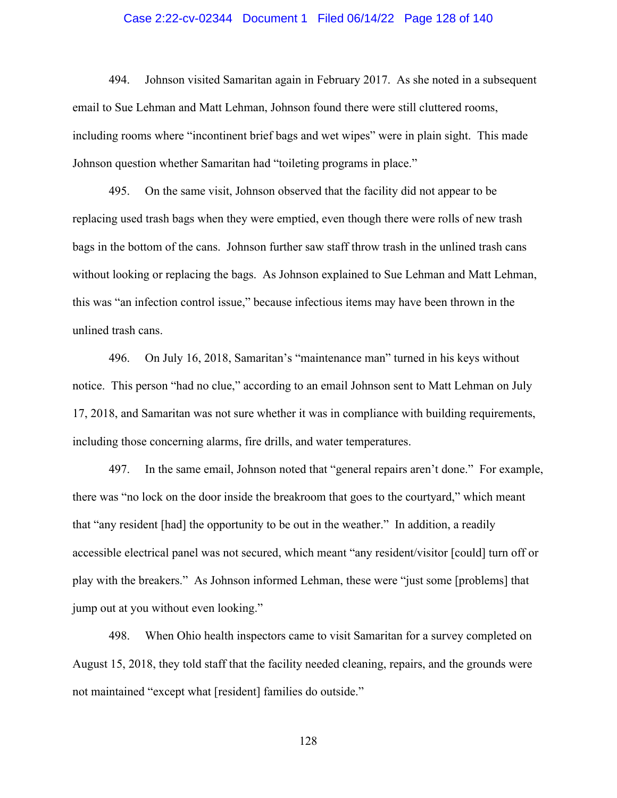### Case 2:22-cv-02344 Document 1 Filed 06/14/22 Page 128 of 140

494. Johnson visited Samaritan again in February 2017. As she noted in a subsequent email to Sue Lehman and Matt Lehman, Johnson found there were still cluttered rooms, including rooms where "incontinent brief bags and wet wipes" were in plain sight. This made Johnson question whether Samaritan had "toileting programs in place."

495. On the same visit, Johnson observed that the facility did not appear to be replacing used trash bags when they were emptied, even though there were rolls of new trash bags in the bottom of the cans. Johnson further saw staff throw trash in the unlined trash cans without looking or replacing the bags. As Johnson explained to Sue Lehman and Matt Lehman, this was "an infection control issue," because infectious items may have been thrown in the unlined trash cans.

496. On July 16, 2018, Samaritan's "maintenance man" turned in his keys without notice. This person "had no clue," according to an email Johnson sent to Matt Lehman on July 17, 2018, and Samaritan was not sure whether it was in compliance with building requirements, including those concerning alarms, fire drills, and water temperatures.

497. In the same email, Johnson noted that "general repairs aren't done." For example, there was "no lock on the door inside the breakroom that goes to the courtyard," which meant that "any resident [had] the opportunity to be out in the weather." In addition, a readily accessible electrical panel was not secured, which meant "any resident/visitor [could] turn off or play with the breakers." As Johnson informed Lehman, these were "just some [problems] that jump out at you without even looking."

498. When Ohio health inspectors came to visit Samaritan for a survey completed on August 15, 2018, they told staff that the facility needed cleaning, repairs, and the grounds were not maintained "except what [resident] families do outside."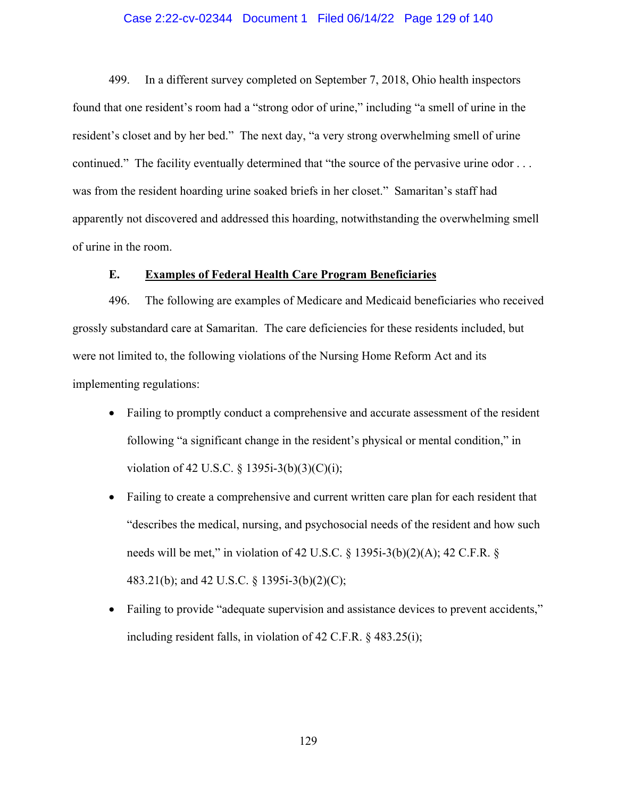## Case 2:22-cv-02344 Document 1 Filed 06/14/22 Page 129 of 140

499. In a different survey completed on September 7, 2018, Ohio health inspectors found that one resident's room had a "strong odor of urine," including "a smell of urine in the resident's closet and by her bed." The next day, "a very strong overwhelming smell of urine continued." The facility eventually determined that "the source of the pervasive urine odor ... was from the resident hoarding urine soaked briefs in her closet." Samaritan's staff had apparently not discovered and addressed this hoarding, notwithstanding the overwhelming smell of urine in the room.

### **E. Examples of Federal Health Care Program Beneficiaries**

496. The following are examples of Medicare and Medicaid beneficiaries who received grossly substandard care at Samaritan. The care deficiencies for these residents included, but were not limited to, the following violations of the Nursing Home Reform Act and its implementing regulations:

- Failing to promptly conduct a comprehensive and accurate assessment of the resident following "a significant change in the resident's physical or mental condition," in violation of 42 U.S.C. § 1395i-3(b)(3)(C)(i);
- Failing to create a comprehensive and current written care plan for each resident that "describes the medical, nursing, and psychosocial needs of the resident and how such needs will be met," in violation of 42 U.S.C.  $\S$  1395i-3(b)(2)(A); 42 C.F.R.  $\S$ 483.21(b); and 42 U.S.C. § 1395i-3(b)(2)(C);
- Failing to provide "adequate supervision and assistance devices to prevent accidents," including resident falls, in violation of 42 C.F.R. § 483.25(i);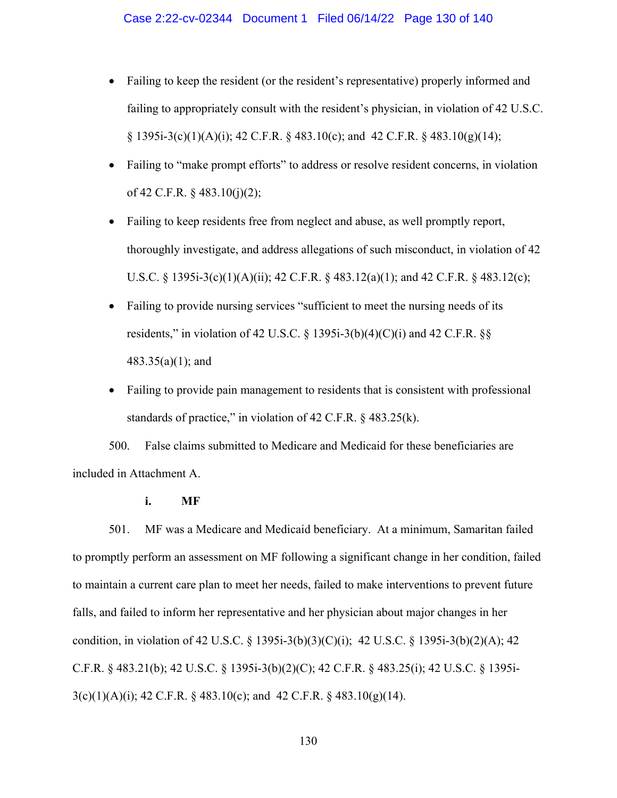#### Case 2:22-cv-02344 Document 1 Filed 06/14/22 Page 130 of 140

- Failing to keep the resident (or the resident's representative) properly informed and failing to appropriately consult with the resident's physician, in violation of 42 U.S.C.  $\S$  1395i-3(c)(1)(A)(i); 42 C.F.R.  $\S$  483.10(c); and 42 C.F.R.  $\S$  483.10(g)(14);
- Failing to "make prompt efforts" to address or resolve resident concerns, in violation of 42 C.F.R. § 483.10(j)(2);
- Failing to keep residents free from neglect and abuse, as well promptly report, thoroughly investigate, and address allegations of such misconduct, in violation of 42 U.S.C. § 1395i-3(c)(1)(A)(ii); 42 C.F.R. § 483.12(a)(1); and 42 C.F.R. § 483.12(c);
- Failing to provide nursing services "sufficient to meet the nursing needs of its residents," in violation of 42 U.S.C. § 1395i-3(b)(4)(C)(i) and 42 C.F.R. §§ 483.35(a)(1); and
- Failing to provide pain management to residents that is consistent with professional standards of practice," in violation of 42 C.F.R. § 483.25(k).

500. False claims submitted to Medicare and Medicaid for these beneficiaries are included in Attachment A.

## **i. MF**

501. MF was a Medicare and Medicaid beneficiary. At a minimum, Samaritan failed to promptly perform an assessment on MF following a significant change in her condition, failed to maintain a current care plan to meet her needs, failed to make interventions to prevent future falls, and failed to inform her representative and her physician about major changes in her condition, in violation of 42 U.S.C. § 1395i-3(b)(3)(C)(i); 42 U.S.C. § 1395i-3(b)(2)(A); 42 C.F.R. § 483.21(b); 42 U.S.C. § 1395i-3(b)(2)(C); 42 C.F.R. § 483.25(i); 42 U.S.C. § 1395i- $3(c)(1)(A)(i)$ ; 42 C.F.R. § 483.10(c); and 42 C.F.R. § 483.10(g)(14).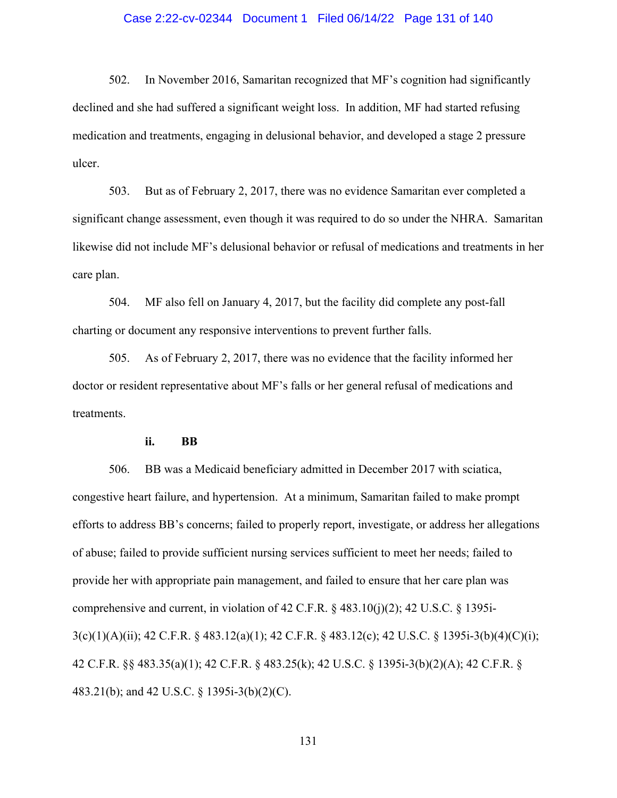### Case 2:22-cv-02344 Document 1 Filed 06/14/22 Page 131 of 140

502. In November 2016, Samaritan recognized that MF's cognition had significantly declined and she had suffered a significant weight loss. In addition, MF had started refusing medication and treatments, engaging in delusional behavior, and developed a stage 2 pressure ulcer.

503. But as of February 2, 2017, there was no evidence Samaritan ever completed a significant change assessment, even though it was required to do so under the NHRA. Samaritan likewise did not include MF's delusional behavior or refusal of medications and treatments in her care plan.

504. MF also fell on January 4, 2017, but the facility did complete any post-fall charting or document any responsive interventions to prevent further falls.

505. As of February 2, 2017, there was no evidence that the facility informed her doctor or resident representative about MF's falls or her general refusal of medications and treatments.

#### **ii. BB**

506. BB was a Medicaid beneficiary admitted in December 2017 with sciatica, congestive heart failure, and hypertension. At a minimum, Samaritan failed to make prompt efforts to address BB's concerns; failed to properly report, investigate, or address her allegations of abuse; failed to provide sufficient nursing services sufficient to meet her needs; failed to provide her with appropriate pain management, and failed to ensure that her care plan was comprehensive and current, in violation of 42 C.F.R.  $\S$  483.10(j)(2); 42 U.S.C.  $\S$  1395i-3(c)(1)(A)(ii); 42 C.F.R. § 483.12(a)(1); 42 C.F.R. § 483.12(c); 42 U.S.C. § 1395i-3(b)(4)(C)(i); 42 C.F.R. §§ 483.35(a)(1); 42 C.F.R. § 483.25(k); 42 U.S.C. § 1395i-3(b)(2)(A); 42 C.F.R. § 483.21(b); and 42 U.S.C. § 1395i-3(b)(2)(C).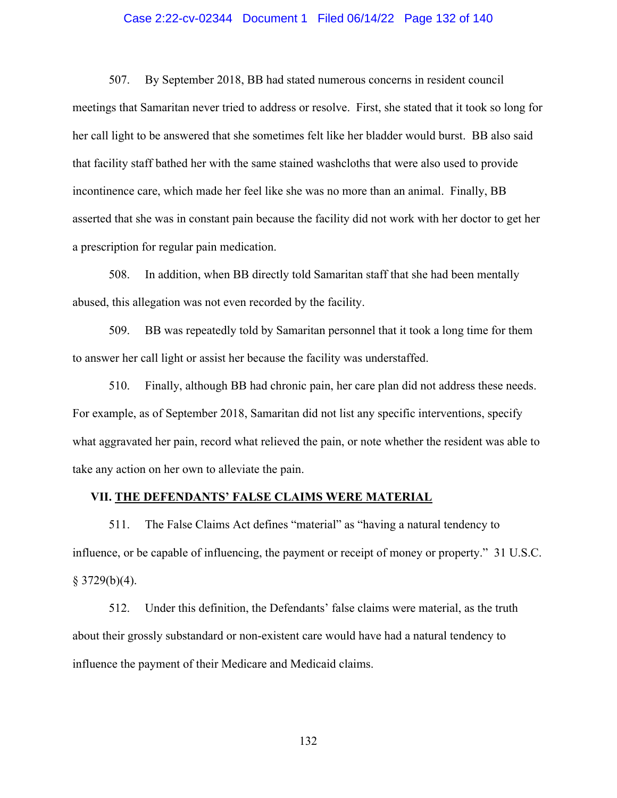### Case 2:22-cv-02344 Document 1 Filed 06/14/22 Page 132 of 140

507. By September 2018, BB had stated numerous concerns in resident council meetings that Samaritan never tried to address or resolve. First, she stated that it took so long for her call light to be answered that she sometimes felt like her bladder would burst. BB also said that facility staff bathed her with the same stained washcloths that were also used to provide incontinence care, which made her feel like she was no more than an animal. Finally, BB asserted that she was in constant pain because the facility did not work with her doctor to get her a prescription for regular pain medication.

508. In addition, when BB directly told Samaritan staff that she had been mentally abused, this allegation was not even recorded by the facility.

509. BB was repeatedly told by Samaritan personnel that it took a long time for them to answer her call light or assist her because the facility was understaffed.

510. Finally, although BB had chronic pain, her care plan did not address these needs. For example, as of September 2018, Samaritan did not list any specific interventions, specify what aggravated her pain, record what relieved the pain, or note whether the resident was able to take any action on her own to alleviate the pain.

#### **VII. THE DEFENDANTS' FALSE CLAIMS WERE MATERIAL**

511. The False Claims Act defines "material" as "having a natural tendency to influence, or be capable of influencing, the payment or receipt of money or property." 31 U.S.C.  $§$  3729(b)(4).

512. Under this definition, the Defendants' false claims were material, as the truth about their grossly substandard or non-existent care would have had a natural tendency to influence the payment of their Medicare and Medicaid claims.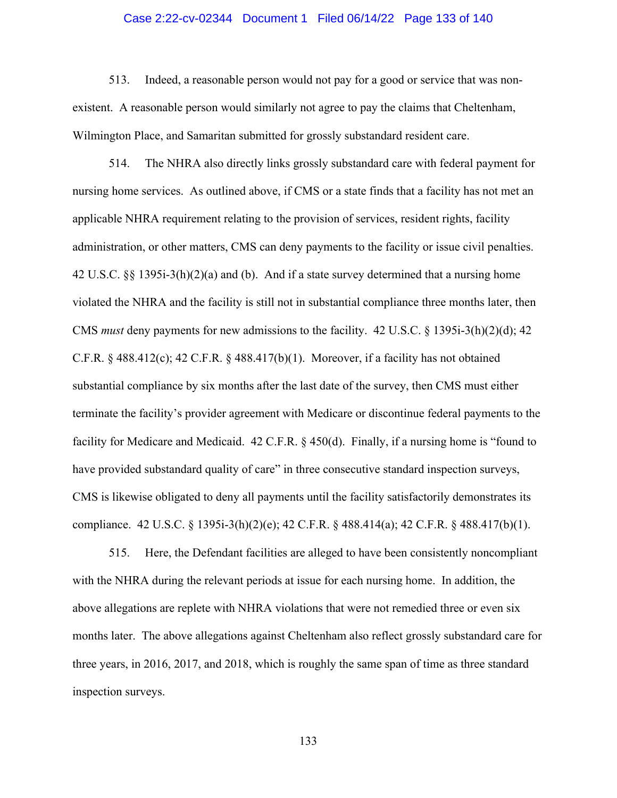### Case 2:22-cv-02344 Document 1 Filed 06/14/22 Page 133 of 140

513. Indeed, a reasonable person would not pay for a good or service that was nonexistent. A reasonable person would similarly not agree to pay the claims that Cheltenham, Wilmington Place, and Samaritan submitted for grossly substandard resident care.

514. The NHRA also directly links grossly substandard care with federal payment for nursing home services. As outlined above, if CMS or a state finds that a facility has not met an applicable NHRA requirement relating to the provision of services, resident rights, facility administration, or other matters, CMS can deny payments to the facility or issue civil penalties. 42 U.S.C.  $\S$ § 1395i-3(h)(2)(a) and (b). And if a state survey determined that a nursing home violated the NHRA and the facility is still not in substantial compliance three months later, then CMS *must* deny payments for new admissions to the facility. 42 U.S.C. § 1395i-3(h)(2)(d); 42 C.F.R.  $\S$  488.412(c); 42 C.F.R.  $\S$  488.417(b)(1). Moreover, if a facility has not obtained substantial compliance by six months after the last date of the survey, then CMS must either terminate the facility's provider agreement with Medicare or discontinue federal payments to the facility for Medicare and Medicaid. 42 C.F.R. § 450(d). Finally, if a nursing home is "found to have provided substandard quality of care" in three consecutive standard inspection surveys, CMS is likewise obligated to deny all payments until the facility satisfactorily demonstrates its compliance. 42 U.S.C. § 1395i-3(h)(2)(e); 42 C.F.R. § 488.414(a); 42 C.F.R. § 488.417(b)(1).

515. Here, the Defendant facilities are alleged to have been consistently noncompliant with the NHRA during the relevant periods at issue for each nursing home. In addition, the above allegations are replete with NHRA violations that were not remedied three or even six months later. The above allegations against Cheltenham also reflect grossly substandard care for three years, in 2016, 2017, and 2018, which is roughly the same span of time as three standard inspection surveys.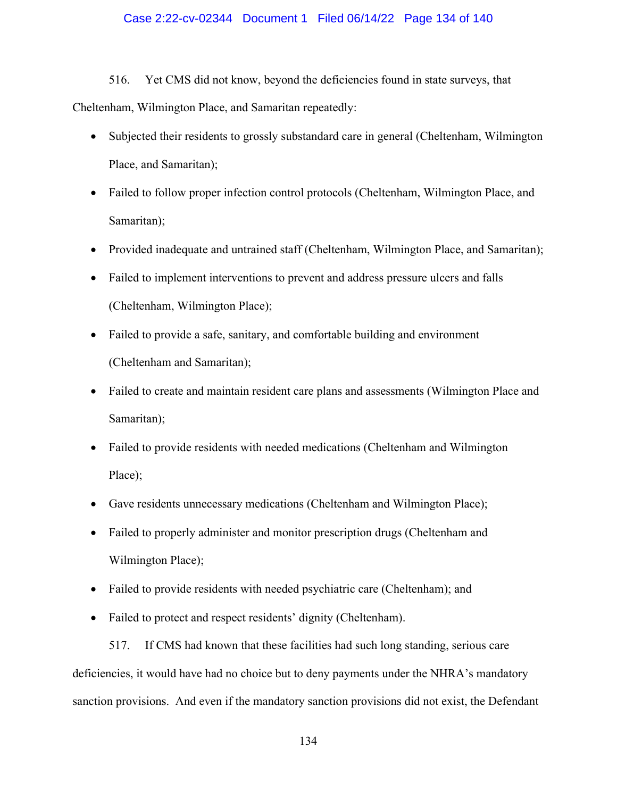## Case 2:22-cv-02344 Document 1 Filed 06/14/22 Page 134 of 140

516. Yet CMS did not know, beyond the deficiencies found in state surveys, that Cheltenham, Wilmington Place, and Samaritan repeatedly:

- Subjected their residents to grossly substandard care in general (Cheltenham, Wilmington Place, and Samaritan);
- Failed to follow proper infection control protocols (Cheltenham, Wilmington Place, and Samaritan);
- Provided inadequate and untrained staff (Cheltenham, Wilmington Place, and Samaritan);
- Failed to implement interventions to prevent and address pressure ulcers and falls (Cheltenham, Wilmington Place);
- Failed to provide a safe, sanitary, and comfortable building and environment (Cheltenham and Samaritan);
- Failed to create and maintain resident care plans and assessments (Wilmington Place and Samaritan);
- Failed to provide residents with needed medications (Cheltenham and Wilmington Place);
- Gave residents unnecessary medications (Cheltenham and Wilmington Place);
- Failed to properly administer and monitor prescription drugs (Cheltenham and Wilmington Place);
- Failed to provide residents with needed psychiatric care (Cheltenham); and
- Failed to protect and respect residents' dignity (Cheltenham).

517. If CMS had known that these facilities had such long standing, serious care deficiencies, it would have had no choice but to deny payments under the NHRA's mandatory sanction provisions. And even if the mandatory sanction provisions did not exist, the Defendant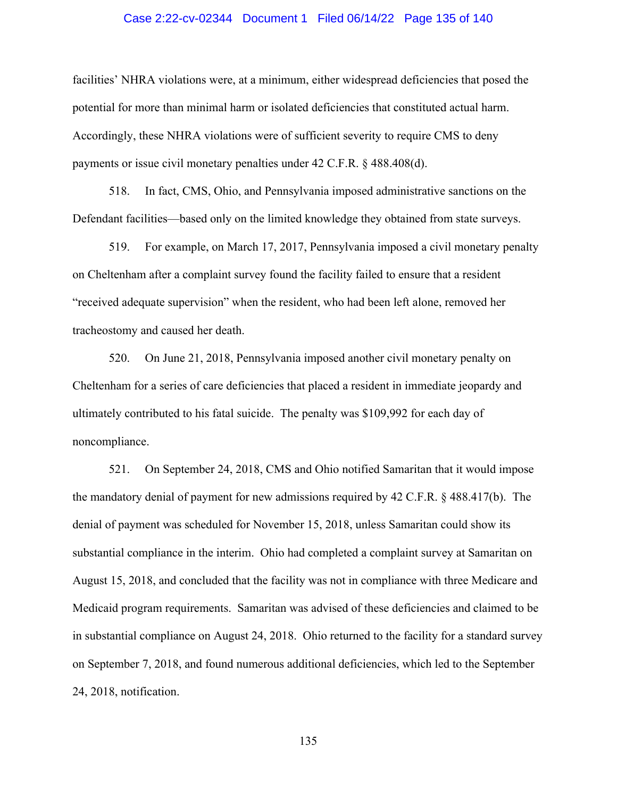### Case 2:22-cv-02344 Document 1 Filed 06/14/22 Page 135 of 140

facilities' NHRA violations were, at a minimum, either widespread deficiencies that posed the potential for more than minimal harm or isolated deficiencies that constituted actual harm. Accordingly, these NHRA violations were of sufficient severity to require CMS to deny payments or issue civil monetary penalties under 42 C.F.R. § 488.408(d).

518. In fact, CMS, Ohio, and Pennsylvania imposed administrative sanctions on the Defendant facilities—based only on the limited knowledge they obtained from state surveys.

519. For example, on March 17, 2017, Pennsylvania imposed a civil monetary penalty on Cheltenham after a complaint survey found the facility failed to ensure that a resident "received adequate supervision" when the resident, who had been left alone, removed her tracheostomy and caused her death.

520. On June 21, 2018, Pennsylvania imposed another civil monetary penalty on Cheltenham for a series of care deficiencies that placed a resident in immediate jeopardy and ultimately contributed to his fatal suicide. The penalty was \$109,992 for each day of noncompliance.

521. On September 24, 2018, CMS and Ohio notified Samaritan that it would impose the mandatory denial of payment for new admissions required by 42 C.F.R. § 488.417(b). The denial of payment was scheduled for November 15, 2018, unless Samaritan could show its substantial compliance in the interim. Ohio had completed a complaint survey at Samaritan on August 15, 2018, and concluded that the facility was not in compliance with three Medicare and Medicaid program requirements. Samaritan was advised of these deficiencies and claimed to be in substantial compliance on August 24, 2018. Ohio returned to the facility for a standard survey on September 7, 2018, and found numerous additional deficiencies, which led to the September 24, 2018, notification.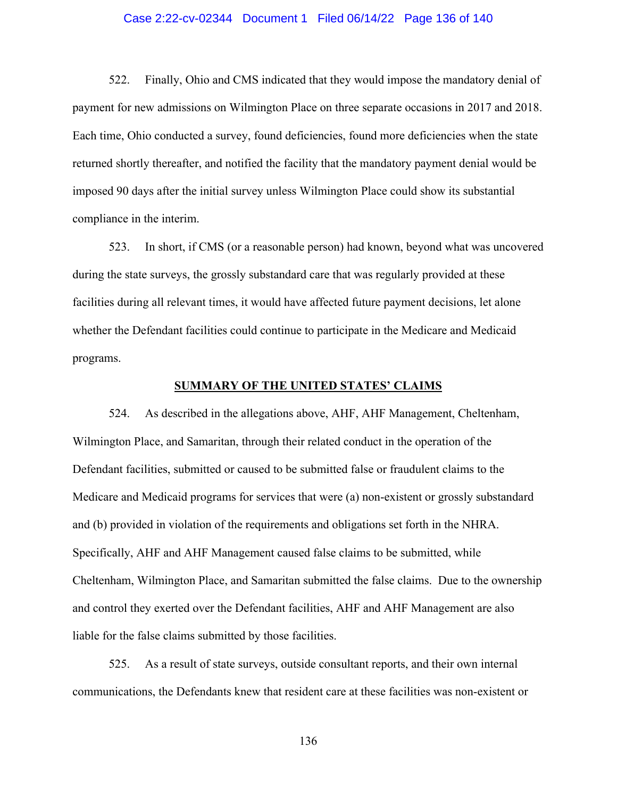### Case 2:22-cv-02344 Document 1 Filed 06/14/22 Page 136 of 140

522. Finally, Ohio and CMS indicated that they would impose the mandatory denial of payment for new admissions on Wilmington Place on three separate occasions in 2017 and 2018. Each time, Ohio conducted a survey, found deficiencies, found more deficiencies when the state returned shortly thereafter, and notified the facility that the mandatory payment denial would be imposed 90 days after the initial survey unless Wilmington Place could show its substantial compliance in the interim.

523. In short, if CMS (or a reasonable person) had known, beyond what was uncovered during the state surveys, the grossly substandard care that was regularly provided at these facilities during all relevant times, it would have affected future payment decisions, let alone whether the Defendant facilities could continue to participate in the Medicare and Medicaid programs.

### **SUMMARY OF THE UNITED STATES' CLAIMS**

524. As described in the allegations above, AHF, AHF Management, Cheltenham, Wilmington Place, and Samaritan, through their related conduct in the operation of the Defendant facilities, submitted or caused to be submitted false or fraudulent claims to the Medicare and Medicaid programs for services that were (a) non-existent or grossly substandard and (b) provided in violation of the requirements and obligations set forth in the NHRA. Specifically, AHF and AHF Management caused false claims to be submitted, while Cheltenham, Wilmington Place, and Samaritan submitted the false claims. Due to the ownership and control they exerted over the Defendant facilities, AHF and AHF Management are also liable for the false claims submitted by those facilities.

525. As a result of state surveys, outside consultant reports, and their own internal communications, the Defendants knew that resident care at these facilities was non-existent or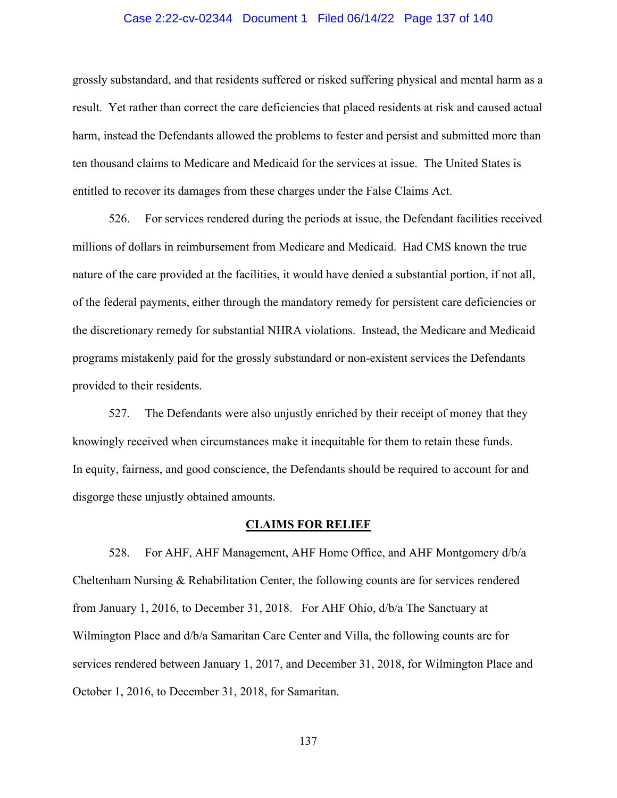### Case 2:22-cv-02344 Document 1 Filed 06/14/22 Page 137 of 140

grossly substandard, and that residents suffered or risked suffering physical and mental harm as a result. Yet rather than correct the care deficiencies that placed residents at risk and caused actual harm, instead the Defendants allowed the problems to fester and persist and submitted more than ten thousand claims to Medicare and Medicaid for the services at issue. The United States is entitled to recover its damages from these charges under the False Claims Act.

526. For services rendered during the periods at issue, the Defendant facilities received millions of dollars in reimbursement from Medicare and Medicaid. Had CMS known the true nature of the care provided at the facilities, it would have denied a substantial portion, if not all, of the federal payments, either through the mandatory remedy for persistent care deficiencies or the discretionary remedy for substantial NHRA violations. Instead, the Medicare and Medicaid programs mistakenly paid for the grossly substandard or non-existent services the Defendants provided to their residents.

527. The Defendants were also unjustly enriched by their receipt of money that they knowingly received when circumstances make it inequitable for them to retain these funds. In equity, fairness, and good conscience, the Defendants should be required to account for and disgorge these unjustly obtained amounts.

#### **CLAIMS FOR RELIEF**

528. For AHF, AHF Management, AHF Home Office, and AHF Montgomery d/b/a Cheltenham Nursing & Rehabilitation Center, the following counts are for services rendered from January 1, 2016, to December 31, 2018. For AHF Ohio, d/b/a The Sanctuary at Wilmington Place and d/b/a Samaritan Care Center and Villa, the following counts are for services rendered between January 1, 2017, and December 31, 2018, for Wilmington Place and October 1, 2016, to December 31, 2018, for Samaritan.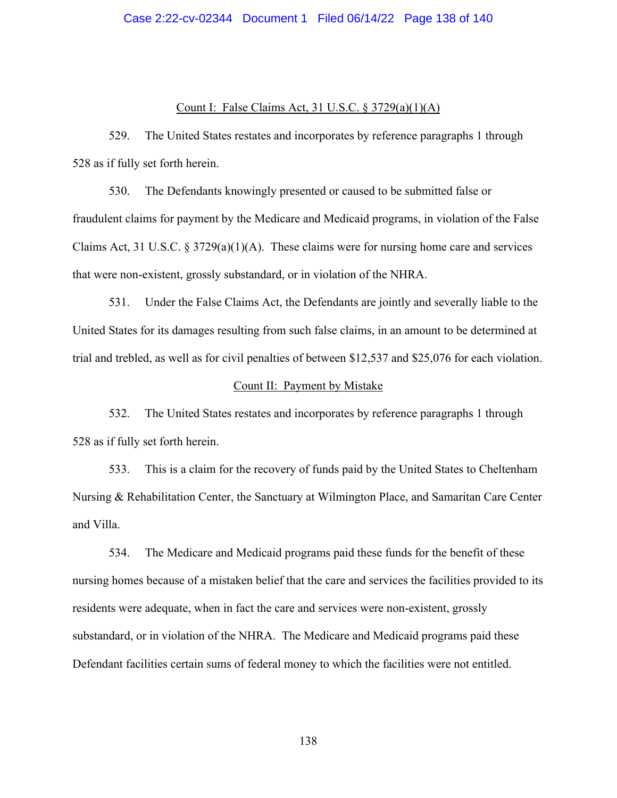## Case 2:22-cv-02344 Document 1 Filed 06/14/22 Page 138 of 140

## Count I: False Claims Act, 31 U.S.C. § 3729(a)(1)(A)

529. The United States restates and incorporates by reference paragraphs 1 through 528 as if fully set forth herein.

530. The Defendants knowingly presented or caused to be submitted false or fraudulent claims for payment by the Medicare and Medicaid programs, in violation of the False Claims Act, 31 U.S.C.  $\S 3729(a)(1)(A)$ . These claims were for nursing home care and services that were non-existent, grossly substandard, or in violation of the NHRA.

531. Under the False Claims Act, the Defendants are jointly and severally liable to the United States for its damages resulting from such false claims, in an amount to be determined at trial and trebled, as well as for civil penalties of between \$12,537 and \$25,076 for each violation.

#### Count II: Payment by Mistake

532. The United States restates and incorporates by reference paragraphs 1 through 528 as if fully set forth herein.

533. This is a claim for the recovery of funds paid by the United States to Cheltenham Nursing & Rehabilitation Center, the Sanctuary at Wilmington Place, and Samaritan Care Center and Villa.

534. The Medicare and Medicaid programs paid these funds for the benefit of these nursing homes because of a mistaken belief that the care and services the facilities provided to its residents were adequate, when in fact the care and services were non-existent, grossly substandard, or in violation of the NHRA. The Medicare and Medicaid programs paid these Defendant facilities certain sums of federal money to which the facilities were not entitled.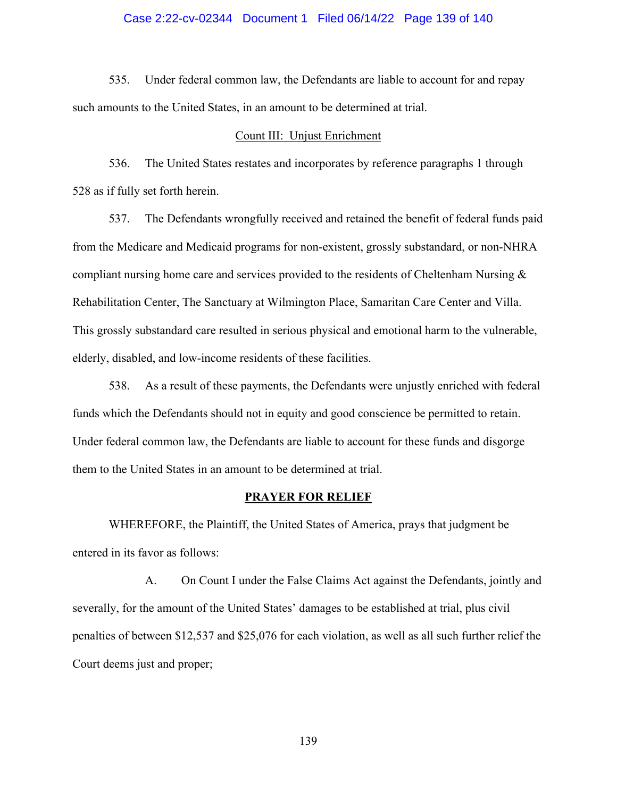### Case 2:22-cv-02344 Document 1 Filed 06/14/22 Page 139 of 140

535. Under federal common law, the Defendants are liable to account for and repay such amounts to the United States, in an amount to be determined at trial.

#### Count III: Unjust Enrichment

536. The United States restates and incorporates by reference paragraphs 1 through 528 as if fully set forth herein.

537. The Defendants wrongfully received and retained the benefit of federal funds paid from the Medicare and Medicaid programs for non-existent, grossly substandard, or non-NHRA compliant nursing home care and services provided to the residents of Cheltenham Nursing & Rehabilitation Center, The Sanctuary at Wilmington Place, Samaritan Care Center and Villa. This grossly substandard care resulted in serious physical and emotional harm to the vulnerable, elderly, disabled, and low-income residents of these facilities.

538. As a result of these payments, the Defendants were unjustly enriched with federal funds which the Defendants should not in equity and good conscience be permitted to retain. Under federal common law, the Defendants are liable to account for these funds and disgorge them to the United States in an amount to be determined at trial.

#### **PRAYER FOR RELIEF**

 WHEREFORE, the Plaintiff, the United States of America, prays that judgment be entered in its favor as follows:

A. On Count I under the False Claims Act against the Defendants, jointly and severally, for the amount of the United States' damages to be established at trial, plus civil penalties of between \$12,537 and \$25,076 for each violation, as well as all such further relief the Court deems just and proper;